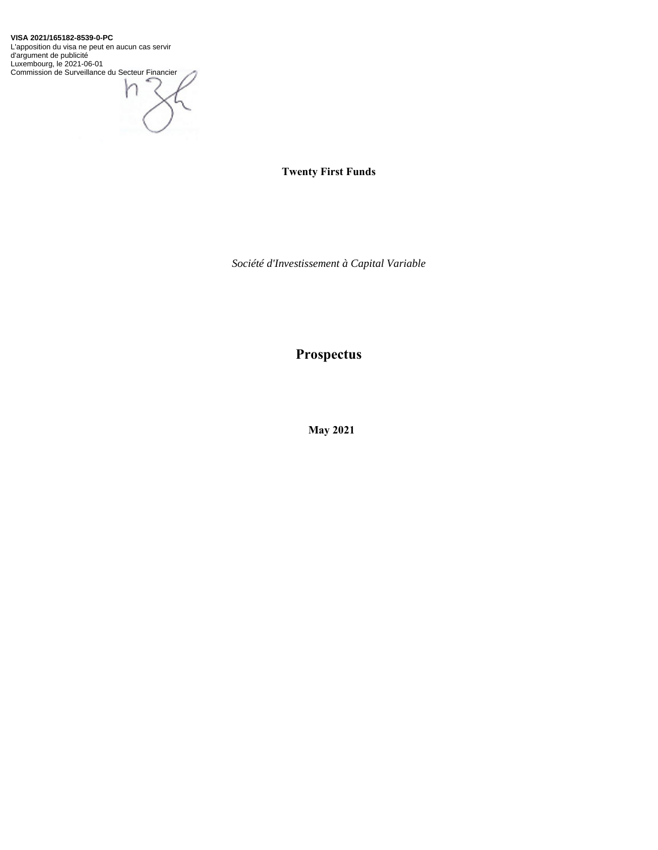**VISA 2021/165182-8539-0-PC**

L'apposition du visa ne peut en aucun cas servir d'argument de publicité Luxembourg, le 2021-06-01 Commission de Surveillance du Secteur Financier



**Twenty First Funds** 

*Société d'Investissement à Capital Variable* 

**Prospectus** 

 **May 2021**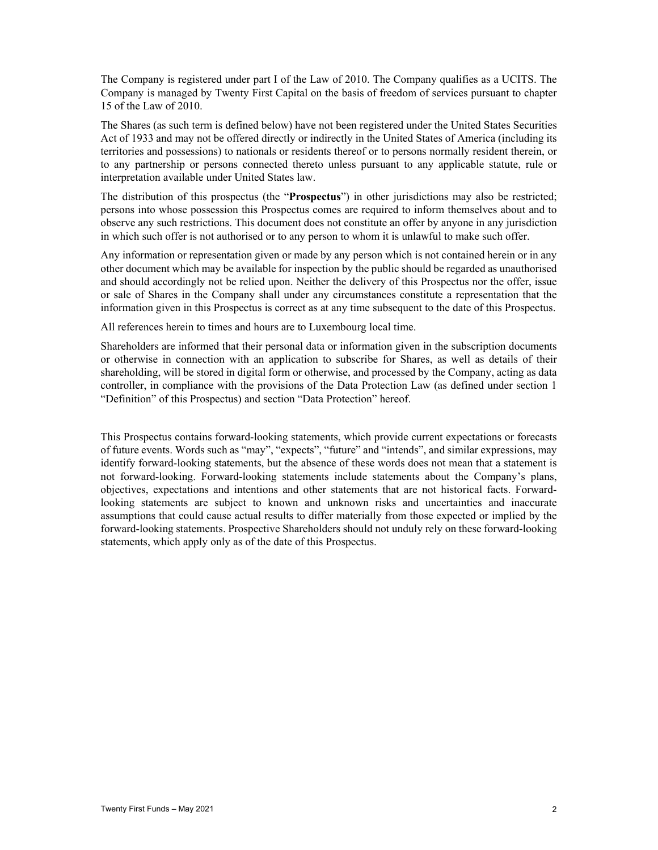The Company is registered under part I of the Law of 2010. The Company qualifies as a UCITS. The Company is managed by Twenty First Capital on the basis of freedom of services pursuant to chapter 15 of the Law of 2010.

The Shares (as such term is defined below) have not been registered under the United States Securities Act of 1933 and may not be offered directly or indirectly in the United States of America (including its territories and possessions) to nationals or residents thereof or to persons normally resident therein, or to any partnership or persons connected thereto unless pursuant to any applicable statute, rule or interpretation available under United States law.

The distribution of this prospectus (the "**Prospectus**") in other jurisdictions may also be restricted; persons into whose possession this Prospectus comes are required to inform themselves about and to observe any such restrictions. This document does not constitute an offer by anyone in any jurisdiction in which such offer is not authorised or to any person to whom it is unlawful to make such offer.

Any information or representation given or made by any person which is not contained herein or in any other document which may be available for inspection by the public should be regarded as unauthorised and should accordingly not be relied upon. Neither the delivery of this Prospectus nor the offer, issue or sale of Shares in the Company shall under any circumstances constitute a representation that the information given in this Prospectus is correct as at any time subsequent to the date of this Prospectus.

All references herein to times and hours are to Luxembourg local time.

Shareholders are informed that their personal data or information given in the subscription documents or otherwise in connection with an application to subscribe for Shares, as well as details of their shareholding, will be stored in digital form or otherwise, and processed by the Company, acting as data controller, in compliance with the provisions of the Data Protection Law (as defined under section 1 "Definition" of this Prospectus) and section "Data Protection" hereof.

This Prospectus contains forward-looking statements, which provide current expectations or forecasts of future events. Words such as "may", "expects", "future" and "intends", and similar expressions, may identify forward-looking statements, but the absence of these words does not mean that a statement is not forward-looking. Forward-looking statements include statements about the Company's plans, objectives, expectations and intentions and other statements that are not historical facts. Forwardlooking statements are subject to known and unknown risks and uncertainties and inaccurate assumptions that could cause actual results to differ materially from those expected or implied by the forward-looking statements. Prospective Shareholders should not unduly rely on these forward-looking statements, which apply only as of the date of this Prospectus.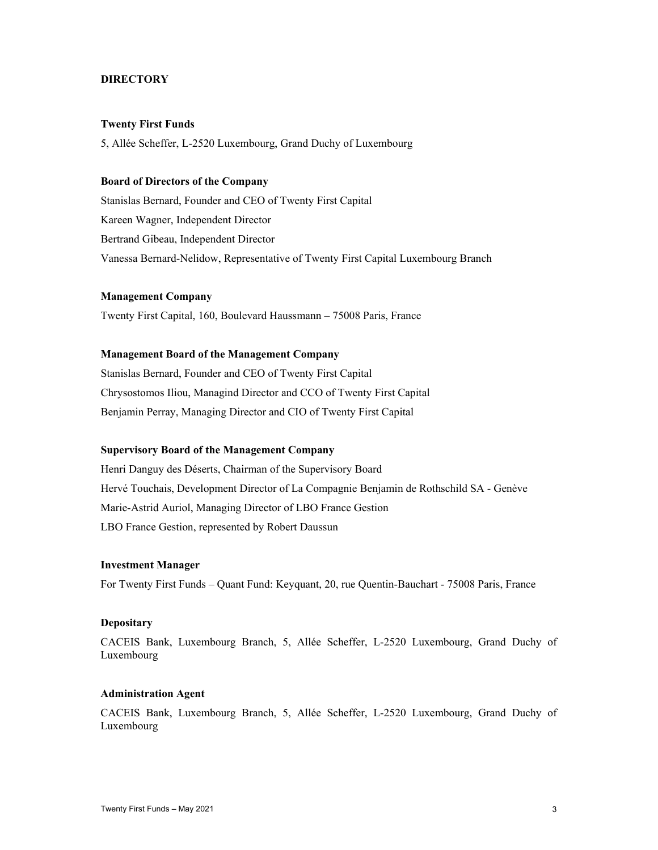## **DIRECTORY**

### **Twenty First Funds**

5, Allée Scheffer, L-2520 Luxembourg, Grand Duchy of Luxembourg

### **Board of Directors of the Company**

Stanislas Bernard, Founder and CEO of Twenty First Capital Kareen Wagner, Independent Director Bertrand Gibeau, Independent Director Vanessa Bernard-Nelidow, Representative of Twenty First Capital Luxembourg Branch

#### **Management Company**

Twenty First Capital, 160, Boulevard Haussmann – 75008 Paris, France

## **Management Board of the Management Company**

Stanislas Bernard, Founder and CEO of Twenty First Capital Chrysostomos Iliou, Managind Director and CCO of Twenty First Capital Benjamin Perray, Managing Director and CIO of Twenty First Capital

### **Supervisory Board of the Management Company**

Henri Danguy des Déserts, Chairman of the Supervisory Board Hervé Touchais, Development Director of La Compagnie Benjamin de Rothschild SA - Genève Marie-Astrid Auriol, Managing Director of LBO France Gestion LBO France Gestion, represented by Robert Daussun

## **Investment Manager**

For Twenty First Funds – Quant Fund: Keyquant, 20, rue Quentin-Bauchart - 75008 Paris, France

#### **Depositary**

CACEIS Bank, Luxembourg Branch, 5, Allée Scheffer, L-2520 Luxembourg, Grand Duchy of Luxembourg

### **Administration Agent**

CACEIS Bank, Luxembourg Branch, 5, Allée Scheffer, L-2520 Luxembourg, Grand Duchy of Luxembourg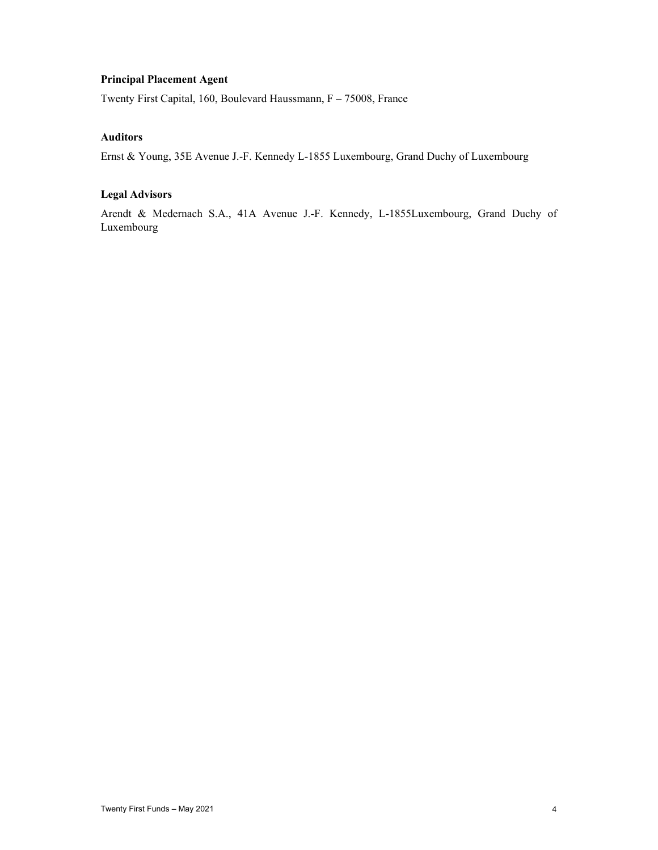## **Principal Placement Agent**

Twenty First Capital, 160, Boulevard Haussmann, F – 75008, France

## **Auditors**

Ernst & Young, 35E Avenue J.-F. Kennedy L-1855 Luxembourg, Grand Duchy of Luxembourg

## **Legal Advisors**

Arendt & Medernach S.A., 41A Avenue J.-F. Kennedy, L-1855Luxembourg, Grand Duchy of Luxembourg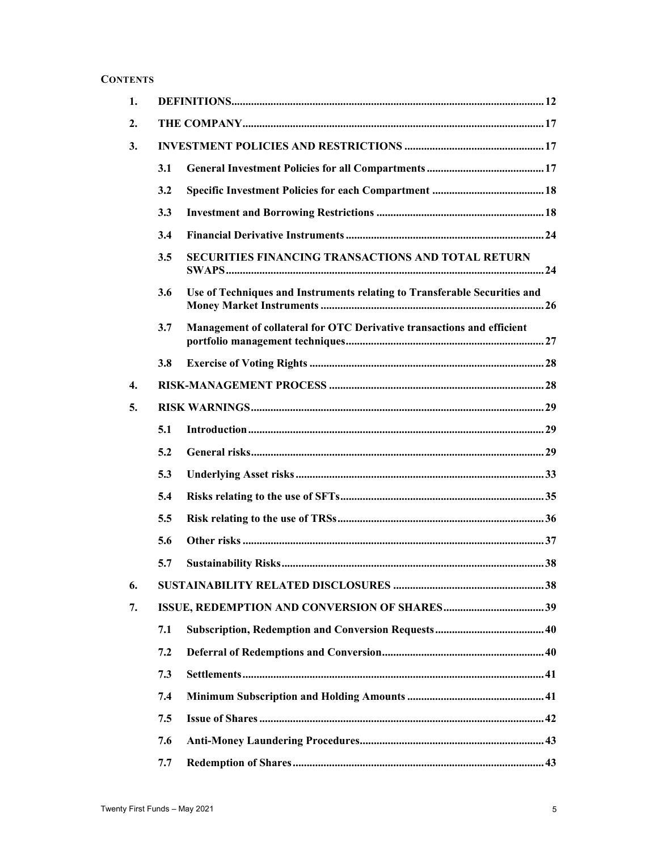# **CONTENTS**

| 1.               |     |                                                                           |  |
|------------------|-----|---------------------------------------------------------------------------|--|
| 2.               |     |                                                                           |  |
| 3.               |     |                                                                           |  |
|                  | 3.1 |                                                                           |  |
|                  | 3.2 |                                                                           |  |
|                  | 3.3 |                                                                           |  |
|                  | 3.4 |                                                                           |  |
|                  | 3.5 | SECURITIES FINANCING TRANSACTIONS AND TOTAL RETURN                        |  |
|                  | 3.6 | Use of Techniques and Instruments relating to Transferable Securities and |  |
|                  | 3.7 | Management of collateral for OTC Derivative transactions and efficient    |  |
|                  | 3.8 |                                                                           |  |
| $\overline{4}$ . |     |                                                                           |  |
| 5.               |     |                                                                           |  |
|                  | 5.1 |                                                                           |  |
|                  | 5.2 |                                                                           |  |
|                  | 5.3 |                                                                           |  |
|                  | 5.4 |                                                                           |  |
|                  | 5.5 |                                                                           |  |
|                  | 5.6 |                                                                           |  |
|                  | 5.7 |                                                                           |  |
| 6.               |     |                                                                           |  |
| 7.               |     |                                                                           |  |
|                  | 7.1 |                                                                           |  |
|                  | 7.2 |                                                                           |  |
|                  | 7.3 |                                                                           |  |
|                  | 7.4 |                                                                           |  |
|                  | 7.5 |                                                                           |  |
|                  | 7.6 |                                                                           |  |
|                  | 7.7 |                                                                           |  |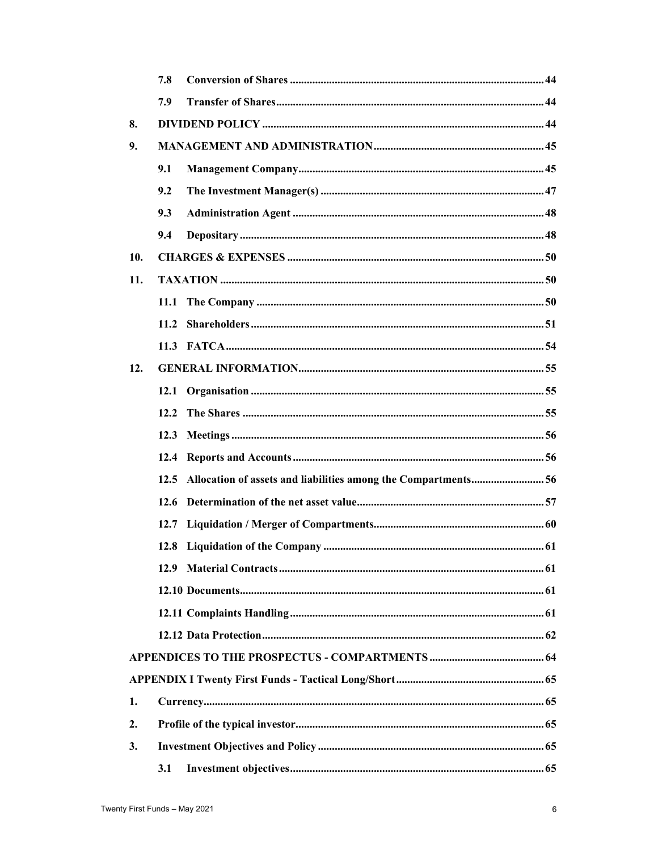|                  | 7.8                                                                |  |
|------------------|--------------------------------------------------------------------|--|
|                  | 7.9                                                                |  |
| 8.               |                                                                    |  |
| 9.               |                                                                    |  |
|                  | 9.1                                                                |  |
|                  | 9.2                                                                |  |
|                  | 9.3                                                                |  |
|                  | 9.4                                                                |  |
| 10.              |                                                                    |  |
| 11.              |                                                                    |  |
|                  | 11.1                                                               |  |
|                  | 11.2                                                               |  |
|                  |                                                                    |  |
| 12.              |                                                                    |  |
|                  | 12.1                                                               |  |
|                  | 12.2                                                               |  |
|                  | 12.3                                                               |  |
|                  | 12.4                                                               |  |
|                  | 12.5 Allocation of assets and liabilities among the Compartments56 |  |
|                  | 12.6                                                               |  |
|                  |                                                                    |  |
|                  |                                                                    |  |
|                  |                                                                    |  |
|                  |                                                                    |  |
|                  |                                                                    |  |
|                  |                                                                    |  |
|                  |                                                                    |  |
|                  |                                                                    |  |
| 1.               |                                                                    |  |
| $\overline{2}$ . |                                                                    |  |
| 3.               |                                                                    |  |
|                  | 3.1                                                                |  |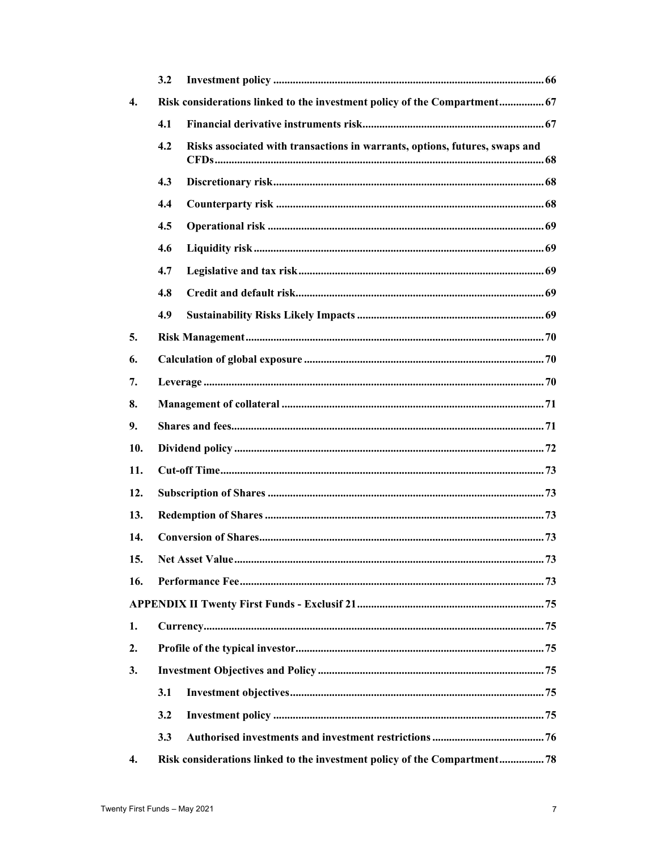|                  | 3.2 |                                                                             |
|------------------|-----|-----------------------------------------------------------------------------|
| $\overline{4}$ . |     | Risk considerations linked to the investment policy of the Compartment 67   |
|                  | 4.1 |                                                                             |
|                  | 4.2 | Risks associated with transactions in warrants, options, futures, swaps and |
|                  | 4.3 |                                                                             |
|                  | 4.4 |                                                                             |
|                  | 4.5 |                                                                             |
|                  | 4.6 |                                                                             |
|                  | 4.7 |                                                                             |
|                  | 4.8 |                                                                             |
|                  | 4.9 |                                                                             |
| 5.               |     |                                                                             |
| 6.               |     |                                                                             |
| 7.               |     |                                                                             |
| 8.               |     |                                                                             |
| 9.               |     |                                                                             |
| 10.              |     |                                                                             |
| 11.              |     |                                                                             |
| 12.              |     |                                                                             |
| 13.              |     |                                                                             |
| 14.              |     |                                                                             |
| 15.              |     |                                                                             |
| 16.              |     |                                                                             |
|                  |     |                                                                             |
| 1.               |     |                                                                             |
| 2.               |     |                                                                             |
| 3.               |     |                                                                             |
|                  | 3.1 |                                                                             |
|                  | 3.2 |                                                                             |
|                  | 3.3 |                                                                             |
| 4.               |     | Risk considerations linked to the investment policy of the Compartment 78   |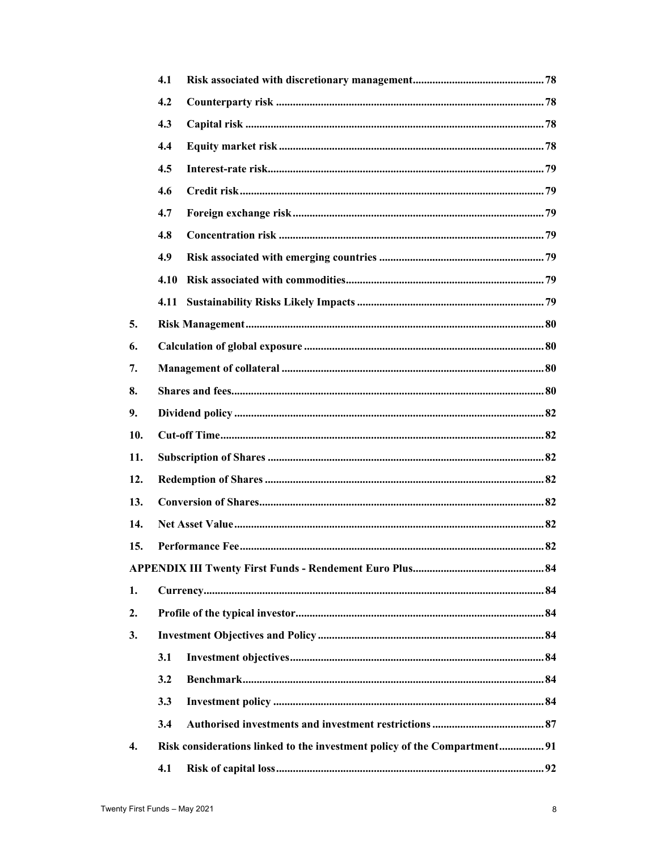|                  | 4.1  |                                                                           |  |  |
|------------------|------|---------------------------------------------------------------------------|--|--|
|                  | 4.2  |                                                                           |  |  |
|                  | 4.3  |                                                                           |  |  |
|                  | 4.4  |                                                                           |  |  |
|                  | 4.5  |                                                                           |  |  |
|                  | 4.6  |                                                                           |  |  |
|                  | 4.7  |                                                                           |  |  |
|                  | 4.8  |                                                                           |  |  |
|                  | 4.9  |                                                                           |  |  |
|                  | 4.10 |                                                                           |  |  |
|                  | 4.11 |                                                                           |  |  |
| 5.               |      |                                                                           |  |  |
| 6.               |      |                                                                           |  |  |
| 7.               |      |                                                                           |  |  |
| 8.               |      |                                                                           |  |  |
| 9.               |      |                                                                           |  |  |
| 10.              |      |                                                                           |  |  |
| 11.              |      |                                                                           |  |  |
| 12.              |      |                                                                           |  |  |
| 13.              |      |                                                                           |  |  |
| 14.              |      |                                                                           |  |  |
| 15.              |      |                                                                           |  |  |
|                  |      |                                                                           |  |  |
| 1.               |      |                                                                           |  |  |
| 2.               |      |                                                                           |  |  |
| 3.               |      |                                                                           |  |  |
|                  | 3.1  |                                                                           |  |  |
|                  | 3.2  |                                                                           |  |  |
|                  | 3.3  |                                                                           |  |  |
|                  | 3.4  |                                                                           |  |  |
| $\overline{4}$ . |      | Risk considerations linked to the investment policy of the Compartment 91 |  |  |
|                  | 4.1  |                                                                           |  |  |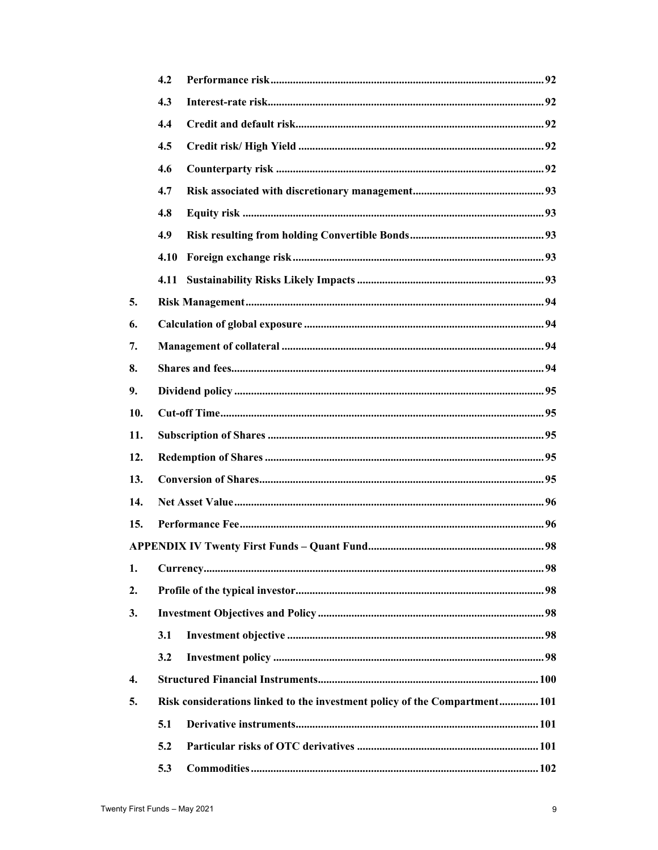|     | 4.2  |                                                                            |  |
|-----|------|----------------------------------------------------------------------------|--|
|     | 4.3  |                                                                            |  |
|     | 4.4  |                                                                            |  |
|     | 4.5  |                                                                            |  |
|     | 4.6  |                                                                            |  |
|     | 4.7  |                                                                            |  |
|     | 4.8  |                                                                            |  |
|     | 4.9  |                                                                            |  |
|     | 4.10 |                                                                            |  |
|     | 4.11 |                                                                            |  |
| 5.  |      |                                                                            |  |
| 6.  |      |                                                                            |  |
| 7.  |      |                                                                            |  |
| 8.  |      |                                                                            |  |
| 9.  |      |                                                                            |  |
| 10. |      |                                                                            |  |
| 11. |      |                                                                            |  |
| 12. |      |                                                                            |  |
| 13. |      |                                                                            |  |
| 14. |      |                                                                            |  |
| 15. |      |                                                                            |  |
|     |      |                                                                            |  |
| 1.  |      |                                                                            |  |
| 2.  |      |                                                                            |  |
| 3.  |      |                                                                            |  |
|     | 3.1  |                                                                            |  |
|     | 3.2  |                                                                            |  |
| 4.  |      |                                                                            |  |
| 5.  |      | Risk considerations linked to the investment policy of the Compartment 101 |  |
|     | 5.1  |                                                                            |  |
|     | 5.2  |                                                                            |  |
|     | 5.3  |                                                                            |  |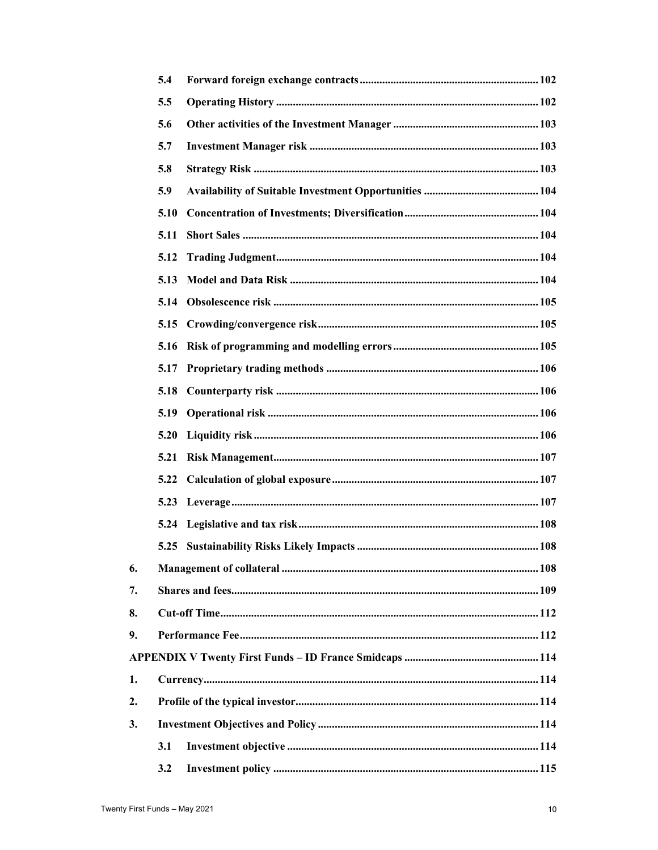|    | 5.4  |  |
|----|------|--|
|    | 5.5  |  |
|    | 5.6  |  |
|    | 5.7  |  |
|    | 5.8  |  |
|    | 5.9  |  |
|    | 5.10 |  |
|    | 5.11 |  |
|    | 5.12 |  |
|    | 5.13 |  |
|    | 5.14 |  |
|    | 5.15 |  |
|    | 5.16 |  |
|    | 5.17 |  |
|    | 5.18 |  |
|    | 5.19 |  |
|    | 5.20 |  |
|    | 5.21 |  |
|    | 5.22 |  |
|    |      |  |
|    |      |  |
|    |      |  |
| 6. |      |  |
| 7. |      |  |
| 8. |      |  |
| 9. |      |  |
|    |      |  |
| 1. |      |  |
| 2. |      |  |
| 3. |      |  |
|    | 3.1  |  |
|    | 3.2  |  |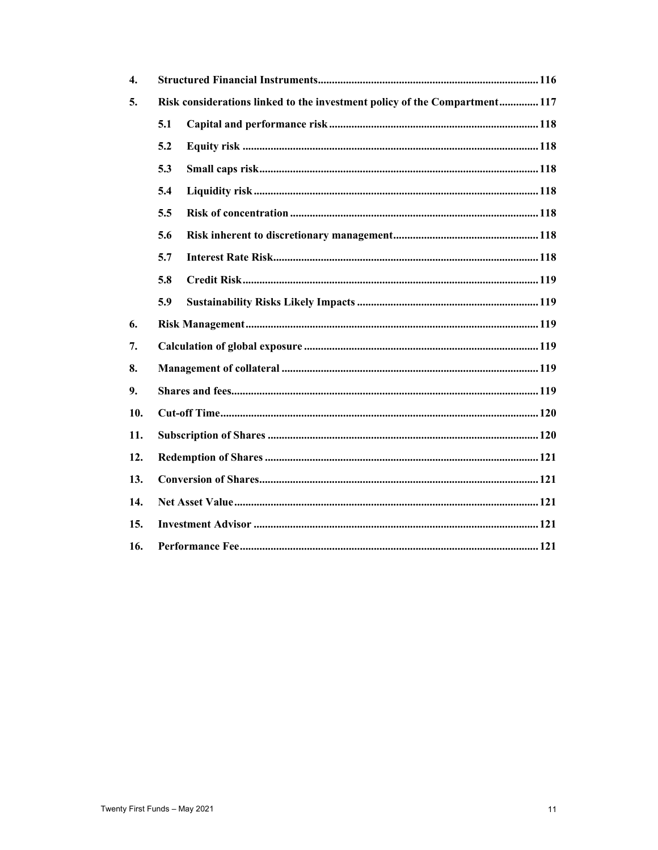| $\overline{4}$ . |                                                                            |  |  |
|------------------|----------------------------------------------------------------------------|--|--|
| 5.               | Risk considerations linked to the investment policy of the Compartment 117 |  |  |
|                  | 5.1                                                                        |  |  |
|                  | 5.2                                                                        |  |  |
|                  | 5.3                                                                        |  |  |
|                  | 5.4                                                                        |  |  |
|                  | 5.5                                                                        |  |  |
|                  | 5.6                                                                        |  |  |
|                  | 5.7                                                                        |  |  |
|                  | 5.8                                                                        |  |  |
|                  | 5.9                                                                        |  |  |
| 6.               |                                                                            |  |  |
| 7.               |                                                                            |  |  |
| 8.               |                                                                            |  |  |
| 9.               |                                                                            |  |  |
| 10.              |                                                                            |  |  |
| 11.              |                                                                            |  |  |
| 12.              |                                                                            |  |  |
| 13.              |                                                                            |  |  |
| 14.              |                                                                            |  |  |
| 15.              |                                                                            |  |  |
| 16.              |                                                                            |  |  |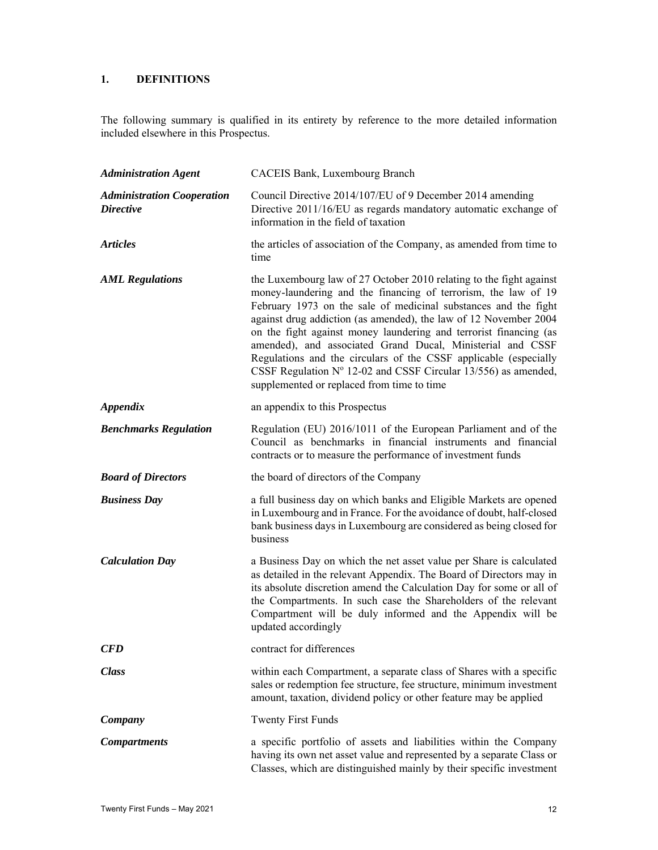# **1. DEFINITIONS**

The following summary is qualified in its entirety by reference to the more detailed information included elsewhere in this Prospectus.

| <b>Administration Agent</b>                           | CACEIS Bank, Luxembourg Branch                                                                                                                                                                                                                                                                                                                                                                                                                                                                                                                                                                               |
|-------------------------------------------------------|--------------------------------------------------------------------------------------------------------------------------------------------------------------------------------------------------------------------------------------------------------------------------------------------------------------------------------------------------------------------------------------------------------------------------------------------------------------------------------------------------------------------------------------------------------------------------------------------------------------|
| <b>Administration Cooperation</b><br><i>Directive</i> | Council Directive 2014/107/EU of 9 December 2014 amending<br>Directive 2011/16/EU as regards mandatory automatic exchange of<br>information in the field of taxation                                                                                                                                                                                                                                                                                                                                                                                                                                         |
| <b>Articles</b>                                       | the articles of association of the Company, as amended from time to<br>time                                                                                                                                                                                                                                                                                                                                                                                                                                                                                                                                  |
| <b>AML Regulations</b>                                | the Luxembourg law of 27 October 2010 relating to the fight against<br>money-laundering and the financing of terrorism, the law of 19<br>February 1973 on the sale of medicinal substances and the fight<br>against drug addiction (as amended), the law of 12 November 2004<br>on the fight against money laundering and terrorist financing (as<br>amended), and associated Grand Ducal, Ministerial and CSSF<br>Regulations and the circulars of the CSSF applicable (especially<br>CSSF Regulation $N^{\circ}$ 12-02 and CSSF Circular 13/556) as amended,<br>supplemented or replaced from time to time |
| <i><b>Appendix</b></i>                                | an appendix to this Prospectus                                                                                                                                                                                                                                                                                                                                                                                                                                                                                                                                                                               |
| <b>Benchmarks Regulation</b>                          | Regulation (EU) 2016/1011 of the European Parliament and of the<br>Council as benchmarks in financial instruments and financial<br>contracts or to measure the performance of investment funds                                                                                                                                                                                                                                                                                                                                                                                                               |
| <b>Board of Directors</b>                             | the board of directors of the Company                                                                                                                                                                                                                                                                                                                                                                                                                                                                                                                                                                        |
| <b>Business Day</b>                                   | a full business day on which banks and Eligible Markets are opened<br>in Luxembourg and in France. For the avoidance of doubt, half-closed<br>bank business days in Luxembourg are considered as being closed for<br>business                                                                                                                                                                                                                                                                                                                                                                                |
| <b>Calculation Day</b>                                | a Business Day on which the net asset value per Share is calculated<br>as detailed in the relevant Appendix. The Board of Directors may in<br>its absolute discretion amend the Calculation Day for some or all of<br>the Compartments. In such case the Shareholders of the relevant<br>Compartment will be duly informed and the Appendix will be<br>updated accordingly                                                                                                                                                                                                                                   |
| <b>CFD</b>                                            | contract for differences                                                                                                                                                                                                                                                                                                                                                                                                                                                                                                                                                                                     |
| <b>Class</b>                                          | within each Compartment, a separate class of Shares with a specific<br>sales or redemption fee structure, fee structure, minimum investment<br>amount, taxation, dividend policy or other feature may be applied                                                                                                                                                                                                                                                                                                                                                                                             |
| Company                                               | <b>Twenty First Funds</b>                                                                                                                                                                                                                                                                                                                                                                                                                                                                                                                                                                                    |
| <b>Compartments</b>                                   | a specific portfolio of assets and liabilities within the Company<br>having its own net asset value and represented by a separate Class or<br>Classes, which are distinguished mainly by their specific investment                                                                                                                                                                                                                                                                                                                                                                                           |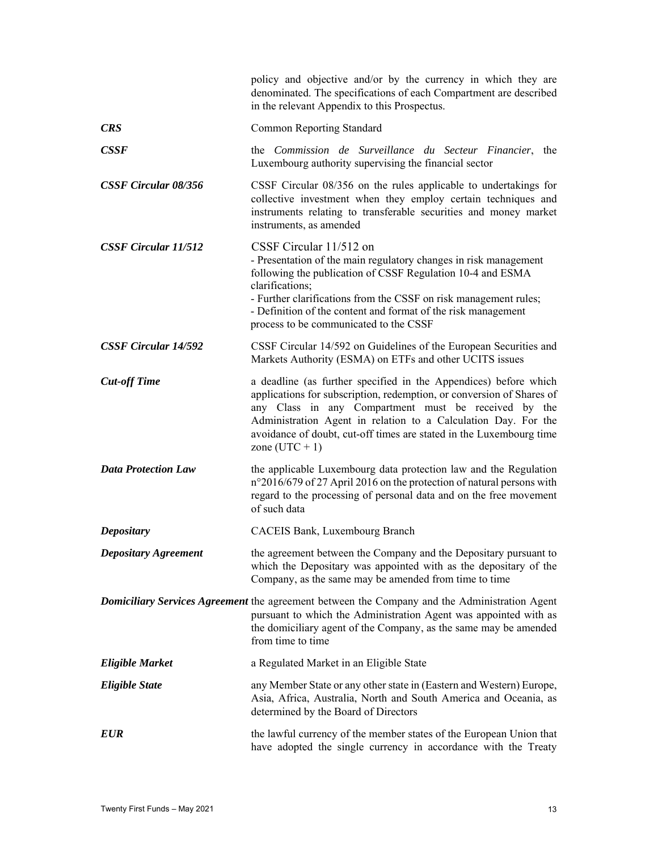|                             | policy and objective and/or by the currency in which they are<br>denominated. The specifications of each Compartment are described<br>in the relevant Appendix to this Prospectus.                                                                                                                                                                             |
|-----------------------------|----------------------------------------------------------------------------------------------------------------------------------------------------------------------------------------------------------------------------------------------------------------------------------------------------------------------------------------------------------------|
| <b>CRS</b>                  | <b>Common Reporting Standard</b>                                                                                                                                                                                                                                                                                                                               |
| <b>CSSF</b>                 | the Commission de Surveillance du Secteur Financier, the<br>Luxembourg authority supervising the financial sector                                                                                                                                                                                                                                              |
| <b>CSSF Circular 08/356</b> | CSSF Circular 08/356 on the rules applicable to undertakings for<br>collective investment when they employ certain techniques and<br>instruments relating to transferable securities and money market<br>instruments, as amended                                                                                                                               |
| <b>CSSF Circular 11/512</b> | CSSF Circular 11/512 on<br>- Presentation of the main regulatory changes in risk management<br>following the publication of CSSF Regulation 10-4 and ESMA<br>clarifications;<br>- Further clarifications from the CSSF on risk management rules;<br>- Definition of the content and format of the risk management<br>process to be communicated to the CSSF    |
| <b>CSSF Circular 14/592</b> | CSSF Circular 14/592 on Guidelines of the European Securities and<br>Markets Authority (ESMA) on ETFs and other UCITS issues                                                                                                                                                                                                                                   |
| <b>Cut-off Time</b>         | a deadline (as further specified in the Appendices) before which<br>applications for subscription, redemption, or conversion of Shares of<br>any Class in any Compartment must be received by the<br>Administration Agent in relation to a Calculation Day. For the<br>avoidance of doubt, cut-off times are stated in the Luxembourg time<br>zone $(UTC + 1)$ |
| <b>Data Protection Law</b>  | the applicable Luxembourg data protection law and the Regulation<br>n°2016/679 of 27 April 2016 on the protection of natural persons with<br>regard to the processing of personal data and on the free movement<br>of such data                                                                                                                                |
| <b>Depositary</b>           | CACEIS Bank, Luxembourg Branch                                                                                                                                                                                                                                                                                                                                 |
| <b>Depositary Agreement</b> | the agreement between the Company and the Depositary pursuant to<br>which the Depositary was appointed with as the depositary of the<br>Company, as the same may be amended from time to time                                                                                                                                                                  |
|                             | <b>Domiciliary Services Agreement</b> the agreement between the Company and the Administration Agent<br>pursuant to which the Administration Agent was appointed with as<br>the domiciliary agent of the Company, as the same may be amended<br>from time to time                                                                                              |
| <b>Eligible Market</b>      | a Regulated Market in an Eligible State                                                                                                                                                                                                                                                                                                                        |
| <b>Eligible State</b>       | any Member State or any other state in (Eastern and Western) Europe,<br>Asia, Africa, Australia, North and South America and Oceania, as<br>determined by the Board of Directors                                                                                                                                                                               |
| <b>EUR</b>                  | the lawful currency of the member states of the European Union that<br>have adopted the single currency in accordance with the Treaty                                                                                                                                                                                                                          |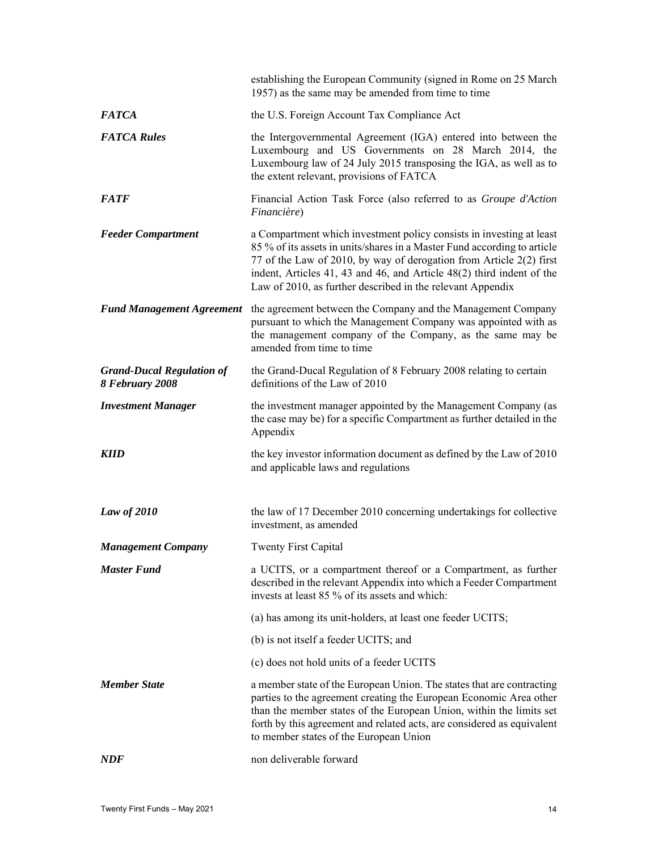|                                                     | establishing the European Community (signed in Rome on 25 March<br>1957) as the same may be amended from time to time                                                                                                                                                                                                                                          |
|-----------------------------------------------------|----------------------------------------------------------------------------------------------------------------------------------------------------------------------------------------------------------------------------------------------------------------------------------------------------------------------------------------------------------------|
| <b>FATCA</b>                                        | the U.S. Foreign Account Tax Compliance Act                                                                                                                                                                                                                                                                                                                    |
| <b>FATCA Rules</b>                                  | the Intergovernmental Agreement (IGA) entered into between the<br>Luxembourg and US Governments on 28 March 2014, the<br>Luxembourg law of 24 July 2015 transposing the IGA, as well as to<br>the extent relevant, provisions of FATCA                                                                                                                         |
| <i><b>FATF</b></i>                                  | Financial Action Task Force (also referred to as Groupe d'Action<br>Financière)                                                                                                                                                                                                                                                                                |
| <b>Feeder Compartment</b>                           | a Compartment which investment policy consists in investing at least<br>85 % of its assets in units/shares in a Master Fund according to article<br>77 of the Law of 2010, by way of derogation from Article 2(2) first<br>indent, Articles 41, 43 and 46, and Article 48(2) third indent of the<br>Law of 2010, as further described in the relevant Appendix |
| <b>Fund Management Agreement</b>                    | the agreement between the Company and the Management Company<br>pursuant to which the Management Company was appointed with as<br>the management company of the Company, as the same may be<br>amended from time to time                                                                                                                                       |
| <b>Grand-Ducal Regulation of</b><br>8 February 2008 | the Grand-Ducal Regulation of 8 February 2008 relating to certain<br>definitions of the Law of 2010                                                                                                                                                                                                                                                            |
| <b>Investment Manager</b>                           | the investment manager appointed by the Management Company (as<br>the case may be) for a specific Compartment as further detailed in the<br>Appendix                                                                                                                                                                                                           |
| <b>KIID</b>                                         | the key investor information document as defined by the Law of 2010<br>and applicable laws and regulations                                                                                                                                                                                                                                                     |
| Law of $2010$                                       | the law of 17 December 2010 concerning undertakings for collective<br>investment, as amended                                                                                                                                                                                                                                                                   |
| <b>Management Company</b>                           | <b>Twenty First Capital</b>                                                                                                                                                                                                                                                                                                                                    |
| <b>Master Fund</b>                                  | a UCITS, or a compartment thereof or a Compartment, as further<br>described in the relevant Appendix into which a Feeder Compartment<br>invests at least 85 % of its assets and which:                                                                                                                                                                         |
|                                                     | (a) has among its unit-holders, at least one feeder UCITS;                                                                                                                                                                                                                                                                                                     |
|                                                     | (b) is not itself a feeder UCITS; and                                                                                                                                                                                                                                                                                                                          |
|                                                     | (c) does not hold units of a feeder UCITS                                                                                                                                                                                                                                                                                                                      |
| <b>Member State</b>                                 | a member state of the European Union. The states that are contracting<br>parties to the agreement creating the European Economic Area other<br>than the member states of the European Union, within the limits set<br>forth by this agreement and related acts, are considered as equivalent<br>to member states of the European Union                         |
| NDF                                                 | non deliverable forward                                                                                                                                                                                                                                                                                                                                        |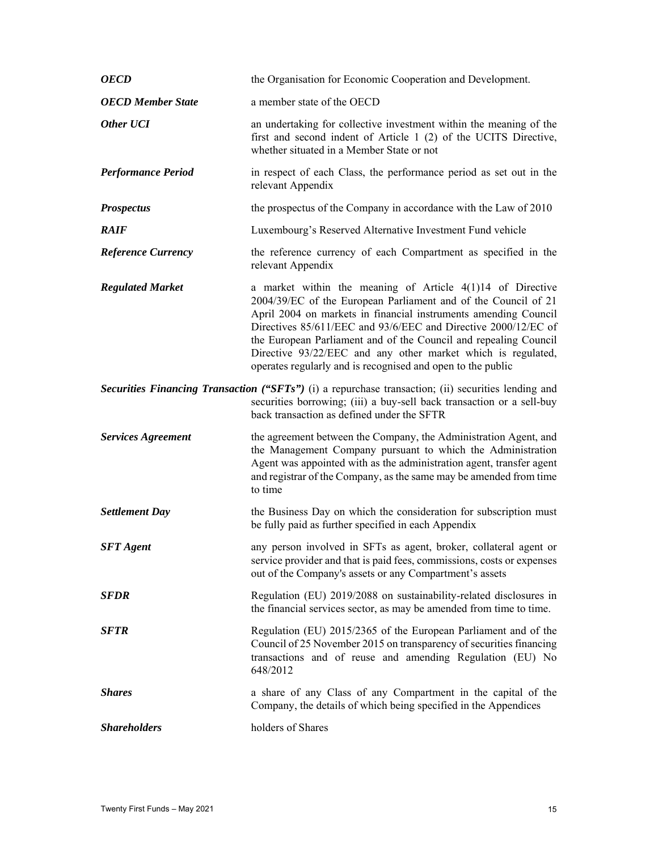| <b>OECD</b>               | the Organisation for Economic Cooperation and Development.                                                                                                                                                                                                                                                                                                                                                                                                           |
|---------------------------|----------------------------------------------------------------------------------------------------------------------------------------------------------------------------------------------------------------------------------------------------------------------------------------------------------------------------------------------------------------------------------------------------------------------------------------------------------------------|
| <b>OECD Member State</b>  | a member state of the OECD                                                                                                                                                                                                                                                                                                                                                                                                                                           |
| Other UCI                 | an undertaking for collective investment within the meaning of the<br>first and second indent of Article 1 (2) of the UCITS Directive,<br>whether situated in a Member State or not                                                                                                                                                                                                                                                                                  |
| <b>Performance Period</b> | in respect of each Class, the performance period as set out in the<br>relevant Appendix                                                                                                                                                                                                                                                                                                                                                                              |
| <b>Prospectus</b>         | the prospectus of the Company in accordance with the Law of 2010                                                                                                                                                                                                                                                                                                                                                                                                     |
| <b>RAIF</b>               | Luxembourg's Reserved Alternative Investment Fund vehicle                                                                                                                                                                                                                                                                                                                                                                                                            |
| <b>Reference Currency</b> | the reference currency of each Compartment as specified in the<br>relevant Appendix                                                                                                                                                                                                                                                                                                                                                                                  |
| <b>Regulated Market</b>   | a market within the meaning of Article 4(1)14 of Directive<br>2004/39/EC of the European Parliament and of the Council of 21<br>April 2004 on markets in financial instruments amending Council<br>Directives 85/611/EEC and 93/6/EEC and Directive 2000/12/EC of<br>the European Parliament and of the Council and repealing Council<br>Directive 93/22/EEC and any other market which is regulated,<br>operates regularly and is recognised and open to the public |
|                           | Securities Financing Transaction ("SFTs") (i) a repurchase transaction; (ii) securities lending and<br>securities borrowing; (iii) a buy-sell back transaction or a sell-buy<br>back transaction as defined under the SFTR                                                                                                                                                                                                                                           |
|                           |                                                                                                                                                                                                                                                                                                                                                                                                                                                                      |
| <b>Services Agreement</b> | the agreement between the Company, the Administration Agent, and<br>the Management Company pursuant to which the Administration<br>Agent was appointed with as the administration agent, transfer agent<br>and registrar of the Company, as the same may be amended from time<br>to time                                                                                                                                                                             |
| <b>Settlement Day</b>     | the Business Day on which the consideration for subscription must<br>be fully paid as further specified in each Appendix                                                                                                                                                                                                                                                                                                                                             |
| <b>SFT</b> Agent          | any person involved in SFTs as agent, broker, collateral agent or<br>service provider and that is paid fees, commissions, costs or expenses<br>out of the Company's assets or any Compartment's assets                                                                                                                                                                                                                                                               |
| <b>SFDR</b>               | Regulation (EU) 2019/2088 on sustainability-related disclosures in<br>the financial services sector, as may be amended from time to time.                                                                                                                                                                                                                                                                                                                            |
| <b>SFTR</b>               | Regulation (EU) 2015/2365 of the European Parliament and of the<br>Council of 25 November 2015 on transparency of securities financing<br>transactions and of reuse and amending Regulation (EU) No<br>648/2012                                                                                                                                                                                                                                                      |
| <b>Shares</b>             | a share of any Class of any Compartment in the capital of the<br>Company, the details of which being specified in the Appendices                                                                                                                                                                                                                                                                                                                                     |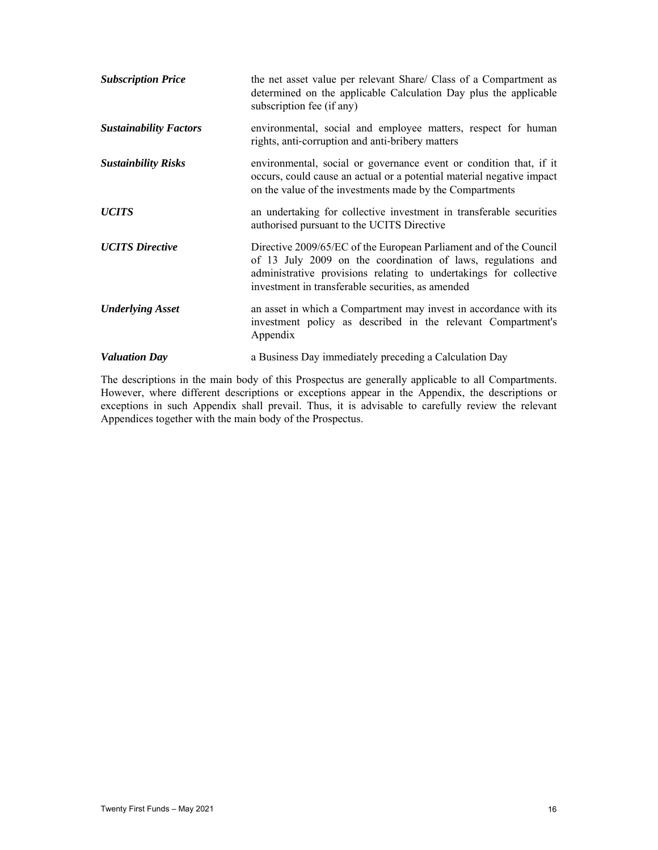| <b>Subscription Price</b>     | the net asset value per relevant Share/ Class of a Compartment as<br>determined on the applicable Calculation Day plus the applicable<br>subscription fee (if any)                                                                                           |
|-------------------------------|--------------------------------------------------------------------------------------------------------------------------------------------------------------------------------------------------------------------------------------------------------------|
| <b>Sustainability Factors</b> | environmental, social and employee matters, respect for human<br>rights, anti-corruption and anti-bribery matters                                                                                                                                            |
| <b>Sustainbility Risks</b>    | environmental, social or governance event or condition that, if it<br>occurs, could cause an actual or a potential material negative impact<br>on the value of the investments made by the Compartments                                                      |
| <b>UCITS</b>                  | an undertaking for collective investment in transferable securities<br>authorised pursuant to the UCITS Directive                                                                                                                                            |
| <b>UCITS</b> Directive        | Directive 2009/65/EC of the European Parliament and of the Council<br>of 13 July 2009 on the coordination of laws, regulations and<br>administrative provisions relating to undertakings for collective<br>investment in transferable securities, as amended |
| <b>Underlying Asset</b>       | an asset in which a Compartment may invest in accordance with its<br>investment policy as described in the relevant Compartment's<br>Appendix                                                                                                                |
| <b>Valuation Day</b>          | a Business Day immediately preceding a Calculation Day                                                                                                                                                                                                       |

The descriptions in the main body of this Prospectus are generally applicable to all Compartments. However, where different descriptions or exceptions appear in the Appendix, the descriptions or exceptions in such Appendix shall prevail. Thus, it is advisable to carefully review the relevant Appendices together with the main body of the Prospectus.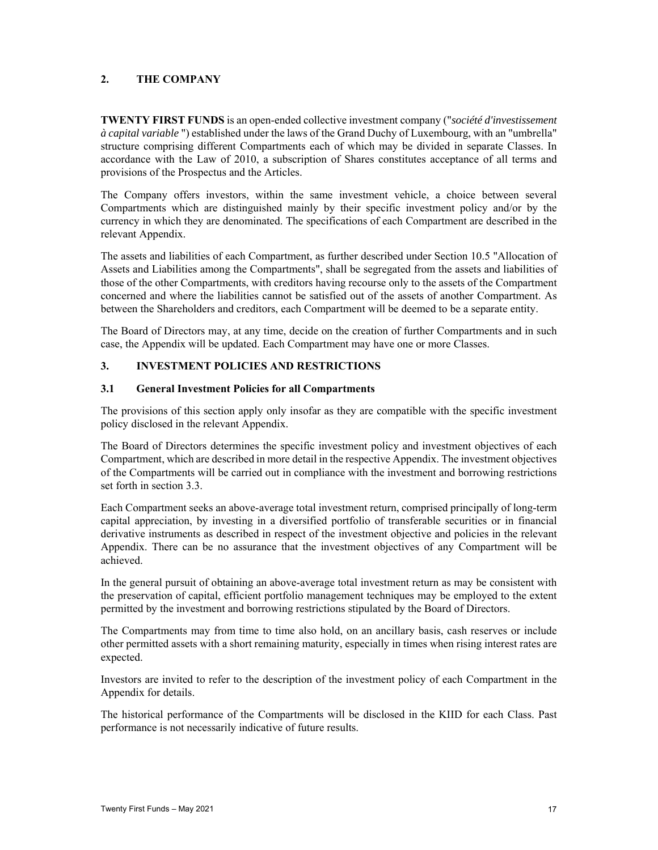# **2. THE COMPANY**

**TWENTY FIRST FUNDS** is an open-ended collective investment company ("*société d'investissement à capital variable* ") established under the laws of the Grand Duchy of Luxembourg, with an "umbrella" structure comprising different Compartments each of which may be divided in separate Classes. In accordance with the Law of 2010, a subscription of Shares constitutes acceptance of all terms and provisions of the Prospectus and the Articles.

The Company offers investors, within the same investment vehicle, a choice between several Compartments which are distinguished mainly by their specific investment policy and/or by the currency in which they are denominated. The specifications of each Compartment are described in the relevant Appendix.

The assets and liabilities of each Compartment, as further described under Section 10.5 "Allocation of Assets and Liabilities among the Compartments", shall be segregated from the assets and liabilities of those of the other Compartments, with creditors having recourse only to the assets of the Compartment concerned and where the liabilities cannot be satisfied out of the assets of another Compartment. As between the Shareholders and creditors, each Compartment will be deemed to be a separate entity.

The Board of Directors may, at any time, decide on the creation of further Compartments and in such case, the Appendix will be updated. Each Compartment may have one or more Classes.

## **3. INVESTMENT POLICIES AND RESTRICTIONS**

## **3.1 General Investment Policies for all Compartments**

The provisions of this section apply only insofar as they are compatible with the specific investment policy disclosed in the relevant Appendix.

The Board of Directors determines the specific investment policy and investment objectives of each Compartment, which are described in more detail in the respective Appendix. The investment objectives of the Compartments will be carried out in compliance with the investment and borrowing restrictions set forth in section 3.3.

Each Compartment seeks an above-average total investment return, comprised principally of long-term capital appreciation, by investing in a diversified portfolio of transferable securities or in financial derivative instruments as described in respect of the investment objective and policies in the relevant Appendix. There can be no assurance that the investment objectives of any Compartment will be achieved.

In the general pursuit of obtaining an above-average total investment return as may be consistent with the preservation of capital, efficient portfolio management techniques may be employed to the extent permitted by the investment and borrowing restrictions stipulated by the Board of Directors.

The Compartments may from time to time also hold, on an ancillary basis, cash reserves or include other permitted assets with a short remaining maturity, especially in times when rising interest rates are expected.

Investors are invited to refer to the description of the investment policy of each Compartment in the Appendix for details.

The historical performance of the Compartments will be disclosed in the KIID for each Class. Past performance is not necessarily indicative of future results.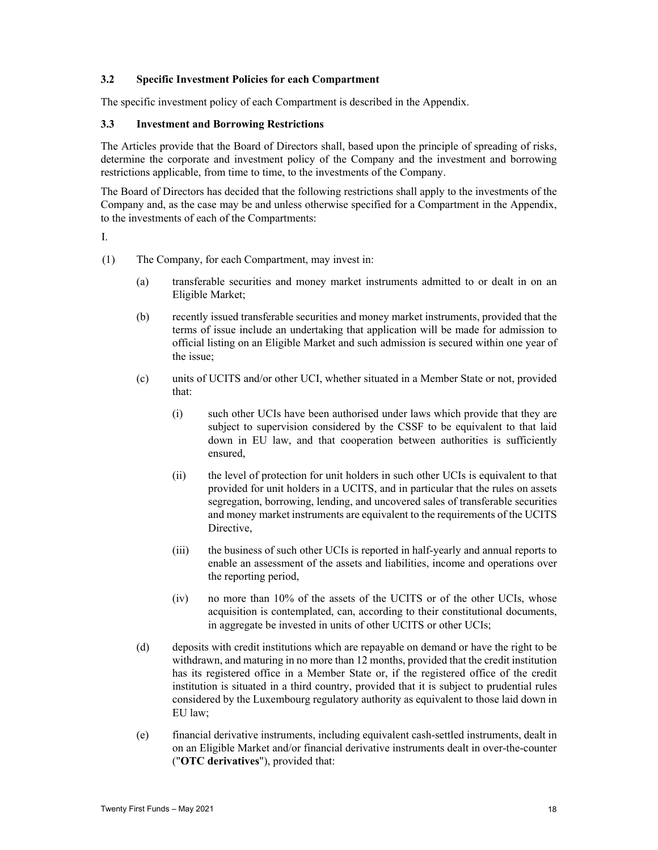## **3.2 Specific Investment Policies for each Compartment**

The specific investment policy of each Compartment is described in the Appendix.

## **3.3 Investment and Borrowing Restrictions**

The Articles provide that the Board of Directors shall, based upon the principle of spreading of risks, determine the corporate and investment policy of the Company and the investment and borrowing restrictions applicable, from time to time, to the investments of the Company.

The Board of Directors has decided that the following restrictions shall apply to the investments of the Company and, as the case may be and unless otherwise specified for a Compartment in the Appendix, to the investments of each of the Compartments:

I.

- (1) The Company, for each Compartment, may invest in:
	- (a) transferable securities and money market instruments admitted to or dealt in on an Eligible Market;
	- (b) recently issued transferable securities and money market instruments, provided that the terms of issue include an undertaking that application will be made for admission to official listing on an Eligible Market and such admission is secured within one year of the issue;
	- (c) units of UCITS and/or other UCI, whether situated in a Member State or not, provided that:
		- (i) such other UCIs have been authorised under laws which provide that they are subject to supervision considered by the CSSF to be equivalent to that laid down in EU law, and that cooperation between authorities is sufficiently ensured,
		- (ii) the level of protection for unit holders in such other UCIs is equivalent to that provided for unit holders in a UCITS, and in particular that the rules on assets segregation, borrowing, lending, and uncovered sales of transferable securities and money market instruments are equivalent to the requirements of the UCITS Directive,
		- (iii) the business of such other UCIs is reported in half-yearly and annual reports to enable an assessment of the assets and liabilities, income and operations over the reporting period,
		- (iv) no more than 10% of the assets of the UCITS or of the other UCIs, whose acquisition is contemplated, can, according to their constitutional documents, in aggregate be invested in units of other UCITS or other UCIs;
	- (d) deposits with credit institutions which are repayable on demand or have the right to be withdrawn, and maturing in no more than 12 months, provided that the credit institution has its registered office in a Member State or, if the registered office of the credit institution is situated in a third country, provided that it is subject to prudential rules considered by the Luxembourg regulatory authority as equivalent to those laid down in EU law;
	- (e) financial derivative instruments, including equivalent cash-settled instruments, dealt in on an Eligible Market and/or financial derivative instruments dealt in over-the-counter ("**OTC derivatives**"), provided that: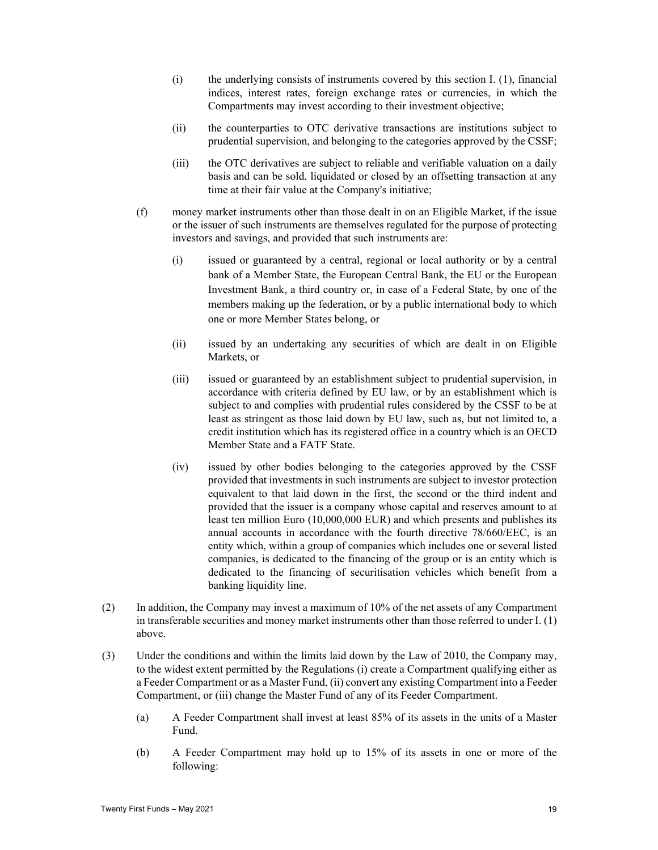- (i) the underlying consists of instruments covered by this section I. (1), financial indices, interest rates, foreign exchange rates or currencies, in which the Compartments may invest according to their investment objective;
- (ii) the counterparties to OTC derivative transactions are institutions subject to prudential supervision, and belonging to the categories approved by the CSSF;
- (iii) the OTC derivatives are subject to reliable and verifiable valuation on a daily basis and can be sold, liquidated or closed by an offsetting transaction at any time at their fair value at the Company's initiative;
- (f) money market instruments other than those dealt in on an Eligible Market, if the issue or the issuer of such instruments are themselves regulated for the purpose of protecting investors and savings, and provided that such instruments are:
	- (i) issued or guaranteed by a central, regional or local authority or by a central bank of a Member State, the European Central Bank, the EU or the European Investment Bank, a third country or, in case of a Federal State, by one of the members making up the federation, or by a public international body to which one or more Member States belong, or
	- (ii) issued by an undertaking any securities of which are dealt in on Eligible Markets, or
	- (iii) issued or guaranteed by an establishment subject to prudential supervision, in accordance with criteria defined by EU law, or by an establishment which is subject to and complies with prudential rules considered by the CSSF to be at least as stringent as those laid down by EU law, such as, but not limited to, a credit institution which has its registered office in a country which is an OECD Member State and a FATF State.
	- (iv) issued by other bodies belonging to the categories approved by the CSSF provided that investments in such instruments are subject to investor protection equivalent to that laid down in the first, the second or the third indent and provided that the issuer is a company whose capital and reserves amount to at least ten million Euro (10,000,000 EUR) and which presents and publishes its annual accounts in accordance with the fourth directive 78/660/EEC, is an entity which, within a group of companies which includes one or several listed companies, is dedicated to the financing of the group or is an entity which is dedicated to the financing of securitisation vehicles which benefit from a banking liquidity line.
- (2) In addition, the Company may invest a maximum of 10% of the net assets of any Compartment in transferable securities and money market instruments other than those referred to under I. (1) above.
- (3) Under the conditions and within the limits laid down by the Law of 2010, the Company may, to the widest extent permitted by the Regulations (i) create a Compartment qualifying either as a Feeder Compartment or as a Master Fund, (ii) convert any existing Compartment into a Feeder Compartment, or (iii) change the Master Fund of any of its Feeder Compartment.
	- (a) A Feeder Compartment shall invest at least 85% of its assets in the units of a Master Fund.
	- (b) A Feeder Compartment may hold up to 15% of its assets in one or more of the following: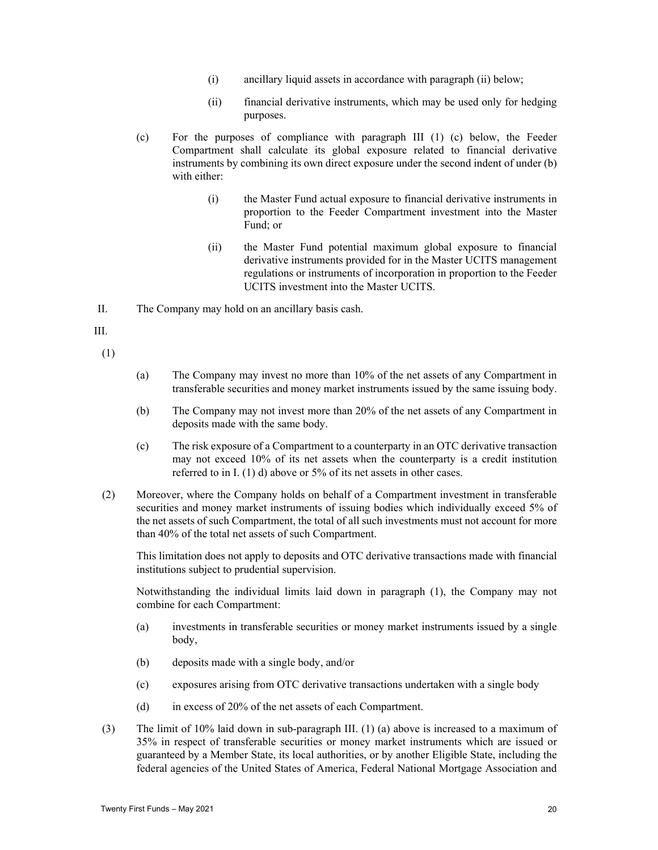- (i) ancillary liquid assets in accordance with paragraph (ii) below;
- (ii) financial derivative instruments, which may be used only for hedging purposes.
- (c) For the purposes of compliance with paragraph III (1) (c) below, the Feeder Compartment shall calculate its global exposure related to financial derivative instruments by combining its own direct exposure under the second indent of under (b) with either:
	- (i) the Master Fund actual exposure to financial derivative instruments in proportion to the Feeder Compartment investment into the Master Fund; or
	- (ii) the Master Fund potential maximum global exposure to financial derivative instruments provided for in the Master UCITS management regulations or instruments of incorporation in proportion to the Feeder UCITS investment into the Master UCITS.

II. The Company may hold on an ancillary basis cash.

III.

(1)

- (a) The Company may invest no more than 10% of the net assets of any Compartment in transferable securities and money market instruments issued by the same issuing body.
- (b) The Company may not invest more than 20% of the net assets of any Compartment in deposits made with the same body.
- (c) The risk exposure of a Compartment to a counterparty in an OTC derivative transaction may not exceed 10% of its net assets when the counterparty is a credit institution referred to in I. (1) d) above or 5% of its net assets in other cases.
- (2) Moreover, where the Company holds on behalf of a Compartment investment in transferable securities and money market instruments of issuing bodies which individually exceed 5% of the net assets of such Compartment, the total of all such investments must not account for more than 40% of the total net assets of such Compartment.

This limitation does not apply to deposits and OTC derivative transactions made with financial institutions subject to prudential supervision.

Notwithstanding the individual limits laid down in paragraph (1), the Company may not combine for each Compartment:

- (a) investments in transferable securities or money market instruments issued by a single body,
- (b) deposits made with a single body, and/or
- (c) exposures arising from OTC derivative transactions undertaken with a single body
- (d) in excess of 20% of the net assets of each Compartment.
- (3) The limit of 10% laid down in sub-paragraph III. (1) (a) above is increased to a maximum of 35% in respect of transferable securities or money market instruments which are issued or guaranteed by a Member State, its local authorities, or by another Eligible State, including the federal agencies of the United States of America, Federal National Mortgage Association and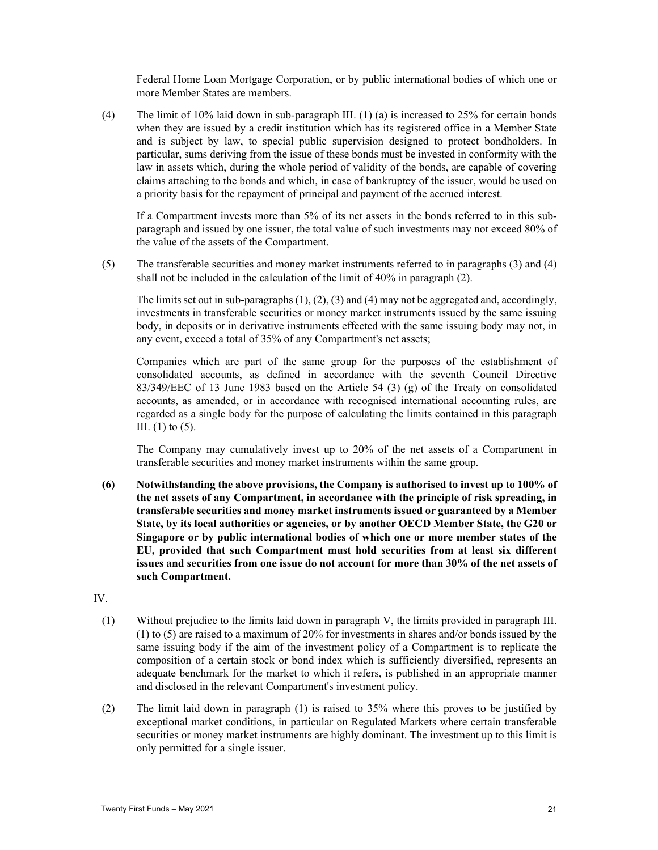Federal Home Loan Mortgage Corporation, or by public international bodies of which one or more Member States are members.

(4) The limit of 10% laid down in sub-paragraph III. (1) (a) is increased to 25% for certain bonds when they are issued by a credit institution which has its registered office in a Member State and is subject by law, to special public supervision designed to protect bondholders. In particular, sums deriving from the issue of these bonds must be invested in conformity with the law in assets which, during the whole period of validity of the bonds, are capable of covering claims attaching to the bonds and which, in case of bankruptcy of the issuer, would be used on a priority basis for the repayment of principal and payment of the accrued interest.

If a Compartment invests more than 5% of its net assets in the bonds referred to in this subparagraph and issued by one issuer, the total value of such investments may not exceed 80% of the value of the assets of the Compartment.

(5) The transferable securities and money market instruments referred to in paragraphs (3) and (4) shall not be included in the calculation of the limit of 40% in paragraph (2).

The limits set out in sub-paragraphs  $(1)$ ,  $(2)$ ,  $(3)$  and  $(4)$  may not be aggregated and, accordingly, investments in transferable securities or money market instruments issued by the same issuing body, in deposits or in derivative instruments effected with the same issuing body may not, in any event, exceed a total of 35% of any Compartment's net assets;

Companies which are part of the same group for the purposes of the establishment of consolidated accounts, as defined in accordance with the seventh Council Directive 83/349/EEC of 13 June 1983 based on the Article 54 (3) (g) of the Treaty on consolidated accounts, as amended, or in accordance with recognised international accounting rules, are regarded as a single body for the purpose of calculating the limits contained in this paragraph III.  $(1)$  to  $(5)$ .

The Company may cumulatively invest up to 20% of the net assets of a Compartment in transferable securities and money market instruments within the same group.

- **(6) Notwithstanding the above provisions, the Company is authorised to invest up to 100% of the net assets of any Compartment, in accordance with the principle of risk spreading, in transferable securities and money market instruments issued or guaranteed by a Member State, by its local authorities or agencies, or by another OECD Member State, the G20 or Singapore or by public international bodies of which one or more member states of the EU, provided that such Compartment must hold securities from at least six different issues and securities from one issue do not account for more than 30% of the net assets of such Compartment.**
- IV.
	- (1) Without prejudice to the limits laid down in paragraph V, the limits provided in paragraph III. (1) to (5) are raised to a maximum of 20% for investments in shares and/or bonds issued by the same issuing body if the aim of the investment policy of a Compartment is to replicate the composition of a certain stock or bond index which is sufficiently diversified, represents an adequate benchmark for the market to which it refers, is published in an appropriate manner and disclosed in the relevant Compartment's investment policy.
	- (2) The limit laid down in paragraph (1) is raised to 35% where this proves to be justified by exceptional market conditions, in particular on Regulated Markets where certain transferable securities or money market instruments are highly dominant. The investment up to this limit is only permitted for a single issuer.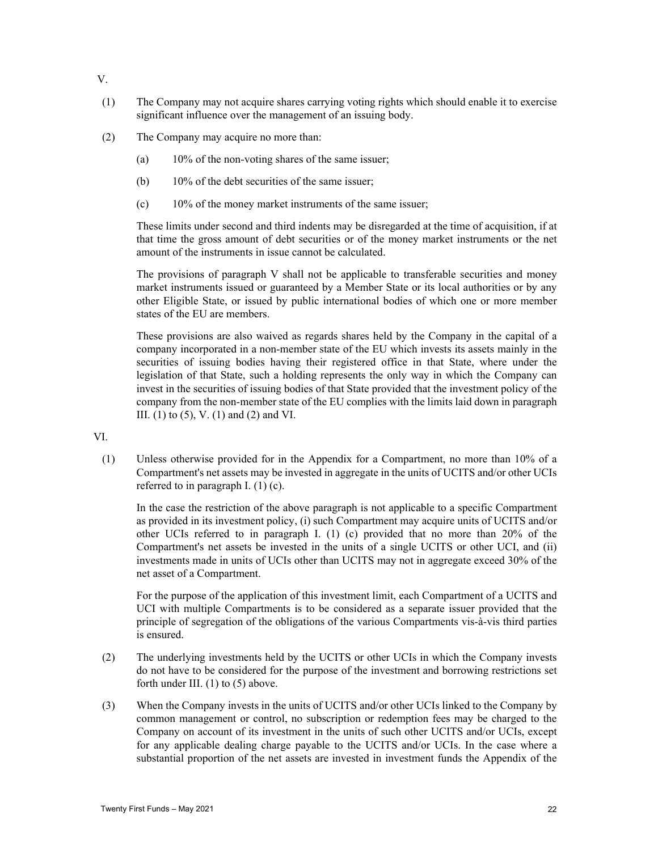- V.
- (1) The Company may not acquire shares carrying voting rights which should enable it to exercise significant influence over the management of an issuing body.
- (2) The Company may acquire no more than:
	- (a) 10% of the non-voting shares of the same issuer;
	- (b) 10% of the debt securities of the same issuer;
	- (c) 10% of the money market instruments of the same issuer;

These limits under second and third indents may be disregarded at the time of acquisition, if at that time the gross amount of debt securities or of the money market instruments or the net amount of the instruments in issue cannot be calculated.

The provisions of paragraph V shall not be applicable to transferable securities and money market instruments issued or guaranteed by a Member State or its local authorities or by any other Eligible State, or issued by public international bodies of which one or more member states of the EU are members.

These provisions are also waived as regards shares held by the Company in the capital of a company incorporated in a non-member state of the EU which invests its assets mainly in the securities of issuing bodies having their registered office in that State, where under the legislation of that State, such a holding represents the only way in which the Company can invest in the securities of issuing bodies of that State provided that the investment policy of the company from the non-member state of the EU complies with the limits laid down in paragraph III. (1) to (5), V. (1) and (2) and VI.

VI.

(1) Unless otherwise provided for in the Appendix for a Compartment, no more than 10% of a Compartment's net assets may be invested in aggregate in the units of UCITS and/or other UCIs referred to in paragraph I. (1) (c).

In the case the restriction of the above paragraph is not applicable to a specific Compartment as provided in its investment policy, (i) such Compartment may acquire units of UCITS and/or other UCIs referred to in paragraph I. (1) (c) provided that no more than 20% of the Compartment's net assets be invested in the units of a single UCITS or other UCI, and (ii) investments made in units of UCIs other than UCITS may not in aggregate exceed 30% of the net asset of a Compartment.

For the purpose of the application of this investment limit, each Compartment of a UCITS and UCI with multiple Compartments is to be considered as a separate issuer provided that the principle of segregation of the obligations of the various Compartments vis-à-vis third parties is ensured.

- (2) The underlying investments held by the UCITS or other UCIs in which the Company invests do not have to be considered for the purpose of the investment and borrowing restrictions set forth under III. (1) to (5) above.
- (3) When the Company invests in the units of UCITS and/or other UCIs linked to the Company by common management or control, no subscription or redemption fees may be charged to the Company on account of its investment in the units of such other UCITS and/or UCIs, except for any applicable dealing charge payable to the UCITS and/or UCIs. In the case where a substantial proportion of the net assets are invested in investment funds the Appendix of the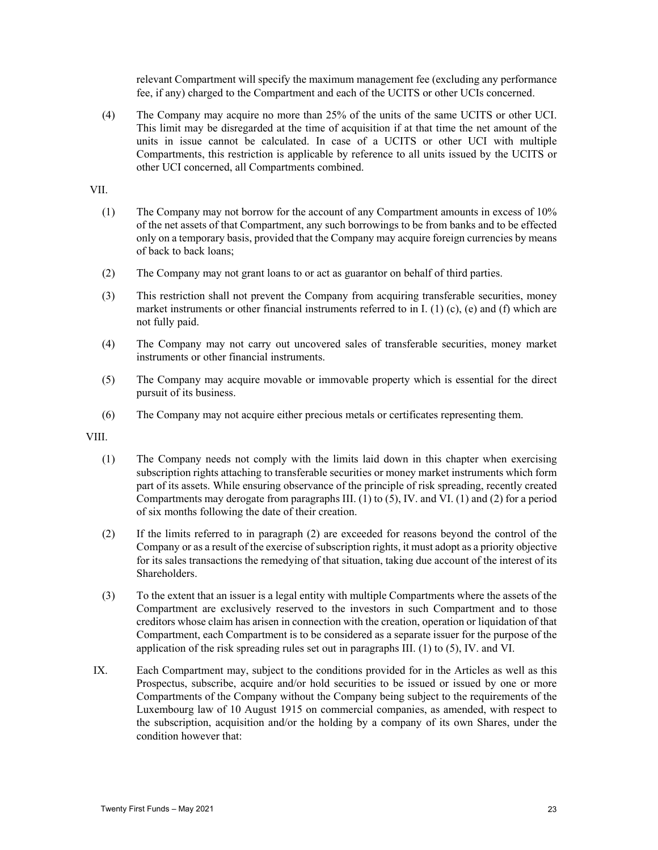relevant Compartment will specify the maximum management fee (excluding any performance fee, if any) charged to the Compartment and each of the UCITS or other UCIs concerned.

(4) The Company may acquire no more than 25% of the units of the same UCITS or other UCI. This limit may be disregarded at the time of acquisition if at that time the net amount of the units in issue cannot be calculated. In case of a UCITS or other UCI with multiple Compartments, this restriction is applicable by reference to all units issued by the UCITS or other UCI concerned, all Compartments combined.

VII.

- (1) The Company may not borrow for the account of any Compartment amounts in excess of 10% of the net assets of that Compartment, any such borrowings to be from banks and to be effected only on a temporary basis, provided that the Company may acquire foreign currencies by means of back to back loans;
- (2) The Company may not grant loans to or act as guarantor on behalf of third parties.
- (3) This restriction shall not prevent the Company from acquiring transferable securities, money market instruments or other financial instruments referred to in I. (1) (c), (e) and (f) which are not fully paid.
- (4) The Company may not carry out uncovered sales of transferable securities, money market instruments or other financial instruments.
- (5) The Company may acquire movable or immovable property which is essential for the direct pursuit of its business.
- (6) The Company may not acquire either precious metals or certificates representing them.

VIII.

- (1) The Company needs not comply with the limits laid down in this chapter when exercising subscription rights attaching to transferable securities or money market instruments which form part of its assets. While ensuring observance of the principle of risk spreading, recently created Compartments may derogate from paragraphs III.  $(1)$  to  $(5)$ , IV. and VI.  $(1)$  and  $(2)$  for a period of six months following the date of their creation.
- (2) If the limits referred to in paragraph (2) are exceeded for reasons beyond the control of the Company or as a result of the exercise of subscription rights, it must adopt as a priority objective for its sales transactions the remedying of that situation, taking due account of the interest of its Shareholders.
- (3) To the extent that an issuer is a legal entity with multiple Compartments where the assets of the Compartment are exclusively reserved to the investors in such Compartment and to those creditors whose claim has arisen in connection with the creation, operation or liquidation of that Compartment, each Compartment is to be considered as a separate issuer for the purpose of the application of the risk spreading rules set out in paragraphs III. (1) to (5), IV. and VI.
- IX. Each Compartment may, subject to the conditions provided for in the Articles as well as this Prospectus, subscribe, acquire and/or hold securities to be issued or issued by one or more Compartments of the Company without the Company being subject to the requirements of the Luxembourg law of 10 August 1915 on commercial companies, as amended, with respect to the subscription, acquisition and/or the holding by a company of its own Shares, under the condition however that: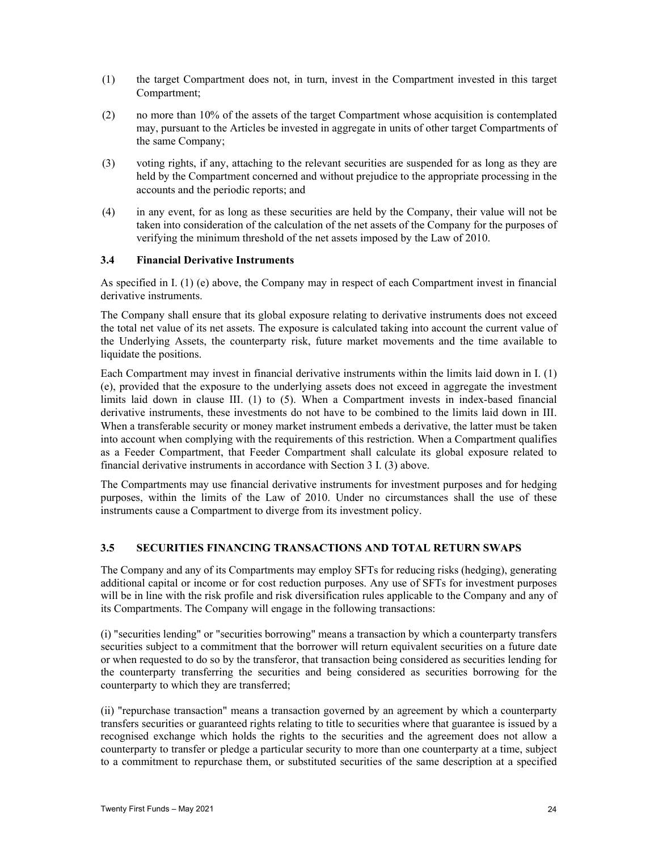- (1) the target Compartment does not, in turn, invest in the Compartment invested in this target Compartment;
- (2) no more than 10% of the assets of the target Compartment whose acquisition is contemplated may, pursuant to the Articles be invested in aggregate in units of other target Compartments of the same Company;
- (3) voting rights, if any, attaching to the relevant securities are suspended for as long as they are held by the Compartment concerned and without prejudice to the appropriate processing in the accounts and the periodic reports; and
- (4) in any event, for as long as these securities are held by the Company, their value will not be taken into consideration of the calculation of the net assets of the Company for the purposes of verifying the minimum threshold of the net assets imposed by the Law of 2010.

## **3.4 Financial Derivative Instruments**

As specified in I. (1) (e) above, the Company may in respect of each Compartment invest in financial derivative instruments.

The Company shall ensure that its global exposure relating to derivative instruments does not exceed the total net value of its net assets. The exposure is calculated taking into account the current value of the Underlying Assets, the counterparty risk, future market movements and the time available to liquidate the positions.

Each Compartment may invest in financial derivative instruments within the limits laid down in I. (1) (e), provided that the exposure to the underlying assets does not exceed in aggregate the investment limits laid down in clause III. (1) to (5). When a Compartment invests in index-based financial derivative instruments, these investments do not have to be combined to the limits laid down in III. When a transferable security or money market instrument embeds a derivative, the latter must be taken into account when complying with the requirements of this restriction. When a Compartment qualifies as a Feeder Compartment, that Feeder Compartment shall calculate its global exposure related to financial derivative instruments in accordance with Section 3 I. (3) above.

The Compartments may use financial derivative instruments for investment purposes and for hedging purposes, within the limits of the Law of 2010. Under no circumstances shall the use of these instruments cause a Compartment to diverge from its investment policy.

## **3.5 SECURITIES FINANCING TRANSACTIONS AND TOTAL RETURN SWAPS**

The Company and any of its Compartments may employ SFTs for reducing risks (hedging), generating additional capital or income or for cost reduction purposes. Any use of SFTs for investment purposes will be in line with the risk profile and risk diversification rules applicable to the Company and any of its Compartments. The Company will engage in the following transactions:

(i) "securities lending" or "securities borrowing" means a transaction by which a counterparty transfers securities subject to a commitment that the borrower will return equivalent securities on a future date or when requested to do so by the transferor, that transaction being considered as securities lending for the counterparty transferring the securities and being considered as securities borrowing for the counterparty to which they are transferred;

(ii) "repurchase transaction" means a transaction governed by an agreement by which a counterparty transfers securities or guaranteed rights relating to title to securities where that guarantee is issued by a recognised exchange which holds the rights to the securities and the agreement does not allow a counterparty to transfer or pledge a particular security to more than one counterparty at a time, subject to a commitment to repurchase them, or substituted securities of the same description at a specified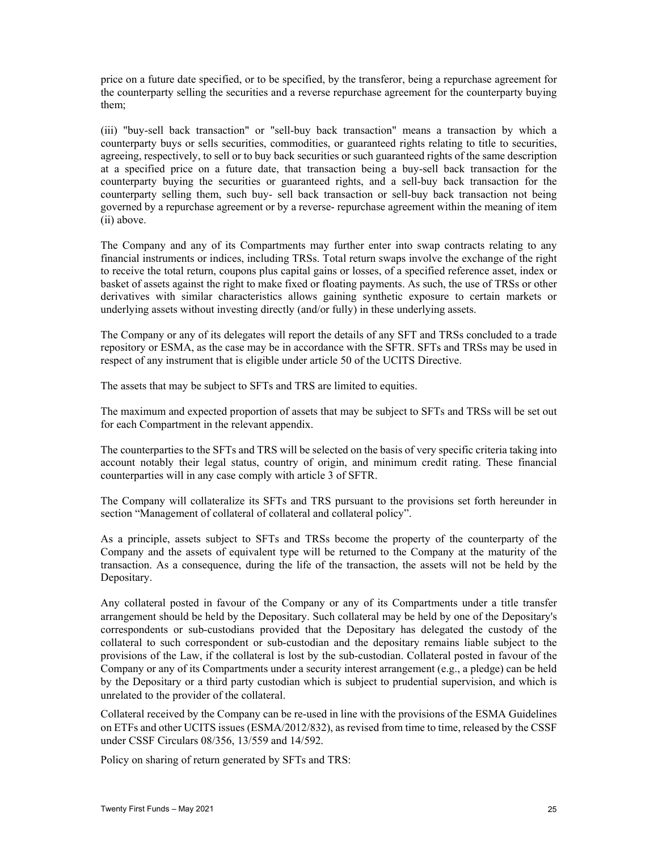price on a future date specified, or to be specified, by the transferor, being a repurchase agreement for the counterparty selling the securities and a reverse repurchase agreement for the counterparty buying them;

(iii) "buy-sell back transaction" or "sell-buy back transaction" means a transaction by which a counterparty buys or sells securities, commodities, or guaranteed rights relating to title to securities, agreeing, respectively, to sell or to buy back securities or such guaranteed rights of the same description at a specified price on a future date, that transaction being a buy-sell back transaction for the counterparty buying the securities or guaranteed rights, and a sell-buy back transaction for the counterparty selling them, such buy- sell back transaction or sell-buy back transaction not being governed by a repurchase agreement or by a reverse- repurchase agreement within the meaning of item (ii) above.

The Company and any of its Compartments may further enter into swap contracts relating to any financial instruments or indices, including TRSs. Total return swaps involve the exchange of the right to receive the total return, coupons plus capital gains or losses, of a specified reference asset, index or basket of assets against the right to make fixed or floating payments. As such, the use of TRSs or other derivatives with similar characteristics allows gaining synthetic exposure to certain markets or underlying assets without investing directly (and/or fully) in these underlying assets.

The Company or any of its delegates will report the details of any SFT and TRSs concluded to a trade repository or ESMA, as the case may be in accordance with the SFTR. SFTs and TRSs may be used in respect of any instrument that is eligible under article 50 of the UCITS Directive.

The assets that may be subject to SFTs and TRS are limited to equities.

The maximum and expected proportion of assets that may be subject to SFTs and TRSs will be set out for each Compartment in the relevant appendix.

The counterparties to the SFTs and TRS will be selected on the basis of very specific criteria taking into account notably their legal status, country of origin, and minimum credit rating. These financial counterparties will in any case comply with article 3 of SFTR.

The Company will collateralize its SFTs and TRS pursuant to the provisions set forth hereunder in section "Management of collateral of collateral and collateral policy".

As a principle, assets subject to SFTs and TRSs become the property of the counterparty of the Company and the assets of equivalent type will be returned to the Company at the maturity of the transaction. As a consequence, during the life of the transaction, the assets will not be held by the Depositary.

Any collateral posted in favour of the Company or any of its Compartments under a title transfer arrangement should be held by the Depositary. Such collateral may be held by one of the Depositary's correspondents or sub-custodians provided that the Depositary has delegated the custody of the collateral to such correspondent or sub-custodian and the depositary remains liable subject to the provisions of the Law, if the collateral is lost by the sub-custodian. Collateral posted in favour of the Company or any of its Compartments under a security interest arrangement (e.g., a pledge) can be held by the Depositary or a third party custodian which is subject to prudential supervision, and which is unrelated to the provider of the collateral.

Collateral received by the Company can be re-used in line with the provisions of the ESMA Guidelines on ETFs and other UCITS issues (ESMA/2012/832), as revised from time to time, released by the CSSF under CSSF Circulars 08/356, 13/559 and 14/592.

Policy on sharing of return generated by SFTs and TRS: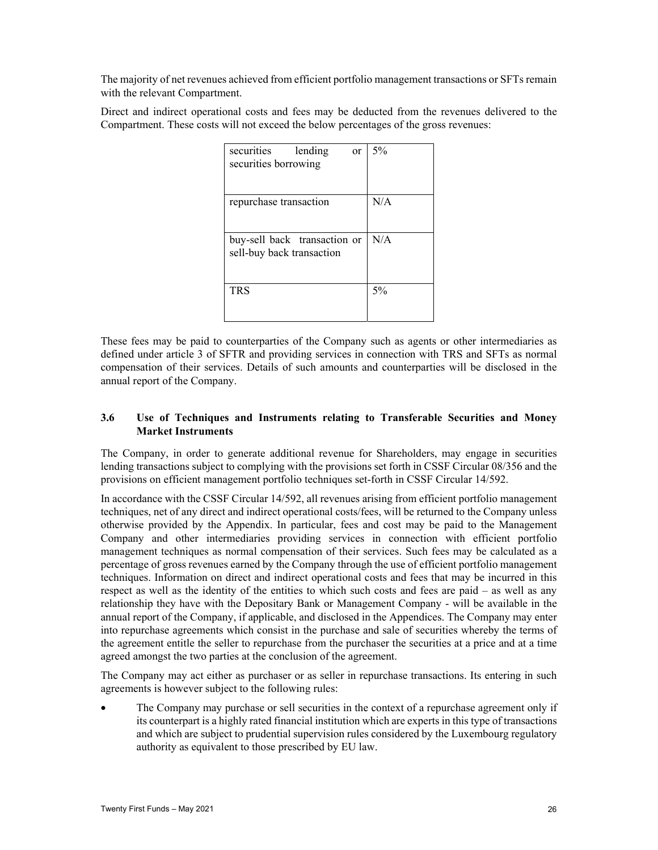The majority of net revenues achieved from efficient portfolio management transactions or SFTs remain with the relevant Compartment.

Direct and indirect operational costs and fees may be deducted from the revenues delivered to the Compartment. These costs will not exceed the below percentages of the gross revenues:

| securities<br>lending<br>or<br>securities borrowing       | 5%  |
|-----------------------------------------------------------|-----|
| repurchase transaction                                    | N/A |
| buy-sell back transaction or<br>sell-buy back transaction | N/A |
| TRS                                                       | 5%  |

These fees may be paid to counterparties of the Company such as agents or other intermediaries as defined under article 3 of SFTR and providing services in connection with TRS and SFTs as normal compensation of their services. Details of such amounts and counterparties will be disclosed in the annual report of the Company.

## **3.6 Use of Techniques and Instruments relating to Transferable Securities and Money Market Instruments**

The Company, in order to generate additional revenue for Shareholders, may engage in securities lending transactions subject to complying with the provisions set forth in CSSF Circular 08/356 and the provisions on efficient management portfolio techniques set-forth in CSSF Circular 14/592.

In accordance with the CSSF Circular 14/592, all revenues arising from efficient portfolio management techniques, net of any direct and indirect operational costs/fees, will be returned to the Company unless otherwise provided by the Appendix. In particular, fees and cost may be paid to the Management Company and other intermediaries providing services in connection with efficient portfolio management techniques as normal compensation of their services. Such fees may be calculated as a percentage of gross revenues earned by the Company through the use of efficient portfolio management techniques. Information on direct and indirect operational costs and fees that may be incurred in this respect as well as the identity of the entities to which such costs and fees are paid – as well as any relationship they have with the Depositary Bank or Management Company - will be available in the annual report of the Company, if applicable, and disclosed in the Appendices. The Company may enter into repurchase agreements which consist in the purchase and sale of securities whereby the terms of the agreement entitle the seller to repurchase from the purchaser the securities at a price and at a time agreed amongst the two parties at the conclusion of the agreement.

The Company may act either as purchaser or as seller in repurchase transactions. Its entering in such agreements is however subject to the following rules:

The Company may purchase or sell securities in the context of a repurchase agreement only if its counterpart is a highly rated financial institution which are experts in this type of transactions and which are subject to prudential supervision rules considered by the Luxembourg regulatory authority as equivalent to those prescribed by EU law.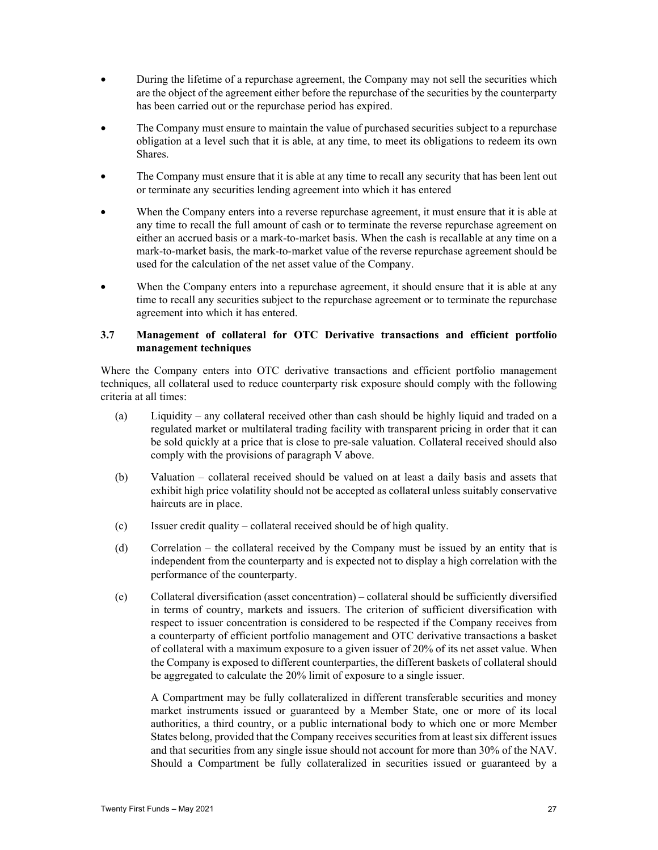- During the lifetime of a repurchase agreement, the Company may not sell the securities which are the object of the agreement either before the repurchase of the securities by the counterparty has been carried out or the repurchase period has expired.
- The Company must ensure to maintain the value of purchased securities subject to a repurchase obligation at a level such that it is able, at any time, to meet its obligations to redeem its own Shares.
- The Company must ensure that it is able at any time to recall any security that has been lent out or terminate any securities lending agreement into which it has entered
- When the Company enters into a reverse repurchase agreement, it must ensure that it is able at any time to recall the full amount of cash or to terminate the reverse repurchase agreement on either an accrued basis or a mark-to-market basis. When the cash is recallable at any time on a mark-to-market basis, the mark-to-market value of the reverse repurchase agreement should be used for the calculation of the net asset value of the Company.
- When the Company enters into a repurchase agreement, it should ensure that it is able at any time to recall any securities subject to the repurchase agreement or to terminate the repurchase agreement into which it has entered.

## **3.7 Management of collateral for OTC Derivative transactions and efficient portfolio management techniques**

Where the Company enters into OTC derivative transactions and efficient portfolio management techniques, all collateral used to reduce counterparty risk exposure should comply with the following criteria at all times:

- (a) Liquidity any collateral received other than cash should be highly liquid and traded on a regulated market or multilateral trading facility with transparent pricing in order that it can be sold quickly at a price that is close to pre-sale valuation. Collateral received should also comply with the provisions of paragraph V above.
- (b) Valuation collateral received should be valued on at least a daily basis and assets that exhibit high price volatility should not be accepted as collateral unless suitably conservative haircuts are in place.
- (c) Issuer credit quality collateral received should be of high quality.
- (d) Correlation the collateral received by the Company must be issued by an entity that is independent from the counterparty and is expected not to display a high correlation with the performance of the counterparty.
- (e) Collateral diversification (asset concentration) collateral should be sufficiently diversified in terms of country, markets and issuers. The criterion of sufficient diversification with respect to issuer concentration is considered to be respected if the Company receives from a counterparty of efficient portfolio management and OTC derivative transactions a basket of collateral with a maximum exposure to a given issuer of 20% of its net asset value. When the Company is exposed to different counterparties, the different baskets of collateral should be aggregated to calculate the 20% limit of exposure to a single issuer.

A Compartment may be fully collateralized in different transferable securities and money market instruments issued or guaranteed by a Member State, one or more of its local authorities, a third country, or a public international body to which one or more Member States belong, provided that the Company receives securities from at least six different issues and that securities from any single issue should not account for more than 30% of the NAV. Should a Compartment be fully collateralized in securities issued or guaranteed by a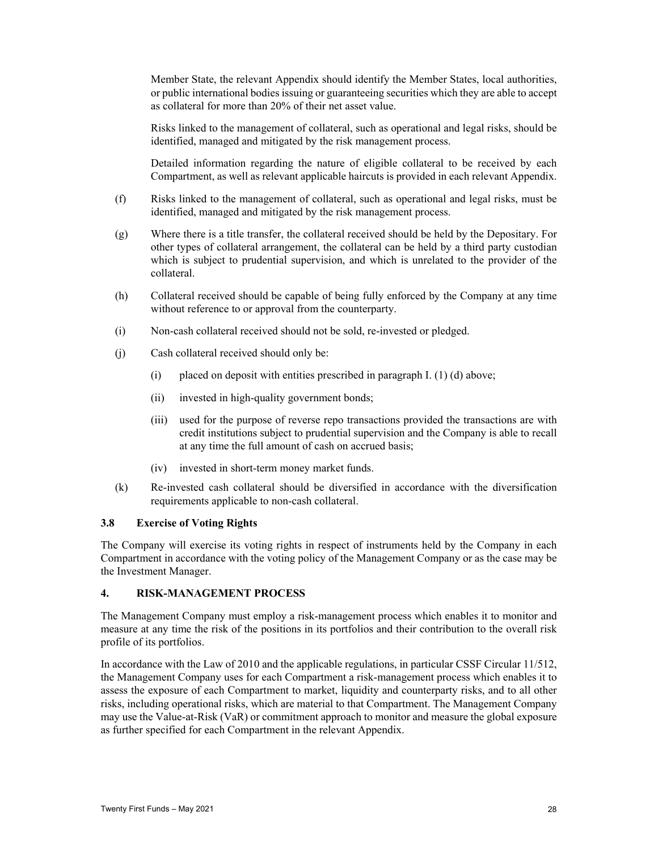Member State, the relevant Appendix should identify the Member States, local authorities, or public international bodies issuing or guaranteeing securities which they are able to accept as collateral for more than 20% of their net asset value.

Risks linked to the management of collateral, such as operational and legal risks, should be identified, managed and mitigated by the risk management process.

Detailed information regarding the nature of eligible collateral to be received by each Compartment, as well as relevant applicable haircuts is provided in each relevant Appendix.

- (f) Risks linked to the management of collateral, such as operational and legal risks, must be identified, managed and mitigated by the risk management process.
- (g) Where there is a title transfer, the collateral received should be held by the Depositary. For other types of collateral arrangement, the collateral can be held by a third party custodian which is subject to prudential supervision, and which is unrelated to the provider of the collateral.
- (h) Collateral received should be capable of being fully enforced by the Company at any time without reference to or approval from the counterparty.
- (i) Non-cash collateral received should not be sold, re-invested or pledged.
- (j) Cash collateral received should only be:
	- (i) placed on deposit with entities prescribed in paragraph I. (1) (d) above;
	- (ii) invested in high-quality government bonds;
	- (iii) used for the purpose of reverse repo transactions provided the transactions are with credit institutions subject to prudential supervision and the Company is able to recall at any time the full amount of cash on accrued basis;
	- (iv) invested in short-term money market funds.
- (k) Re-invested cash collateral should be diversified in accordance with the diversification requirements applicable to non-cash collateral.

#### **3.8 Exercise of Voting Rights**

The Company will exercise its voting rights in respect of instruments held by the Company in each Compartment in accordance with the voting policy of the Management Company or as the case may be the Investment Manager.

### **4. RISK-MANAGEMENT PROCESS**

The Management Company must employ a risk-management process which enables it to monitor and measure at any time the risk of the positions in its portfolios and their contribution to the overall risk profile of its portfolios.

In accordance with the Law of 2010 and the applicable regulations, in particular CSSF Circular 11/512, the Management Company uses for each Compartment a risk-management process which enables it to assess the exposure of each Compartment to market, liquidity and counterparty risks, and to all other risks, including operational risks, which are material to that Compartment. The Management Company may use the Value-at-Risk (VaR) or commitment approach to monitor and measure the global exposure as further specified for each Compartment in the relevant Appendix.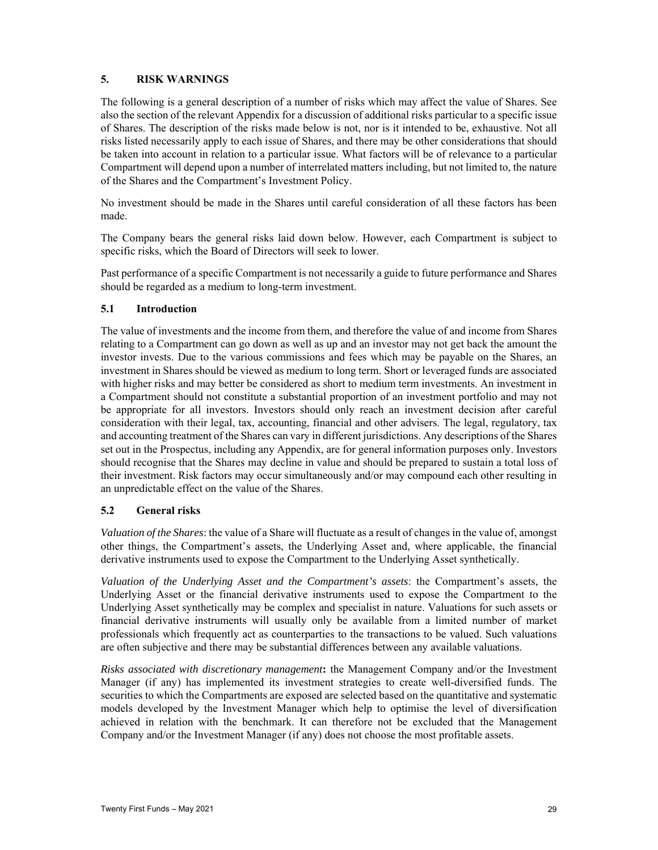## **5. RISK WARNINGS**

The following is a general description of a number of risks which may affect the value of Shares. See also the section of the relevant Appendix for a discussion of additional risks particular to a specific issue of Shares. The description of the risks made below is not, nor is it intended to be, exhaustive. Not all risks listed necessarily apply to each issue of Shares, and there may be other considerations that should be taken into account in relation to a particular issue. What factors will be of relevance to a particular Compartment will depend upon a number of interrelated matters including, but not limited to, the nature of the Shares and the Compartment's Investment Policy.

No investment should be made in the Shares until careful consideration of all these factors has been made.

The Company bears the general risks laid down below. However, each Compartment is subject to specific risks, which the Board of Directors will seek to lower.

Past performance of a specific Compartment is not necessarily a guide to future performance and Shares should be regarded as a medium to long-term investment.

## **5.1 Introduction**

The value of investments and the income from them, and therefore the value of and income from Shares relating to a Compartment can go down as well as up and an investor may not get back the amount the investor invests. Due to the various commissions and fees which may be payable on the Shares, an investment in Shares should be viewed as medium to long term. Short or leveraged funds are associated with higher risks and may better be considered as short to medium term investments. An investment in a Compartment should not constitute a substantial proportion of an investment portfolio and may not be appropriate for all investors. Investors should only reach an investment decision after careful consideration with their legal, tax, accounting, financial and other advisers. The legal, regulatory, tax and accounting treatment of the Shares can vary in different jurisdictions. Any descriptions of the Shares set out in the Prospectus, including any Appendix, are for general information purposes only. Investors should recognise that the Shares may decline in value and should be prepared to sustain a total loss of their investment. Risk factors may occur simultaneously and/or may compound each other resulting in an unpredictable effect on the value of the Shares.

## **5.2 General risks**

*Valuation of the Shares*: the value of a Share will fluctuate as a result of changes in the value of, amongst other things, the Compartment's assets, the Underlying Asset and, where applicable, the financial derivative instruments used to expose the Compartment to the Underlying Asset synthetically.

*Valuation of the Underlying Asset and the Compartment's assets*: the Compartment's assets, the Underlying Asset or the financial derivative instruments used to expose the Compartment to the Underlying Asset synthetically may be complex and specialist in nature. Valuations for such assets or financial derivative instruments will usually only be available from a limited number of market professionals which frequently act as counterparties to the transactions to be valued. Such valuations are often subjective and there may be substantial differences between any available valuations.

*Risks associated with discretionary management***:** the Management Company and/or the Investment Manager (if any) has implemented its investment strategies to create well-diversified funds. The securities to which the Compartments are exposed are selected based on the quantitative and systematic models developed by the Investment Manager which help to optimise the level of diversification achieved in relation with the benchmark. It can therefore not be excluded that the Management Company and/or the Investment Manager (if any) does not choose the most profitable assets.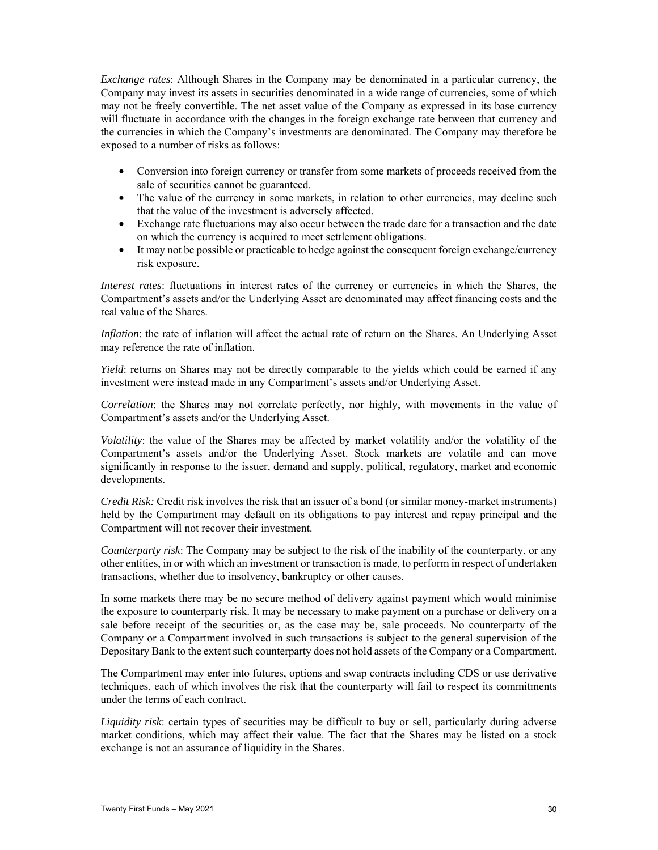*Exchange rates*: Although Shares in the Company may be denominated in a particular currency, the Company may invest its assets in securities denominated in a wide range of currencies, some of which may not be freely convertible. The net asset value of the Company as expressed in its base currency will fluctuate in accordance with the changes in the foreign exchange rate between that currency and the currencies in which the Company's investments are denominated. The Company may therefore be exposed to a number of risks as follows:

- Conversion into foreign currency or transfer from some markets of proceeds received from the sale of securities cannot be guaranteed.
- The value of the currency in some markets, in relation to other currencies, may decline such that the value of the investment is adversely affected.
- Exchange rate fluctuations may also occur between the trade date for a transaction and the date on which the currency is acquired to meet settlement obligations.
- It may not be possible or practicable to hedge against the consequent foreign exchange/currency risk exposure.

*Interest rates*: fluctuations in interest rates of the currency or currencies in which the Shares, the Compartment's assets and/or the Underlying Asset are denominated may affect financing costs and the real value of the Shares.

*Inflation*: the rate of inflation will affect the actual rate of return on the Shares. An Underlying Asset may reference the rate of inflation.

*Yield*: returns on Shares may not be directly comparable to the yields which could be earned if any investment were instead made in any Compartment's assets and/or Underlying Asset.

*Correlation*: the Shares may not correlate perfectly, nor highly, with movements in the value of Compartment's assets and/or the Underlying Asset.

*Volatility*: the value of the Shares may be affected by market volatility and/or the volatility of the Compartment's assets and/or the Underlying Asset. Stock markets are volatile and can move significantly in response to the issuer, demand and supply, political, regulatory, market and economic developments.

*Credit Risk:* Credit risk involves the risk that an issuer of a bond (or similar money-market instruments) held by the Compartment may default on its obligations to pay interest and repay principal and the Compartment will not recover their investment.

*Counterparty risk*: The Company may be subject to the risk of the inability of the counterparty, or any other entities, in or with which an investment or transaction is made, to perform in respect of undertaken transactions, whether due to insolvency, bankruptcy or other causes.

In some markets there may be no secure method of delivery against payment which would minimise the exposure to counterparty risk. It may be necessary to make payment on a purchase or delivery on a sale before receipt of the securities or, as the case may be, sale proceeds. No counterparty of the Company or a Compartment involved in such transactions is subject to the general supervision of the Depositary Bank to the extent such counterparty does not hold assets of the Company or a Compartment.

The Compartment may enter into futures, options and swap contracts including CDS or use derivative techniques, each of which involves the risk that the counterparty will fail to respect its commitments under the terms of each contract.

*Liquidity risk*: certain types of securities may be difficult to buy or sell, particularly during adverse market conditions, which may affect their value. The fact that the Shares may be listed on a stock exchange is not an assurance of liquidity in the Shares.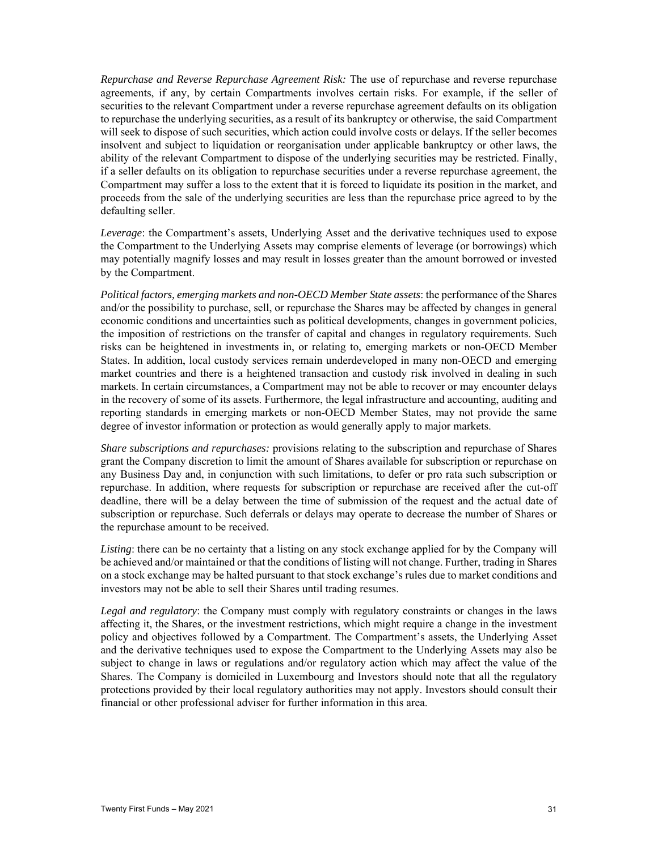*Repurchase and Reverse Repurchase Agreement Risk:* The use of repurchase and reverse repurchase agreements, if any, by certain Compartments involves certain risks. For example, if the seller of securities to the relevant Compartment under a reverse repurchase agreement defaults on its obligation to repurchase the underlying securities, as a result of its bankruptcy or otherwise, the said Compartment will seek to dispose of such securities, which action could involve costs or delays. If the seller becomes insolvent and subject to liquidation or reorganisation under applicable bankruptcy or other laws, the ability of the relevant Compartment to dispose of the underlying securities may be restricted. Finally, if a seller defaults on its obligation to repurchase securities under a reverse repurchase agreement, the Compartment may suffer a loss to the extent that it is forced to liquidate its position in the market, and proceeds from the sale of the underlying securities are less than the repurchase price agreed to by the defaulting seller.

*Leverage*: the Compartment's assets, Underlying Asset and the derivative techniques used to expose the Compartment to the Underlying Assets may comprise elements of leverage (or borrowings) which may potentially magnify losses and may result in losses greater than the amount borrowed or invested by the Compartment.

*Political factors, emerging markets and non-OECD Member State assets*: the performance of the Shares and/or the possibility to purchase, sell, or repurchase the Shares may be affected by changes in general economic conditions and uncertainties such as political developments, changes in government policies, the imposition of restrictions on the transfer of capital and changes in regulatory requirements. Such risks can be heightened in investments in, or relating to, emerging markets or non-OECD Member States. In addition, local custody services remain underdeveloped in many non-OECD and emerging market countries and there is a heightened transaction and custody risk involved in dealing in such markets. In certain circumstances, a Compartment may not be able to recover or may encounter delays in the recovery of some of its assets. Furthermore, the legal infrastructure and accounting, auditing and reporting standards in emerging markets or non-OECD Member States, may not provide the same degree of investor information or protection as would generally apply to major markets.

*Share subscriptions and repurchases:* provisions relating to the subscription and repurchase of Shares grant the Company discretion to limit the amount of Shares available for subscription or repurchase on any Business Day and, in conjunction with such limitations, to defer or pro rata such subscription or repurchase. In addition, where requests for subscription or repurchase are received after the cut-off deadline, there will be a delay between the time of submission of the request and the actual date of subscription or repurchase. Such deferrals or delays may operate to decrease the number of Shares or the repurchase amount to be received.

*Listing*: there can be no certainty that a listing on any stock exchange applied for by the Company will be achieved and/or maintained or that the conditions of listing will not change. Further, trading in Shares on a stock exchange may be halted pursuant to that stock exchange's rules due to market conditions and investors may not be able to sell their Shares until trading resumes.

*Legal and regulatory*: the Company must comply with regulatory constraints or changes in the laws affecting it, the Shares, or the investment restrictions, which might require a change in the investment policy and objectives followed by a Compartment. The Compartment's assets, the Underlying Asset and the derivative techniques used to expose the Compartment to the Underlying Assets may also be subject to change in laws or regulations and/or regulatory action which may affect the value of the Shares. The Company is domiciled in Luxembourg and Investors should note that all the regulatory protections provided by their local regulatory authorities may not apply. Investors should consult their financial or other professional adviser for further information in this area.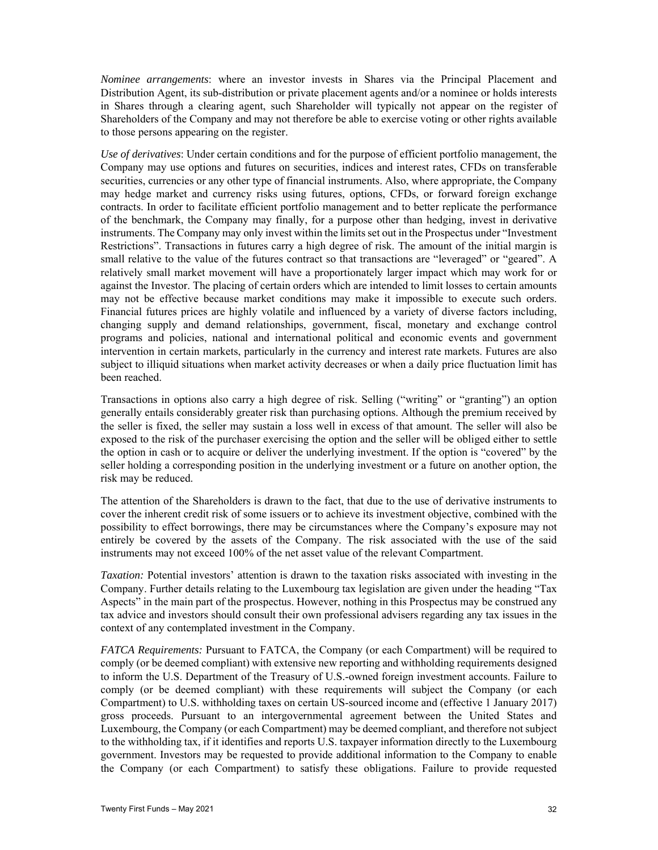*Nominee arrangements*: where an investor invests in Shares via the Principal Placement and Distribution Agent, its sub-distribution or private placement agents and/or a nominee or holds interests in Shares through a clearing agent, such Shareholder will typically not appear on the register of Shareholders of the Company and may not therefore be able to exercise voting or other rights available to those persons appearing on the register.

*Use of derivatives*: Under certain conditions and for the purpose of efficient portfolio management, the Company may use options and futures on securities, indices and interest rates, CFDs on transferable securities, currencies or any other type of financial instruments. Also, where appropriate, the Company may hedge market and currency risks using futures, options, CFDs, or forward foreign exchange contracts. In order to facilitate efficient portfolio management and to better replicate the performance of the benchmark, the Company may finally, for a purpose other than hedging, invest in derivative instruments. The Company may only invest within the limits set out in the Prospectus under "Investment Restrictions". Transactions in futures carry a high degree of risk. The amount of the initial margin is small relative to the value of the futures contract so that transactions are "leveraged" or "geared". A relatively small market movement will have a proportionately larger impact which may work for or against the Investor. The placing of certain orders which are intended to limit losses to certain amounts may not be effective because market conditions may make it impossible to execute such orders. Financial futures prices are highly volatile and influenced by a variety of diverse factors including, changing supply and demand relationships, government, fiscal, monetary and exchange control programs and policies, national and international political and economic events and government intervention in certain markets, particularly in the currency and interest rate markets. Futures are also subject to illiquid situations when market activity decreases or when a daily price fluctuation limit has been reached.

Transactions in options also carry a high degree of risk. Selling ("writing" or "granting") an option generally entails considerably greater risk than purchasing options. Although the premium received by the seller is fixed, the seller may sustain a loss well in excess of that amount. The seller will also be exposed to the risk of the purchaser exercising the option and the seller will be obliged either to settle the option in cash or to acquire or deliver the underlying investment. If the option is "covered" by the seller holding a corresponding position in the underlying investment or a future on another option, the risk may be reduced.

The attention of the Shareholders is drawn to the fact, that due to the use of derivative instruments to cover the inherent credit risk of some issuers or to achieve its investment objective, combined with the possibility to effect borrowings, there may be circumstances where the Company's exposure may not entirely be covered by the assets of the Company. The risk associated with the use of the said instruments may not exceed 100% of the net asset value of the relevant Compartment.

*Taxation:* Potential investors' attention is drawn to the taxation risks associated with investing in the Company. Further details relating to the Luxembourg tax legislation are given under the heading "Tax Aspects" in the main part of the prospectus. However, nothing in this Prospectus may be construed any tax advice and investors should consult their own professional advisers regarding any tax issues in the context of any contemplated investment in the Company.

*FATCA Requirements:* Pursuant to FATCA, the Company (or each Compartment) will be required to comply (or be deemed compliant) with extensive new reporting and withholding requirements designed to inform the U.S. Department of the Treasury of U.S.-owned foreign investment accounts. Failure to comply (or be deemed compliant) with these requirements will subject the Company (or each Compartment) to U.S. withholding taxes on certain US-sourced income and (effective 1 January 2017) gross proceeds. Pursuant to an intergovernmental agreement between the United States and Luxembourg, the Company (or each Compartment) may be deemed compliant, and therefore not subject to the withholding tax, if it identifies and reports U.S. taxpayer information directly to the Luxembourg government. Investors may be requested to provide additional information to the Company to enable the Company (or each Compartment) to satisfy these obligations. Failure to provide requested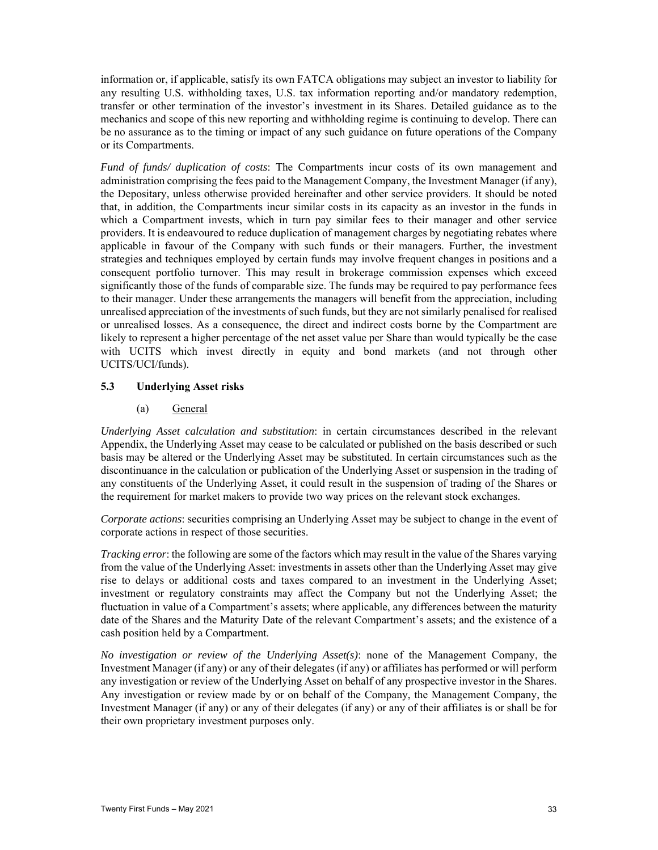information or, if applicable, satisfy its own FATCA obligations may subject an investor to liability for any resulting U.S. withholding taxes, U.S. tax information reporting and/or mandatory redemption, transfer or other termination of the investor's investment in its Shares. Detailed guidance as to the mechanics and scope of this new reporting and withholding regime is continuing to develop. There can be no assurance as to the timing or impact of any such guidance on future operations of the Company or its Compartments.

*Fund of funds/ duplication of costs*: The Compartments incur costs of its own management and administration comprising the fees paid to the Management Company, the Investment Manager (if any), the Depositary, unless otherwise provided hereinafter and other service providers. It should be noted that, in addition, the Compartments incur similar costs in its capacity as an investor in the funds in which a Compartment invests, which in turn pay similar fees to their manager and other service providers. It is endeavoured to reduce duplication of management charges by negotiating rebates where applicable in favour of the Company with such funds or their managers. Further, the investment strategies and techniques employed by certain funds may involve frequent changes in positions and a consequent portfolio turnover. This may result in brokerage commission expenses which exceed significantly those of the funds of comparable size. The funds may be required to pay performance fees to their manager. Under these arrangements the managers will benefit from the appreciation, including unrealised appreciation of the investments of such funds, but they are not similarly penalised for realised or unrealised losses. As a consequence, the direct and indirect costs borne by the Compartment are likely to represent a higher percentage of the net asset value per Share than would typically be the case with UCITS which invest directly in equity and bond markets (and not through other UCITS/UCI/funds).

## **5.3 Underlying Asset risks**

## (a) General

*Underlying Asset calculation and substitution*: in certain circumstances described in the relevant Appendix, the Underlying Asset may cease to be calculated or published on the basis described or such basis may be altered or the Underlying Asset may be substituted. In certain circumstances such as the discontinuance in the calculation or publication of the Underlying Asset or suspension in the trading of any constituents of the Underlying Asset, it could result in the suspension of trading of the Shares or the requirement for market makers to provide two way prices on the relevant stock exchanges.

*Corporate actions*: securities comprising an Underlying Asset may be subject to change in the event of corporate actions in respect of those securities.

*Tracking error*: the following are some of the factors which may result in the value of the Shares varying from the value of the Underlying Asset: investments in assets other than the Underlying Asset may give rise to delays or additional costs and taxes compared to an investment in the Underlying Asset; investment or regulatory constraints may affect the Company but not the Underlying Asset; the fluctuation in value of a Compartment's assets; where applicable, any differences between the maturity date of the Shares and the Maturity Date of the relevant Compartment's assets; and the existence of a cash position held by a Compartment.

*No investigation or review of the Underlying Asset(s)*: none of the Management Company, the Investment Manager (if any) or any of their delegates (if any) or affiliates has performed or will perform any investigation or review of the Underlying Asset on behalf of any prospective investor in the Shares. Any investigation or review made by or on behalf of the Company, the Management Company, the Investment Manager (if any) or any of their delegates (if any) or any of their affiliates is or shall be for their own proprietary investment purposes only.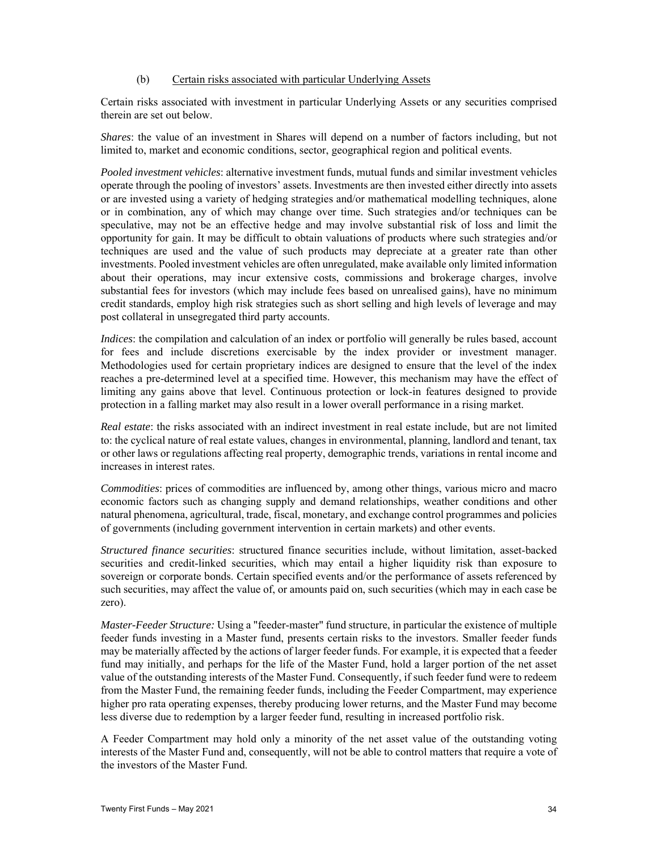### (b) Certain risks associated with particular Underlying Assets

Certain risks associated with investment in particular Underlying Assets or any securities comprised therein are set out below.

*Shares*: the value of an investment in Shares will depend on a number of factors including, but not limited to, market and economic conditions, sector, geographical region and political events.

*Pooled investment vehicles*: alternative investment funds, mutual funds and similar investment vehicles operate through the pooling of investors' assets. Investments are then invested either directly into assets or are invested using a variety of hedging strategies and/or mathematical modelling techniques, alone or in combination, any of which may change over time. Such strategies and/or techniques can be speculative, may not be an effective hedge and may involve substantial risk of loss and limit the opportunity for gain. It may be difficult to obtain valuations of products where such strategies and/or techniques are used and the value of such products may depreciate at a greater rate than other investments. Pooled investment vehicles are often unregulated, make available only limited information about their operations, may incur extensive costs, commissions and brokerage charges, involve substantial fees for investors (which may include fees based on unrealised gains), have no minimum credit standards, employ high risk strategies such as short selling and high levels of leverage and may post collateral in unsegregated third party accounts.

*Indices*: the compilation and calculation of an index or portfolio will generally be rules based, account for fees and include discretions exercisable by the index provider or investment manager. Methodologies used for certain proprietary indices are designed to ensure that the level of the index reaches a pre-determined level at a specified time. However, this mechanism may have the effect of limiting any gains above that level. Continuous protection or lock-in features designed to provide protection in a falling market may also result in a lower overall performance in a rising market.

*Real estate*: the risks associated with an indirect investment in real estate include, but are not limited to: the cyclical nature of real estate values, changes in environmental, planning, landlord and tenant, tax or other laws or regulations affecting real property, demographic trends, variations in rental income and increases in interest rates.

*Commodities*: prices of commodities are influenced by, among other things, various micro and macro economic factors such as changing supply and demand relationships, weather conditions and other natural phenomena, agricultural, trade, fiscal, monetary, and exchange control programmes and policies of governments (including government intervention in certain markets) and other events.

*Structured finance securities*: structured finance securities include, without limitation, asset-backed securities and credit-linked securities, which may entail a higher liquidity risk than exposure to sovereign or corporate bonds. Certain specified events and/or the performance of assets referenced by such securities, may affect the value of, or amounts paid on, such securities (which may in each case be zero).

*Master-Feeder Structure:* Using a "feeder-master" fund structure, in particular the existence of multiple feeder funds investing in a Master fund, presents certain risks to the investors. Smaller feeder funds may be materially affected by the actions of larger feeder funds. For example, it is expected that a feeder fund may initially, and perhaps for the life of the Master Fund, hold a larger portion of the net asset value of the outstanding interests of the Master Fund. Consequently, if such feeder fund were to redeem from the Master Fund, the remaining feeder funds, including the Feeder Compartment, may experience higher pro rata operating expenses, thereby producing lower returns, and the Master Fund may become less diverse due to redemption by a larger feeder fund, resulting in increased portfolio risk.

A Feeder Compartment may hold only a minority of the net asset value of the outstanding voting interests of the Master Fund and, consequently, will not be able to control matters that require a vote of the investors of the Master Fund.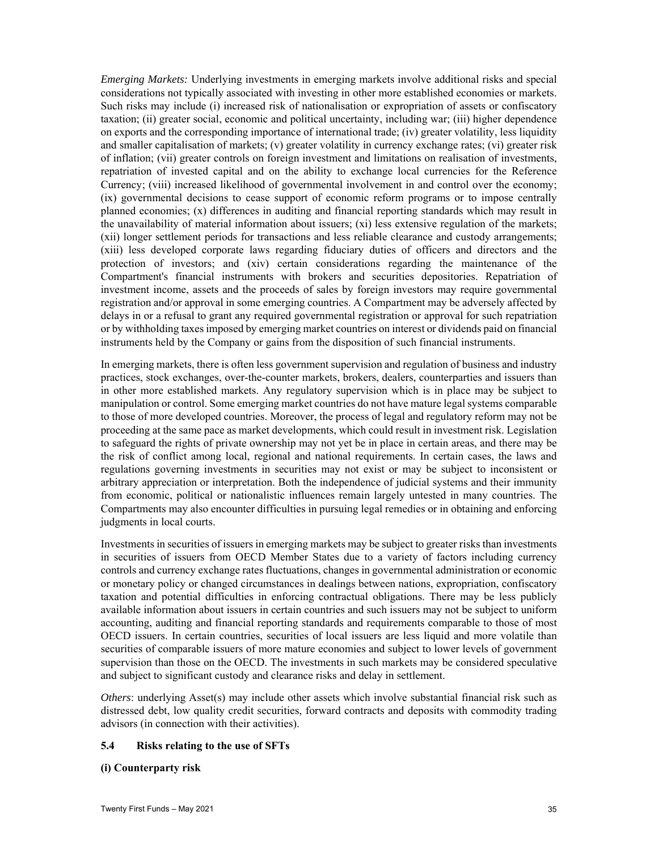*Emerging Markets:* Underlying investments in emerging markets involve additional risks and special considerations not typically associated with investing in other more established economies or markets. Such risks may include (i) increased risk of nationalisation or expropriation of assets or confiscatory taxation; (ii) greater social, economic and political uncertainty, including war; (iii) higher dependence on exports and the corresponding importance of international trade; (iv) greater volatility, less liquidity and smaller capitalisation of markets; (v) greater volatility in currency exchange rates; (vi) greater risk of inflation; (vii) greater controls on foreign investment and limitations on realisation of investments, repatriation of invested capital and on the ability to exchange local currencies for the Reference Currency; (viii) increased likelihood of governmental involvement in and control over the economy; (ix) governmental decisions to cease support of economic reform programs or to impose centrally planned economies; (x) differences in auditing and financial reporting standards which may result in the unavailability of material information about issuers; (xi) less extensive regulation of the markets; (xii) longer settlement periods for transactions and less reliable clearance and custody arrangements; (xiii) less developed corporate laws regarding fiduciary duties of officers and directors and the protection of investors; and (xiv) certain considerations regarding the maintenance of the Compartment's financial instruments with brokers and securities depositories. Repatriation of investment income, assets and the proceeds of sales by foreign investors may require governmental registration and/or approval in some emerging countries. A Compartment may be adversely affected by delays in or a refusal to grant any required governmental registration or approval for such repatriation or by withholding taxes imposed by emerging market countries on interest or dividends paid on financial instruments held by the Company or gains from the disposition of such financial instruments.

In emerging markets, there is often less government supervision and regulation of business and industry practices, stock exchanges, over-the-counter markets, brokers, dealers, counterparties and issuers than in other more established markets. Any regulatory supervision which is in place may be subject to manipulation or control. Some emerging market countries do not have mature legal systems comparable to those of more developed countries. Moreover, the process of legal and regulatory reform may not be proceeding at the same pace as market developments, which could result in investment risk. Legislation to safeguard the rights of private ownership may not yet be in place in certain areas, and there may be the risk of conflict among local, regional and national requirements. In certain cases, the laws and regulations governing investments in securities may not exist or may be subject to inconsistent or arbitrary appreciation or interpretation. Both the independence of judicial systems and their immunity from economic, political or nationalistic influences remain largely untested in many countries. The Compartments may also encounter difficulties in pursuing legal remedies or in obtaining and enforcing judgments in local courts.

Investments in securities of issuers in emerging markets may be subject to greater risks than investments in securities of issuers from OECD Member States due to a variety of factors including currency controls and currency exchange rates fluctuations, changes in governmental administration or economic or monetary policy or changed circumstances in dealings between nations, expropriation, confiscatory taxation and potential difficulties in enforcing contractual obligations. There may be less publicly available information about issuers in certain countries and such issuers may not be subject to uniform accounting, auditing and financial reporting standards and requirements comparable to those of most OECD issuers. In certain countries, securities of local issuers are less liquid and more volatile than securities of comparable issuers of more mature economies and subject to lower levels of government supervision than those on the OECD. The investments in such markets may be considered speculative and subject to significant custody and clearance risks and delay in settlement.

*Others*: underlying Asset(s) may include other assets which involve substantial financial risk such as distressed debt, low quality credit securities, forward contracts and deposits with commodity trading advisors (in connection with their activities).

## **5.4 Risks relating to the use of SFTs**

## **(i) Counterparty risk**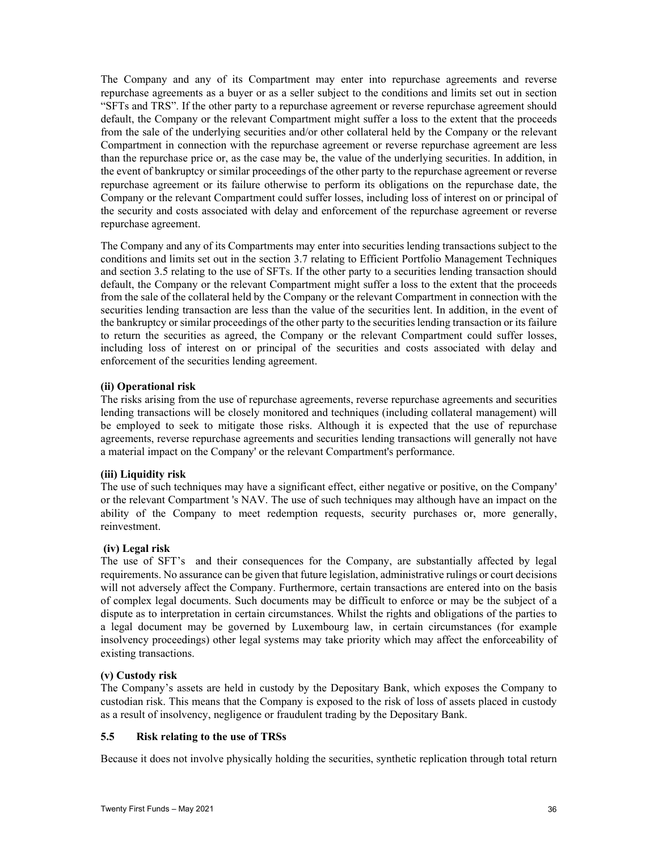The Company and any of its Compartment may enter into repurchase agreements and reverse repurchase agreements as a buyer or as a seller subject to the conditions and limits set out in section "SFTs and TRS". If the other party to a repurchase agreement or reverse repurchase agreement should default, the Company or the relevant Compartment might suffer a loss to the extent that the proceeds from the sale of the underlying securities and/or other collateral held by the Company or the relevant Compartment in connection with the repurchase agreement or reverse repurchase agreement are less than the repurchase price or, as the case may be, the value of the underlying securities. In addition, in the event of bankruptcy or similar proceedings of the other party to the repurchase agreement or reverse repurchase agreement or its failure otherwise to perform its obligations on the repurchase date, the Company or the relevant Compartment could suffer losses, including loss of interest on or principal of the security and costs associated with delay and enforcement of the repurchase agreement or reverse repurchase agreement.

The Company and any of its Compartments may enter into securities lending transactions subject to the conditions and limits set out in the section 3.7 relating to Efficient Portfolio Management Techniques and section 3.5 relating to the use of SFTs. If the other party to a securities lending transaction should default, the Company or the relevant Compartment might suffer a loss to the extent that the proceeds from the sale of the collateral held by the Company or the relevant Compartment in connection with the securities lending transaction are less than the value of the securities lent. In addition, in the event of the bankruptcy or similar proceedings of the other party to the securities lending transaction or its failure to return the securities as agreed, the Company or the relevant Compartment could suffer losses, including loss of interest on or principal of the securities and costs associated with delay and enforcement of the securities lending agreement.

## **(ii) Operational risk**

The risks arising from the use of repurchase agreements, reverse repurchase agreements and securities lending transactions will be closely monitored and techniques (including collateral management) will be employed to seek to mitigate those risks. Although it is expected that the use of repurchase agreements, reverse repurchase agreements and securities lending transactions will generally not have a material impact on the Company' or the relevant Compartment's performance.

## **(iii) Liquidity risk**

The use of such techniques may have a significant effect, either negative or positive, on the Company' or the relevant Compartment 's NAV. The use of such techniques may although have an impact on the ability of the Company to meet redemption requests, security purchases or, more generally, reinvestment.

### **(iv) Legal risk**

The use of SFT's and their consequences for the Company, are substantially affected by legal requirements. No assurance can be given that future legislation, administrative rulings or court decisions will not adversely affect the Company. Furthermore, certain transactions are entered into on the basis of complex legal documents. Such documents may be difficult to enforce or may be the subject of a dispute as to interpretation in certain circumstances. Whilst the rights and obligations of the parties to a legal document may be governed by Luxembourg law, in certain circumstances (for example insolvency proceedings) other legal systems may take priority which may affect the enforceability of existing transactions.

#### **(v) Custody risk**

The Company's assets are held in custody by the Depositary Bank, which exposes the Company to custodian risk. This means that the Company is exposed to the risk of loss of assets placed in custody as a result of insolvency, negligence or fraudulent trading by the Depositary Bank.

## **5.5 Risk relating to the use of TRSs**

Because it does not involve physically holding the securities, synthetic replication through total return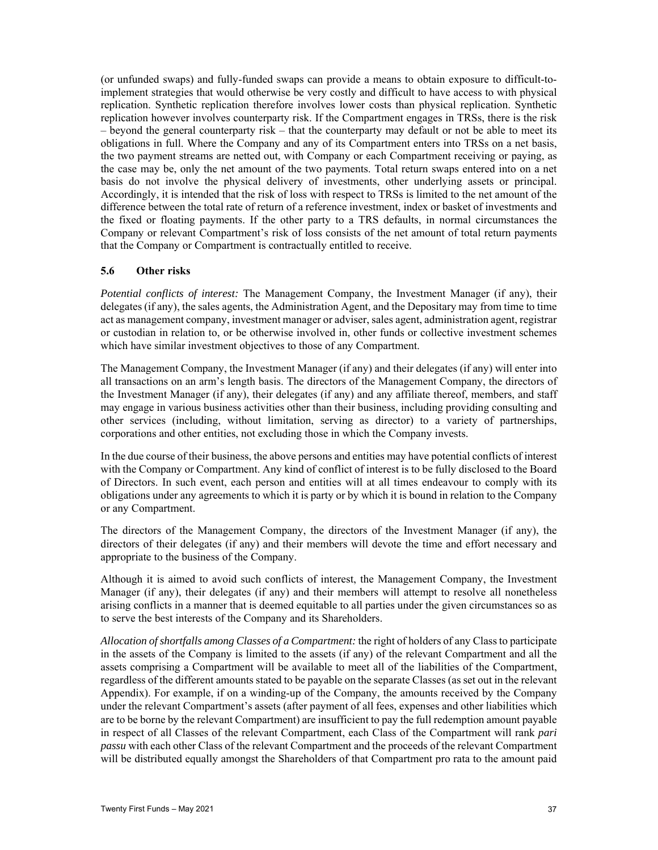(or unfunded swaps) and fully-funded swaps can provide a means to obtain exposure to difficult-toimplement strategies that would otherwise be very costly and difficult to have access to with physical replication. Synthetic replication therefore involves lower costs than physical replication. Synthetic replication however involves counterparty risk. If the Compartment engages in TRSs, there is the risk – beyond the general counterparty risk – that the counterparty may default or not be able to meet its obligations in full. Where the Company and any of its Compartment enters into TRSs on a net basis, the two payment streams are netted out, with Company or each Compartment receiving or paying, as the case may be, only the net amount of the two payments. Total return swaps entered into on a net basis do not involve the physical delivery of investments, other underlying assets or principal. Accordingly, it is intended that the risk of loss with respect to TRSs is limited to the net amount of the difference between the total rate of return of a reference investment, index or basket of investments and the fixed or floating payments. If the other party to a TRS defaults, in normal circumstances the Company or relevant Compartment's risk of loss consists of the net amount of total return payments that the Company or Compartment is contractually entitled to receive.

#### **5.6 Other risks**

*Potential conflicts of interest:* The Management Company, the Investment Manager (if any), their delegates (if any), the sales agents, the Administration Agent, and the Depositary may from time to time act as management company, investment manager or adviser, sales agent, administration agent, registrar or custodian in relation to, or be otherwise involved in, other funds or collective investment schemes which have similar investment objectives to those of any Compartment.

The Management Company, the Investment Manager (if any) and their delegates (if any) will enter into all transactions on an arm's length basis. The directors of the Management Company, the directors of the Investment Manager (if any), their delegates (if any) and any affiliate thereof, members, and staff may engage in various business activities other than their business, including providing consulting and other services (including, without limitation, serving as director) to a variety of partnerships, corporations and other entities, not excluding those in which the Company invests.

In the due course of their business, the above persons and entities may have potential conflicts of interest with the Company or Compartment. Any kind of conflict of interest is to be fully disclosed to the Board of Directors. In such event, each person and entities will at all times endeavour to comply with its obligations under any agreements to which it is party or by which it is bound in relation to the Company or any Compartment.

The directors of the Management Company, the directors of the Investment Manager (if any), the directors of their delegates (if any) and their members will devote the time and effort necessary and appropriate to the business of the Company.

Although it is aimed to avoid such conflicts of interest, the Management Company, the Investment Manager (if any), their delegates (if any) and their members will attempt to resolve all nonetheless arising conflicts in a manner that is deemed equitable to all parties under the given circumstances so as to serve the best interests of the Company and its Shareholders.

*Allocation of shortfalls among Classes of a Compartment:* the right of holders of any Class to participate in the assets of the Company is limited to the assets (if any) of the relevant Compartment and all the assets comprising a Compartment will be available to meet all of the liabilities of the Compartment, regardless of the different amounts stated to be payable on the separate Classes (as set out in the relevant Appendix). For example, if on a winding-up of the Company, the amounts received by the Company under the relevant Compartment's assets (after payment of all fees, expenses and other liabilities which are to be borne by the relevant Compartment) are insufficient to pay the full redemption amount payable in respect of all Classes of the relevant Compartment, each Class of the Compartment will rank *pari passu* with each other Class of the relevant Compartment and the proceeds of the relevant Compartment will be distributed equally amongst the Shareholders of that Compartment pro rata to the amount paid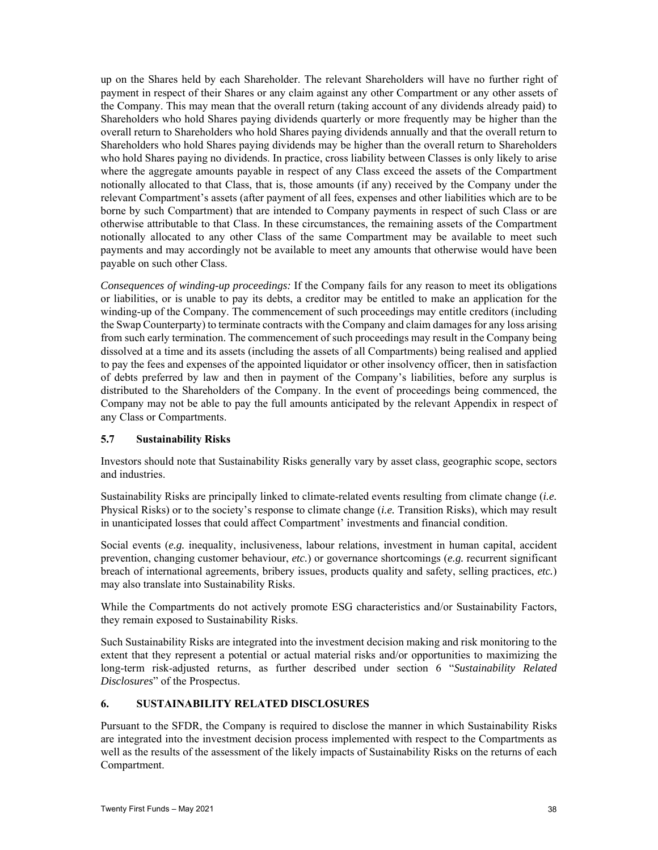up on the Shares held by each Shareholder. The relevant Shareholders will have no further right of payment in respect of their Shares or any claim against any other Compartment or any other assets of the Company. This may mean that the overall return (taking account of any dividends already paid) to Shareholders who hold Shares paying dividends quarterly or more frequently may be higher than the overall return to Shareholders who hold Shares paying dividends annually and that the overall return to Shareholders who hold Shares paying dividends may be higher than the overall return to Shareholders who hold Shares paying no dividends. In practice, cross liability between Classes is only likely to arise where the aggregate amounts payable in respect of any Class exceed the assets of the Compartment notionally allocated to that Class, that is, those amounts (if any) received by the Company under the relevant Compartment's assets (after payment of all fees, expenses and other liabilities which are to be borne by such Compartment) that are intended to Company payments in respect of such Class or are otherwise attributable to that Class. In these circumstances, the remaining assets of the Compartment notionally allocated to any other Class of the same Compartment may be available to meet such payments and may accordingly not be available to meet any amounts that otherwise would have been payable on such other Class.

*Consequences of winding-up proceedings:* If the Company fails for any reason to meet its obligations or liabilities, or is unable to pay its debts, a creditor may be entitled to make an application for the winding-up of the Company. The commencement of such proceedings may entitle creditors (including the Swap Counterparty) to terminate contracts with the Company and claim damages for any loss arising from such early termination. The commencement of such proceedings may result in the Company being dissolved at a time and its assets (including the assets of all Compartments) being realised and applied to pay the fees and expenses of the appointed liquidator or other insolvency officer, then in satisfaction of debts preferred by law and then in payment of the Company's liabilities, before any surplus is distributed to the Shareholders of the Company. In the event of proceedings being commenced, the Company may not be able to pay the full amounts anticipated by the relevant Appendix in respect of any Class or Compartments.

#### **5.7 Sustainability Risks**

Investors should note that Sustainability Risks generally vary by asset class, geographic scope, sectors and industries.

Sustainability Risks are principally linked to climate-related events resulting from climate change (*i.e.*  Physical Risks) or to the society's response to climate change (*i.e.* Transition Risks), which may result in unanticipated losses that could affect Compartment' investments and financial condition.

Social events (*e.g.* inequality, inclusiveness, labour relations, investment in human capital, accident prevention, changing customer behaviour, *etc.*) or governance shortcomings (*e.g.* recurrent significant breach of international agreements, bribery issues, products quality and safety, selling practices, *etc.*) may also translate into Sustainability Risks.

While the Compartments do not actively promote ESG characteristics and/or Sustainability Factors, they remain exposed to Sustainability Risks.

Such Sustainability Risks are integrated into the investment decision making and risk monitoring to the extent that they represent a potential or actual material risks and/or opportunities to maximizing the long-term risk-adjusted returns, as further described under section 6 "*Sustainability Related Disclosures*" of the Prospectus.

#### **6. SUSTAINABILITY RELATED DISCLOSURES**

Pursuant to the SFDR, the Company is required to disclose the manner in which Sustainability Risks are integrated into the investment decision process implemented with respect to the Compartments as well as the results of the assessment of the likely impacts of Sustainability Risks on the returns of each Compartment.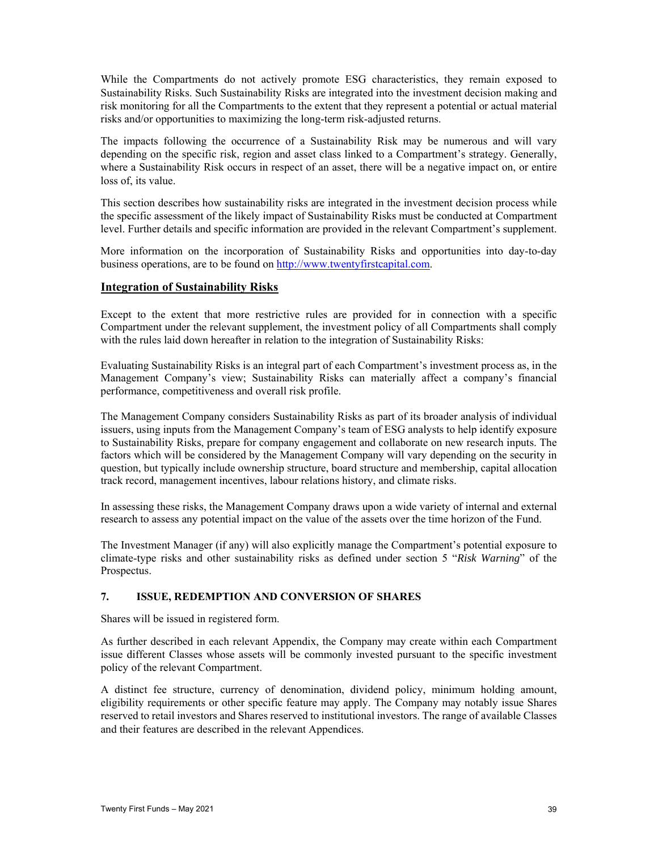While the Compartments do not actively promote ESG characteristics, they remain exposed to Sustainability Risks. Such Sustainability Risks are integrated into the investment decision making and risk monitoring for all the Compartments to the extent that they represent a potential or actual material risks and/or opportunities to maximizing the long-term risk-adjusted returns.

The impacts following the occurrence of a Sustainability Risk may be numerous and will vary depending on the specific risk, region and asset class linked to a Compartment's strategy. Generally, where a Sustainability Risk occurs in respect of an asset, there will be a negative impact on, or entire loss of, its value.

This section describes how sustainability risks are integrated in the investment decision process while the specific assessment of the likely impact of Sustainability Risks must be conducted at Compartment level. Further details and specific information are provided in the relevant Compartment's supplement.

More information on the incorporation of Sustainability Risks and opportunities into day-to-day business operations, are to be found on http://www.twentyfirstcapital.com.

#### **Integration of Sustainability Risks**

Except to the extent that more restrictive rules are provided for in connection with a specific Compartment under the relevant supplement, the investment policy of all Compartments shall comply with the rules laid down hereafter in relation to the integration of Sustainability Risks:

Evaluating Sustainability Risks is an integral part of each Compartment's investment process as, in the Management Company's view; Sustainability Risks can materially affect a company's financial performance, competitiveness and overall risk profile.

The Management Company considers Sustainability Risks as part of its broader analysis of individual issuers, using inputs from the Management Company's team of ESG analysts to help identify exposure to Sustainability Risks, prepare for company engagement and collaborate on new research inputs. The factors which will be considered by the Management Company will vary depending on the security in question, but typically include ownership structure, board structure and membership, capital allocation track record, management incentives, labour relations history, and climate risks.

In assessing these risks, the Management Company draws upon a wide variety of internal and external research to assess any potential impact on the value of the assets over the time horizon of the Fund.

The Investment Manager (if any) will also explicitly manage the Compartment's potential exposure to climate-type risks and other sustainability risks as defined under section 5 "*Risk Warning*" of the Prospectus.

### **7. ISSUE, REDEMPTION AND CONVERSION OF SHARES**

Shares will be issued in registered form.

As further described in each relevant Appendix, the Company may create within each Compartment issue different Classes whose assets will be commonly invested pursuant to the specific investment policy of the relevant Compartment.

A distinct fee structure, currency of denomination, dividend policy, minimum holding amount, eligibility requirements or other specific feature may apply. The Company may notably issue Shares reserved to retail investors and Shares reserved to institutional investors. The range of available Classes and their features are described in the relevant Appendices.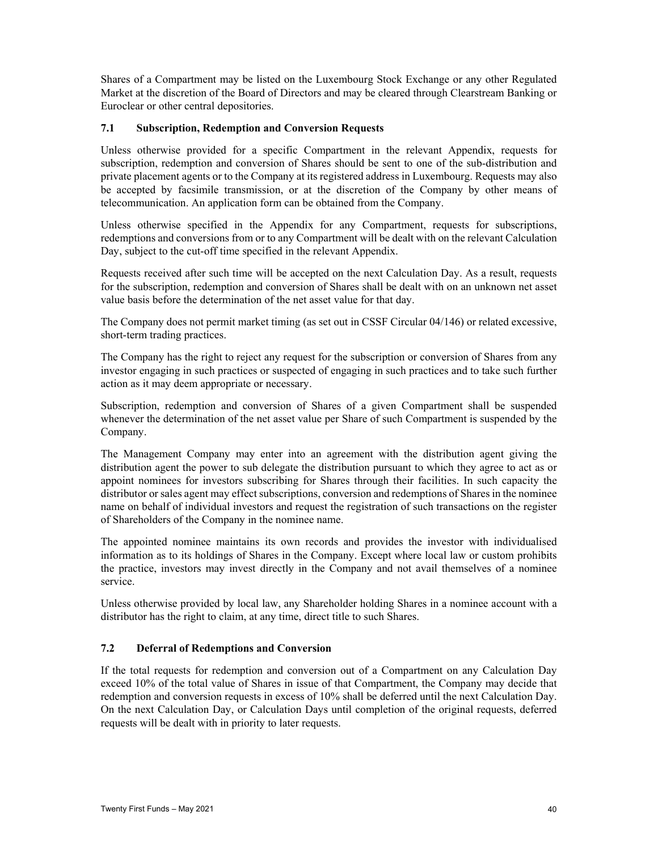Shares of a Compartment may be listed on the Luxembourg Stock Exchange or any other Regulated Market at the discretion of the Board of Directors and may be cleared through Clearstream Banking or Euroclear or other central depositories.

### **7.1 Subscription, Redemption and Conversion Requests**

Unless otherwise provided for a specific Compartment in the relevant Appendix, requests for subscription, redemption and conversion of Shares should be sent to one of the sub-distribution and private placement agents or to the Company at its registered address in Luxembourg. Requests may also be accepted by facsimile transmission, or at the discretion of the Company by other means of telecommunication. An application form can be obtained from the Company.

Unless otherwise specified in the Appendix for any Compartment, requests for subscriptions, redemptions and conversions from or to any Compartment will be dealt with on the relevant Calculation Day, subject to the cut-off time specified in the relevant Appendix.

Requests received after such time will be accepted on the next Calculation Day. As a result, requests for the subscription, redemption and conversion of Shares shall be dealt with on an unknown net asset value basis before the determination of the net asset value for that day.

The Company does not permit market timing (as set out in CSSF Circular 04/146) or related excessive, short-term trading practices.

The Company has the right to reject any request for the subscription or conversion of Shares from any investor engaging in such practices or suspected of engaging in such practices and to take such further action as it may deem appropriate or necessary.

Subscription, redemption and conversion of Shares of a given Compartment shall be suspended whenever the determination of the net asset value per Share of such Compartment is suspended by the Company.

The Management Company may enter into an agreement with the distribution agent giving the distribution agent the power to sub delegate the distribution pursuant to which they agree to act as or appoint nominees for investors subscribing for Shares through their facilities. In such capacity the distributor or sales agent may effect subscriptions, conversion and redemptions of Shares in the nominee name on behalf of individual investors and request the registration of such transactions on the register of Shareholders of the Company in the nominee name.

The appointed nominee maintains its own records and provides the investor with individualised information as to its holdings of Shares in the Company. Except where local law or custom prohibits the practice, investors may invest directly in the Company and not avail themselves of a nominee service.

Unless otherwise provided by local law, any Shareholder holding Shares in a nominee account with a distributor has the right to claim, at any time, direct title to such Shares.

#### **7.2 Deferral of Redemptions and Conversion**

If the total requests for redemption and conversion out of a Compartment on any Calculation Day exceed 10% of the total value of Shares in issue of that Compartment, the Company may decide that redemption and conversion requests in excess of 10% shall be deferred until the next Calculation Day. On the next Calculation Day, or Calculation Days until completion of the original requests, deferred requests will be dealt with in priority to later requests.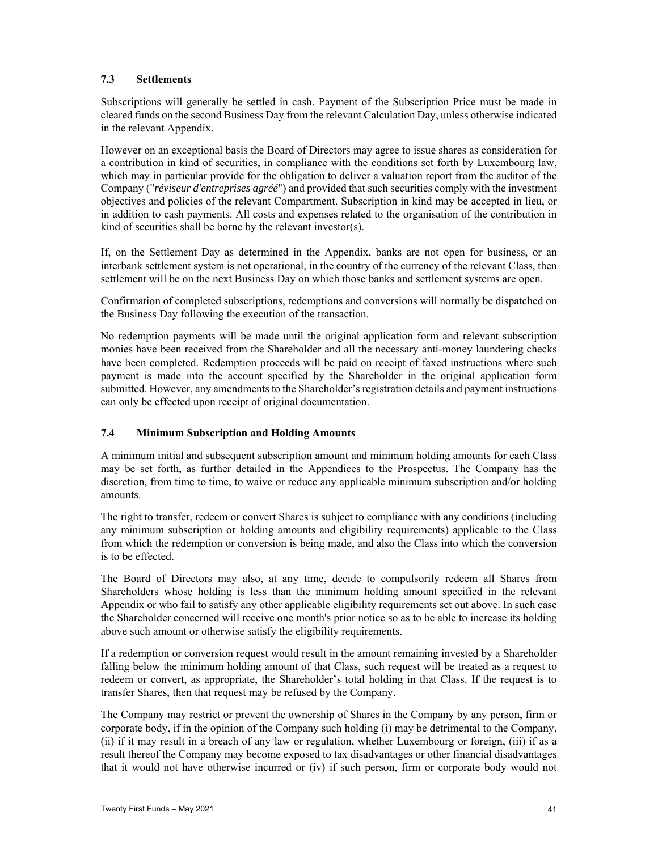# **7.3 Settlements**

Subscriptions will generally be settled in cash. Payment of the Subscription Price must be made in cleared funds on the second Business Day from the relevant Calculation Day, unless otherwise indicated in the relevant Appendix.

However on an exceptional basis the Board of Directors may agree to issue shares as consideration for a contribution in kind of securities, in compliance with the conditions set forth by Luxembourg law, which may in particular provide for the obligation to deliver a valuation report from the auditor of the Company ("*réviseur d'entreprises agréé*") and provided that such securities comply with the investment objectives and policies of the relevant Compartment. Subscription in kind may be accepted in lieu, or in addition to cash payments. All costs and expenses related to the organisation of the contribution in kind of securities shall be borne by the relevant investor(s).

If, on the Settlement Day as determined in the Appendix, banks are not open for business, or an interbank settlement system is not operational, in the country of the currency of the relevant Class, then settlement will be on the next Business Day on which those banks and settlement systems are open.

Confirmation of completed subscriptions, redemptions and conversions will normally be dispatched on the Business Day following the execution of the transaction.

No redemption payments will be made until the original application form and relevant subscription monies have been received from the Shareholder and all the necessary anti-money laundering checks have been completed. Redemption proceeds will be paid on receipt of faxed instructions where such payment is made into the account specified by the Shareholder in the original application form submitted. However, any amendments to the Shareholder's registration details and payment instructions can only be effected upon receipt of original documentation.

# **7.4 Minimum Subscription and Holding Amounts**

A minimum initial and subsequent subscription amount and minimum holding amounts for each Class may be set forth, as further detailed in the Appendices to the Prospectus. The Company has the discretion, from time to time, to waive or reduce any applicable minimum subscription and/or holding amounts.

The right to transfer, redeem or convert Shares is subject to compliance with any conditions (including any minimum subscription or holding amounts and eligibility requirements) applicable to the Class from which the redemption or conversion is being made, and also the Class into which the conversion is to be effected.

The Board of Directors may also, at any time, decide to compulsorily redeem all Shares from Shareholders whose holding is less than the minimum holding amount specified in the relevant Appendix or who fail to satisfy any other applicable eligibility requirements set out above. In such case the Shareholder concerned will receive one month's prior notice so as to be able to increase its holding above such amount or otherwise satisfy the eligibility requirements.

If a redemption or conversion request would result in the amount remaining invested by a Shareholder falling below the minimum holding amount of that Class, such request will be treated as a request to redeem or convert, as appropriate, the Shareholder's total holding in that Class. If the request is to transfer Shares, then that request may be refused by the Company.

The Company may restrict or prevent the ownership of Shares in the Company by any person, firm or corporate body, if in the opinion of the Company such holding (i) may be detrimental to the Company, (ii) if it may result in a breach of any law or regulation, whether Luxembourg or foreign, (iii) if as a result thereof the Company may become exposed to tax disadvantages or other financial disadvantages that it would not have otherwise incurred or (iv) if such person, firm or corporate body would not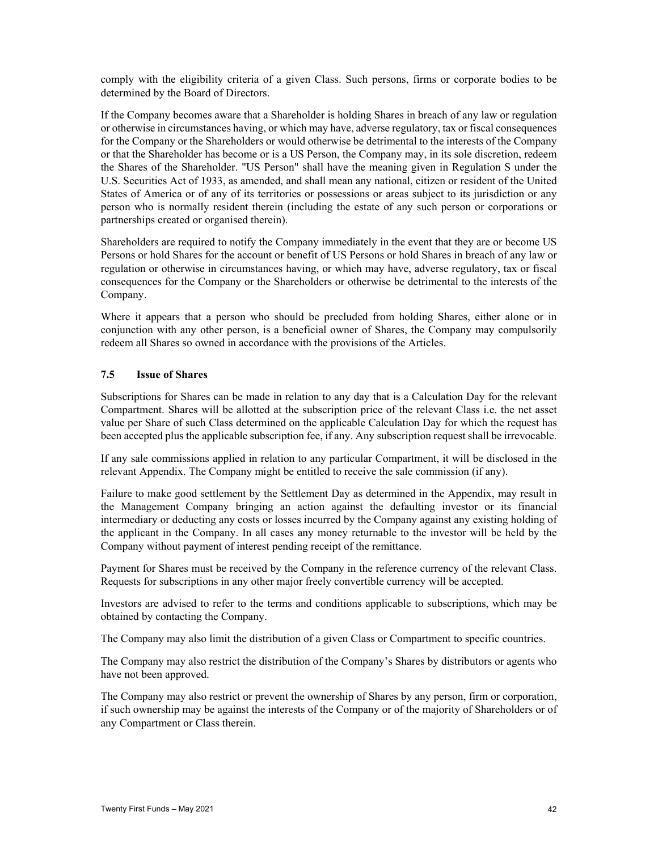comply with the eligibility criteria of a given Class. Such persons, firms or corporate bodies to be determined by the Board of Directors.

If the Company becomes aware that a Shareholder is holding Shares in breach of any law or regulation or otherwise in circumstances having, or which may have, adverse regulatory, tax or fiscal consequences for the Company or the Shareholders or would otherwise be detrimental to the interests of the Company or that the Shareholder has become or is a US Person, the Company may, in its sole discretion, redeem the Shares of the Shareholder. "US Person" shall have the meaning given in Regulation S under the U.S. Securities Act of 1933, as amended, and shall mean any national, citizen or resident of the United States of America or of any of its territories or possessions or areas subject to its jurisdiction or any person who is normally resident therein (including the estate of any such person or corporations or partnerships created or organised therein).

Shareholders are required to notify the Company immediately in the event that they are or become US Persons or hold Shares for the account or benefit of US Persons or hold Shares in breach of any law or regulation or otherwise in circumstances having, or which may have, adverse regulatory, tax or fiscal consequences for the Company or the Shareholders or otherwise be detrimental to the interests of the Company.

Where it appears that a person who should be precluded from holding Shares, either alone or in conjunction with any other person, is a beneficial owner of Shares, the Company may compulsorily redeem all Shares so owned in accordance with the provisions of the Articles.

### **7.5 Issue of Shares**

Subscriptions for Shares can be made in relation to any day that is a Calculation Day for the relevant Compartment. Shares will be allotted at the subscription price of the relevant Class i.e. the net asset value per Share of such Class determined on the applicable Calculation Day for which the request has been accepted plus the applicable subscription fee, if any. Any subscription request shall be irrevocable.

If any sale commissions applied in relation to any particular Compartment, it will be disclosed in the relevant Appendix. The Company might be entitled to receive the sale commission (if any).

Failure to make good settlement by the Settlement Day as determined in the Appendix, may result in the Management Company bringing an action against the defaulting investor or its financial intermediary or deducting any costs or losses incurred by the Company against any existing holding of the applicant in the Company. In all cases any money returnable to the investor will be held by the Company without payment of interest pending receipt of the remittance.

Payment for Shares must be received by the Company in the reference currency of the relevant Class. Requests for subscriptions in any other major freely convertible currency will be accepted.

Investors are advised to refer to the terms and conditions applicable to subscriptions, which may be obtained by contacting the Company.

The Company may also limit the distribution of a given Class or Compartment to specific countries.

The Company may also restrict the distribution of the Company's Shares by distributors or agents who have not been approved.

The Company may also restrict or prevent the ownership of Shares by any person, firm or corporation, if such ownership may be against the interests of the Company or of the majority of Shareholders or of any Compartment or Class therein.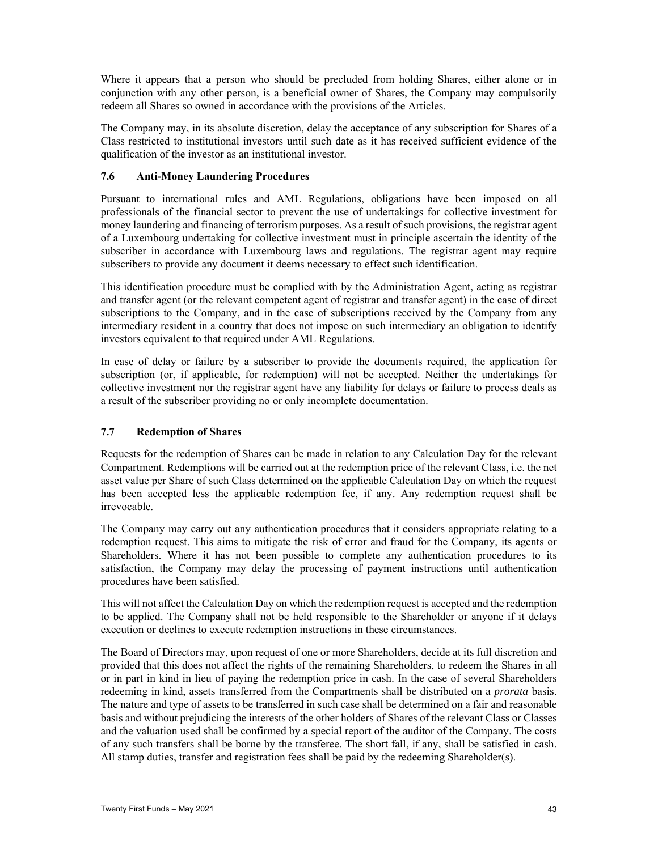Where it appears that a person who should be precluded from holding Shares, either alone or in conjunction with any other person, is a beneficial owner of Shares, the Company may compulsorily redeem all Shares so owned in accordance with the provisions of the Articles.

The Company may, in its absolute discretion, delay the acceptance of any subscription for Shares of a Class restricted to institutional investors until such date as it has received sufficient evidence of the qualification of the investor as an institutional investor.

### **7.6 Anti-Money Laundering Procedures**

Pursuant to international rules and AML Regulations, obligations have been imposed on all professionals of the financial sector to prevent the use of undertakings for collective investment for money laundering and financing of terrorism purposes. As a result of such provisions, the registrar agent of a Luxembourg undertaking for collective investment must in principle ascertain the identity of the subscriber in accordance with Luxembourg laws and regulations. The registrar agent may require subscribers to provide any document it deems necessary to effect such identification.

This identification procedure must be complied with by the Administration Agent, acting as registrar and transfer agent (or the relevant competent agent of registrar and transfer agent) in the case of direct subscriptions to the Company, and in the case of subscriptions received by the Company from any intermediary resident in a country that does not impose on such intermediary an obligation to identify investors equivalent to that required under AML Regulations.

In case of delay or failure by a subscriber to provide the documents required, the application for subscription (or, if applicable, for redemption) will not be accepted. Neither the undertakings for collective investment nor the registrar agent have any liability for delays or failure to process deals as a result of the subscriber providing no or only incomplete documentation.

### **7.7 Redemption of Shares**

Requests for the redemption of Shares can be made in relation to any Calculation Day for the relevant Compartment. Redemptions will be carried out at the redemption price of the relevant Class, i.e. the net asset value per Share of such Class determined on the applicable Calculation Day on which the request has been accepted less the applicable redemption fee, if any. Any redemption request shall be irrevocable.

The Company may carry out any authentication procedures that it considers appropriate relating to a redemption request. This aims to mitigate the risk of error and fraud for the Company, its agents or Shareholders. Where it has not been possible to complete any authentication procedures to its satisfaction, the Company may delay the processing of payment instructions until authentication procedures have been satisfied.

This will not affect the Calculation Day on which the redemption request is accepted and the redemption to be applied. The Company shall not be held responsible to the Shareholder or anyone if it delays execution or declines to execute redemption instructions in these circumstances.

The Board of Directors may, upon request of one or more Shareholders, decide at its full discretion and provided that this does not affect the rights of the remaining Shareholders, to redeem the Shares in all or in part in kind in lieu of paying the redemption price in cash. In the case of several Shareholders redeeming in kind, assets transferred from the Compartments shall be distributed on a *prorata* basis. The nature and type of assets to be transferred in such case shall be determined on a fair and reasonable basis and without prejudicing the interests of the other holders of Shares of the relevant Class or Classes and the valuation used shall be confirmed by a special report of the auditor of the Company. The costs of any such transfers shall be borne by the transferee. The short fall, if any, shall be satisfied in cash. All stamp duties, transfer and registration fees shall be paid by the redeeming Shareholder(s).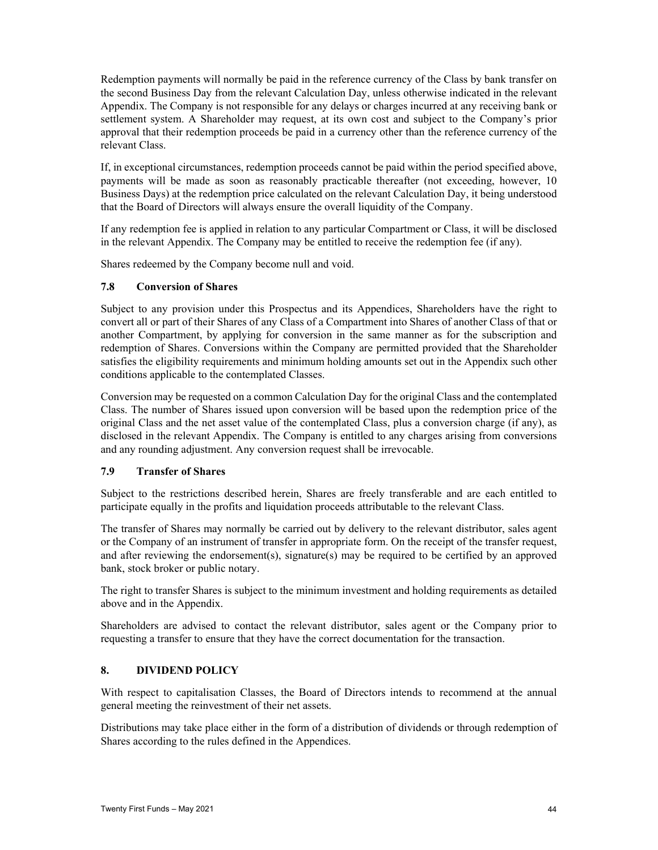Redemption payments will normally be paid in the reference currency of the Class by bank transfer on the second Business Day from the relevant Calculation Day, unless otherwise indicated in the relevant Appendix. The Company is not responsible for any delays or charges incurred at any receiving bank or settlement system. A Shareholder may request, at its own cost and subject to the Company's prior approval that their redemption proceeds be paid in a currency other than the reference currency of the relevant Class.

If, in exceptional circumstances, redemption proceeds cannot be paid within the period specified above, payments will be made as soon as reasonably practicable thereafter (not exceeding, however, 10 Business Days) at the redemption price calculated on the relevant Calculation Day, it being understood that the Board of Directors will always ensure the overall liquidity of the Company.

If any redemption fee is applied in relation to any particular Compartment or Class, it will be disclosed in the relevant Appendix. The Company may be entitled to receive the redemption fee (if any).

Shares redeemed by the Company become null and void.

#### **7.8 Conversion of Shares**

Subject to any provision under this Prospectus and its Appendices, Shareholders have the right to convert all or part of their Shares of any Class of a Compartment into Shares of another Class of that or another Compartment, by applying for conversion in the same manner as for the subscription and redemption of Shares. Conversions within the Company are permitted provided that the Shareholder satisfies the eligibility requirements and minimum holding amounts set out in the Appendix such other conditions applicable to the contemplated Classes.

Conversion may be requested on a common Calculation Day for the original Class and the contemplated Class. The number of Shares issued upon conversion will be based upon the redemption price of the original Class and the net asset value of the contemplated Class, plus a conversion charge (if any), as disclosed in the relevant Appendix. The Company is entitled to any charges arising from conversions and any rounding adjustment. Any conversion request shall be irrevocable.

#### **7.9 Transfer of Shares**

Subject to the restrictions described herein, Shares are freely transferable and are each entitled to participate equally in the profits and liquidation proceeds attributable to the relevant Class.

The transfer of Shares may normally be carried out by delivery to the relevant distributor, sales agent or the Company of an instrument of transfer in appropriate form. On the receipt of the transfer request, and after reviewing the endorsement(s), signature(s) may be required to be certified by an approved bank, stock broker or public notary.

The right to transfer Shares is subject to the minimum investment and holding requirements as detailed above and in the Appendix.

Shareholders are advised to contact the relevant distributor, sales agent or the Company prior to requesting a transfer to ensure that they have the correct documentation for the transaction.

#### **8. DIVIDEND POLICY**

With respect to capitalisation Classes, the Board of Directors intends to recommend at the annual general meeting the reinvestment of their net assets.

Distributions may take place either in the form of a distribution of dividends or through redemption of Shares according to the rules defined in the Appendices.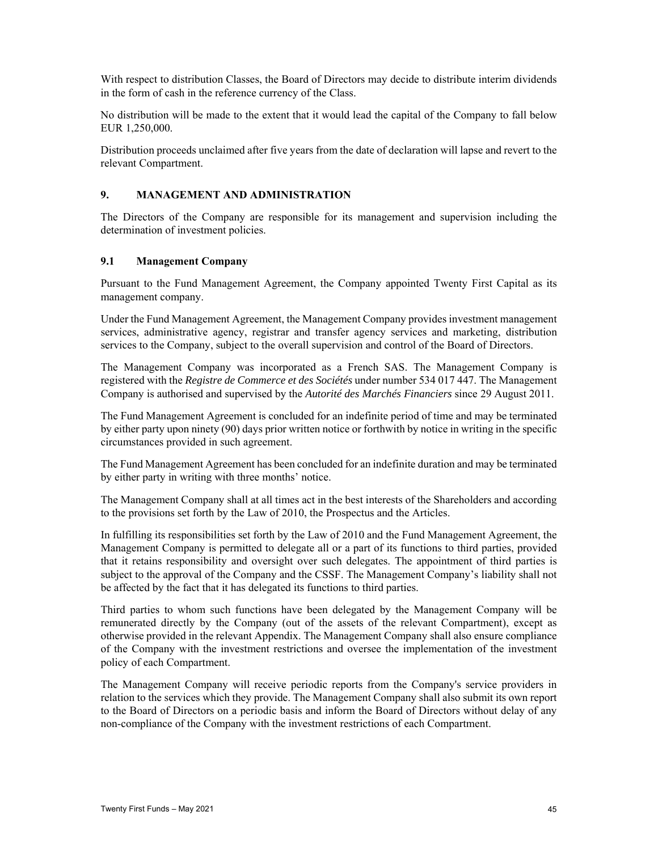With respect to distribution Classes, the Board of Directors may decide to distribute interim dividends in the form of cash in the reference currency of the Class.

No distribution will be made to the extent that it would lead the capital of the Company to fall below EUR 1,250,000.

Distribution proceeds unclaimed after five years from the date of declaration will lapse and revert to the relevant Compartment.

### **9. MANAGEMENT AND ADMINISTRATION**

The Directors of the Company are responsible for its management and supervision including the determination of investment policies.

#### **9.1 Management Company**

Pursuant to the Fund Management Agreement, the Company appointed Twenty First Capital as its management company.

Under the Fund Management Agreement, the Management Company provides investment management services, administrative agency, registrar and transfer agency services and marketing, distribution services to the Company, subject to the overall supervision and control of the Board of Directors.

The Management Company was incorporated as a French SAS. The Management Company is registered with the *Registre de Commerce et des Sociétés* under number 534 017 447. The Management Company is authorised and supervised by the *Autorité des Marchés Financiers* since 29 August 2011.

The Fund Management Agreement is concluded for an indefinite period of time and may be terminated by either party upon ninety (90) days prior written notice or forthwith by notice in writing in the specific circumstances provided in such agreement.

The Fund Management Agreement has been concluded for an indefinite duration and may be terminated by either party in writing with three months' notice.

The Management Company shall at all times act in the best interests of the Shareholders and according to the provisions set forth by the Law of 2010, the Prospectus and the Articles.

In fulfilling its responsibilities set forth by the Law of 2010 and the Fund Management Agreement, the Management Company is permitted to delegate all or a part of its functions to third parties, provided that it retains responsibility and oversight over such delegates. The appointment of third parties is subject to the approval of the Company and the CSSF. The Management Company's liability shall not be affected by the fact that it has delegated its functions to third parties.

Third parties to whom such functions have been delegated by the Management Company will be remunerated directly by the Company (out of the assets of the relevant Compartment), except as otherwise provided in the relevant Appendix. The Management Company shall also ensure compliance of the Company with the investment restrictions and oversee the implementation of the investment policy of each Compartment.

The Management Company will receive periodic reports from the Company's service providers in relation to the services which they provide. The Management Company shall also submit its own report to the Board of Directors on a periodic basis and inform the Board of Directors without delay of any non-compliance of the Company with the investment restrictions of each Compartment.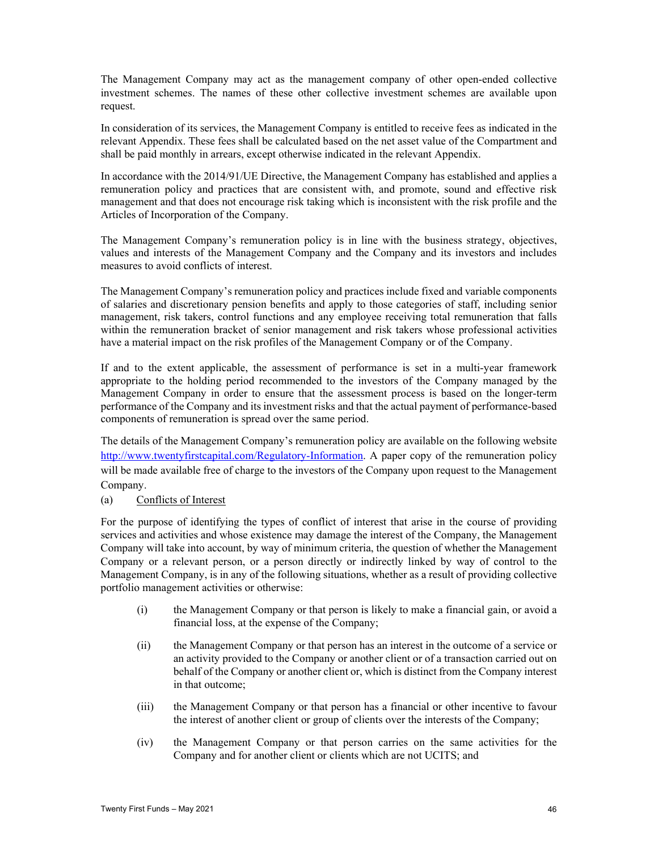The Management Company may act as the management company of other open-ended collective investment schemes. The names of these other collective investment schemes are available upon request.

In consideration of its services, the Management Company is entitled to receive fees as indicated in the relevant Appendix. These fees shall be calculated based on the net asset value of the Compartment and shall be paid monthly in arrears, except otherwise indicated in the relevant Appendix.

In accordance with the 2014/91/UE Directive, the Management Company has established and applies a remuneration policy and practices that are consistent with, and promote, sound and effective risk management and that does not encourage risk taking which is inconsistent with the risk profile and the Articles of Incorporation of the Company.

The Management Company's remuneration policy is in line with the business strategy, objectives, values and interests of the Management Company and the Company and its investors and includes measures to avoid conflicts of interest.

The Management Company's remuneration policy and practices include fixed and variable components of salaries and discretionary pension benefits and apply to those categories of staff, including senior management, risk takers, control functions and any employee receiving total remuneration that falls within the remuneration bracket of senior management and risk takers whose professional activities have a material impact on the risk profiles of the Management Company or of the Company.

If and to the extent applicable, the assessment of performance is set in a multi-year framework appropriate to the holding period recommended to the investors of the Company managed by the Management Company in order to ensure that the assessment process is based on the longer-term performance of the Company and its investment risks and that the actual payment of performance-based components of remuneration is spread over the same period.

The details of the Management Company's remuneration policy are available on the following website http://www.twentyfirstcapital.com/Regulatory-Information. A paper copy of the remuneration policy will be made available free of charge to the investors of the Company upon request to the Management Company.

(a) Conflicts of Interest

For the purpose of identifying the types of conflict of interest that arise in the course of providing services and activities and whose existence may damage the interest of the Company, the Management Company will take into account, by way of minimum criteria, the question of whether the Management Company or a relevant person, or a person directly or indirectly linked by way of control to the Management Company, is in any of the following situations, whether as a result of providing collective portfolio management activities or otherwise:

- (i) the Management Company or that person is likely to make a financial gain, or avoid a financial loss, at the expense of the Company;
- (ii) the Management Company or that person has an interest in the outcome of a service or an activity provided to the Company or another client or of a transaction carried out on behalf of the Company or another client or, which is distinct from the Company interest in that outcome;
- (iii) the Management Company or that person has a financial or other incentive to favour the interest of another client or group of clients over the interests of the Company;
- (iv) the Management Company or that person carries on the same activities for the Company and for another client or clients which are not UCITS; and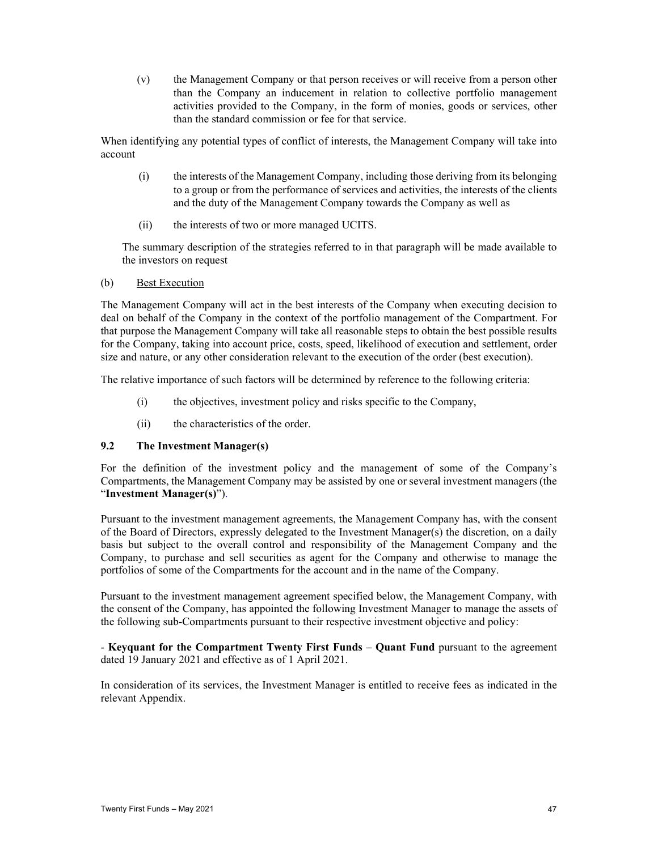(v) the Management Company or that person receives or will receive from a person other than the Company an inducement in relation to collective portfolio management activities provided to the Company, in the form of monies, goods or services, other than the standard commission or fee for that service.

When identifying any potential types of conflict of interests, the Management Company will take into account

- (i) the interests of the Management Company, including those deriving from its belonging to a group or from the performance of services and activities, the interests of the clients and the duty of the Management Company towards the Company as well as
- (ii) the interests of two or more managed UCITS.

The summary description of the strategies referred to in that paragraph will be made available to the investors on request

#### (b) Best Execution

The Management Company will act in the best interests of the Company when executing decision to deal on behalf of the Company in the context of the portfolio management of the Compartment. For that purpose the Management Company will take all reasonable steps to obtain the best possible results for the Company, taking into account price, costs, speed, likelihood of execution and settlement, order size and nature, or any other consideration relevant to the execution of the order (best execution).

The relative importance of such factors will be determined by reference to the following criteria:

- (i) the objectives, investment policy and risks specific to the Company,
- (ii) the characteristics of the order.

### **9.2 The Investment Manager(s)**

For the definition of the investment policy and the management of some of the Company's Compartments, the Management Company may be assisted by one or several investment managers (the "**Investment Manager(s)**").

Pursuant to the investment management agreements, the Management Company has, with the consent of the Board of Directors, expressly delegated to the Investment Manager(s) the discretion, on a daily basis but subject to the overall control and responsibility of the Management Company and the Company, to purchase and sell securities as agent for the Company and otherwise to manage the portfolios of some of the Compartments for the account and in the name of the Company.

Pursuant to the investment management agreement specified below, the Management Company, with the consent of the Company, has appointed the following Investment Manager to manage the assets of the following sub-Compartments pursuant to their respective investment objective and policy:

- **Keyquant for the Compartment Twenty First Funds – Quant Fund** pursuant to the agreement dated 19 January 2021 and effective as of 1 April 2021.

In consideration of its services, the Investment Manager is entitled to receive fees as indicated in the relevant Appendix.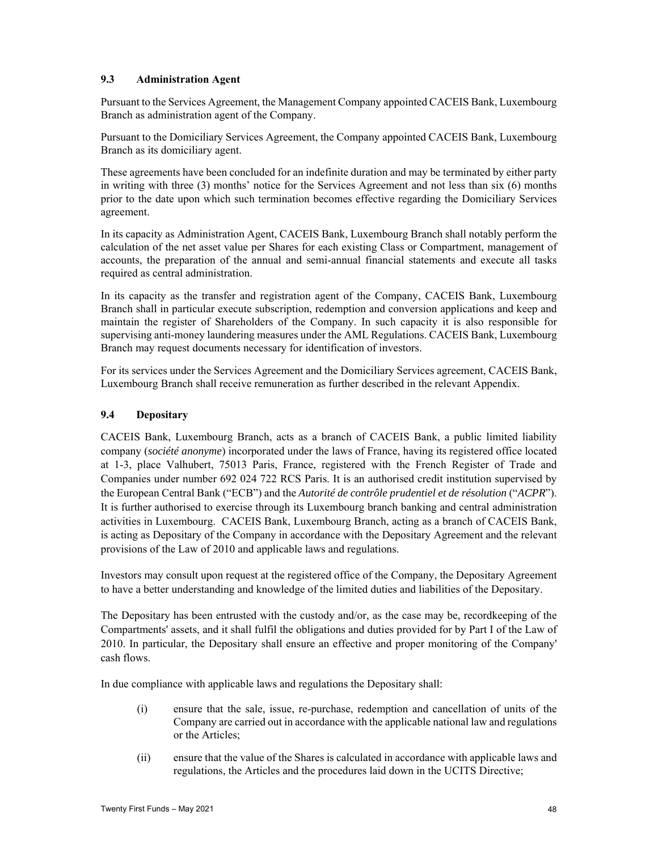### **9.3 Administration Agent**

Pursuant to the Services Agreement, the Management Company appointed CACEIS Bank, Luxembourg Branch as administration agent of the Company.

Pursuant to the Domiciliary Services Agreement, the Company appointed CACEIS Bank, Luxembourg Branch as its domiciliary agent.

These agreements have been concluded for an indefinite duration and may be terminated by either party in writing with three (3) months' notice for the Services Agreement and not less than six (6) months prior to the date upon which such termination becomes effective regarding the Domiciliary Services agreement.

In its capacity as Administration Agent, CACEIS Bank, Luxembourg Branch shall notably perform the calculation of the net asset value per Shares for each existing Class or Compartment, management of accounts, the preparation of the annual and semi-annual financial statements and execute all tasks required as central administration.

In its capacity as the transfer and registration agent of the Company, CACEIS Bank, Luxembourg Branch shall in particular execute subscription, redemption and conversion applications and keep and maintain the register of Shareholders of the Company. In such capacity it is also responsible for supervising anti-money laundering measures under the AML Regulations. CACEIS Bank, Luxembourg Branch may request documents necessary for identification of investors.

For its services under the Services Agreement and the Domiciliary Services agreement, CACEIS Bank, Luxembourg Branch shall receive remuneration as further described in the relevant Appendix.

### **9.4 Depositary**

CACEIS Bank, Luxembourg Branch, acts as a branch of CACEIS Bank, a public limited liability company (*société anonyme*) incorporated under the laws of France, having its registered office located at 1-3, place Valhubert, 75013 Paris, France, registered with the French Register of Trade and Companies under number 692 024 722 RCS Paris. It is an authorised credit institution supervised by the European Central Bank ("ECB") and the *Autorité de contrôle prudentiel et de résolution* ("*ACPR*"). It is further authorised to exercise through its Luxembourg branch banking and central administration activities in Luxembourg. CACEIS Bank, Luxembourg Branch, acting as a branch of CACEIS Bank, is acting as Depositary of the Company in accordance with the Depositary Agreement and the relevant provisions of the Law of 2010 and applicable laws and regulations.

Investors may consult upon request at the registered office of the Company, the Depositary Agreement to have a better understanding and knowledge of the limited duties and liabilities of the Depositary.

The Depositary has been entrusted with the custody and/or, as the case may be, recordkeeping of the Compartments' assets, and it shall fulfil the obligations and duties provided for by Part I of the Law of 2010. In particular, the Depositary shall ensure an effective and proper monitoring of the Company' cash flows.

In due compliance with applicable laws and regulations the Depositary shall:

- (i) ensure that the sale, issue, re-purchase, redemption and cancellation of units of the Company are carried out in accordance with the applicable national law and regulations or the Articles;
- (ii) ensure that the value of the Shares is calculated in accordance with applicable laws and regulations, the Articles and the procedures laid down in the UCITS Directive;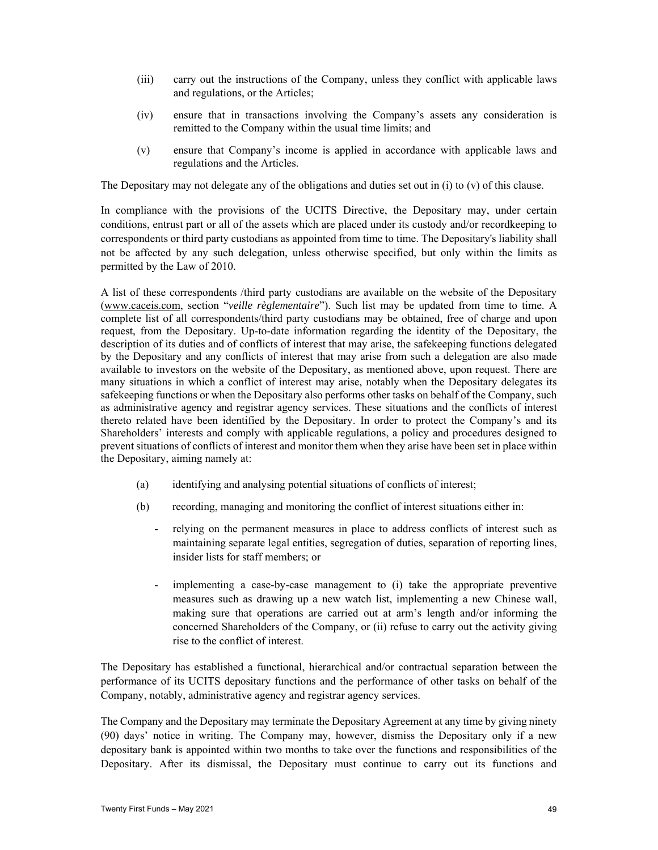- (iii) carry out the instructions of the Company, unless they conflict with applicable laws and regulations, or the Articles;
- (iv) ensure that in transactions involving the Company's assets any consideration is remitted to the Company within the usual time limits; and
- (v) ensure that Company's income is applied in accordance with applicable laws and regulations and the Articles.

The Depositary may not delegate any of the obligations and duties set out in (i) to (v) of this clause.

In compliance with the provisions of the UCITS Directive, the Depositary may, under certain conditions, entrust part or all of the assets which are placed under its custody and/or recordkeeping to correspondents or third party custodians as appointed from time to time. The Depositary's liability shall not be affected by any such delegation, unless otherwise specified, but only within the limits as permitted by the Law of 2010.

A list of these correspondents /third party custodians are available on the website of the Depositary (www.caceis.com, section "*veille règlementaire*"). Such list may be updated from time to time. A complete list of all correspondents/third party custodians may be obtained, free of charge and upon request, from the Depositary. Up-to-date information regarding the identity of the Depositary, the description of its duties and of conflicts of interest that may arise, the safekeeping functions delegated by the Depositary and any conflicts of interest that may arise from such a delegation are also made available to investors on the website of the Depositary, as mentioned above, upon request. There are many situations in which a conflict of interest may arise, notably when the Depositary delegates its safekeeping functions or when the Depositary also performs other tasks on behalf of the Company, such as administrative agency and registrar agency services. These situations and the conflicts of interest thereto related have been identified by the Depositary. In order to protect the Company's and its Shareholders' interests and comply with applicable regulations, a policy and procedures designed to prevent situations of conflicts of interest and monitor them when they arise have been set in place within the Depositary, aiming namely at:

- (a) identifying and analysing potential situations of conflicts of interest;
- (b) recording, managing and monitoring the conflict of interest situations either in:
	- relying on the permanent measures in place to address conflicts of interest such as maintaining separate legal entities, segregation of duties, separation of reporting lines, insider lists for staff members; or
	- implementing a case-by-case management to (i) take the appropriate preventive measures such as drawing up a new watch list, implementing a new Chinese wall, making sure that operations are carried out at arm's length and/or informing the concerned Shareholders of the Company, or (ii) refuse to carry out the activity giving rise to the conflict of interest.

The Depositary has established a functional, hierarchical and/or contractual separation between the performance of its UCITS depositary functions and the performance of other tasks on behalf of the Company, notably, administrative agency and registrar agency services.

The Company and the Depositary may terminate the Depositary Agreement at any time by giving ninety (90) days' notice in writing. The Company may, however, dismiss the Depositary only if a new depositary bank is appointed within two months to take over the functions and responsibilities of the Depositary. After its dismissal, the Depositary must continue to carry out its functions and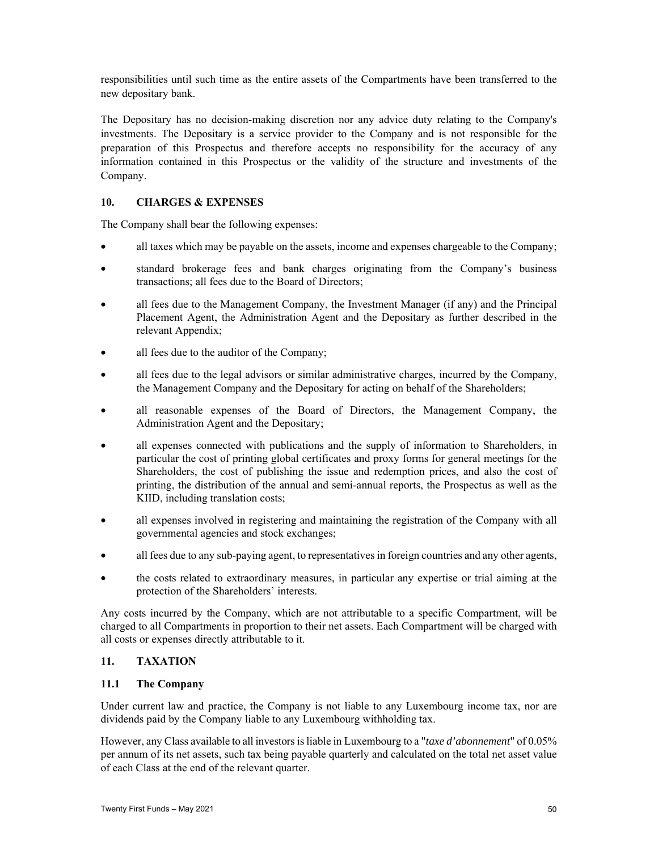responsibilities until such time as the entire assets of the Compartments have been transferred to the new depositary bank.

The Depositary has no decision-making discretion nor any advice duty relating to the Company's investments. The Depositary is a service provider to the Company and is not responsible for the preparation of this Prospectus and therefore accepts no responsibility for the accuracy of any information contained in this Prospectus or the validity of the structure and investments of the Company.

# **10. CHARGES & EXPENSES**

The Company shall bear the following expenses:

- all taxes which may be payable on the assets, income and expenses chargeable to the Company;
- standard brokerage fees and bank charges originating from the Company's business transactions; all fees due to the Board of Directors;
- all fees due to the Management Company, the Investment Manager (if any) and the Principal Placement Agent, the Administration Agent and the Depositary as further described in the relevant Appendix;
- all fees due to the auditor of the Company;
- all fees due to the legal advisors or similar administrative charges, incurred by the Company, the Management Company and the Depositary for acting on behalf of the Shareholders;
- all reasonable expenses of the Board of Directors, the Management Company, the Administration Agent and the Depositary;
- all expenses connected with publications and the supply of information to Shareholders, in particular the cost of printing global certificates and proxy forms for general meetings for the Shareholders, the cost of publishing the issue and redemption prices, and also the cost of printing, the distribution of the annual and semi-annual reports, the Prospectus as well as the KIID, including translation costs;
- all expenses involved in registering and maintaining the registration of the Company with all governmental agencies and stock exchanges;
- all fees due to any sub-paying agent, to representatives in foreign countries and any other agents,
- the costs related to extraordinary measures, in particular any expertise or trial aiming at the protection of the Shareholders' interests.

Any costs incurred by the Company, which are not attributable to a specific Compartment, will be charged to all Compartments in proportion to their net assets. Each Compartment will be charged with all costs or expenses directly attributable to it.

#### **11. TAXATION**

#### **11.1 The Company**

Under current law and practice, the Company is not liable to any Luxembourg income tax, nor are dividends paid by the Company liable to any Luxembourg withholding tax.

However, any Class available to all investors is liable in Luxembourg to a "*taxe d'abonnement*" of 0.05% per annum of its net assets, such tax being payable quarterly and calculated on the total net asset value of each Class at the end of the relevant quarter.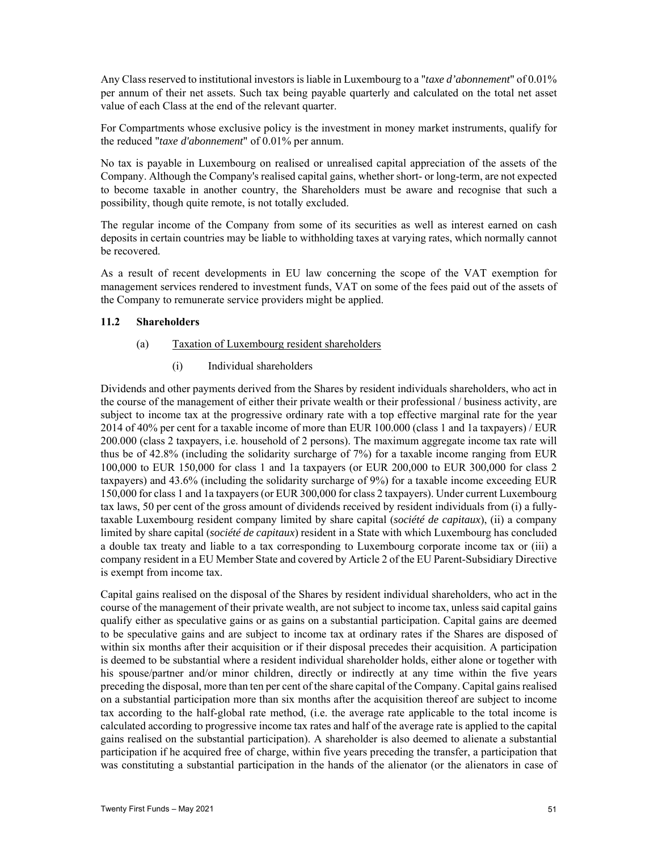Any Class reserved to institutional investors is liable in Luxembourg to a "*taxe d'abonnement*" of 0.01% per annum of their net assets. Such tax being payable quarterly and calculated on the total net asset value of each Class at the end of the relevant quarter.

For Compartments whose exclusive policy is the investment in money market instruments, qualify for the reduced "*taxe d'abonnement*" of 0.01% per annum.

No tax is payable in Luxembourg on realised or unrealised capital appreciation of the assets of the Company. Although the Company's realised capital gains, whether short- or long-term, are not expected to become taxable in another country, the Shareholders must be aware and recognise that such a possibility, though quite remote, is not totally excluded.

The regular income of the Company from some of its securities as well as interest earned on cash deposits in certain countries may be liable to withholding taxes at varying rates, which normally cannot be recovered.

As a result of recent developments in EU law concerning the scope of the VAT exemption for management services rendered to investment funds, VAT on some of the fees paid out of the assets of the Company to remunerate service providers might be applied.

#### **11.2 Shareholders**

#### (a) Taxation of Luxembourg resident shareholders

(i) Individual shareholders

Dividends and other payments derived from the Shares by resident individuals shareholders, who act in the course of the management of either their private wealth or their professional / business activity, are subject to income tax at the progressive ordinary rate with a top effective marginal rate for the year 2014 of 40% per cent for a taxable income of more than EUR 100.000 (class 1 and 1a taxpayers) / EUR 200.000 (class 2 taxpayers, i.e. household of 2 persons). The maximum aggregate income tax rate will thus be of 42.8% (including the solidarity surcharge of 7%) for a taxable income ranging from EUR 100,000 to EUR 150,000 for class 1 and 1a taxpayers (or EUR 200,000 to EUR 300,000 for class 2 taxpayers) and 43.6% (including the solidarity surcharge of 9%) for a taxable income exceeding EUR 150,000 for class 1 and 1a taxpayers (or EUR 300,000 for class 2 taxpayers). Under current Luxembourg tax laws, 50 per cent of the gross amount of dividends received by resident individuals from (i) a fullytaxable Luxembourg resident company limited by share capital (*société de capitaux*), (ii) a company limited by share capital (*société de capitaux*) resident in a State with which Luxembourg has concluded a double tax treaty and liable to a tax corresponding to Luxembourg corporate income tax or (iii) a company resident in a EU Member State and covered by Article 2 of the EU Parent-Subsidiary Directive is exempt from income tax.

Capital gains realised on the disposal of the Shares by resident individual shareholders, who act in the course of the management of their private wealth, are not subject to income tax, unless said capital gains qualify either as speculative gains or as gains on a substantial participation. Capital gains are deemed to be speculative gains and are subject to income tax at ordinary rates if the Shares are disposed of within six months after their acquisition or if their disposal precedes their acquisition. A participation is deemed to be substantial where a resident individual shareholder holds, either alone or together with his spouse/partner and/or minor children, directly or indirectly at any time within the five years preceding the disposal, more than ten per cent of the share capital of the Company. Capital gains realised on a substantial participation more than six months after the acquisition thereof are subject to income tax according to the half-global rate method, (i.e. the average rate applicable to the total income is calculated according to progressive income tax rates and half of the average rate is applied to the capital gains realised on the substantial participation). A shareholder is also deemed to alienate a substantial participation if he acquired free of charge, within five years preceding the transfer, a participation that was constituting a substantial participation in the hands of the alienator (or the alienators in case of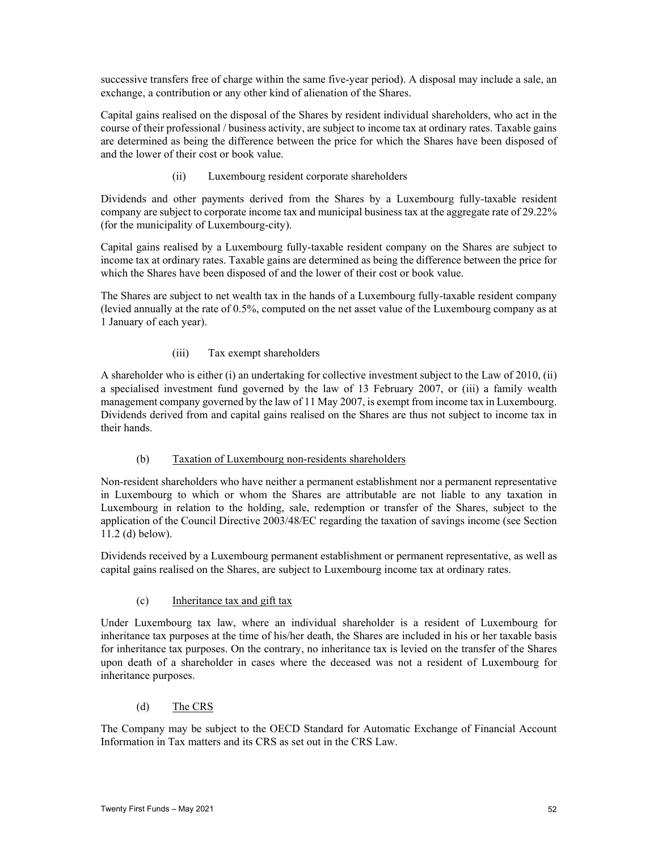successive transfers free of charge within the same five-year period). A disposal may include a sale, an exchange, a contribution or any other kind of alienation of the Shares.

Capital gains realised on the disposal of the Shares by resident individual shareholders, who act in the course of their professional / business activity, are subject to income tax at ordinary rates. Taxable gains are determined as being the difference between the price for which the Shares have been disposed of and the lower of their cost or book value.

(ii) Luxembourg resident corporate shareholders

Dividends and other payments derived from the Shares by a Luxembourg fully-taxable resident company are subject to corporate income tax and municipal business tax at the aggregate rate of 29.22% (for the municipality of Luxembourg-city).

Capital gains realised by a Luxembourg fully-taxable resident company on the Shares are subject to income tax at ordinary rates. Taxable gains are determined as being the difference between the price for which the Shares have been disposed of and the lower of their cost or book value.

The Shares are subject to net wealth tax in the hands of a Luxembourg fully-taxable resident company (levied annually at the rate of 0.5%, computed on the net asset value of the Luxembourg company as at 1 January of each year).

# (iii) Tax exempt shareholders

A shareholder who is either (i) an undertaking for collective investment subject to the Law of 2010, (ii) a specialised investment fund governed by the law of 13 February 2007, or (iii) a family wealth management company governed by the law of 11 May 2007, is exempt from income tax in Luxembourg. Dividends derived from and capital gains realised on the Shares are thus not subject to income tax in their hands.

#### (b) Taxation of Luxembourg non-residents shareholders

Non-resident shareholders who have neither a permanent establishment nor a permanent representative in Luxembourg to which or whom the Shares are attributable are not liable to any taxation in Luxembourg in relation to the holding, sale, redemption or transfer of the Shares, subject to the application of the Council Directive 2003/48/EC regarding the taxation of savings income (see Section 11.2 (d) below).

Dividends received by a Luxembourg permanent establishment or permanent representative, as well as capital gains realised on the Shares, are subject to Luxembourg income tax at ordinary rates.

#### (c) Inheritance tax and gift tax

Under Luxembourg tax law, where an individual shareholder is a resident of Luxembourg for inheritance tax purposes at the time of his/her death, the Shares are included in his or her taxable basis for inheritance tax purposes. On the contrary, no inheritance tax is levied on the transfer of the Shares upon death of a shareholder in cases where the deceased was not a resident of Luxembourg for inheritance purposes.

# (d) The CRS

The Company may be subject to the OECD Standard for Automatic Exchange of Financial Account Information in Tax matters and its CRS as set out in the CRS Law.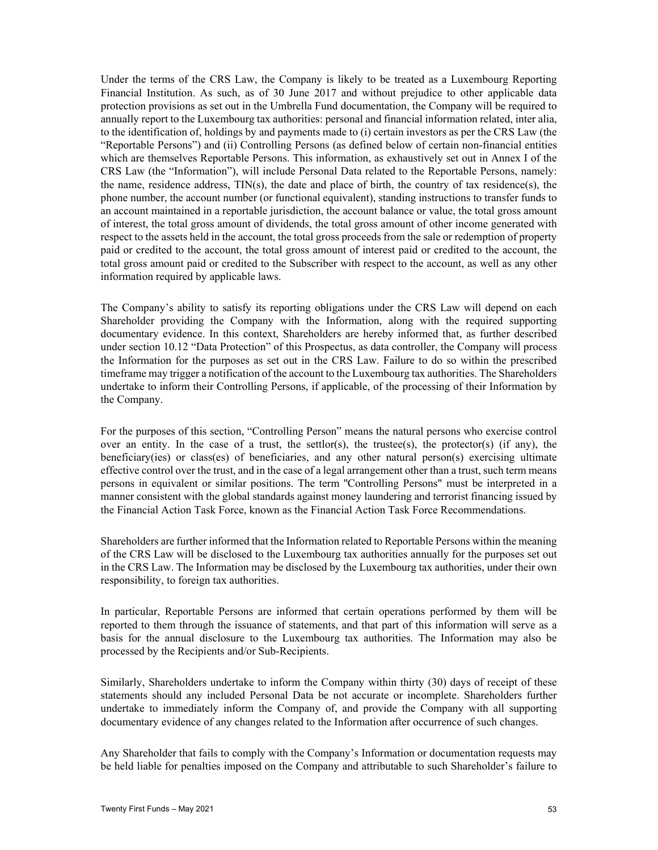Under the terms of the CRS Law, the Company is likely to be treated as a Luxembourg Reporting Financial Institution. As such, as of 30 June 2017 and without prejudice to other applicable data protection provisions as set out in the Umbrella Fund documentation, the Company will be required to annually report to the Luxembourg tax authorities: personal and financial information related, inter alia, to the identification of, holdings by and payments made to (i) certain investors as per the CRS Law (the "Reportable Persons") and (ii) Controlling Persons (as defined below of certain non-financial entities which are themselves Reportable Persons. This information, as exhaustively set out in Annex I of the CRS Law (the "Information"), will include Personal Data related to the Reportable Persons, namely: the name, residence address, TIN(s), the date and place of birth, the country of tax residence(s), the phone number, the account number (or functional equivalent), standing instructions to transfer funds to an account maintained in a reportable jurisdiction, the account balance or value, the total gross amount of interest, the total gross amount of dividends, the total gross amount of other income generated with respect to the assets held in the account, the total gross proceeds from the sale or redemption of property paid or credited to the account, the total gross amount of interest paid or credited to the account, the total gross amount paid or credited to the Subscriber with respect to the account, as well as any other information required by applicable laws.

The Company's ability to satisfy its reporting obligations under the CRS Law will depend on each Shareholder providing the Company with the Information, along with the required supporting documentary evidence. In this context, Shareholders are hereby informed that, as further described under section 10.12 "Data Protection" of this Prospectus, as data controller, the Company will process the Information for the purposes as set out in the CRS Law. Failure to do so within the prescribed timeframe may trigger a notification of the account to the Luxembourg tax authorities. The Shareholders undertake to inform their Controlling Persons, if applicable, of the processing of their Information by the Company.

For the purposes of this section, "Controlling Person" means the natural persons who exercise control over an entity. In the case of a trust, the settlor(s), the trustee(s), the protector(s) (if any), the beneficiary(ies) or class(es) of beneficiaries, and any other natural person(s) exercising ultimate effective control over the trust, and in the case of a legal arrangement other than a trust, such term means persons in equivalent or similar positions. The term ''Controlling Persons" must be interpreted in a manner consistent with the global standards against money laundering and terrorist financing issued by the Financial Action Task Force, known as the Financial Action Task Force Recommendations.

Shareholders are further informed that the Information related to Reportable Persons within the meaning of the CRS Law will be disclosed to the Luxembourg tax authorities annually for the purposes set out in the CRS Law. The Information may be disclosed by the Luxembourg tax authorities, under their own responsibility, to foreign tax authorities.

In particular, Reportable Persons are informed that certain operations performed by them will be reported to them through the issuance of statements, and that part of this information will serve as a basis for the annual disclosure to the Luxembourg tax authorities. The Information may also be processed by the Recipients and/or Sub-Recipients.

Similarly, Shareholders undertake to inform the Company within thirty (30) days of receipt of these statements should any included Personal Data be not accurate or incomplete. Shareholders further undertake to immediately inform the Company of, and provide the Company with all supporting documentary evidence of any changes related to the Information after occurrence of such changes.

Any Shareholder that fails to comply with the Company's Information or documentation requests may be held liable for penalties imposed on the Company and attributable to such Shareholder's failure to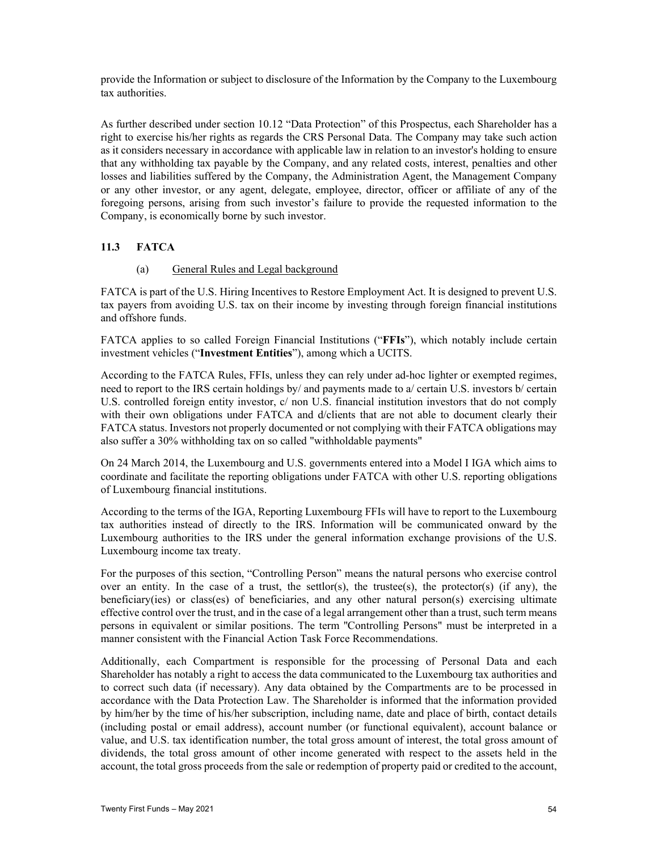provide the Information or subject to disclosure of the Information by the Company to the Luxembourg tax authorities.

As further described under section 10.12 "Data Protection" of this Prospectus, each Shareholder has a right to exercise his/her rights as regards the CRS Personal Data. The Company may take such action as it considers necessary in accordance with applicable law in relation to an investor's holding to ensure that any withholding tax payable by the Company, and any related costs, interest, penalties and other losses and liabilities suffered by the Company, the Administration Agent, the Management Company or any other investor, or any agent, delegate, employee, director, officer or affiliate of any of the foregoing persons, arising from such investor's failure to provide the requested information to the Company, is economically borne by such investor.

# **11.3 FATCA**

# (a) General Rules and Legal background

FATCA is part of the U.S. Hiring Incentives to Restore Employment Act. It is designed to prevent U.S. tax payers from avoiding U.S. tax on their income by investing through foreign financial institutions and offshore funds.

FATCA applies to so called Foreign Financial Institutions ("**FFIs**"), which notably include certain investment vehicles ("**Investment Entities**"), among which a UCITS.

According to the FATCA Rules, FFIs, unless they can rely under ad-hoc lighter or exempted regimes, need to report to the IRS certain holdings by/ and payments made to a/ certain U.S. investors b/ certain U.S. controlled foreign entity investor, c/ non U.S. financial institution investors that do not comply with their own obligations under FATCA and d/clients that are not able to document clearly their FATCA status. Investors not properly documented or not complying with their FATCA obligations may also suffer a 30% withholding tax on so called "withholdable payments"

On 24 March 2014, the Luxembourg and U.S. governments entered into a Model I IGA which aims to coordinate and facilitate the reporting obligations under FATCA with other U.S. reporting obligations of Luxembourg financial institutions.

According to the terms of the IGA, Reporting Luxembourg FFIs will have to report to the Luxembourg tax authorities instead of directly to the IRS. Information will be communicated onward by the Luxembourg authorities to the IRS under the general information exchange provisions of the U.S. Luxembourg income tax treaty.

For the purposes of this section, "Controlling Person" means the natural persons who exercise control over an entity. In the case of a trust, the settlor(s), the trustee(s), the protector(s) (if any), the beneficiary(ies) or class(es) of beneficiaries, and any other natural person(s) exercising ultimate effective control over the trust, and in the case of a legal arrangement other than a trust, such term means persons in equivalent or similar positions. The term ''Controlling Persons" must be interpreted in a manner consistent with the Financial Action Task Force Recommendations.

Additionally, each Compartment is responsible for the processing of Personal Data and each Shareholder has notably a right to access the data communicated to the Luxembourg tax authorities and to correct such data (if necessary). Any data obtained by the Compartments are to be processed in accordance with the Data Protection Law. The Shareholder is informed that the information provided by him/her by the time of his/her subscription, including name, date and place of birth, contact details (including postal or email address), account number (or functional equivalent), account balance or value, and U.S. tax identification number, the total gross amount of interest, the total gross amount of dividends, the total gross amount of other income generated with respect to the assets held in the account, the total gross proceeds from the sale or redemption of property paid or credited to the account,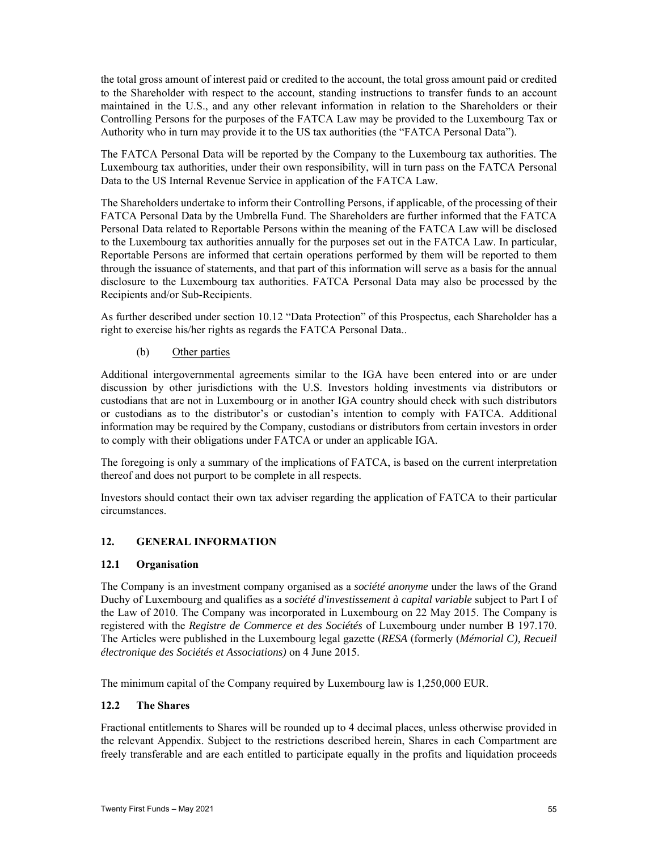the total gross amount of interest paid or credited to the account, the total gross amount paid or credited to the Shareholder with respect to the account, standing instructions to transfer funds to an account maintained in the U.S., and any other relevant information in relation to the Shareholders or their Controlling Persons for the purposes of the FATCA Law may be provided to the Luxembourg Tax or Authority who in turn may provide it to the US tax authorities (the "FATCA Personal Data").

The FATCA Personal Data will be reported by the Company to the Luxembourg tax authorities. The Luxembourg tax authorities, under their own responsibility, will in turn pass on the FATCA Personal Data to the US Internal Revenue Service in application of the FATCA Law.

The Shareholders undertake to inform their Controlling Persons, if applicable, of the processing of their FATCA Personal Data by the Umbrella Fund. The Shareholders are further informed that the FATCA Personal Data related to Reportable Persons within the meaning of the FATCA Law will be disclosed to the Luxembourg tax authorities annually for the purposes set out in the FATCA Law. In particular, Reportable Persons are informed that certain operations performed by them will be reported to them through the issuance of statements, and that part of this information will serve as a basis for the annual disclosure to the Luxembourg tax authorities. FATCA Personal Data may also be processed by the Recipients and/or Sub-Recipients.

As further described under section 10.12 "Data Protection" of this Prospectus, each Shareholder has a right to exercise his/her rights as regards the FATCA Personal Data..

#### (b) Other parties

Additional intergovernmental agreements similar to the IGA have been entered into or are under discussion by other jurisdictions with the U.S. Investors holding investments via distributors or custodians that are not in Luxembourg or in another IGA country should check with such distributors or custodians as to the distributor's or custodian's intention to comply with FATCA. Additional information may be required by the Company, custodians or distributors from certain investors in order to comply with their obligations under FATCA or under an applicable IGA.

The foregoing is only a summary of the implications of FATCA, is based on the current interpretation thereof and does not purport to be complete in all respects.

Investors should contact their own tax adviser regarding the application of FATCA to their particular circumstances.

#### **12. GENERAL INFORMATION**

#### **12.1 Organisation**

The Company is an investment company organised as a *société anonyme* under the laws of the Grand Duchy of Luxembourg and qualifies as a *société d'investissement à capital variable* subject to Part I of the Law of 2010. The Company was incorporated in Luxembourg on 22 May 2015. The Company is registered with the *Registre de Commerce et des Sociétés* of Luxembourg under number B 197.170. The Articles were published in the Luxembourg legal gazette (*RESA* (formerly (*Mémorial C), Recueil électronique des Sociétés et Associations)* on 4 June 2015.

The minimum capital of the Company required by Luxembourg law is 1,250,000 EUR.

#### **12.2 The Shares**

Fractional entitlements to Shares will be rounded up to 4 decimal places, unless otherwise provided in the relevant Appendix. Subject to the restrictions described herein, Shares in each Compartment are freely transferable and are each entitled to participate equally in the profits and liquidation proceeds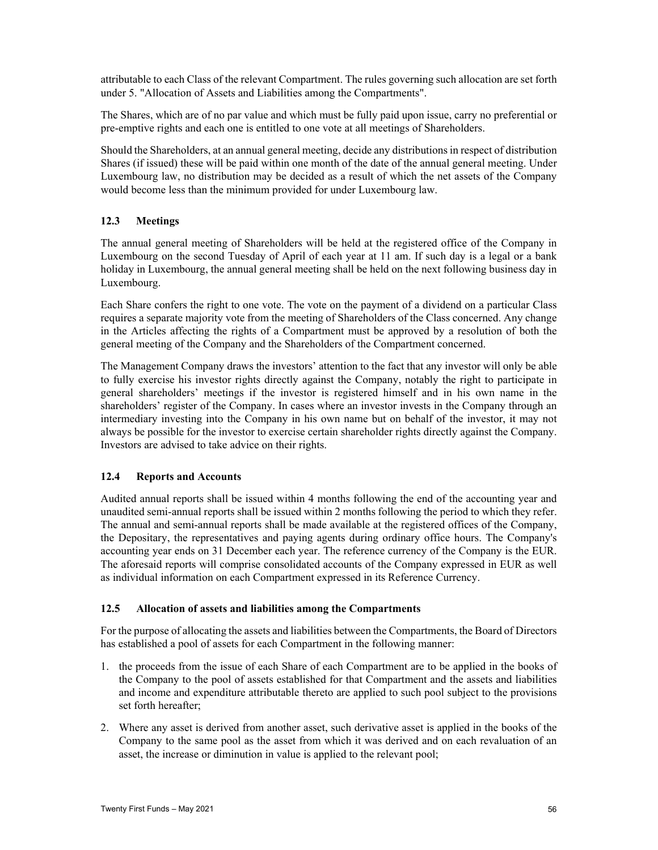attributable to each Class of the relevant Compartment. The rules governing such allocation are set forth under 5. "Allocation of Assets and Liabilities among the Compartments".

The Shares, which are of no par value and which must be fully paid upon issue, carry no preferential or pre-emptive rights and each one is entitled to one vote at all meetings of Shareholders.

Should the Shareholders, at an annual general meeting, decide any distributions in respect of distribution Shares (if issued) these will be paid within one month of the date of the annual general meeting. Under Luxembourg law, no distribution may be decided as a result of which the net assets of the Company would become less than the minimum provided for under Luxembourg law.

### **12.3 Meetings**

The annual general meeting of Shareholders will be held at the registered office of the Company in Luxembourg on the second Tuesday of April of each year at 11 am. If such day is a legal or a bank holiday in Luxembourg, the annual general meeting shall be held on the next following business day in Luxembourg.

Each Share confers the right to one vote. The vote on the payment of a dividend on a particular Class requires a separate majority vote from the meeting of Shareholders of the Class concerned. Any change in the Articles affecting the rights of a Compartment must be approved by a resolution of both the general meeting of the Company and the Shareholders of the Compartment concerned.

The Management Company draws the investors' attention to the fact that any investor will only be able to fully exercise his investor rights directly against the Company, notably the right to participate in general shareholders' meetings if the investor is registered himself and in his own name in the shareholders' register of the Company. In cases where an investor invests in the Company through an intermediary investing into the Company in his own name but on behalf of the investor, it may not always be possible for the investor to exercise certain shareholder rights directly against the Company. Investors are advised to take advice on their rights.

#### **12.4 Reports and Accounts**

Audited annual reports shall be issued within 4 months following the end of the accounting year and unaudited semi-annual reports shall be issued within 2 months following the period to which they refer. The annual and semi-annual reports shall be made available at the registered offices of the Company, the Depositary, the representatives and paying agents during ordinary office hours. The Company's accounting year ends on 31 December each year. The reference currency of the Company is the EUR. The aforesaid reports will comprise consolidated accounts of the Company expressed in EUR as well as individual information on each Compartment expressed in its Reference Currency.

#### **12.5 Allocation of assets and liabilities among the Compartments**

For the purpose of allocating the assets and liabilities between the Compartments, the Board of Directors has established a pool of assets for each Compartment in the following manner:

- 1. the proceeds from the issue of each Share of each Compartment are to be applied in the books of the Company to the pool of assets established for that Compartment and the assets and liabilities and income and expenditure attributable thereto are applied to such pool subject to the provisions set forth hereafter;
- 2. Where any asset is derived from another asset, such derivative asset is applied in the books of the Company to the same pool as the asset from which it was derived and on each revaluation of an asset, the increase or diminution in value is applied to the relevant pool;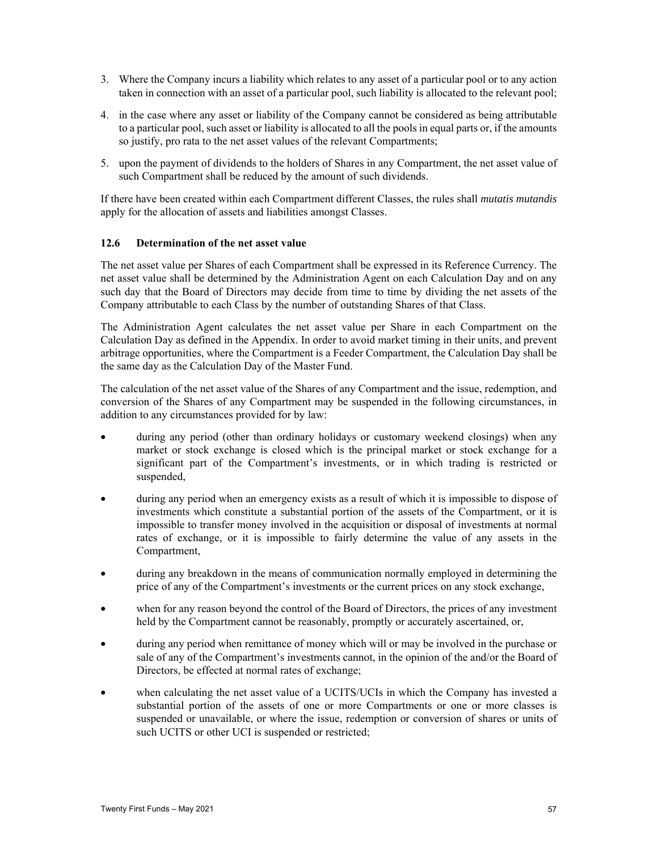- 3. Where the Company incurs a liability which relates to any asset of a particular pool or to any action taken in connection with an asset of a particular pool, such liability is allocated to the relevant pool;
- 4. in the case where any asset or liability of the Company cannot be considered as being attributable to a particular pool, such asset or liability is allocated to all the pools in equal parts or, if the amounts so justify, pro rata to the net asset values of the relevant Compartments;
- 5. upon the payment of dividends to the holders of Shares in any Compartment, the net asset value of such Compartment shall be reduced by the amount of such dividends.

If there have been created within each Compartment different Classes, the rules shall *mutatis mutandis* apply for the allocation of assets and liabilities amongst Classes.

#### **12.6 Determination of the net asset value**

The net asset value per Shares of each Compartment shall be expressed in its Reference Currency. The net asset value shall be determined by the Administration Agent on each Calculation Day and on any such day that the Board of Directors may decide from time to time by dividing the net assets of the Company attributable to each Class by the number of outstanding Shares of that Class.

The Administration Agent calculates the net asset value per Share in each Compartment on the Calculation Day as defined in the Appendix. In order to avoid market timing in their units, and prevent arbitrage opportunities, where the Compartment is a Feeder Compartment, the Calculation Day shall be the same day as the Calculation Day of the Master Fund.

The calculation of the net asset value of the Shares of any Compartment and the issue, redemption, and conversion of the Shares of any Compartment may be suspended in the following circumstances, in addition to any circumstances provided for by law:

- during any period (other than ordinary holidays or customary weekend closings) when any market or stock exchange is closed which is the principal market or stock exchange for a significant part of the Compartment's investments, or in which trading is restricted or suspended,
- during any period when an emergency exists as a result of which it is impossible to dispose of investments which constitute a substantial portion of the assets of the Compartment, or it is impossible to transfer money involved in the acquisition or disposal of investments at normal rates of exchange, or it is impossible to fairly determine the value of any assets in the Compartment,
- during any breakdown in the means of communication normally employed in determining the price of any of the Compartment's investments or the current prices on any stock exchange,
- when for any reason beyond the control of the Board of Directors, the prices of any investment held by the Compartment cannot be reasonably, promptly or accurately ascertained, or,
- during any period when remittance of money which will or may be involved in the purchase or sale of any of the Compartment's investments cannot, in the opinion of the and/or the Board of Directors, be effected at normal rates of exchange;
- when calculating the net asset value of a UCITS/UCIs in which the Company has invested a substantial portion of the assets of one or more Compartments or one or more classes is suspended or unavailable, or where the issue, redemption or conversion of shares or units of such UCITS or other UCI is suspended or restricted;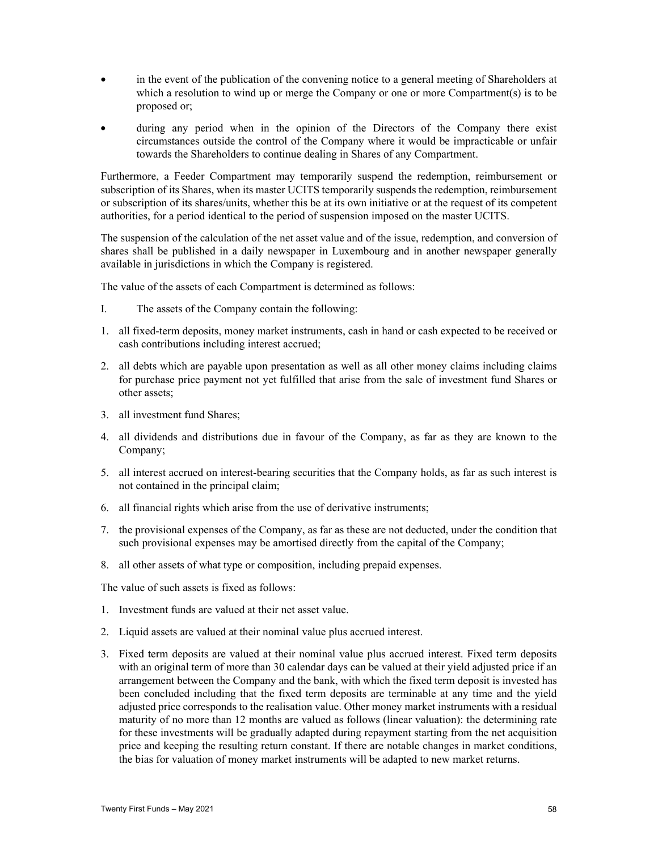- in the event of the publication of the convening notice to a general meeting of Shareholders at which a resolution to wind up or merge the Company or one or more Compartment(s) is to be proposed or;
- during any period when in the opinion of the Directors of the Company there exist circumstances outside the control of the Company where it would be impracticable or unfair towards the Shareholders to continue dealing in Shares of any Compartment.

Furthermore, a Feeder Compartment may temporarily suspend the redemption, reimbursement or subscription of its Shares, when its master UCITS temporarily suspends the redemption, reimbursement or subscription of its shares/units, whether this be at its own initiative or at the request of its competent authorities, for a period identical to the period of suspension imposed on the master UCITS.

The suspension of the calculation of the net asset value and of the issue, redemption, and conversion of shares shall be published in a daily newspaper in Luxembourg and in another newspaper generally available in jurisdictions in which the Company is registered.

The value of the assets of each Compartment is determined as follows:

- I. The assets of the Company contain the following:
- 1. all fixed-term deposits, money market instruments, cash in hand or cash expected to be received or cash contributions including interest accrued;
- 2. all debts which are payable upon presentation as well as all other money claims including claims for purchase price payment not yet fulfilled that arise from the sale of investment fund Shares or other assets;
- 3. all investment fund Shares;
- 4. all dividends and distributions due in favour of the Company, as far as they are known to the Company;
- 5. all interest accrued on interest-bearing securities that the Company holds, as far as such interest is not contained in the principal claim;
- 6. all financial rights which arise from the use of derivative instruments;
- 7. the provisional expenses of the Company, as far as these are not deducted, under the condition that such provisional expenses may be amortised directly from the capital of the Company;
- 8. all other assets of what type or composition, including prepaid expenses.

The value of such assets is fixed as follows:

- 1. Investment funds are valued at their net asset value.
- 2. Liquid assets are valued at their nominal value plus accrued interest.
- 3. Fixed term deposits are valued at their nominal value plus accrued interest. Fixed term deposits with an original term of more than 30 calendar days can be valued at their yield adjusted price if an arrangement between the Company and the bank, with which the fixed term deposit is invested has been concluded including that the fixed term deposits are terminable at any time and the yield adjusted price corresponds to the realisation value. Other money market instruments with a residual maturity of no more than 12 months are valued as follows (linear valuation): the determining rate for these investments will be gradually adapted during repayment starting from the net acquisition price and keeping the resulting return constant. If there are notable changes in market conditions, the bias for valuation of money market instruments will be adapted to new market returns.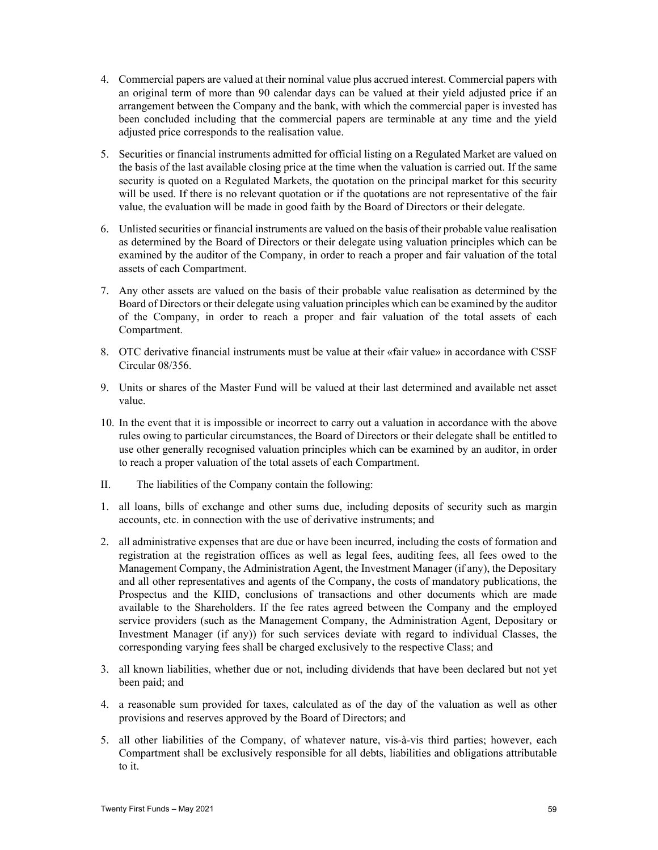- 4. Commercial papers are valued at their nominal value plus accrued interest. Commercial papers with an original term of more than 90 calendar days can be valued at their yield adjusted price if an arrangement between the Company and the bank, with which the commercial paper is invested has been concluded including that the commercial papers are terminable at any time and the yield adjusted price corresponds to the realisation value.
- 5. Securities or financial instruments admitted for official listing on a Regulated Market are valued on the basis of the last available closing price at the time when the valuation is carried out. If the same security is quoted on a Regulated Markets, the quotation on the principal market for this security will be used. If there is no relevant quotation or if the quotations are not representative of the fair value, the evaluation will be made in good faith by the Board of Directors or their delegate.
- 6. Unlisted securities or financial instruments are valued on the basis of their probable value realisation as determined by the Board of Directors or their delegate using valuation principles which can be examined by the auditor of the Company, in order to reach a proper and fair valuation of the total assets of each Compartment.
- 7. Any other assets are valued on the basis of their probable value realisation as determined by the Board of Directors or their delegate using valuation principles which can be examined by the auditor of the Company, in order to reach a proper and fair valuation of the total assets of each Compartment.
- 8. OTC derivative financial instruments must be value at their «fair value» in accordance with CSSF Circular 08/356.
- 9. Units or shares of the Master Fund will be valued at their last determined and available net asset value.
- 10. In the event that it is impossible or incorrect to carry out a valuation in accordance with the above rules owing to particular circumstances, the Board of Directors or their delegate shall be entitled to use other generally recognised valuation principles which can be examined by an auditor, in order to reach a proper valuation of the total assets of each Compartment.
- II. The liabilities of the Company contain the following:
- 1. all loans, bills of exchange and other sums due, including deposits of security such as margin accounts, etc. in connection with the use of derivative instruments; and
- 2. all administrative expenses that are due or have been incurred, including the costs of formation and registration at the registration offices as well as legal fees, auditing fees, all fees owed to the Management Company, the Administration Agent, the Investment Manager (if any), the Depositary and all other representatives and agents of the Company, the costs of mandatory publications, the Prospectus and the KIID, conclusions of transactions and other documents which are made available to the Shareholders. If the fee rates agreed between the Company and the employed service providers (such as the Management Company, the Administration Agent, Depositary or Investment Manager (if any)) for such services deviate with regard to individual Classes, the corresponding varying fees shall be charged exclusively to the respective Class; and
- 3. all known liabilities, whether due or not, including dividends that have been declared but not yet been paid; and
- 4. a reasonable sum provided for taxes, calculated as of the day of the valuation as well as other provisions and reserves approved by the Board of Directors; and
- 5. all other liabilities of the Company, of whatever nature, vis-à-vis third parties; however, each Compartment shall be exclusively responsible for all debts, liabilities and obligations attributable to it.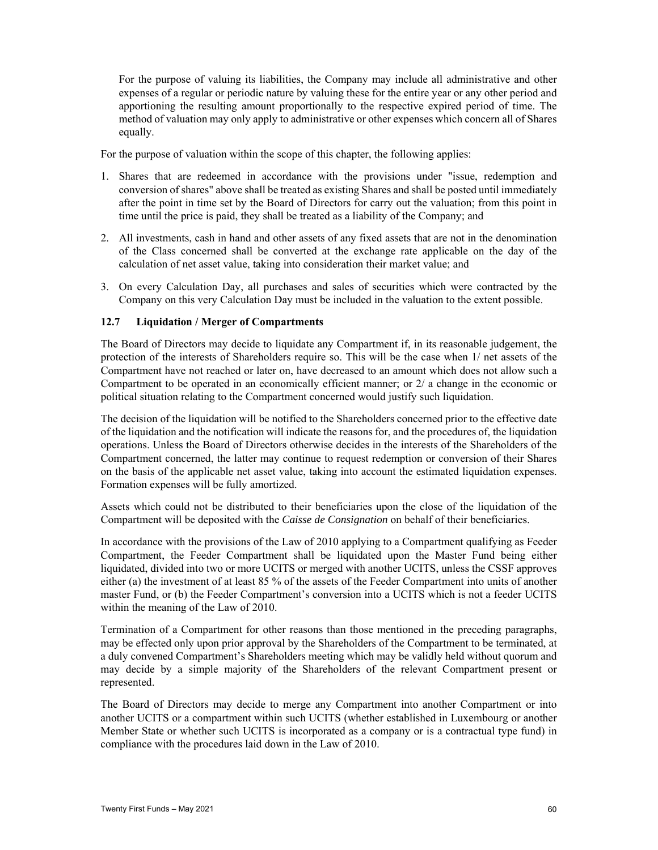For the purpose of valuing its liabilities, the Company may include all administrative and other expenses of a regular or periodic nature by valuing these for the entire year or any other period and apportioning the resulting amount proportionally to the respective expired period of time. The method of valuation may only apply to administrative or other expenses which concern all of Shares equally.

For the purpose of valuation within the scope of this chapter, the following applies:

- 1. Shares that are redeemed in accordance with the provisions under "issue, redemption and conversion of shares" above shall be treated as existing Shares and shall be posted until immediately after the point in time set by the Board of Directors for carry out the valuation; from this point in time until the price is paid, they shall be treated as a liability of the Company; and
- 2. All investments, cash in hand and other assets of any fixed assets that are not in the denomination of the Class concerned shall be converted at the exchange rate applicable on the day of the calculation of net asset value, taking into consideration their market value; and
- 3. On every Calculation Day, all purchases and sales of securities which were contracted by the Company on this very Calculation Day must be included in the valuation to the extent possible.

#### **12.7 Liquidation / Merger of Compartments**

The Board of Directors may decide to liquidate any Compartment if, in its reasonable judgement, the protection of the interests of Shareholders require so. This will be the case when 1/ net assets of the Compartment have not reached or later on, have decreased to an amount which does not allow such a Compartment to be operated in an economically efficient manner; or 2/ a change in the economic or political situation relating to the Compartment concerned would justify such liquidation.

The decision of the liquidation will be notified to the Shareholders concerned prior to the effective date of the liquidation and the notification will indicate the reasons for, and the procedures of, the liquidation operations. Unless the Board of Directors otherwise decides in the interests of the Shareholders of the Compartment concerned, the latter may continue to request redemption or conversion of their Shares on the basis of the applicable net asset value, taking into account the estimated liquidation expenses. Formation expenses will be fully amortized.

Assets which could not be distributed to their beneficiaries upon the close of the liquidation of the Compartment will be deposited with the *Caisse de Consignation* on behalf of their beneficiaries.

In accordance with the provisions of the Law of 2010 applying to a Compartment qualifying as Feeder Compartment, the Feeder Compartment shall be liquidated upon the Master Fund being either liquidated, divided into two or more UCITS or merged with another UCITS, unless the CSSF approves either (a) the investment of at least 85 % of the assets of the Feeder Compartment into units of another master Fund, or (b) the Feeder Compartment's conversion into a UCITS which is not a feeder UCITS within the meaning of the Law of 2010.

Termination of a Compartment for other reasons than those mentioned in the preceding paragraphs, may be effected only upon prior approval by the Shareholders of the Compartment to be terminated, at a duly convened Compartment's Shareholders meeting which may be validly held without quorum and may decide by a simple majority of the Shareholders of the relevant Compartment present or represented.

The Board of Directors may decide to merge any Compartment into another Compartment or into another UCITS or a compartment within such UCITS (whether established in Luxembourg or another Member State or whether such UCITS is incorporated as a company or is a contractual type fund) in compliance with the procedures laid down in the Law of 2010.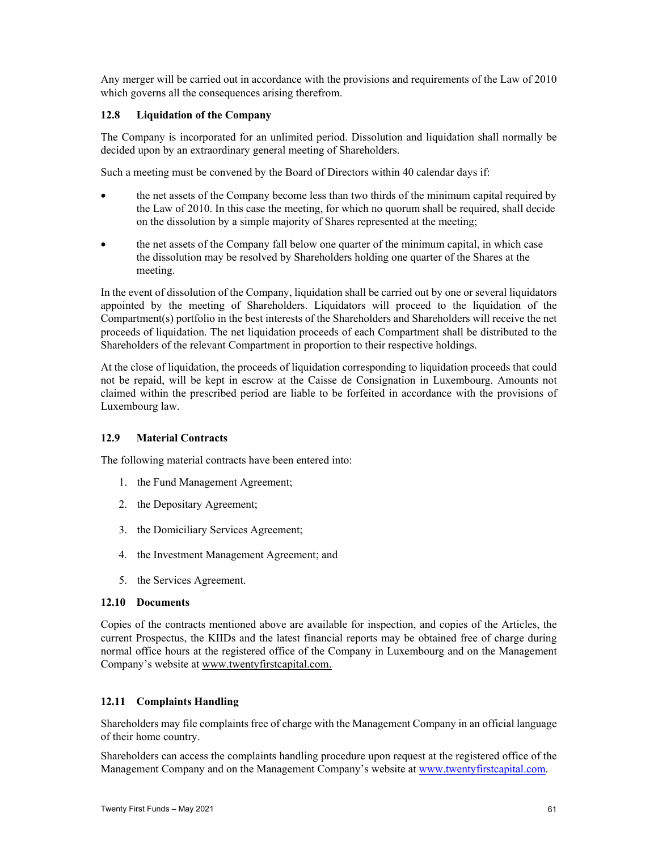Any merger will be carried out in accordance with the provisions and requirements of the Law of 2010 which governs all the consequences arising therefrom.

#### **12.8 Liquidation of the Company**

The Company is incorporated for an unlimited period. Dissolution and liquidation shall normally be decided upon by an extraordinary general meeting of Shareholders.

Such a meeting must be convened by the Board of Directors within 40 calendar days if:

- the net assets of the Company become less than two thirds of the minimum capital required by the Law of 2010. In this case the meeting, for which no quorum shall be required, shall decide on the dissolution by a simple majority of Shares represented at the meeting;
- the net assets of the Company fall below one quarter of the minimum capital, in which case the dissolution may be resolved by Shareholders holding one quarter of the Shares at the meeting.

In the event of dissolution of the Company, liquidation shall be carried out by one or several liquidators appointed by the meeting of Shareholders. Liquidators will proceed to the liquidation of the Compartment(s) portfolio in the best interests of the Shareholders and Shareholders will receive the net proceeds of liquidation. The net liquidation proceeds of each Compartment shall be distributed to the Shareholders of the relevant Compartment in proportion to their respective holdings.

At the close of liquidation, the proceeds of liquidation corresponding to liquidation proceeds that could not be repaid, will be kept in escrow at the Caisse de Consignation in Luxembourg. Amounts not claimed within the prescribed period are liable to be forfeited in accordance with the provisions of Luxembourg law.

#### **12.9 Material Contracts**

The following material contracts have been entered into:

- 1. the Fund Management Agreement;
- 2. the Depositary Agreement;
- 3. the Domiciliary Services Agreement;
- 4. the Investment Management Agreement; and
- 5. the Services Agreement.

#### **12.10 Documents**

Copies of the contracts mentioned above are available for inspection, and copies of the Articles, the current Prospectus, the KIIDs and the latest financial reports may be obtained free of charge during normal office hours at the registered office of the Company in Luxembourg and on the Management Company's website at www.twentyfirstcapital.com.

#### **12.11 Complaints Handling**

Shareholders may file complaints free of charge with the Management Company in an official language of their home country.

Shareholders can access the complaints handling procedure upon request at the registered office of the Management Company and on the Management Company's website at www.twentyfirstcapital.com.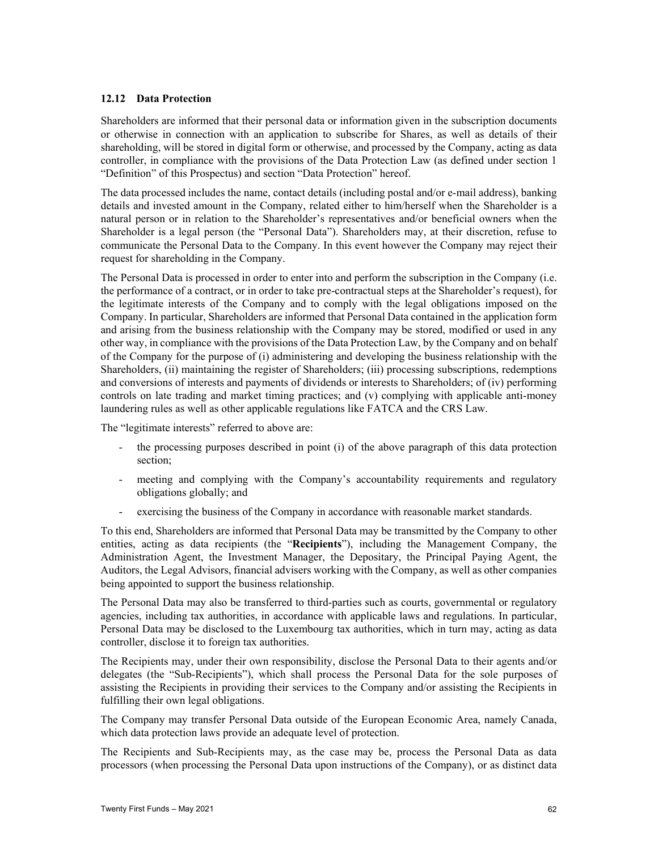#### **12.12 Data Protection**

Shareholders are informed that their personal data or information given in the subscription documents or otherwise in connection with an application to subscribe for Shares, as well as details of their shareholding, will be stored in digital form or otherwise, and processed by the Company, acting as data controller, in compliance with the provisions of the Data Protection Law (as defined under section 1 "Definition" of this Prospectus) and section "Data Protection" hereof.

The data processed includes the name, contact details (including postal and/or e-mail address), banking details and invested amount in the Company, related either to him/herself when the Shareholder is a natural person or in relation to the Shareholder's representatives and/or beneficial owners when the Shareholder is a legal person (the "Personal Data"). Shareholders may, at their discretion, refuse to communicate the Personal Data to the Company. In this event however the Company may reject their request for shareholding in the Company.

The Personal Data is processed in order to enter into and perform the subscription in the Company (i.e. the performance of a contract, or in order to take pre-contractual steps at the Shareholder's request), for the legitimate interests of the Company and to comply with the legal obligations imposed on the Company. In particular, Shareholders are informed that Personal Data contained in the application form and arising from the business relationship with the Company may be stored, modified or used in any other way, in compliance with the provisions of the Data Protection Law, by the Company and on behalf of the Company for the purpose of (i) administering and developing the business relationship with the Shareholders, (ii) maintaining the register of Shareholders; (iii) processing subscriptions, redemptions and conversions of interests and payments of dividends or interests to Shareholders; of (iv) performing controls on late trading and market timing practices; and (v) complying with applicable anti-money laundering rules as well as other applicable regulations like FATCA and the CRS Law.

The "legitimate interests" referred to above are:

- the processing purposes described in point (i) of the above paragraph of this data protection section;
- meeting and complying with the Company's accountability requirements and regulatory obligations globally; and
- exercising the business of the Company in accordance with reasonable market standards.

To this end, Shareholders are informed that Personal Data may be transmitted by the Company to other entities, acting as data recipients (the "**Recipients**"), including the Management Company, the Administration Agent, the Investment Manager, the Depositary, the Principal Paying Agent, the Auditors, the Legal Advisors, financial advisers working with the Company, as well as other companies being appointed to support the business relationship.

The Personal Data may also be transferred to third-parties such as courts, governmental or regulatory agencies, including tax authorities, in accordance with applicable laws and regulations. In particular, Personal Data may be disclosed to the Luxembourg tax authorities, which in turn may, acting as data controller, disclose it to foreign tax authorities.

The Recipients may, under their own responsibility, disclose the Personal Data to their agents and/or delegates (the "Sub-Recipients"), which shall process the Personal Data for the sole purposes of assisting the Recipients in providing their services to the Company and/or assisting the Recipients in fulfilling their own legal obligations.

The Company may transfer Personal Data outside of the European Economic Area, namely Canada, which data protection laws provide an adequate level of protection.

The Recipients and Sub-Recipients may, as the case may be, process the Personal Data as data processors (when processing the Personal Data upon instructions of the Company), or as distinct data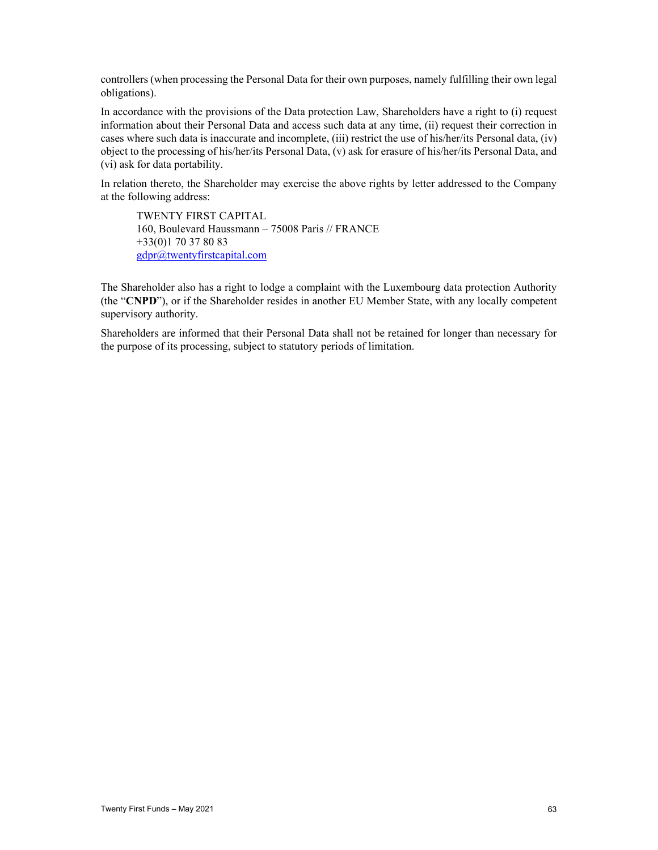controllers (when processing the Personal Data for their own purposes, namely fulfilling their own legal obligations).

In accordance with the provisions of the Data protection Law, Shareholders have a right to (i) request information about their Personal Data and access such data at any time, (ii) request their correction in cases where such data is inaccurate and incomplete, (iii) restrict the use of his/her/its Personal data, (iv) object to the processing of his/her/its Personal Data, (v) ask for erasure of his/her/its Personal Data, and (vi) ask for data portability.

In relation thereto, the Shareholder may exercise the above rights by letter addressed to the Company at the following address:

TWENTY FIRST CAPITAL 160, Boulevard Haussmann – 75008 Paris // FRANCE +33(0)1 70 37 80 83 gdpr@twentyfirstcapital.com

The Shareholder also has a right to lodge a complaint with the Luxembourg data protection Authority (the "**CNPD**"), or if the Shareholder resides in another EU Member State, with any locally competent supervisory authority.

Shareholders are informed that their Personal Data shall not be retained for longer than necessary for the purpose of its processing, subject to statutory periods of limitation.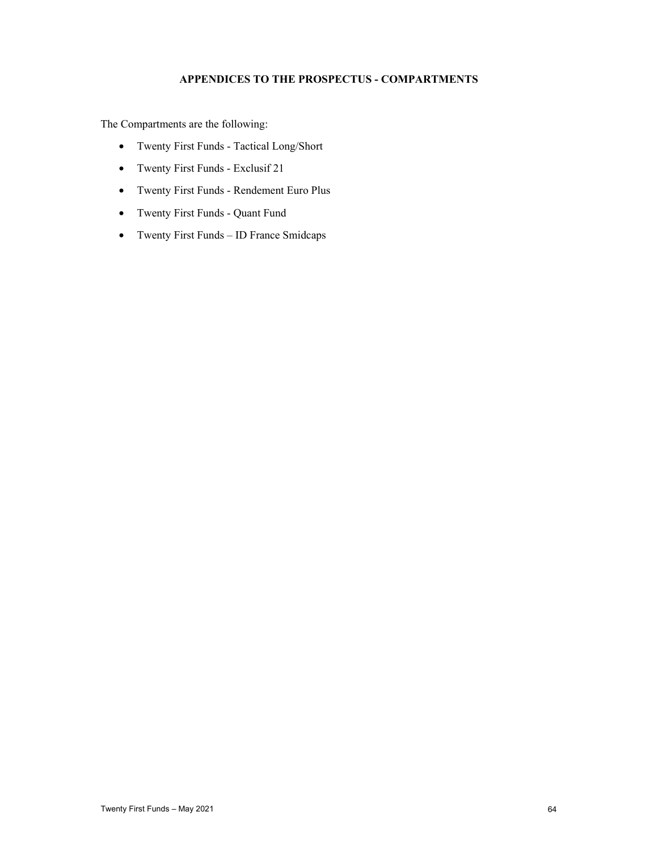# **APPENDICES TO THE PROSPECTUS - COMPARTMENTS**

The Compartments are the following:

- Twenty First Funds Tactical Long/Short
- Twenty First Funds Exclusif 21
- Twenty First Funds Rendement Euro Plus
- Twenty First Funds Quant Fund
- Twenty First Funds ID France Smidcaps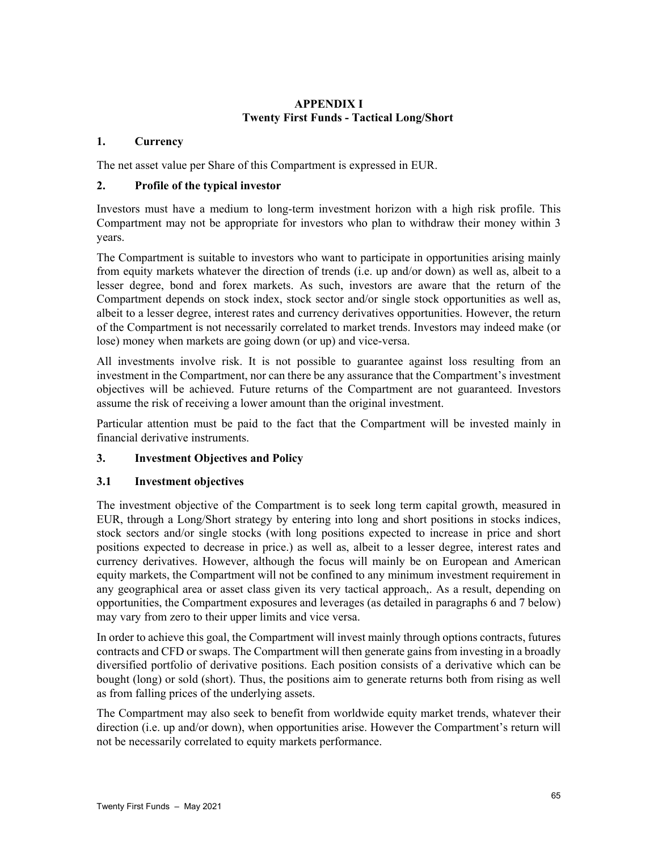# **APPENDIX I Twenty First Funds - Tactical Long/Short**

# **1. Currency**

The net asset value per Share of this Compartment is expressed in EUR.

# **2. Profile of the typical investor**

Investors must have a medium to long-term investment horizon with a high risk profile. This Compartment may not be appropriate for investors who plan to withdraw their money within 3 years.

The Compartment is suitable to investors who want to participate in opportunities arising mainly from equity markets whatever the direction of trends (i.e. up and/or down) as well as, albeit to a lesser degree, bond and forex markets. As such, investors are aware that the return of the Compartment depends on stock index, stock sector and/or single stock opportunities as well as, albeit to a lesser degree, interest rates and currency derivatives opportunities. However, the return of the Compartment is not necessarily correlated to market trends. Investors may indeed make (or lose) money when markets are going down (or up) and vice-versa.

All investments involve risk. It is not possible to guarantee against loss resulting from an investment in the Compartment, nor can there be any assurance that the Compartment's investment objectives will be achieved. Future returns of the Compartment are not guaranteed. Investors assume the risk of receiving a lower amount than the original investment.

Particular attention must be paid to the fact that the Compartment will be invested mainly in financial derivative instruments.

# **3. Investment Objectives and Policy**

# **3.1 Investment objectives**

The investment objective of the Compartment is to seek long term capital growth, measured in EUR, through a Long/Short strategy by entering into long and short positions in stocks indices, stock sectors and/or single stocks (with long positions expected to increase in price and short positions expected to decrease in price.) as well as, albeit to a lesser degree, interest rates and currency derivatives. However, although the focus will mainly be on European and American equity markets, the Compartment will not be confined to any minimum investment requirement in any geographical area or asset class given its very tactical approach,. As a result, depending on opportunities, the Compartment exposures and leverages (as detailed in paragraphs 6 and 7 below) may vary from zero to their upper limits and vice versa.

In order to achieve this goal, the Compartment will invest mainly through options contracts, futures contracts and CFD or swaps. The Compartment will then generate gains from investing in a broadly diversified portfolio of derivative positions. Each position consists of a derivative which can be bought (long) or sold (short). Thus, the positions aim to generate returns both from rising as well as from falling prices of the underlying assets.

The Compartment may also seek to benefit from worldwide equity market trends, whatever their direction (i.e. up and/or down), when opportunities arise. However the Compartment's return will not be necessarily correlated to equity markets performance.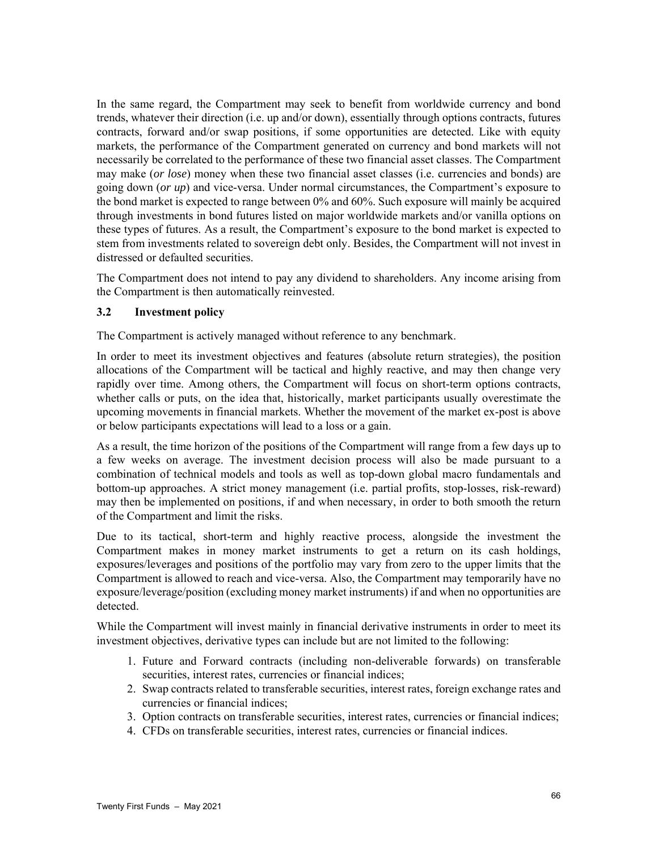In the same regard, the Compartment may seek to benefit from worldwide currency and bond trends, whatever their direction (i.e. up and/or down), essentially through options contracts, futures contracts, forward and/or swap positions, if some opportunities are detected. Like with equity markets, the performance of the Compartment generated on currency and bond markets will not necessarily be correlated to the performance of these two financial asset classes. The Compartment may make (*or lose*) money when these two financial asset classes (i.e. currencies and bonds) are going down (*or up*) and vice-versa. Under normal circumstances, the Compartment's exposure to the bond market is expected to range between 0% and 60%. Such exposure will mainly be acquired through investments in bond futures listed on major worldwide markets and/or vanilla options on these types of futures. As a result, the Compartment's exposure to the bond market is expected to stem from investments related to sovereign debt only. Besides, the Compartment will not invest in distressed or defaulted securities.

The Compartment does not intend to pay any dividend to shareholders. Any income arising from the Compartment is then automatically reinvested.

# **3.2 Investment policy**

The Compartment is actively managed without reference to any benchmark.

In order to meet its investment objectives and features (absolute return strategies), the position allocations of the Compartment will be tactical and highly reactive, and may then change very rapidly over time. Among others, the Compartment will focus on short-term options contracts, whether calls or puts, on the idea that, historically, market participants usually overestimate the upcoming movements in financial markets. Whether the movement of the market ex-post is above or below participants expectations will lead to a loss or a gain.

As a result, the time horizon of the positions of the Compartment will range from a few days up to a few weeks on average. The investment decision process will also be made pursuant to a combination of technical models and tools as well as top-down global macro fundamentals and bottom-up approaches. A strict money management (i.e. partial profits, stop-losses, risk-reward) may then be implemented on positions, if and when necessary, in order to both smooth the return of the Compartment and limit the risks.

Due to its tactical, short-term and highly reactive process, alongside the investment the Compartment makes in money market instruments to get a return on its cash holdings, exposures/leverages and positions of the portfolio may vary from zero to the upper limits that the Compartment is allowed to reach and vice-versa. Also, the Compartment may temporarily have no exposure/leverage/position (excluding money market instruments) if and when no opportunities are detected.

While the Compartment will invest mainly in financial derivative instruments in order to meet its investment objectives, derivative types can include but are not limited to the following:

- 1. Future and Forward contracts (including non-deliverable forwards) on transferable securities, interest rates, currencies or financial indices;
- 2. Swap contracts related to transferable securities, interest rates, foreign exchange rates and currencies or financial indices;
- 3. Option contracts on transferable securities, interest rates, currencies or financial indices;
- 4. CFDs on transferable securities, interest rates, currencies or financial indices.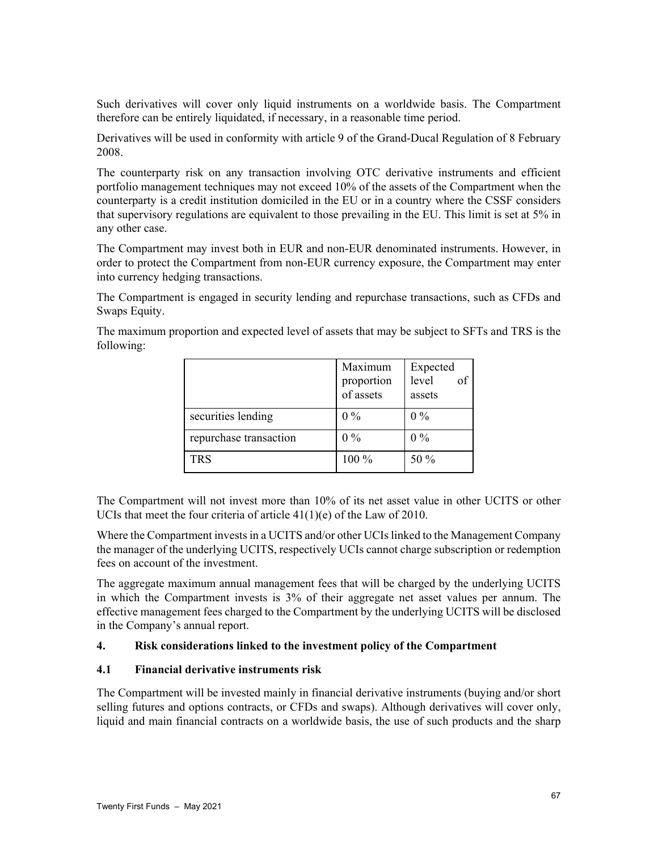Such derivatives will cover only liquid instruments on a worldwide basis. The Compartment therefore can be entirely liquidated, if necessary, in a reasonable time period.

Derivatives will be used in conformity with article 9 of the Grand-Ducal Regulation of 8 February 2008.

The counterparty risk on any transaction involving OTC derivative instruments and efficient portfolio management techniques may not exceed 10% of the assets of the Compartment when the counterparty is a credit institution domiciled in the EU or in a country where the CSSF considers that supervisory regulations are equivalent to those prevailing in the EU. This limit is set at 5% in any other case.

The Compartment may invest both in EUR and non-EUR denominated instruments. However, in order to protect the Compartment from non-EUR currency exposure, the Compartment may enter into currency hedging transactions.

The Compartment is engaged in security lending and repurchase transactions, such as CFDs and Swaps Equity.

The maximum proportion and expected level of assets that may be subject to SFTs and TRS is the following:

|                        | Maximum<br>proportion<br>of assets | Expected<br>level<br>assets |
|------------------------|------------------------------------|-----------------------------|
| securities lending     | $0\%$                              | $0\%$                       |
| repurchase transaction | $0\%$                              | $0\%$                       |
| <b>TRS</b>             | 100 %                              | 50 %                        |

The Compartment will not invest more than 10% of its net asset value in other UCITS or other UCIs that meet the four criteria of article 41(1)(e) of the Law of 2010.

Where the Compartment invests in a UCITS and/or other UCIs linked to the Management Company the manager of the underlying UCITS, respectively UCIs cannot charge subscription or redemption fees on account of the investment.

The aggregate maximum annual management fees that will be charged by the underlying UCITS in which the Compartment invests is 3% of their aggregate net asset values per annum. The effective management fees charged to the Compartment by the underlying UCITS will be disclosed in the Company's annual report.

# **4. Risk considerations linked to the investment policy of the Compartment**

# **4.1 Financial derivative instruments risk**

The Compartment will be invested mainly in financial derivative instruments (buying and/or short selling futures and options contracts, or CFDs and swaps). Although derivatives will cover only, liquid and main financial contracts on a worldwide basis, the use of such products and the sharp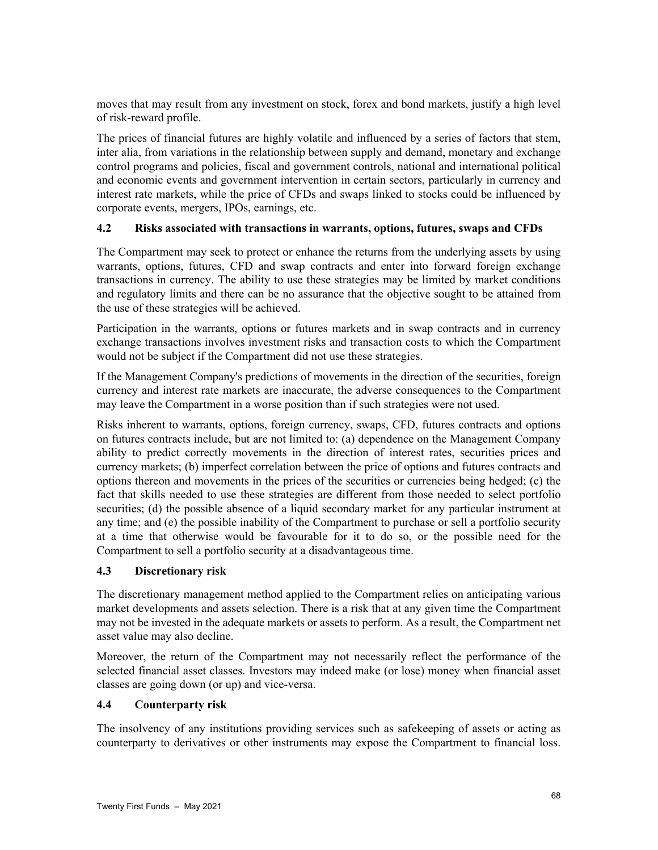moves that may result from any investment on stock, forex and bond markets, justify a high level of risk-reward profile.

The prices of financial futures are highly volatile and influenced by a series of factors that stem, inter alia, from variations in the relationship between supply and demand, monetary and exchange control programs and policies, fiscal and government controls, national and international political and economic events and government intervention in certain sectors, particularly in currency and interest rate markets, while the price of CFDs and swaps linked to stocks could be influenced by corporate events, mergers, IPOs, earnings, etc.

# **4.2 Risks associated with transactions in warrants, options, futures, swaps and CFDs**

The Compartment may seek to protect or enhance the returns from the underlying assets by using warrants, options, futures, CFD and swap contracts and enter into forward foreign exchange transactions in currency. The ability to use these strategies may be limited by market conditions and regulatory limits and there can be no assurance that the objective sought to be attained from the use of these strategies will be achieved.

Participation in the warrants, options or futures markets and in swap contracts and in currency exchange transactions involves investment risks and transaction costs to which the Compartment would not be subject if the Compartment did not use these strategies.

If the Management Company's predictions of movements in the direction of the securities, foreign currency and interest rate markets are inaccurate, the adverse consequences to the Compartment may leave the Compartment in a worse position than if such strategies were not used.

Risks inherent to warrants, options, foreign currency, swaps, CFD, futures contracts and options on futures contracts include, but are not limited to: (a) dependence on the Management Company ability to predict correctly movements in the direction of interest rates, securities prices and currency markets; (b) imperfect correlation between the price of options and futures contracts and options thereon and movements in the prices of the securities or currencies being hedged; (c) the fact that skills needed to use these strategies are different from those needed to select portfolio securities; (d) the possible absence of a liquid secondary market for any particular instrument at any time; and (e) the possible inability of the Compartment to purchase or sell a portfolio security at a time that otherwise would be favourable for it to do so, or the possible need for the Compartment to sell a portfolio security at a disadvantageous time.

# **4.3 Discretionary risk**

The discretionary management method applied to the Compartment relies on anticipating various market developments and assets selection. There is a risk that at any given time the Compartment may not be invested in the adequate markets or assets to perform. As a result, the Compartment net asset value may also decline.

Moreover, the return of the Compartment may not necessarily reflect the performance of the selected financial asset classes. Investors may indeed make (or lose) money when financial asset classes are going down (or up) and vice-versa.

# **4.4 Counterparty risk**

The insolvency of any institutions providing services such as safekeeping of assets or acting as counterparty to derivatives or other instruments may expose the Compartment to financial loss.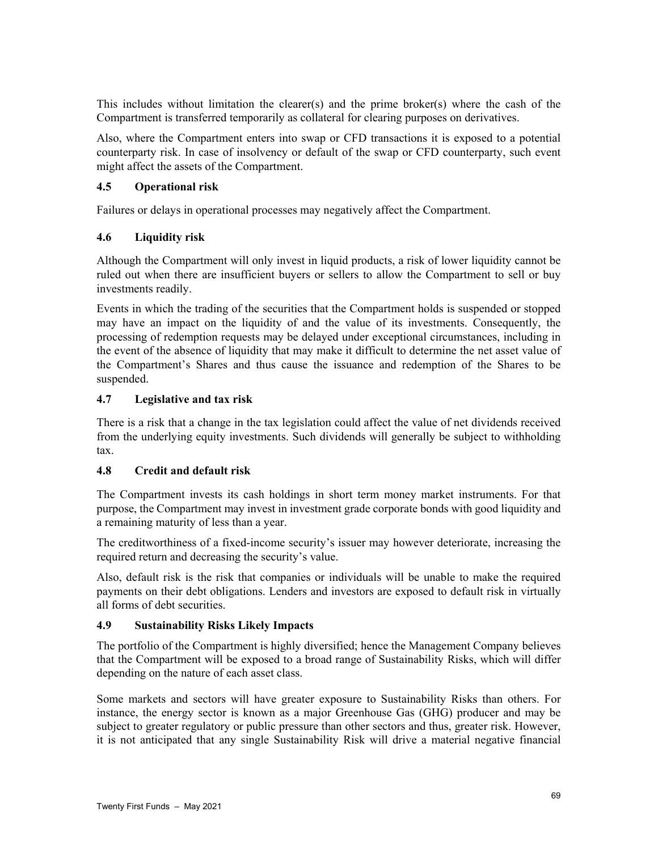This includes without limitation the clearer(s) and the prime broker(s) where the cash of the Compartment is transferred temporarily as collateral for clearing purposes on derivatives.

Also, where the Compartment enters into swap or CFD transactions it is exposed to a potential counterparty risk. In case of insolvency or default of the swap or CFD counterparty, such event might affect the assets of the Compartment.

# **4.5 Operational risk**

Failures or delays in operational processes may negatively affect the Compartment.

# **4.6 Liquidity risk**

Although the Compartment will only invest in liquid products, a risk of lower liquidity cannot be ruled out when there are insufficient buyers or sellers to allow the Compartment to sell or buy investments readily.

Events in which the trading of the securities that the Compartment holds is suspended or stopped may have an impact on the liquidity of and the value of its investments. Consequently, the processing of redemption requests may be delayed under exceptional circumstances, including in the event of the absence of liquidity that may make it difficult to determine the net asset value of the Compartment's Shares and thus cause the issuance and redemption of the Shares to be suspended.

# **4.7 Legislative and tax risk**

There is a risk that a change in the tax legislation could affect the value of net dividends received from the underlying equity investments. Such dividends will generally be subject to withholding tax.

# **4.8 Credit and default risk**

The Compartment invests its cash holdings in short term money market instruments. For that purpose, the Compartment may invest in investment grade corporate bonds with good liquidity and a remaining maturity of less than a year.

The creditworthiness of a fixed-income security's issuer may however deteriorate, increasing the required return and decreasing the security's value.

Also, default risk is the risk that companies or individuals will be unable to make the required payments on their debt obligations. Lenders and investors are exposed to default risk in virtually all forms of debt securities.

# **4.9 Sustainability Risks Likely Impacts**

The portfolio of the Compartment is highly diversified; hence the Management Company believes that the Compartment will be exposed to a broad range of Sustainability Risks, which will differ depending on the nature of each asset class.

Some markets and sectors will have greater exposure to Sustainability Risks than others. For instance, the energy sector is known as a major Greenhouse Gas (GHG) producer and may be subject to greater regulatory or public pressure than other sectors and thus, greater risk. However, it is not anticipated that any single Sustainability Risk will drive a material negative financial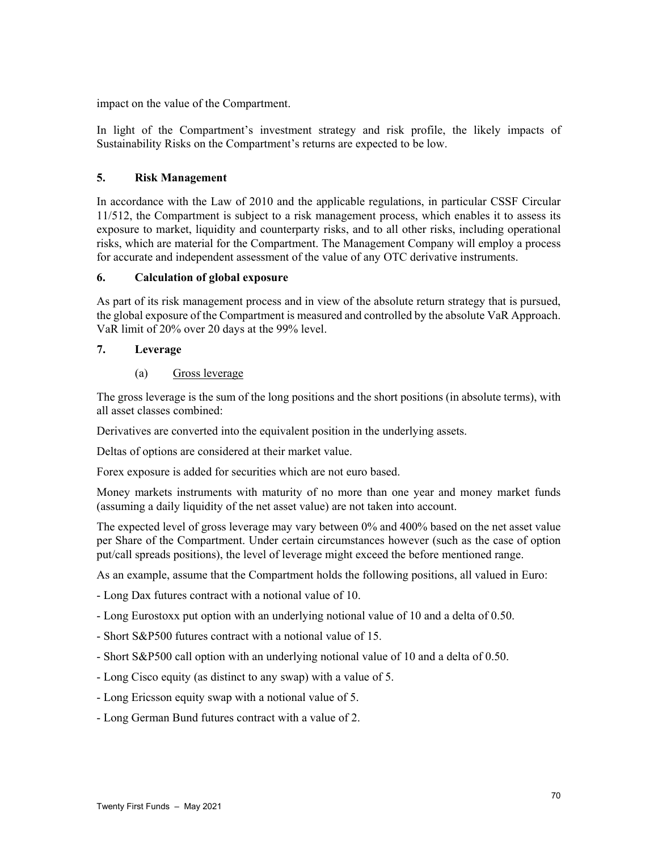impact on the value of the Compartment.

In light of the Compartment's investment strategy and risk profile, the likely impacts of Sustainability Risks on the Compartment's returns are expected to be low.

### **5. Risk Management**

In accordance with the Law of 2010 and the applicable regulations, in particular CSSF Circular 11/512, the Compartment is subject to a risk management process, which enables it to assess its exposure to market, liquidity and counterparty risks, and to all other risks, including operational risks, which are material for the Compartment. The Management Company will employ a process for accurate and independent assessment of the value of any OTC derivative instruments.

### **6. Calculation of global exposure**

As part of its risk management process and in view of the absolute return strategy that is pursued, the global exposure of the Compartment is measured and controlled by the absolute VaR Approach. VaR limit of 20% over 20 days at the 99% level.

# **7. Leverage**

(a) Gross leverage

The gross leverage is the sum of the long positions and the short positions (in absolute terms), with all asset classes combined:

Derivatives are converted into the equivalent position in the underlying assets.

Deltas of options are considered at their market value.

Forex exposure is added for securities which are not euro based.

Money markets instruments with maturity of no more than one year and money market funds (assuming a daily liquidity of the net asset value) are not taken into account.

The expected level of gross leverage may vary between 0% and 400% based on the net asset value per Share of the Compartment. Under certain circumstances however (such as the case of option put/call spreads positions), the level of leverage might exceed the before mentioned range.

As an example, assume that the Compartment holds the following positions, all valued in Euro:

- Long Dax futures contract with a notional value of 10.

- Long Eurostoxx put option with an underlying notional value of 10 and a delta of 0.50.
- Short S&P500 futures contract with a notional value of 15.
- Short S&P500 call option with an underlying notional value of 10 and a delta of 0.50.
- Long Cisco equity (as distinct to any swap) with a value of 5.
- Long Ericsson equity swap with a notional value of 5.
- Long German Bund futures contract with a value of 2.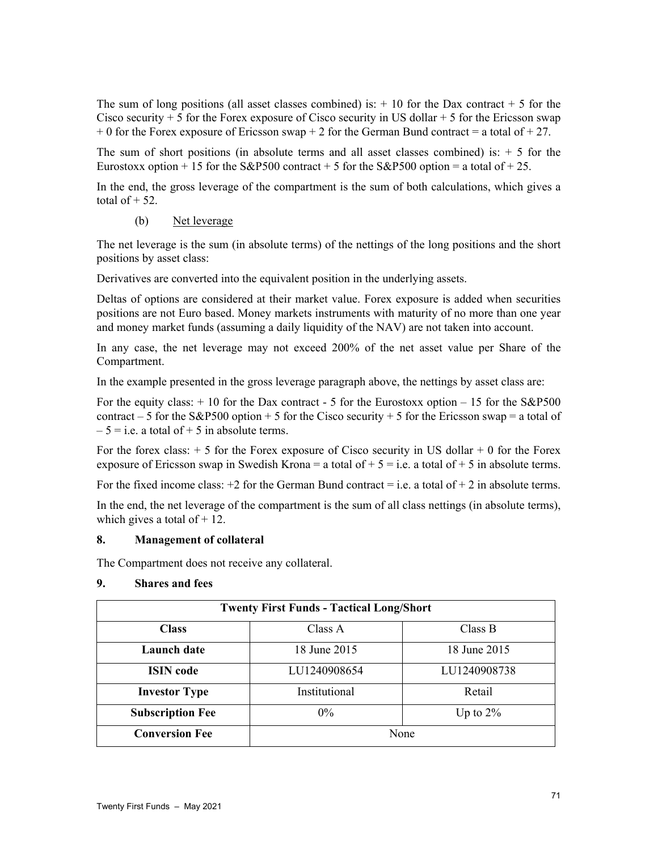The sum of long positions (all asset classes combined) is:  $+10$  for the Dax contract  $+5$  for the Cisco security  $+5$  for the Forex exposure of Cisco security in US dollar  $+5$  for the Ericsson swap  $+ 0$  for the Forex exposure of Ericsson swap  $+ 2$  for the German Bund contract = a total of  $+ 27$ .

The sum of short positions (in absolute terms and all asset classes combined) is:  $+5$  for the Eurostoxx option + 15 for the S&P500 contract + 5 for the S&P500 option = a total of + 25.

In the end, the gross leverage of the compartment is the sum of both calculations, which gives a total of  $+52$ .

# (b) Net leverage

The net leverage is the sum (in absolute terms) of the nettings of the long positions and the short positions by asset class:

Derivatives are converted into the equivalent position in the underlying assets.

Deltas of options are considered at their market value. Forex exposure is added when securities positions are not Euro based. Money markets instruments with maturity of no more than one year and money market funds (assuming a daily liquidity of the NAV) are not taken into account.

In any case, the net leverage may not exceed 200% of the net asset value per Share of the Compartment.

In the example presented in the gross leverage paragraph above, the nettings by asset class are:

For the equity class:  $+10$  for the Dax contract - 5 for the Eurostoxx option  $-15$  for the S&P500 contract – 5 for the S&P500 option + 5 for the Cisco security + 5 for the Ericsson swap = a total of  $-5 = i.e.$  a total of  $+ 5$  in absolute terms.

For the forex class:  $+ 5$  for the Forex exposure of Cisco security in US dollar  $+ 0$  for the Forex exposure of Ericsson swap in Swedish Krona = a total of + 5 = i.e. a total of + 5 in absolute terms.

For the fixed income class:  $+2$  for the German Bund contract = i.e. a total of  $+2$  in absolute terms.

In the end, the net leverage of the compartment is the sum of all class nettings (in absolute terms), which gives a total of  $+12$ .

# **8. Management of collateral**

The Compartment does not receive any collateral.

| <b>Twenty First Funds - Tactical Long/Short</b> |               |              |  |
|-------------------------------------------------|---------------|--------------|--|
| <b>Class</b>                                    | Class A       | Class B      |  |
| Launch date                                     | 18 June 2015  | 18 June 2015 |  |
| <b>ISIN</b> code                                | LU1240908654  | LU1240908738 |  |
| <b>Investor Type</b>                            | Institutional | Retail       |  |
| <b>Subscription Fee</b>                         | $0\%$         | Up to $2\%$  |  |
| <b>Conversion Fee</b>                           | None          |              |  |

# **9. Shares and fees**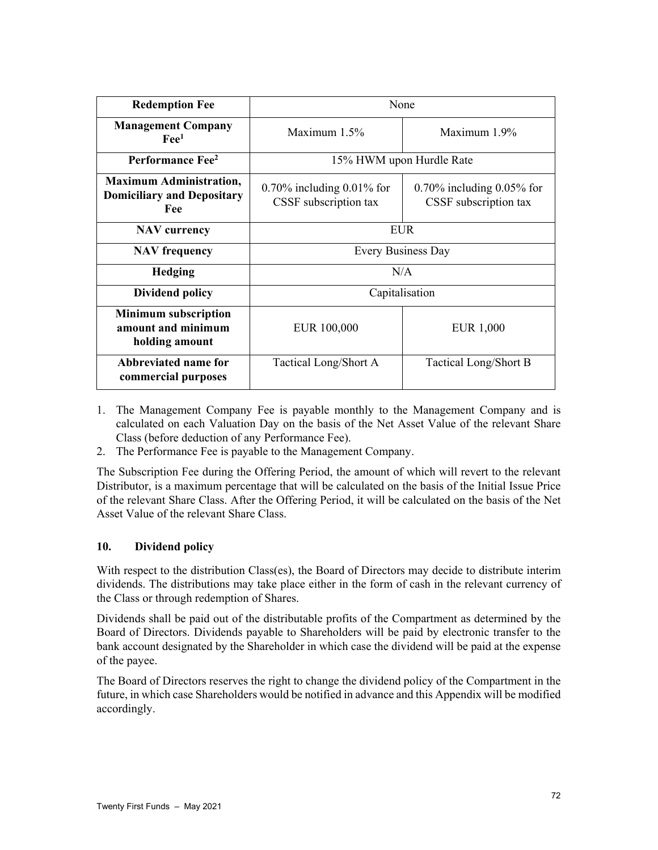| <b>Redemption Fee</b>                                                      | None                                                  |                                                       |  |
|----------------------------------------------------------------------------|-------------------------------------------------------|-------------------------------------------------------|--|
| <b>Management Company</b><br>$\text{Fe}^1$                                 | Maximum $1.5\%$                                       | Maximum 1.9%                                          |  |
| Performance Fee <sup>2</sup>                                               | 15% HWM upon Hurdle Rate                              |                                                       |  |
| <b>Maximum Administration,</b><br><b>Domiciliary and Depositary</b><br>Fee | $0.70\%$ including 0.01% for<br>CSSF subscription tax | $0.70\%$ including 0.05% for<br>CSSF subscription tax |  |
| <b>NAV</b> currency                                                        | <b>EUR</b>                                            |                                                       |  |
| <b>NAV</b> frequency                                                       | Every Business Day                                    |                                                       |  |
| <b>Hedging</b>                                                             | N/A                                                   |                                                       |  |
| <b>Dividend policy</b>                                                     | Capitalisation                                        |                                                       |  |
| <b>Minimum subscription</b><br>amount and minimum<br>holding amount        | EUR 100,000                                           | <b>EUR 1,000</b>                                      |  |
| Abbreviated name for<br>commercial purposes                                | Tactical Long/Short A                                 | Tactical Long/Short B                                 |  |

- 1. The Management Company Fee is payable monthly to the Management Company and is calculated on each Valuation Day on the basis of the Net Asset Value of the relevant Share Class (before deduction of any Performance Fee).
- 2. The Performance Fee is payable to the Management Company.

The Subscription Fee during the Offering Period, the amount of which will revert to the relevant Distributor, is a maximum percentage that will be calculated on the basis of the Initial Issue Price of the relevant Share Class. After the Offering Period, it will be calculated on the basis of the Net Asset Value of the relevant Share Class.

# **10. Dividend policy**

With respect to the distribution Class(es), the Board of Directors may decide to distribute interim dividends. The distributions may take place either in the form of cash in the relevant currency of the Class or through redemption of Shares.

Dividends shall be paid out of the distributable profits of the Compartment as determined by the Board of Directors. Dividends payable to Shareholders will be paid by electronic transfer to the bank account designated by the Shareholder in which case the dividend will be paid at the expense of the payee.

The Board of Directors reserves the right to change the dividend policy of the Compartment in the future, in which case Shareholders would be notified in advance and this Appendix will be modified accordingly.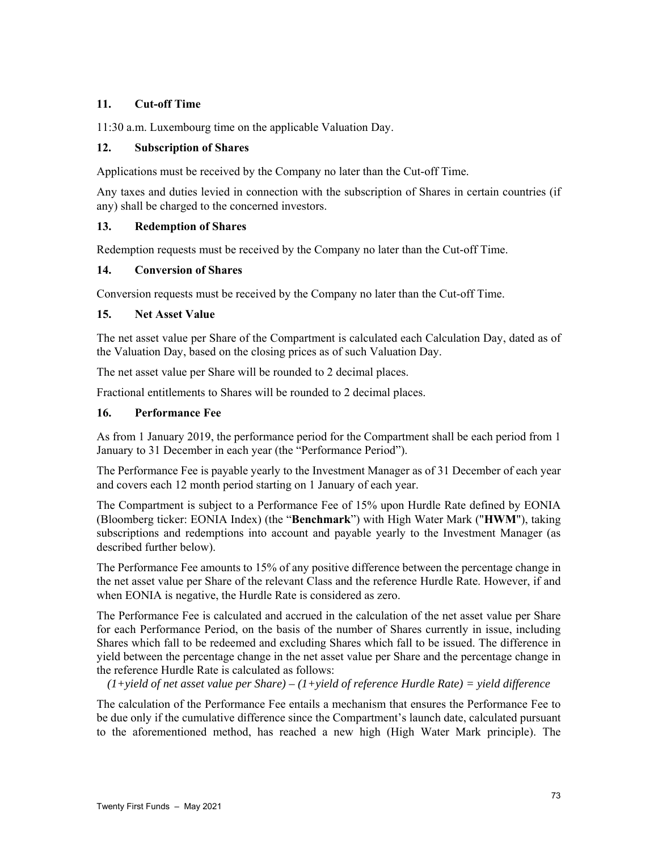## **11. Cut-off Time**

11:30 a.m. Luxembourg time on the applicable Valuation Day.

## **12. Subscription of Shares**

Applications must be received by the Company no later than the Cut-off Time.

Any taxes and duties levied in connection with the subscription of Shares in certain countries (if any) shall be charged to the concerned investors.

### **13. Redemption of Shares**

Redemption requests must be received by the Company no later than the Cut-off Time.

### **14. Conversion of Shares**

Conversion requests must be received by the Company no later than the Cut-off Time.

### **15. Net Asset Value**

The net asset value per Share of the Compartment is calculated each Calculation Day, dated as of the Valuation Day, based on the closing prices as of such Valuation Day.

The net asset value per Share will be rounded to 2 decimal places.

Fractional entitlements to Shares will be rounded to 2 decimal places.

## **16. Performance Fee**

As from 1 January 2019, the performance period for the Compartment shall be each period from 1 January to 31 December in each year (the "Performance Period").

The Performance Fee is payable yearly to the Investment Manager as of 31 December of each year and covers each 12 month period starting on 1 January of each year.

The Compartment is subject to a Performance Fee of 15% upon Hurdle Rate defined by EONIA (Bloomberg ticker: EONIA Index) (the "**Benchmark**") with High Water Mark ("**HWM**"), taking subscriptions and redemptions into account and payable yearly to the Investment Manager (as described further below).

The Performance Fee amounts to 15% of any positive difference between the percentage change in the net asset value per Share of the relevant Class and the reference Hurdle Rate. However, if and when EONIA is negative, the Hurdle Rate is considered as zero.

The Performance Fee is calculated and accrued in the calculation of the net asset value per Share for each Performance Period, on the basis of the number of Shares currently in issue, including Shares which fall to be redeemed and excluding Shares which fall to be issued. The difference in yield between the percentage change in the net asset value per Share and the percentage change in the reference Hurdle Rate is calculated as follows:

*(1+yield of net asset value per Share) – (1+yield of reference Hurdle Rate) = yield difference* 

The calculation of the Performance Fee entails a mechanism that ensures the Performance Fee to be due only if the cumulative difference since the Compartment's launch date, calculated pursuant to the aforementioned method, has reached a new high (High Water Mark principle). The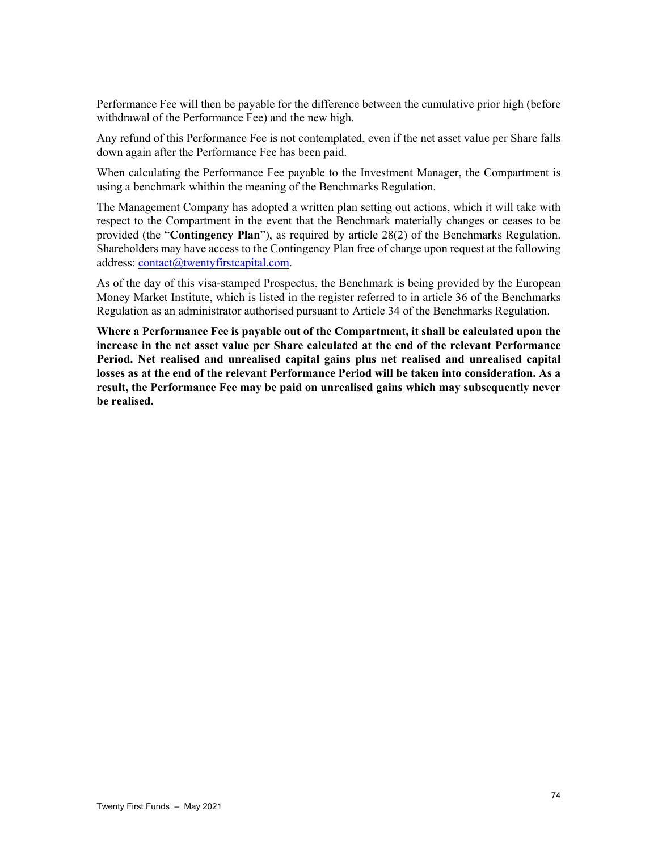Performance Fee will then be payable for the difference between the cumulative prior high (before withdrawal of the Performance Fee) and the new high.

Any refund of this Performance Fee is not contemplated, even if the net asset value per Share falls down again after the Performance Fee has been paid.

When calculating the Performance Fee payable to the Investment Manager, the Compartment is using a benchmark whithin the meaning of the Benchmarks Regulation.

The Management Company has adopted a written plan setting out actions, which it will take with respect to the Compartment in the event that the Benchmark materially changes or ceases to be provided (the "**Contingency Plan**"), as required by article 28(2) of the Benchmarks Regulation. Shareholders may have access to the Contingency Plan free of charge upon request at the following address: contact@twentyfirstcapital.com.

As of the day of this visa-stamped Prospectus, the Benchmark is being provided by the European Money Market Institute, which is listed in the register referred to in article 36 of the Benchmarks Regulation as an administrator authorised pursuant to Article 34 of the Benchmarks Regulation.

**Where a Performance Fee is payable out of the Compartment, it shall be calculated upon the increase in the net asset value per Share calculated at the end of the relevant Performance Period. Net realised and unrealised capital gains plus net realised and unrealised capital losses as at the end of the relevant Performance Period will be taken into consideration. As a result, the Performance Fee may be paid on unrealised gains which may subsequently never be realised.**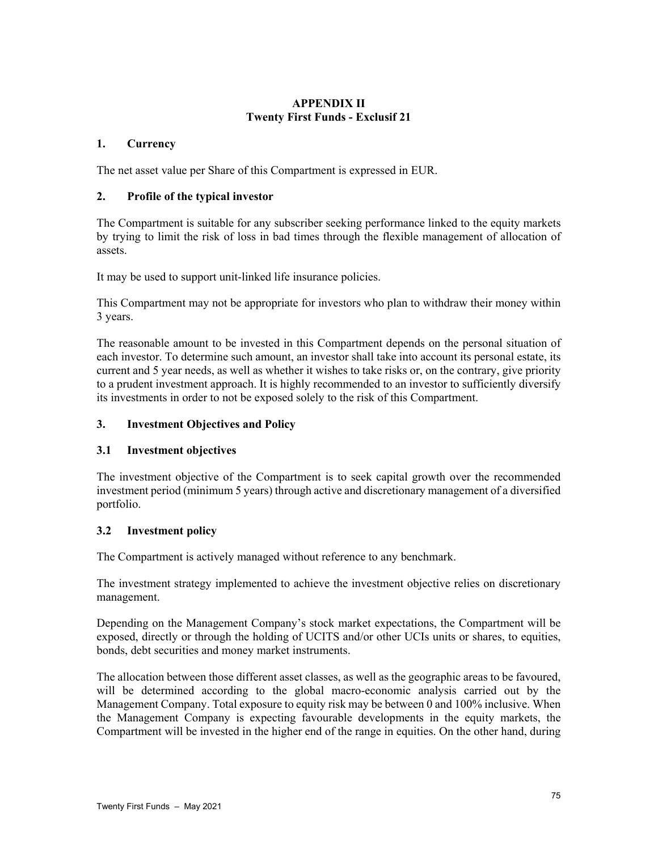# **APPENDIX II Twenty First Funds - Exclusif 21**

## **1. Currency**

The net asset value per Share of this Compartment is expressed in EUR.

## **2. Profile of the typical investor**

The Compartment is suitable for any subscriber seeking performance linked to the equity markets by trying to limit the risk of loss in bad times through the flexible management of allocation of assets.

It may be used to support unit-linked life insurance policies.

This Compartment may not be appropriate for investors who plan to withdraw their money within 3 years.

The reasonable amount to be invested in this Compartment depends on the personal situation of each investor. To determine such amount, an investor shall take into account its personal estate, its current and 5 year needs, as well as whether it wishes to take risks or, on the contrary, give priority to a prudent investment approach. It is highly recommended to an investor to sufficiently diversify its investments in order to not be exposed solely to the risk of this Compartment.

## **3. Investment Objectives and Policy**

## **3.1 Investment objectives**

The investment objective of the Compartment is to seek capital growth over the recommended investment period (minimum 5 years) through active and discretionary management of a diversified portfolio.

## **3.2 Investment policy**

The Compartment is actively managed without reference to any benchmark.

The investment strategy implemented to achieve the investment objective relies on discretionary management.

Depending on the Management Company's stock market expectations, the Compartment will be exposed, directly or through the holding of UCITS and/or other UCIs units or shares, to equities, bonds, debt securities and money market instruments.

The allocation between those different asset classes, as well as the geographic areas to be favoured, will be determined according to the global macro-economic analysis carried out by the Management Company. Total exposure to equity risk may be between 0 and 100% inclusive. When the Management Company is expecting favourable developments in the equity markets, the Compartment will be invested in the higher end of the range in equities. On the other hand, during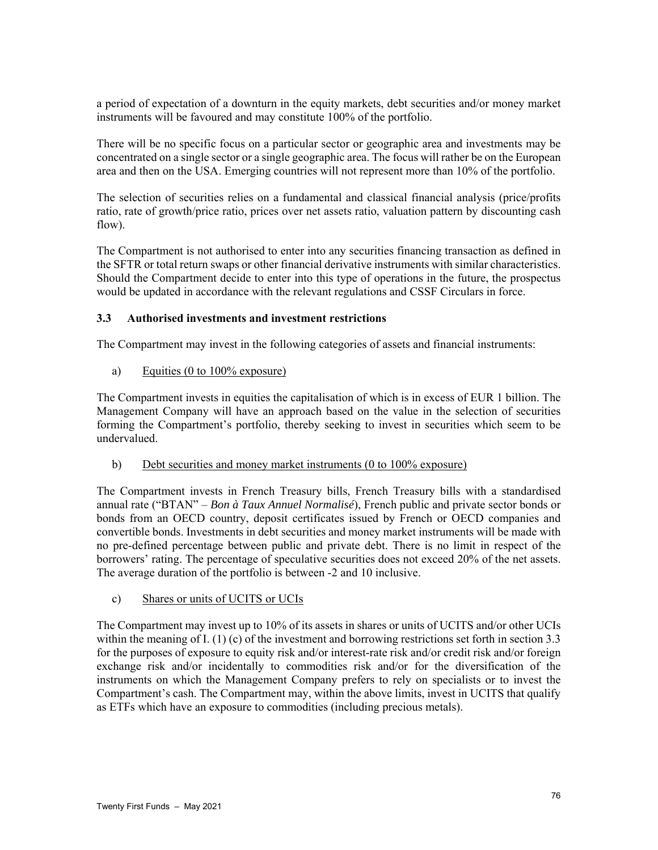a period of expectation of a downturn in the equity markets, debt securities and/or money market instruments will be favoured and may constitute 100% of the portfolio.

There will be no specific focus on a particular sector or geographic area and investments may be concentrated on a single sector or a single geographic area. The focus will rather be on the European area and then on the USA. Emerging countries will not represent more than 10% of the portfolio.

The selection of securities relies on a fundamental and classical financial analysis (price/profits ratio, rate of growth/price ratio, prices over net assets ratio, valuation pattern by discounting cash flow).

The Compartment is not authorised to enter into any securities financing transaction as defined in the SFTR or total return swaps or other financial derivative instruments with similar characteristics. Should the Compartment decide to enter into this type of operations in the future, the prospectus would be updated in accordance with the relevant regulations and CSSF Circulars in force.

## **3.3 Authorised investments and investment restrictions**

The Compartment may invest in the following categories of assets and financial instruments:

### a) Equities (0 to 100% exposure)

The Compartment invests in equities the capitalisation of which is in excess of EUR 1 billion. The Management Company will have an approach based on the value in the selection of securities forming the Compartment's portfolio, thereby seeking to invest in securities which seem to be undervalued.

#### b) Debt securities and money market instruments (0 to 100% exposure)

The Compartment invests in French Treasury bills, French Treasury bills with a standardised annual rate ("BTAN" – *Bon à Taux Annuel Normalisé*), French public and private sector bonds or bonds from an OECD country, deposit certificates issued by French or OECD companies and convertible bonds. Investments in debt securities and money market instruments will be made with no pre-defined percentage between public and private debt. There is no limit in respect of the borrowers' rating. The percentage of speculative securities does not exceed 20% of the net assets. The average duration of the portfolio is between -2 and 10 inclusive.

c) Shares or units of UCITS or UCIs

The Compartment may invest up to 10% of its assets in shares or units of UCITS and/or other UCIs within the meaning of I. (1) (c) of the investment and borrowing restrictions set forth in section 3.3 for the purposes of exposure to equity risk and/or interest-rate risk and/or credit risk and/or foreign exchange risk and/or incidentally to commodities risk and/or for the diversification of the instruments on which the Management Company prefers to rely on specialists or to invest the Compartment's cash. The Compartment may, within the above limits, invest in UCITS that qualify as ETFs which have an exposure to commodities (including precious metals).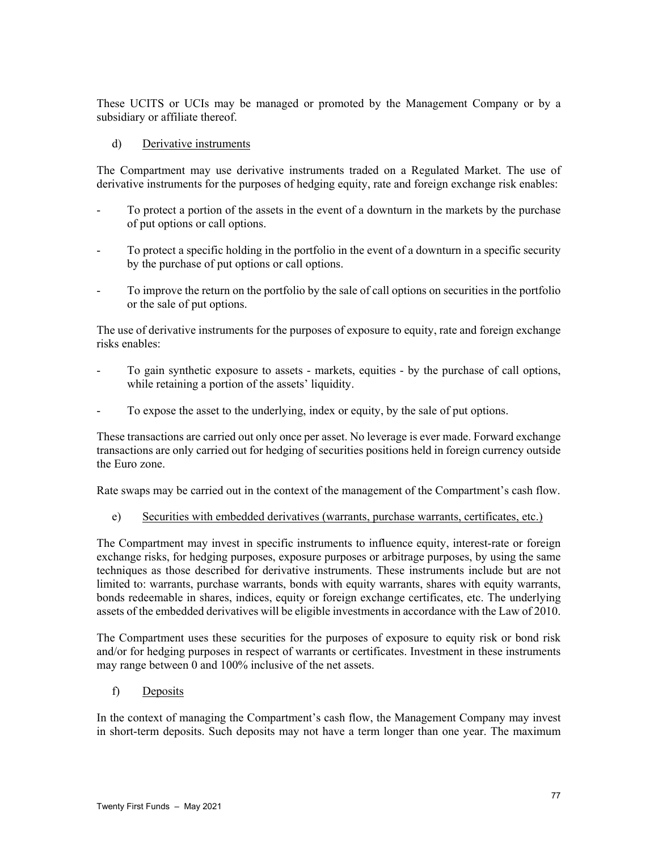These UCITS or UCIs may be managed or promoted by the Management Company or by a subsidiary or affiliate thereof.

### d) Derivative instruments

The Compartment may use derivative instruments traded on a Regulated Market. The use of derivative instruments for the purposes of hedging equity, rate and foreign exchange risk enables:

- To protect a portion of the assets in the event of a downturn in the markets by the purchase of put options or call options.
- To protect a specific holding in the portfolio in the event of a downturn in a specific security by the purchase of put options or call options.
- To improve the return on the portfolio by the sale of call options on securities in the portfolio or the sale of put options.

The use of derivative instruments for the purposes of exposure to equity, rate and foreign exchange risks enables:

- To gain synthetic exposure to assets markets, equities by the purchase of call options, while retaining a portion of the assets' liquidity.
- To expose the asset to the underlying, index or equity, by the sale of put options.

These transactions are carried out only once per asset. No leverage is ever made. Forward exchange transactions are only carried out for hedging of securities positions held in foreign currency outside the Euro zone.

Rate swaps may be carried out in the context of the management of the Compartment's cash flow.

e) Securities with embedded derivatives (warrants, purchase warrants, certificates, etc.)

The Compartment may invest in specific instruments to influence equity, interest-rate or foreign exchange risks, for hedging purposes, exposure purposes or arbitrage purposes, by using the same techniques as those described for derivative instruments. These instruments include but are not limited to: warrants, purchase warrants, bonds with equity warrants, shares with equity warrants, bonds redeemable in shares, indices, equity or foreign exchange certificates, etc. The underlying assets of the embedded derivatives will be eligible investments in accordance with the Law of 2010.

The Compartment uses these securities for the purposes of exposure to equity risk or bond risk and/or for hedging purposes in respect of warrants or certificates. Investment in these instruments may range between 0 and 100% inclusive of the net assets.

f) Deposits

In the context of managing the Compartment's cash flow, the Management Company may invest in short-term deposits. Such deposits may not have a term longer than one year. The maximum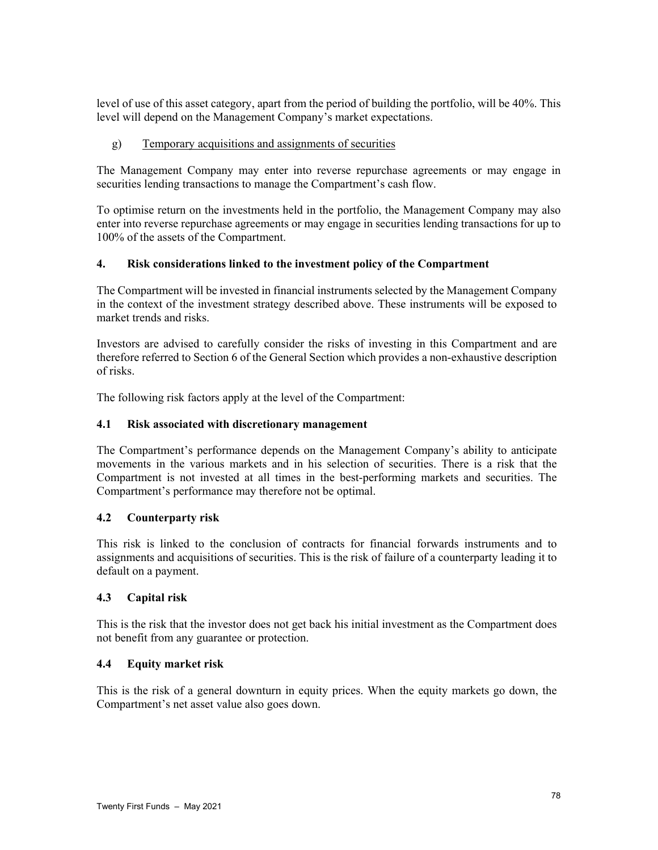level of use of this asset category, apart from the period of building the portfolio, will be 40%. This level will depend on the Management Company's market expectations.

## g) Temporary acquisitions and assignments of securities

The Management Company may enter into reverse repurchase agreements or may engage in securities lending transactions to manage the Compartment's cash flow.

To optimise return on the investments held in the portfolio, the Management Company may also enter into reverse repurchase agreements or may engage in securities lending transactions for up to 100% of the assets of the Compartment.

### **4. Risk considerations linked to the investment policy of the Compartment**

The Compartment will be invested in financial instruments selected by the Management Company in the context of the investment strategy described above. These instruments will be exposed to market trends and risks.

Investors are advised to carefully consider the risks of investing in this Compartment and are therefore referred to Section 6 of the General Section which provides a non-exhaustive description of risks.

The following risk factors apply at the level of the Compartment:

### **4.1 Risk associated with discretionary management**

The Compartment's performance depends on the Management Company's ability to anticipate movements in the various markets and in his selection of securities. There is a risk that the Compartment is not invested at all times in the best-performing markets and securities. The Compartment's performance may therefore not be optimal.

#### **4.2 Counterparty risk**

This risk is linked to the conclusion of contracts for financial forwards instruments and to assignments and acquisitions of securities. This is the risk of failure of a counterparty leading it to default on a payment.

#### **4.3 Capital risk**

This is the risk that the investor does not get back his initial investment as the Compartment does not benefit from any guarantee or protection.

## **4.4 Equity market risk**

This is the risk of a general downturn in equity prices. When the equity markets go down, the Compartment's net asset value also goes down.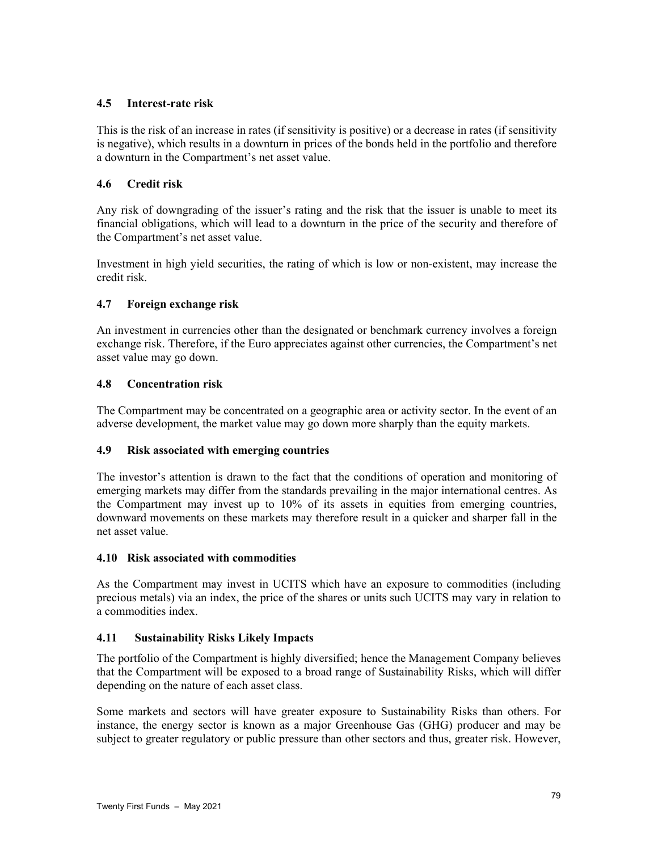# **4.5 Interest-rate risk**

This is the risk of an increase in rates (if sensitivity is positive) or a decrease in rates (if sensitivity is negative), which results in a downturn in prices of the bonds held in the portfolio and therefore a downturn in the Compartment's net asset value.

# **4.6 Credit risk**

Any risk of downgrading of the issuer's rating and the risk that the issuer is unable to meet its financial obligations, which will lead to a downturn in the price of the security and therefore of the Compartment's net asset value.

Investment in high yield securities, the rating of which is low or non-existent, may increase the credit risk.

# **4.7 Foreign exchange risk**

An investment in currencies other than the designated or benchmark currency involves a foreign exchange risk. Therefore, if the Euro appreciates against other currencies, the Compartment's net asset value may go down.

# **4.8 Concentration risk**

The Compartment may be concentrated on a geographic area or activity sector. In the event of an adverse development, the market value may go down more sharply than the equity markets.

## **4.9 Risk associated with emerging countries**

The investor's attention is drawn to the fact that the conditions of operation and monitoring of emerging markets may differ from the standards prevailing in the major international centres. As the Compartment may invest up to 10% of its assets in equities from emerging countries, downward movements on these markets may therefore result in a quicker and sharper fall in the net asset value.

## **4.10 Risk associated with commodities**

As the Compartment may invest in UCITS which have an exposure to commodities (including precious metals) via an index, the price of the shares or units such UCITS may vary in relation to a commodities index.

## **4.11 Sustainability Risks Likely Impacts**

The portfolio of the Compartment is highly diversified; hence the Management Company believes that the Compartment will be exposed to a broad range of Sustainability Risks, which will differ depending on the nature of each asset class.

Some markets and sectors will have greater exposure to Sustainability Risks than others. For instance, the energy sector is known as a major Greenhouse Gas (GHG) producer and may be subject to greater regulatory or public pressure than other sectors and thus, greater risk. However,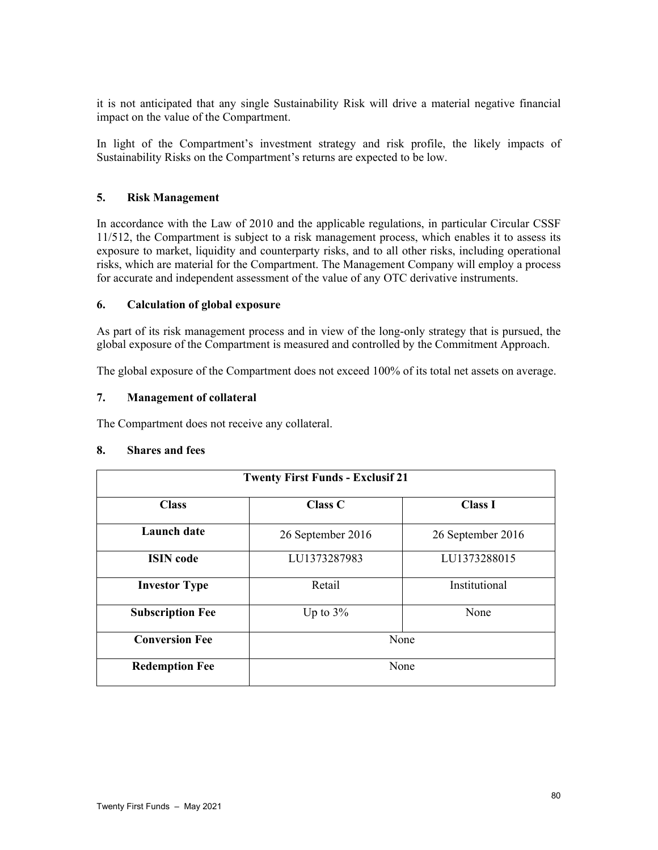it is not anticipated that any single Sustainability Risk will drive a material negative financial impact on the value of the Compartment.

In light of the Compartment's investment strategy and risk profile, the likely impacts of Sustainability Risks on the Compartment's returns are expected to be low.

## **5. Risk Management**

In accordance with the Law of 2010 and the applicable regulations, in particular Circular CSSF 11/512, the Compartment is subject to a risk management process, which enables it to assess its exposure to market, liquidity and counterparty risks, and to all other risks, including operational risks, which are material for the Compartment. The Management Company will employ a process for accurate and independent assessment of the value of any OTC derivative instruments.

## **6. Calculation of global exposure**

As part of its risk management process and in view of the long-only strategy that is pursued, the global exposure of the Compartment is measured and controlled by the Commitment Approach.

The global exposure of the Compartment does not exceed 100% of its total net assets on average.

### **7. Management of collateral**

The Compartment does not receive any collateral.

#### **8. Shares and fees**

| <b>Twenty First Funds - Exclusif 21</b> |                     |                   |  |  |  |
|-----------------------------------------|---------------------|-------------------|--|--|--|
| <b>Class</b>                            | <b>Class C</b>      | <b>Class I</b>    |  |  |  |
| <b>Launch</b> date                      | 26 September 2016   | 26 September 2016 |  |  |  |
| <b>ISIN</b> code                        | LU1373287983        | LU1373288015      |  |  |  |
| <b>Investor Type</b>                    | Retail              | Institutional     |  |  |  |
| <b>Subscription Fee</b>                 | Up to $3\%$<br>None |                   |  |  |  |
| <b>Conversion Fee</b>                   | None                |                   |  |  |  |
| <b>Redemption Fee</b>                   | None                |                   |  |  |  |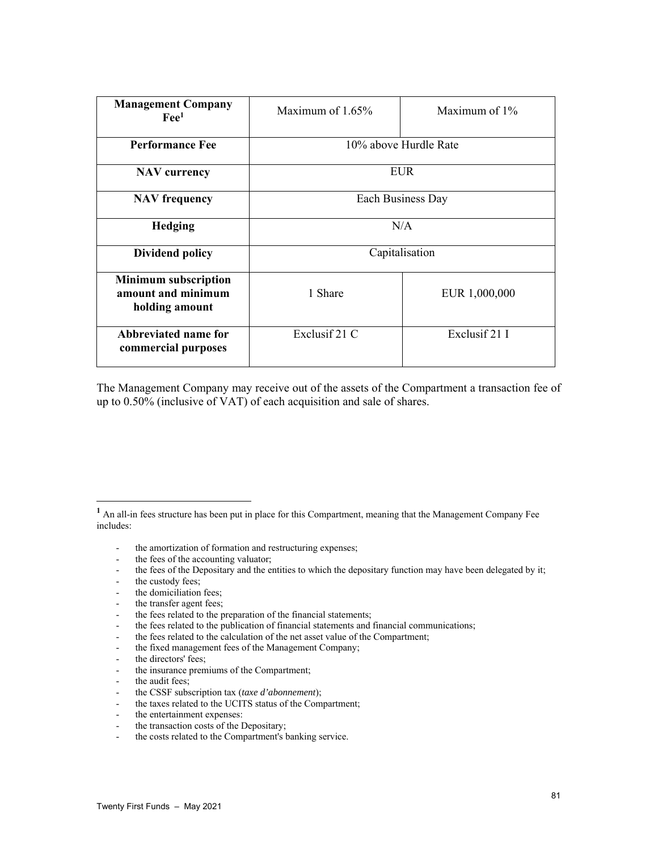| <b>Management Company</b><br>$\text{Fe}^{1}$                        | Maximum of $1.65\%$   | Maximum of $1\%$ |  |
|---------------------------------------------------------------------|-----------------------|------------------|--|
| <b>Performance Fee</b>                                              | 10% above Hurdle Rate |                  |  |
| <b>NAV</b> currency                                                 | <b>EUR</b>            |                  |  |
| <b>NAV</b> frequency                                                | Each Business Day     |                  |  |
| <b>Hedging</b>                                                      | N/A                   |                  |  |
| <b>Dividend policy</b>                                              | Capitalisation        |                  |  |
| <b>Minimum subscription</b><br>amount and minimum<br>holding amount | 1 Share               | EUR 1,000,000    |  |
| Abbreviated name for<br>commercial purposes                         | Exclusif 21 C         | Exclusif 21 I    |  |

The Management Company may receive out of the assets of the Compartment a transaction fee of up to 0.50% (inclusive of VAT) of each acquisition and sale of shares.

- the amortization of formation and restructuring expenses;
- the fees of the accounting valuator;
- the fees of the Depositary and the entities to which the depositary function may have been delegated by it;
- the custody fees:

l

- the domiciliation fees:
- the transfer agent fees;
- the fees related to the preparation of the financial statements;
- the fees related to the publication of financial statements and financial communications;
- the fees related to the calculation of the net asset value of the Compartment;
- the fixed management fees of the Management Company;
- the directors' fees;
- the insurance premiums of the Compartment;
- the audit fees;

- the entertainment expenses:
- the transaction costs of the Depositary;
- the costs related to the Compartment's banking service.

<sup>&</sup>lt;sup>1</sup> An all-in fees structure has been put in place for this Compartment, meaning that the Management Company Fee includes:

<sup>-</sup> the CSSF subscription tax (*taxe d'abonnement*);

<sup>-</sup> the taxes related to the UCITS status of the Compartment;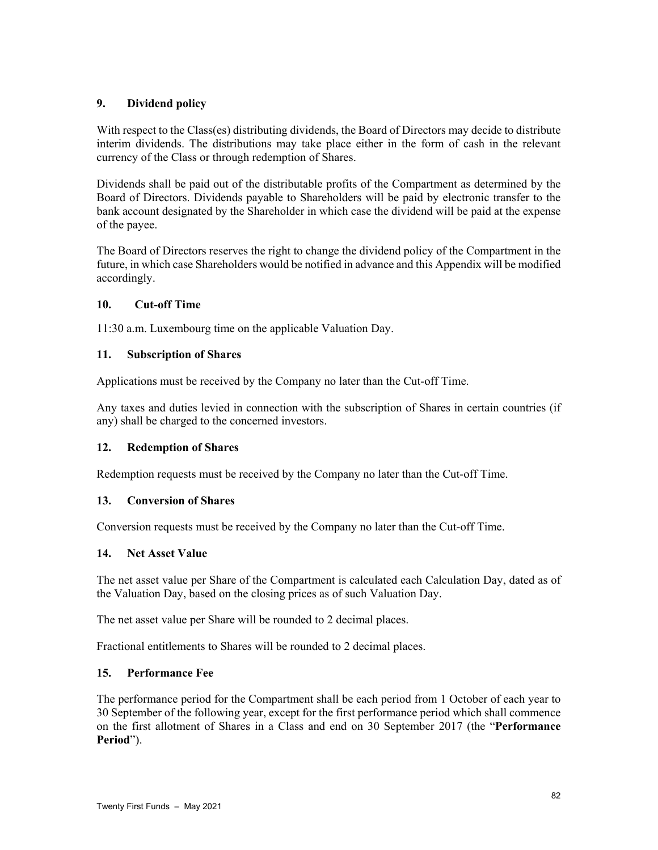# **9. Dividend policy**

With respect to the Class(es) distributing dividends, the Board of Directors may decide to distribute interim dividends. The distributions may take place either in the form of cash in the relevant currency of the Class or through redemption of Shares.

Dividends shall be paid out of the distributable profits of the Compartment as determined by the Board of Directors. Dividends payable to Shareholders will be paid by electronic transfer to the bank account designated by the Shareholder in which case the dividend will be paid at the expense of the payee.

The Board of Directors reserves the right to change the dividend policy of the Compartment in the future, in which case Shareholders would be notified in advance and this Appendix will be modified accordingly.

## **10. Cut-off Time**

11:30 a.m. Luxembourg time on the applicable Valuation Day.

# **11. Subscription of Shares**

Applications must be received by the Company no later than the Cut-off Time.

Any taxes and duties levied in connection with the subscription of Shares in certain countries (if any) shall be charged to the concerned investors.

## **12. Redemption of Shares**

Redemption requests must be received by the Company no later than the Cut-off Time.

## **13. Conversion of Shares**

Conversion requests must be received by the Company no later than the Cut-off Time.

## **14. Net Asset Value**

The net asset value per Share of the Compartment is calculated each Calculation Day, dated as of the Valuation Day, based on the closing prices as of such Valuation Day.

The net asset value per Share will be rounded to 2 decimal places.

Fractional entitlements to Shares will be rounded to 2 decimal places.

# **15. Performance Fee**

The performance period for the Compartment shall be each period from 1 October of each year to 30 September of the following year, except for the first performance period which shall commence on the first allotment of Shares in a Class and end on 30 September 2017 (the "**Performance Period**").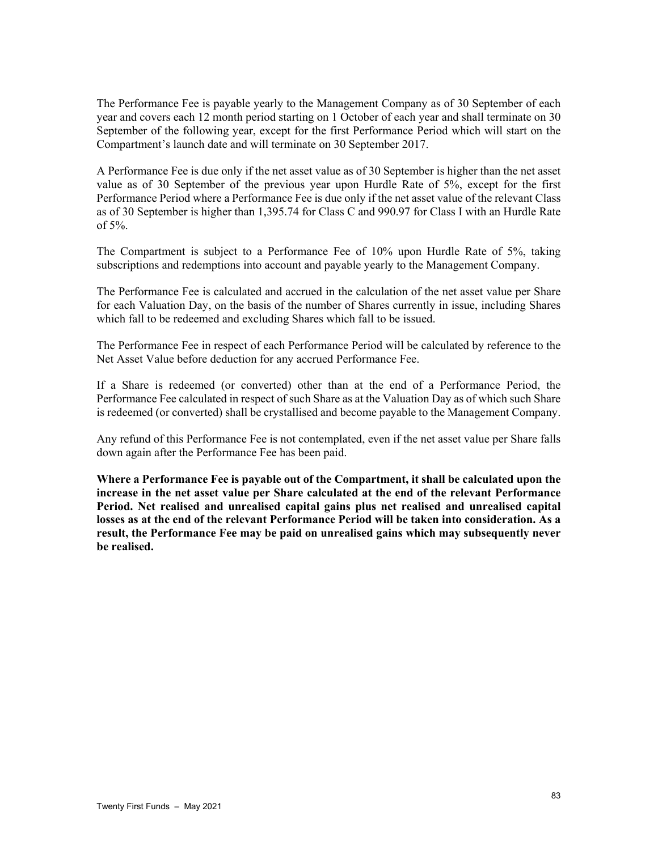The Performance Fee is payable yearly to the Management Company as of 30 September of each year and covers each 12 month period starting on 1 October of each year and shall terminate on 30 September of the following year, except for the first Performance Period which will start on the Compartment's launch date and will terminate on 30 September 2017.

A Performance Fee is due only if the net asset value as of 30 September is higher than the net asset value as of 30 September of the previous year upon Hurdle Rate of 5%, except for the first Performance Period where a Performance Fee is due only if the net asset value of the relevant Class as of 30 September is higher than 1,395.74 for Class C and 990.97 for Class I with an Hurdle Rate of 5%.

The Compartment is subject to a Performance Fee of 10% upon Hurdle Rate of 5%, taking subscriptions and redemptions into account and payable yearly to the Management Company.

The Performance Fee is calculated and accrued in the calculation of the net asset value per Share for each Valuation Day, on the basis of the number of Shares currently in issue, including Shares which fall to be redeemed and excluding Shares which fall to be issued.

The Performance Fee in respect of each Performance Period will be calculated by reference to the Net Asset Value before deduction for any accrued Performance Fee.

If a Share is redeemed (or converted) other than at the end of a Performance Period, the Performance Fee calculated in respect of such Share as at the Valuation Day as of which such Share is redeemed (or converted) shall be crystallised and become payable to the Management Company.

Any refund of this Performance Fee is not contemplated, even if the net asset value per Share falls down again after the Performance Fee has been paid.

**Where a Performance Fee is payable out of the Compartment, it shall be calculated upon the increase in the net asset value per Share calculated at the end of the relevant Performance Period. Net realised and unrealised capital gains plus net realised and unrealised capital losses as at the end of the relevant Performance Period will be taken into consideration. As a result, the Performance Fee may be paid on unrealised gains which may subsequently never be realised.**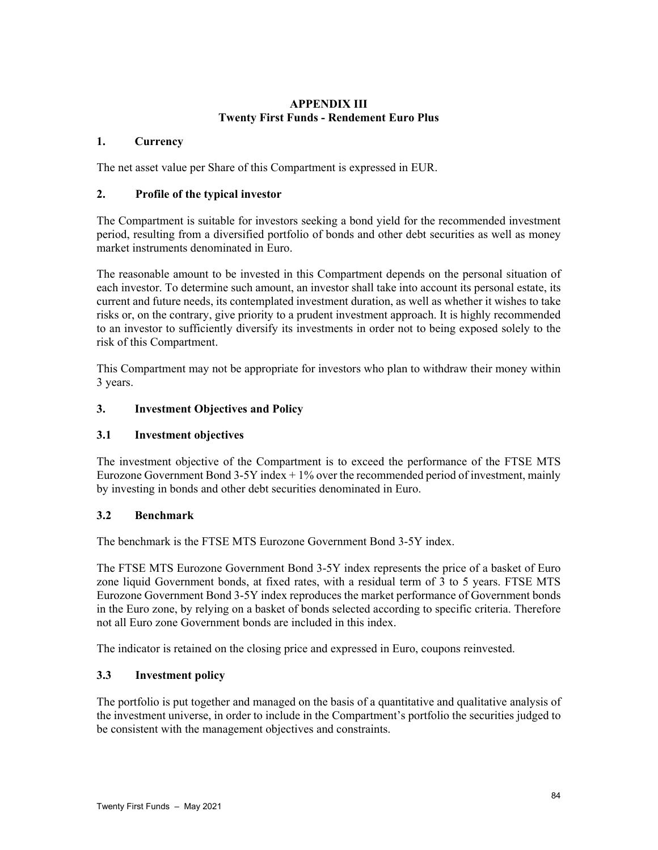# **APPENDIX III Twenty First Funds - Rendement Euro Plus**

# **1. Currency**

The net asset value per Share of this Compartment is expressed in EUR.

# **2. Profile of the typical investor**

The Compartment is suitable for investors seeking a bond yield for the recommended investment period, resulting from a diversified portfolio of bonds and other debt securities as well as money market instruments denominated in Euro.

The reasonable amount to be invested in this Compartment depends on the personal situation of each investor. To determine such amount, an investor shall take into account its personal estate, its current and future needs, its contemplated investment duration, as well as whether it wishes to take risks or, on the contrary, give priority to a prudent investment approach. It is highly recommended to an investor to sufficiently diversify its investments in order not to being exposed solely to the risk of this Compartment.

This Compartment may not be appropriate for investors who plan to withdraw their money within 3 years.

# **3. Investment Objectives and Policy**

## **3.1 Investment objectives**

The investment objective of the Compartment is to exceed the performance of the FTSE MTS Eurozone Government Bond  $3-5Y$  index  $+1\%$  over the recommended period of investment, mainly by investing in bonds and other debt securities denominated in Euro.

## **3.2 Benchmark**

The benchmark is the FTSE MTS Eurozone Government Bond 3-5Y index.

The FTSE MTS Eurozone Government Bond 3-5Y index represents the price of a basket of Euro zone liquid Government bonds, at fixed rates, with a residual term of 3 to 5 years. FTSE MTS Eurozone Government Bond 3-5Y index reproduces the market performance of Government bonds in the Euro zone, by relying on a basket of bonds selected according to specific criteria. Therefore not all Euro zone Government bonds are included in this index.

The indicator is retained on the closing price and expressed in Euro, coupons reinvested.

# **3.3 Investment policy**

The portfolio is put together and managed on the basis of a quantitative and qualitative analysis of the investment universe, in order to include in the Compartment's portfolio the securities judged to be consistent with the management objectives and constraints.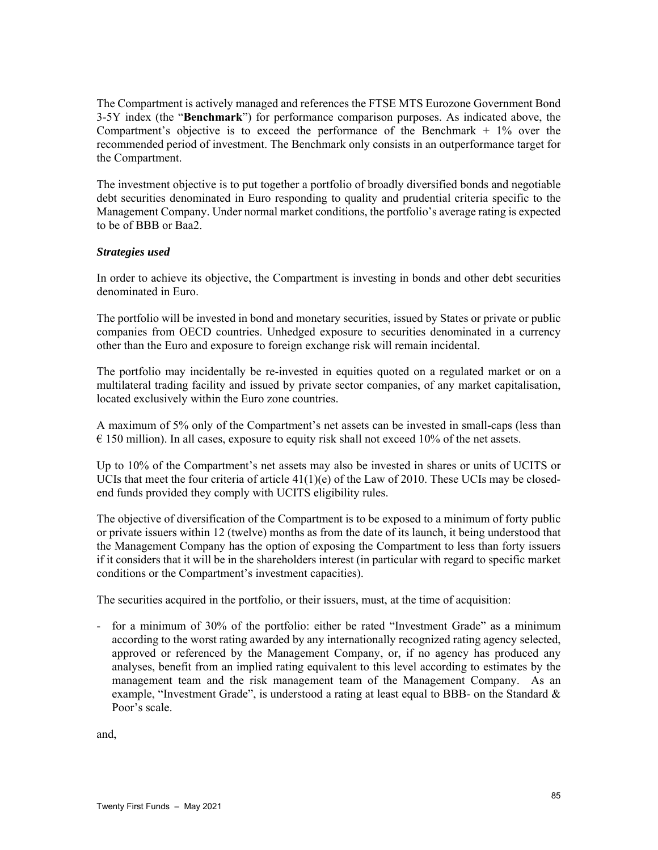The Compartment is actively managed and references the FTSE MTS Eurozone Government Bond 3-5Y index (the "**Benchmark**") for performance comparison purposes. As indicated above, the Compartment's objective is to exceed the performance of the Benchmark  $+1\%$  over the recommended period of investment. The Benchmark only consists in an outperformance target for the Compartment.

The investment objective is to put together a portfolio of broadly diversified bonds and negotiable debt securities denominated in Euro responding to quality and prudential criteria specific to the Management Company. Under normal market conditions, the portfolio's average rating is expected to be of BBB or Baa2.

### *Strategies used*

In order to achieve its objective, the Compartment is investing in bonds and other debt securities denominated in Euro.

The portfolio will be invested in bond and monetary securities, issued by States or private or public companies from OECD countries. Unhedged exposure to securities denominated in a currency other than the Euro and exposure to foreign exchange risk will remain incidental.

The portfolio may incidentally be re-invested in equities quoted on a regulated market or on a multilateral trading facility and issued by private sector companies, of any market capitalisation, located exclusively within the Euro zone countries.

A maximum of 5% only of the Compartment's net assets can be invested in small-caps (less than  $\epsilon$  150 million). In all cases, exposure to equity risk shall not exceed 10% of the net assets.

Up to 10% of the Compartment's net assets may also be invested in shares or units of UCITS or UCIs that meet the four criteria of article  $41(1)(e)$  of the Law of 2010. These UCIs may be closedend funds provided they comply with UCITS eligibility rules.

The objective of diversification of the Compartment is to be exposed to a minimum of forty public or private issuers within 12 (twelve) months as from the date of its launch, it being understood that the Management Company has the option of exposing the Compartment to less than forty issuers if it considers that it will be in the shareholders interest (in particular with regard to specific market conditions or the Compartment's investment capacities).

The securities acquired in the portfolio, or their issuers, must, at the time of acquisition:

- for a minimum of 30% of the portfolio: either be rated "Investment Grade" as a minimum according to the worst rating awarded by any internationally recognized rating agency selected, approved or referenced by the Management Company, or, if no agency has produced any analyses, benefit from an implied rating equivalent to this level according to estimates by the management team and the risk management team of the Management Company. As an example, "Investment Grade", is understood a rating at least equal to BBB- on the Standard  $\&$ Poor's scale.

and,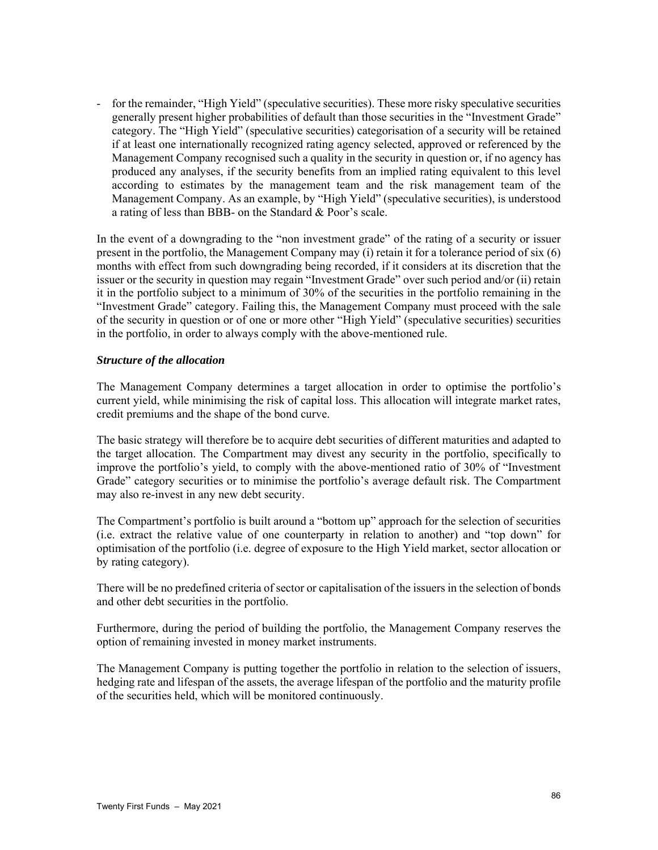- for the remainder, "High Yield" (speculative securities). These more risky speculative securities generally present higher probabilities of default than those securities in the "Investment Grade" category. The "High Yield" (speculative securities) categorisation of a security will be retained if at least one internationally recognized rating agency selected, approved or referenced by the Management Company recognised such a quality in the security in question or, if no agency has produced any analyses, if the security benefits from an implied rating equivalent to this level according to estimates by the management team and the risk management team of the Management Company. As an example, by "High Yield" (speculative securities), is understood a rating of less than BBB- on the Standard & Poor's scale.

In the event of a downgrading to the "non investment grade" of the rating of a security or issuer present in the portfolio, the Management Company may (i) retain it for a tolerance period of six (6) months with effect from such downgrading being recorded, if it considers at its discretion that the issuer or the security in question may regain "Investment Grade" over such period and/or (ii) retain it in the portfolio subject to a minimum of 30% of the securities in the portfolio remaining in the "Investment Grade" category. Failing this, the Management Company must proceed with the sale of the security in question or of one or more other "High Yield" (speculative securities) securities in the portfolio, in order to always comply with the above-mentioned rule.

### *Structure of the allocation*

The Management Company determines a target allocation in order to optimise the portfolio's current yield, while minimising the risk of capital loss. This allocation will integrate market rates, credit premiums and the shape of the bond curve.

The basic strategy will therefore be to acquire debt securities of different maturities and adapted to the target allocation. The Compartment may divest any security in the portfolio, specifically to improve the portfolio's yield, to comply with the above-mentioned ratio of 30% of "Investment Grade" category securities or to minimise the portfolio's average default risk. The Compartment may also re-invest in any new debt security.

The Compartment's portfolio is built around a "bottom up" approach for the selection of securities (i.e. extract the relative value of one counterparty in relation to another) and "top down" for optimisation of the portfolio (i.e. degree of exposure to the High Yield market, sector allocation or by rating category).

There will be no predefined criteria of sector or capitalisation of the issuers in the selection of bonds and other debt securities in the portfolio.

Furthermore, during the period of building the portfolio, the Management Company reserves the option of remaining invested in money market instruments.

The Management Company is putting together the portfolio in relation to the selection of issuers, hedging rate and lifespan of the assets, the average lifespan of the portfolio and the maturity profile of the securities held, which will be monitored continuously.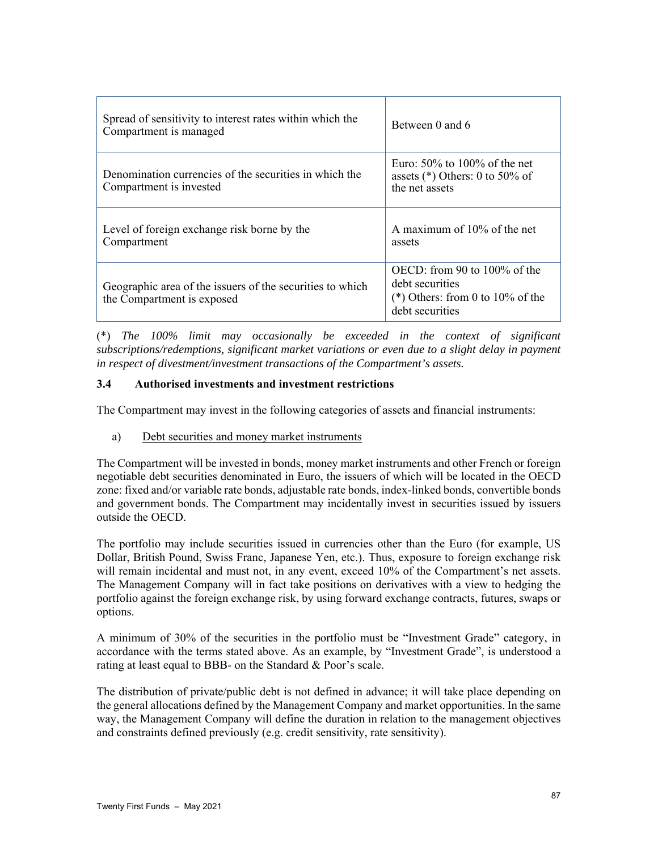| Spread of sensitivity to interest rates within which the<br>Compartment is managed      | Between 0 and 6                                                                                           |
|-----------------------------------------------------------------------------------------|-----------------------------------------------------------------------------------------------------------|
| Denomination currencies of the securities in which the<br>Compartment is invested       | Euro: $50\%$ to 100% of the net<br>assets $(*)$ Others: 0 to 50% of<br>the net assets                     |
| Level of foreign exchange risk borne by the<br>Compartment                              | A maximum of 10% of the net<br>assets                                                                     |
| Geographic area of the issuers of the securities to which<br>the Compartment is exposed | OECD: from 90 to 100% of the<br>debt securities<br>(*) Others: from 0 to $10\%$ of the<br>debt securities |

(\*) *The 100% limit may occasionally be exceeded in the context of significant subscriptions/redemptions, significant market variations or even due to a slight delay in payment in respect of divestment/investment transactions of the Compartment's assets.*

# **3.4 Authorised investments and investment restrictions**

The Compartment may invest in the following categories of assets and financial instruments:

a) Debt securities and money market instruments

The Compartment will be invested in bonds, money market instruments and other French or foreign negotiable debt securities denominated in Euro, the issuers of which will be located in the OECD zone: fixed and/or variable rate bonds, adjustable rate bonds, index-linked bonds, convertible bonds and government bonds. The Compartment may incidentally invest in securities issued by issuers outside the OECD.

The portfolio may include securities issued in currencies other than the Euro (for example, US Dollar, British Pound, Swiss Franc, Japanese Yen, etc.). Thus, exposure to foreign exchange risk will remain incidental and must not, in any event, exceed 10% of the Compartment's net assets. The Management Company will in fact take positions on derivatives with a view to hedging the portfolio against the foreign exchange risk, by using forward exchange contracts, futures, swaps or options.

A minimum of 30% of the securities in the portfolio must be "Investment Grade" category, in accordance with the terms stated above. As an example, by "Investment Grade", is understood a rating at least equal to BBB- on the Standard & Poor's scale.

The distribution of private/public debt is not defined in advance; it will take place depending on the general allocations defined by the Management Company and market opportunities. In the same way, the Management Company will define the duration in relation to the management objectives and constraints defined previously (e.g. credit sensitivity, rate sensitivity).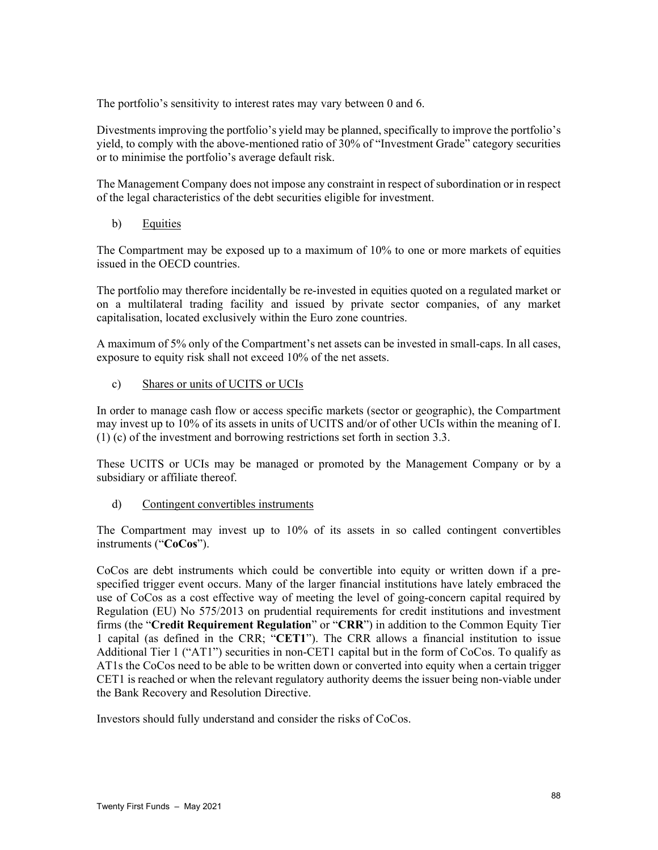The portfolio's sensitivity to interest rates may vary between 0 and 6.

Divestments improving the portfolio's yield may be planned, specifically to improve the portfolio's yield, to comply with the above-mentioned ratio of 30% of "Investment Grade" category securities or to minimise the portfolio's average default risk.

The Management Company does not impose any constraint in respect of subordination or in respect of the legal characteristics of the debt securities eligible for investment.

b) Equities

The Compartment may be exposed up to a maximum of 10% to one or more markets of equities issued in the OECD countries.

The portfolio may therefore incidentally be re-invested in equities quoted on a regulated market or on a multilateral trading facility and issued by private sector companies, of any market capitalisation, located exclusively within the Euro zone countries.

A maximum of 5% only of the Compartment's net assets can be invested in small-caps. In all cases, exposure to equity risk shall not exceed 10% of the net assets.

c) Shares or units of UCITS or UCIs

In order to manage cash flow or access specific markets (sector or geographic), the Compartment may invest up to 10% of its assets in units of UCITS and/or of other UCIs within the meaning of I. (1) (c) of the investment and borrowing restrictions set forth in section 3.3.

These UCITS or UCIs may be managed or promoted by the Management Company or by a subsidiary or affiliate thereof.

d) Contingent convertibles instruments

The Compartment may invest up to 10% of its assets in so called contingent convertibles instruments ("**CoCos**").

CoCos are debt instruments which could be convertible into equity or written down if a prespecified trigger event occurs. Many of the larger financial institutions have lately embraced the use of CoCos as a cost effective way of meeting the level of going-concern capital required by Regulation (EU) No 575/2013 on prudential requirements for credit institutions and investment firms (the "**Credit Requirement Regulation**" or "**CRR**") in addition to the Common Equity Tier 1 capital (as defined in the CRR; "**CET1**"). The CRR allows a financial institution to issue Additional Tier 1 ("AT1") securities in non-CET1 capital but in the form of CoCos. To qualify as AT1s the CoCos need to be able to be written down or converted into equity when a certain trigger CET1 is reached or when the relevant regulatory authority deems the issuer being non-viable under the Bank Recovery and Resolution Directive.

Investors should fully understand and consider the risks of CoCos.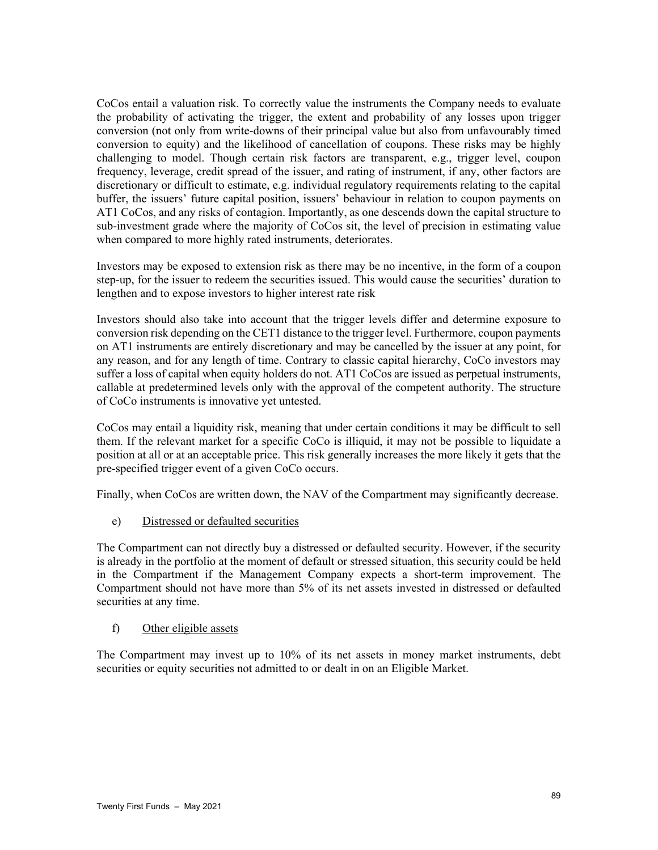CoCos entail a valuation risk. To correctly value the instruments the Company needs to evaluate the probability of activating the trigger, the extent and probability of any losses upon trigger conversion (not only from write-downs of their principal value but also from unfavourably timed conversion to equity) and the likelihood of cancellation of coupons. These risks may be highly challenging to model. Though certain risk factors are transparent, e.g., trigger level, coupon frequency, leverage, credit spread of the issuer, and rating of instrument, if any, other factors are discretionary or difficult to estimate, e.g. individual regulatory requirements relating to the capital buffer, the issuers' future capital position, issuers' behaviour in relation to coupon payments on AT1 CoCos, and any risks of contagion. Importantly, as one descends down the capital structure to sub-investment grade where the majority of CoCos sit, the level of precision in estimating value when compared to more highly rated instruments, deteriorates.

Investors may be exposed to extension risk as there may be no incentive, in the form of a coupon step-up, for the issuer to redeem the securities issued. This would cause the securities' duration to lengthen and to expose investors to higher interest rate risk

Investors should also take into account that the trigger levels differ and determine exposure to conversion risk depending on the CET1 distance to the trigger level. Furthermore, coupon payments on AT1 instruments are entirely discretionary and may be cancelled by the issuer at any point, for any reason, and for any length of time. Contrary to classic capital hierarchy, CoCo investors may suffer a loss of capital when equity holders do not. AT1 CoCos are issued as perpetual instruments, callable at predetermined levels only with the approval of the competent authority. The structure of CoCo instruments is innovative yet untested.

CoCos may entail a liquidity risk, meaning that under certain conditions it may be difficult to sell them. If the relevant market for a specific CoCo is illiquid, it may not be possible to liquidate a position at all or at an acceptable price. This risk generally increases the more likely it gets that the pre-specified trigger event of a given CoCo occurs.

Finally, when CoCos are written down, the NAV of the Compartment may significantly decrease.

e) Distressed or defaulted securities

The Compartment can not directly buy a distressed or defaulted security. However, if the security is already in the portfolio at the moment of default or stressed situation, this security could be held in the Compartment if the Management Company expects a short-term improvement. The Compartment should not have more than 5% of its net assets invested in distressed or defaulted securities at any time.

## f) Other eligible assets

The Compartment may invest up to 10% of its net assets in money market instruments, debt securities or equity securities not admitted to or dealt in on an Eligible Market.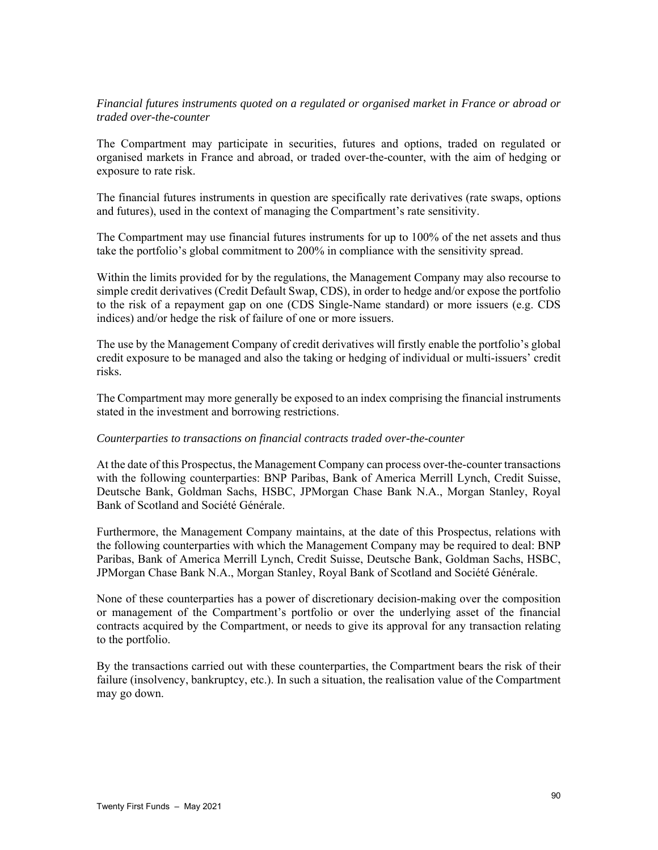## *Financial futures instruments quoted on a regulated or organised market in France or abroad or traded over-the-counter*

The Compartment may participate in securities, futures and options, traded on regulated or organised markets in France and abroad, or traded over-the-counter, with the aim of hedging or exposure to rate risk.

The financial futures instruments in question are specifically rate derivatives (rate swaps, options and futures), used in the context of managing the Compartment's rate sensitivity.

The Compartment may use financial futures instruments for up to 100% of the net assets and thus take the portfolio's global commitment to 200% in compliance with the sensitivity spread.

Within the limits provided for by the regulations, the Management Company may also recourse to simple credit derivatives (Credit Default Swap, CDS), in order to hedge and/or expose the portfolio to the risk of a repayment gap on one (CDS Single-Name standard) or more issuers (e.g. CDS indices) and/or hedge the risk of failure of one or more issuers.

The use by the Management Company of credit derivatives will firstly enable the portfolio's global credit exposure to be managed and also the taking or hedging of individual or multi-issuers' credit risks.

The Compartment may more generally be exposed to an index comprising the financial instruments stated in the investment and borrowing restrictions.

#### *Counterparties to transactions on financial contracts traded over-the-counter*

At the date of this Prospectus, the Management Company can process over-the-counter transactions with the following counterparties: BNP Paribas, Bank of America Merrill Lynch, Credit Suisse, Deutsche Bank, Goldman Sachs, HSBC, JPMorgan Chase Bank N.A., Morgan Stanley, Royal Bank of Scotland and Société Générale.

Furthermore, the Management Company maintains, at the date of this Prospectus, relations with the following counterparties with which the Management Company may be required to deal: BNP Paribas, Bank of America Merrill Lynch, Credit Suisse, Deutsche Bank, Goldman Sachs, HSBC, JPMorgan Chase Bank N.A., Morgan Stanley, Royal Bank of Scotland and Société Générale.

None of these counterparties has a power of discretionary decision-making over the composition or management of the Compartment's portfolio or over the underlying asset of the financial contracts acquired by the Compartment, or needs to give its approval for any transaction relating to the portfolio.

By the transactions carried out with these counterparties, the Compartment bears the risk of their failure (insolvency, bankruptcy, etc.). In such a situation, the realisation value of the Compartment may go down.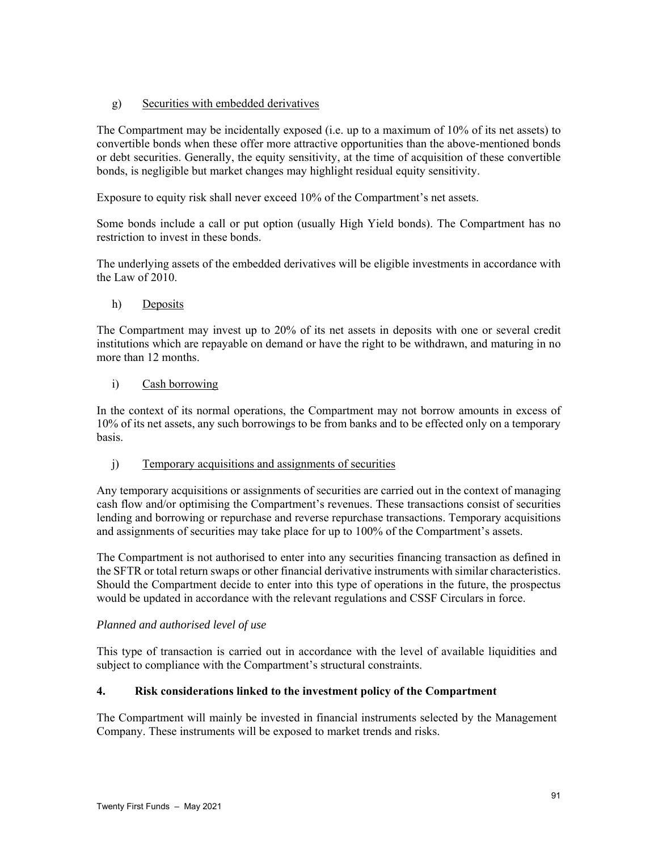# g) Securities with embedded derivatives

The Compartment may be incidentally exposed (i.e. up to a maximum of 10% of its net assets) to convertible bonds when these offer more attractive opportunities than the above-mentioned bonds or debt securities. Generally, the equity sensitivity, at the time of acquisition of these convertible bonds, is negligible but market changes may highlight residual equity sensitivity.

Exposure to equity risk shall never exceed 10% of the Compartment's net assets.

Some bonds include a call or put option (usually High Yield bonds). The Compartment has no restriction to invest in these bonds.

The underlying assets of the embedded derivatives will be eligible investments in accordance with the Law of 2010.

## h) Deposits

The Compartment may invest up to 20% of its net assets in deposits with one or several credit institutions which are repayable on demand or have the right to be withdrawn, and maturing in no more than 12 months.

## i) Cash borrowing

In the context of its normal operations, the Compartment may not borrow amounts in excess of 10% of its net assets, any such borrowings to be from banks and to be effected only on a temporary basis.

## j) Temporary acquisitions and assignments of securities

Any temporary acquisitions or assignments of securities are carried out in the context of managing cash flow and/or optimising the Compartment's revenues. These transactions consist of securities lending and borrowing or repurchase and reverse repurchase transactions. Temporary acquisitions and assignments of securities may take place for up to 100% of the Compartment's assets.

The Compartment is not authorised to enter into any securities financing transaction as defined in the SFTR or total return swaps or other financial derivative instruments with similar characteristics. Should the Compartment decide to enter into this type of operations in the future, the prospectus would be updated in accordance with the relevant regulations and CSSF Circulars in force.

## *Planned and authorised level of use*

This type of transaction is carried out in accordance with the level of available liquidities and subject to compliance with the Compartment's structural constraints.

## **4. Risk considerations linked to the investment policy of the Compartment**

The Compartment will mainly be invested in financial instruments selected by the Management Company. These instruments will be exposed to market trends and risks.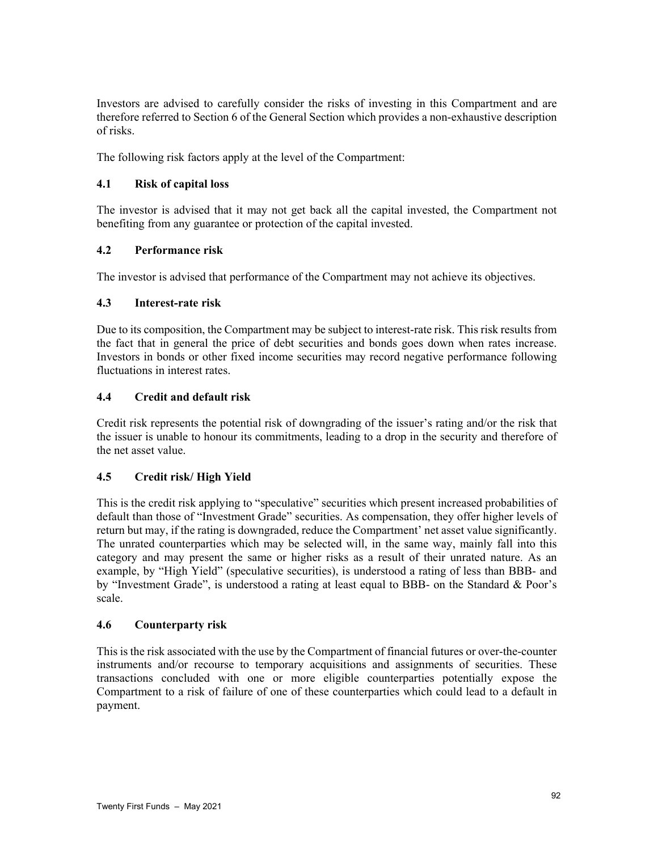Investors are advised to carefully consider the risks of investing in this Compartment and are therefore referred to Section 6 of the General Section which provides a non-exhaustive description of risks.

The following risk factors apply at the level of the Compartment:

# **4.1 Risk of capital loss**

The investor is advised that it may not get back all the capital invested, the Compartment not benefiting from any guarantee or protection of the capital invested.

# **4.2 Performance risk**

The investor is advised that performance of the Compartment may not achieve its objectives.

# **4.3 Interest-rate risk**

Due to its composition, the Compartment may be subject to interest-rate risk. This risk results from the fact that in general the price of debt securities and bonds goes down when rates increase. Investors in bonds or other fixed income securities may record negative performance following fluctuations in interest rates.

# **4.4 Credit and default risk**

Credit risk represents the potential risk of downgrading of the issuer's rating and/or the risk that the issuer is unable to honour its commitments, leading to a drop in the security and therefore of the net asset value.

# **4.5 Credit risk/ High Yield**

This is the credit risk applying to "speculative" securities which present increased probabilities of default than those of "Investment Grade" securities. As compensation, they offer higher levels of return but may, if the rating is downgraded, reduce the Compartment' net asset value significantly. The unrated counterparties which may be selected will, in the same way, mainly fall into this category and may present the same or higher risks as a result of their unrated nature. As an example, by "High Yield" (speculative securities), is understood a rating of less than BBB- and by "Investment Grade", is understood a rating at least equal to BBB- on the Standard & Poor's scale.

## **4.6 Counterparty risk**

This is the risk associated with the use by the Compartment of financial futures or over-the-counter instruments and/or recourse to temporary acquisitions and assignments of securities. These transactions concluded with one or more eligible counterparties potentially expose the Compartment to a risk of failure of one of these counterparties which could lead to a default in payment.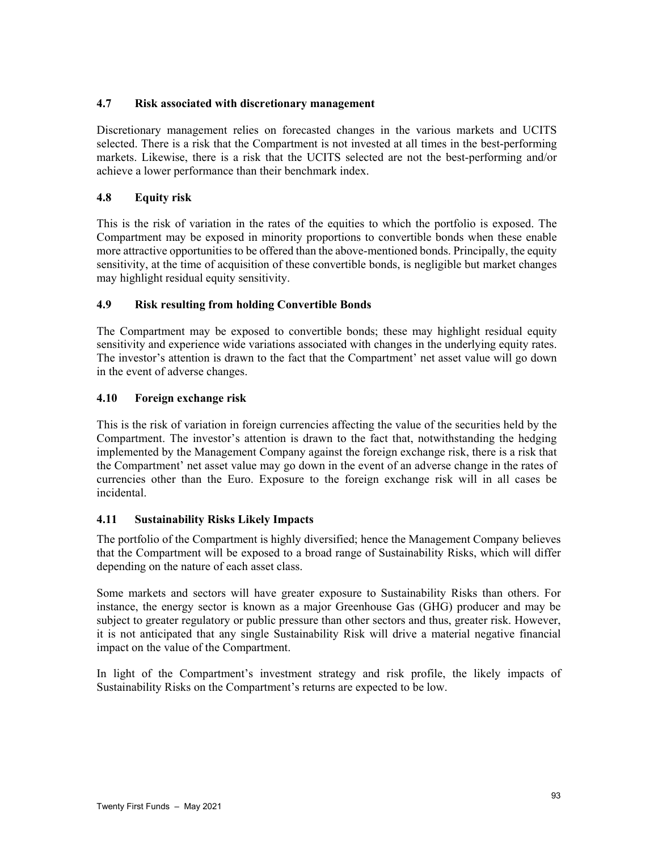# **4.7 Risk associated with discretionary management**

Discretionary management relies on forecasted changes in the various markets and UCITS selected. There is a risk that the Compartment is not invested at all times in the best-performing markets. Likewise, there is a risk that the UCITS selected are not the best-performing and/or achieve a lower performance than their benchmark index.

# **4.8 Equity risk**

This is the risk of variation in the rates of the equities to which the portfolio is exposed. The Compartment may be exposed in minority proportions to convertible bonds when these enable more attractive opportunities to be offered than the above-mentioned bonds. Principally, the equity sensitivity, at the time of acquisition of these convertible bonds, is negligible but market changes may highlight residual equity sensitivity.

# **4.9 Risk resulting from holding Convertible Bonds**

The Compartment may be exposed to convertible bonds; these may highlight residual equity sensitivity and experience wide variations associated with changes in the underlying equity rates. The investor's attention is drawn to the fact that the Compartment' net asset value will go down in the event of adverse changes.

# **4.10 Foreign exchange risk**

This is the risk of variation in foreign currencies affecting the value of the securities held by the Compartment. The investor's attention is drawn to the fact that, notwithstanding the hedging implemented by the Management Company against the foreign exchange risk, there is a risk that the Compartment' net asset value may go down in the event of an adverse change in the rates of currencies other than the Euro. Exposure to the foreign exchange risk will in all cases be incidental.

# **4.11 Sustainability Risks Likely Impacts**

The portfolio of the Compartment is highly diversified; hence the Management Company believes that the Compartment will be exposed to a broad range of Sustainability Risks, which will differ depending on the nature of each asset class.

Some markets and sectors will have greater exposure to Sustainability Risks than others. For instance, the energy sector is known as a major Greenhouse Gas (GHG) producer and may be subject to greater regulatory or public pressure than other sectors and thus, greater risk. However, it is not anticipated that any single Sustainability Risk will drive a material negative financial impact on the value of the Compartment.

In light of the Compartment's investment strategy and risk profile, the likely impacts of Sustainability Risks on the Compartment's returns are expected to be low.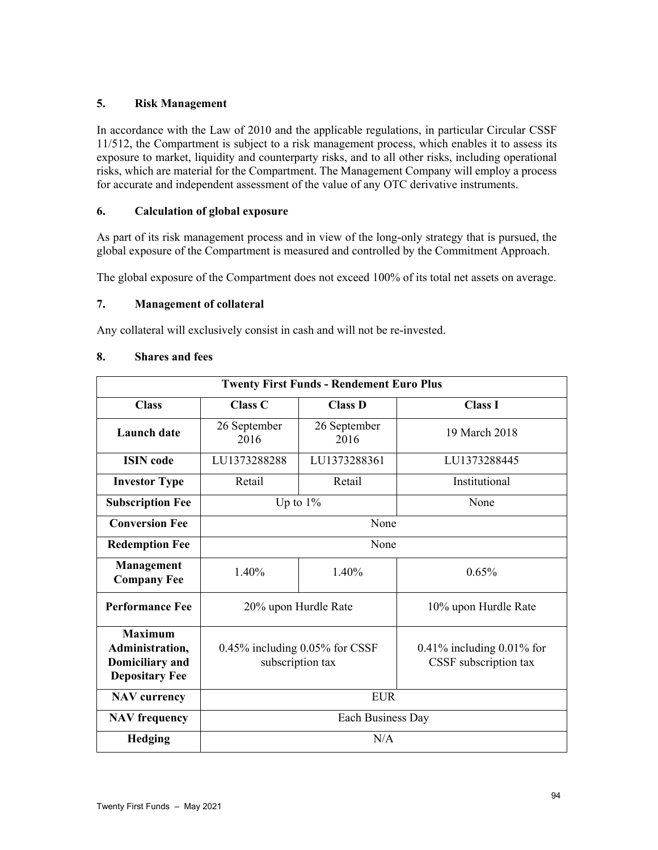## **5. Risk Management**

In accordance with the Law of 2010 and the applicable regulations, in particular Circular CSSF 11/512, the Compartment is subject to a risk management process, which enables it to assess its exposure to market, liquidity and counterparty risks, and to all other risks, including operational risks, which are material for the Compartment. The Management Company will employ a process for accurate and independent assessment of the value of any OTC derivative instruments.

# **6. Calculation of global exposure**

As part of its risk management process and in view of the long-only strategy that is pursued, the global exposure of the Compartment is measured and controlled by the Commitment Approach.

The global exposure of the Compartment does not exceed 100% of its total net assets on average.

# **7. Management of collateral**

Any collateral will exclusively consist in cash and will not be re-invested.

# **8. Shares and fees**

| <b>Twenty First Funds - Rendement Euro Plus</b>                                      |                                                          |                      |                                                          |  |
|--------------------------------------------------------------------------------------|----------------------------------------------------------|----------------------|----------------------------------------------------------|--|
| <b>Class</b>                                                                         | Class <sub>C</sub>                                       | <b>Class D</b>       | <b>Class I</b>                                           |  |
| <b>Launch</b> date                                                                   | 26 September<br>2016                                     | 26 September<br>2016 | 19 March 2018                                            |  |
| <b>ISIN</b> code                                                                     | LU1373288288                                             | LU1373288361         | LU1373288445                                             |  |
| <b>Investor Type</b>                                                                 | Retail                                                   | Retail               | Institutional                                            |  |
| <b>Subscription Fee</b>                                                              | Up to $1\%$                                              |                      | None                                                     |  |
| <b>Conversion Fee</b>                                                                | None                                                     |                      |                                                          |  |
| <b>Redemption Fee</b>                                                                | None                                                     |                      |                                                          |  |
| <b>Management</b><br><b>Company Fee</b>                                              | 1.40%                                                    | 1.40%                | 0.65%                                                    |  |
| <b>Performance Fee</b>                                                               | 20% upon Hurdle Rate                                     |                      | 10% upon Hurdle Rate                                     |  |
| <b>Maximum</b><br>Administration,<br><b>Domiciliary</b> and<br><b>Depositary Fee</b> | $0.45\%$ including $0.05\%$ for CSSF<br>subscription tax |                      | $0.41\%$ including $0.01\%$ for<br>CSSF subscription tax |  |
| <b>NAV</b> currency                                                                  | <b>EUR</b>                                               |                      |                                                          |  |
| <b>NAV</b> frequency                                                                 | Each Business Day                                        |                      |                                                          |  |
| <b>Hedging</b>                                                                       | N/A                                                      |                      |                                                          |  |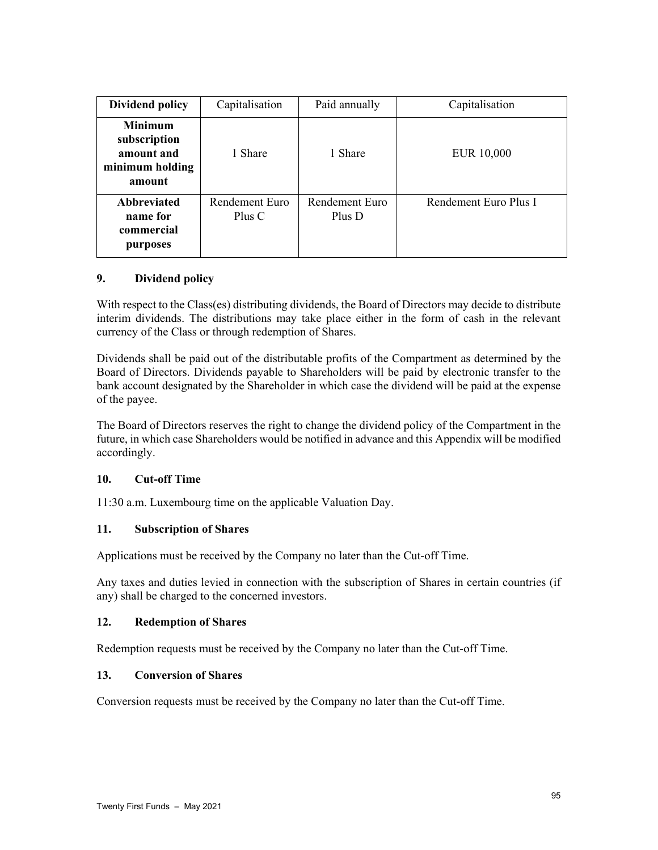| <b>Dividend policy</b>                                                    | Capitalisation           | Paid annually            | Capitalisation        |
|---------------------------------------------------------------------------|--------------------------|--------------------------|-----------------------|
| <b>Minimum</b><br>subscription<br>amount and<br>minimum holding<br>amount | 1 Share                  | 1 Share                  | EUR 10,000            |
| <b>Abbreviated</b><br>name for<br>commercial<br>purposes                  | Rendement Euro<br>Plus C | Rendement Euro<br>Plus D | Rendement Euro Plus I |

# **9. Dividend policy**

With respect to the Class(es) distributing dividends, the Board of Directors may decide to distribute interim dividends. The distributions may take place either in the form of cash in the relevant currency of the Class or through redemption of Shares.

Dividends shall be paid out of the distributable profits of the Compartment as determined by the Board of Directors. Dividends payable to Shareholders will be paid by electronic transfer to the bank account designated by the Shareholder in which case the dividend will be paid at the expense of the payee.

The Board of Directors reserves the right to change the dividend policy of the Compartment in the future, in which case Shareholders would be notified in advance and this Appendix will be modified accordingly.

## **10. Cut-off Time**

11:30 a.m. Luxembourg time on the applicable Valuation Day.

## **11. Subscription of Shares**

Applications must be received by the Company no later than the Cut-off Time.

Any taxes and duties levied in connection with the subscription of Shares in certain countries (if any) shall be charged to the concerned investors.

## **12. Redemption of Shares**

Redemption requests must be received by the Company no later than the Cut-off Time.

## **13. Conversion of Shares**

Conversion requests must be received by the Company no later than the Cut-off Time.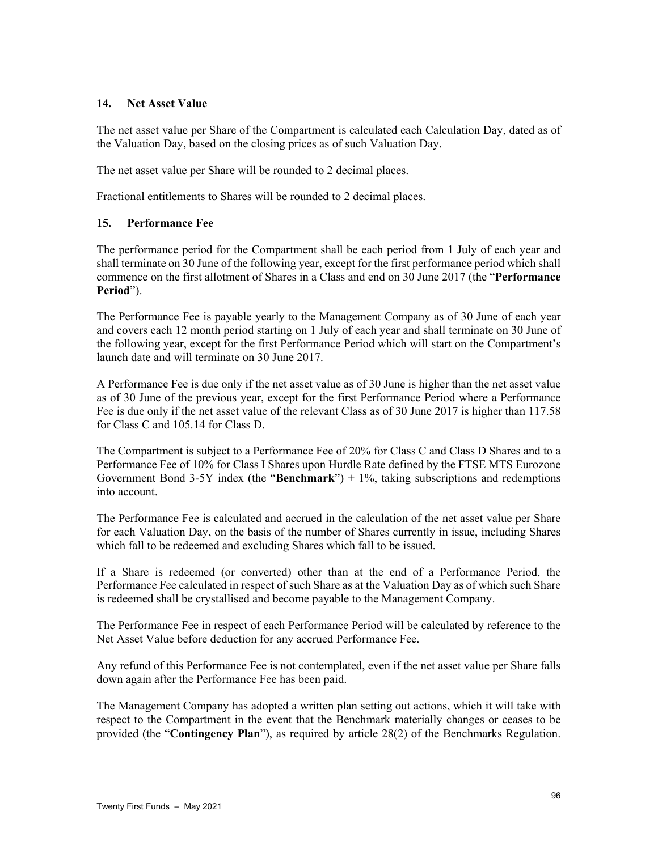### **14. Net Asset Value**

The net asset value per Share of the Compartment is calculated each Calculation Day, dated as of the Valuation Day, based on the closing prices as of such Valuation Day.

The net asset value per Share will be rounded to 2 decimal places.

Fractional entitlements to Shares will be rounded to 2 decimal places.

## **15. Performance Fee**

The performance period for the Compartment shall be each period from 1 July of each year and shall terminate on 30 June of the following year, except for the first performance period which shall commence on the first allotment of Shares in a Class and end on 30 June 2017 (the "**Performance Period**").

The Performance Fee is payable yearly to the Management Company as of 30 June of each year and covers each 12 month period starting on 1 July of each year and shall terminate on 30 June of the following year, except for the first Performance Period which will start on the Compartment's launch date and will terminate on 30 June 2017.

A Performance Fee is due only if the net asset value as of 30 June is higher than the net asset value as of 30 June of the previous year, except for the first Performance Period where a Performance Fee is due only if the net asset value of the relevant Class as of 30 June 2017 is higher than 117.58 for Class C and 105.14 for Class D.

The Compartment is subject to a Performance Fee of 20% for Class C and Class D Shares and to a Performance Fee of 10% for Class I Shares upon Hurdle Rate defined by the FTSE MTS Eurozone Government Bond 3-5Y index (the "**Benchmark**") + 1%, taking subscriptions and redemptions into account.

The Performance Fee is calculated and accrued in the calculation of the net asset value per Share for each Valuation Day, on the basis of the number of Shares currently in issue, including Shares which fall to be redeemed and excluding Shares which fall to be issued.

If a Share is redeemed (or converted) other than at the end of a Performance Period, the Performance Fee calculated in respect of such Share as at the Valuation Day as of which such Share is redeemed shall be crystallised and become payable to the Management Company.

The Performance Fee in respect of each Performance Period will be calculated by reference to the Net Asset Value before deduction for any accrued Performance Fee.

Any refund of this Performance Fee is not contemplated, even if the net asset value per Share falls down again after the Performance Fee has been paid.

The Management Company has adopted a written plan setting out actions, which it will take with respect to the Compartment in the event that the Benchmark materially changes or ceases to be provided (the "**Contingency Plan**"), as required by article 28(2) of the Benchmarks Regulation.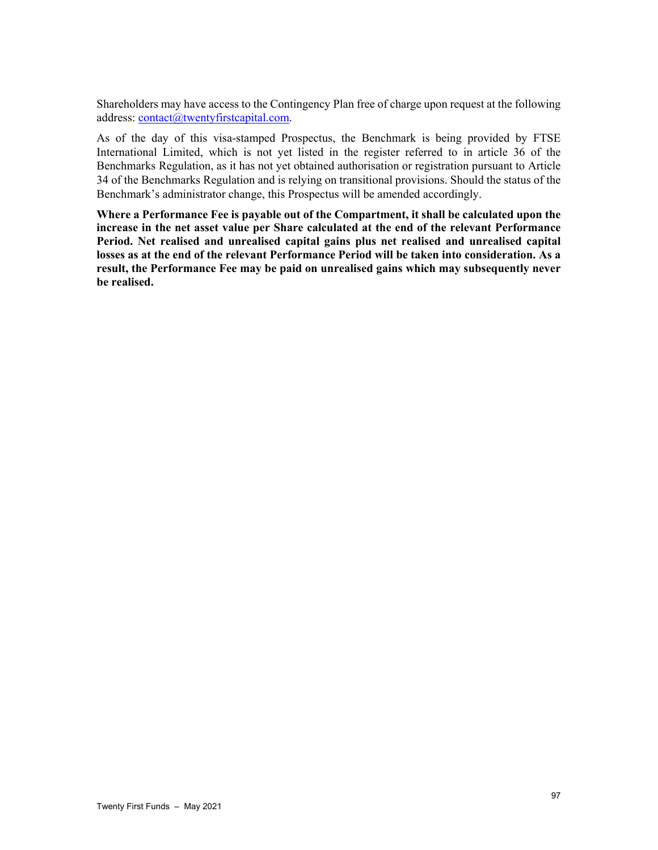Shareholders may have access to the Contingency Plan free of charge upon request at the following address: contact@twentyfirstcapital.com.

As of the day of this visa-stamped Prospectus, the Benchmark is being provided by FTSE International Limited, which is not yet listed in the register referred to in article 36 of the Benchmarks Regulation, as it has not yet obtained authorisation or registration pursuant to Article 34 of the Benchmarks Regulation and is relying on transitional provisions. Should the status of the Benchmark's administrator change, this Prospectus will be amended accordingly.

**Where a Performance Fee is payable out of the Compartment, it shall be calculated upon the increase in the net asset value per Share calculated at the end of the relevant Performance Period. Net realised and unrealised capital gains plus net realised and unrealised capital losses as at the end of the relevant Performance Period will be taken into consideration. As a result, the Performance Fee may be paid on unrealised gains which may subsequently never be realised.**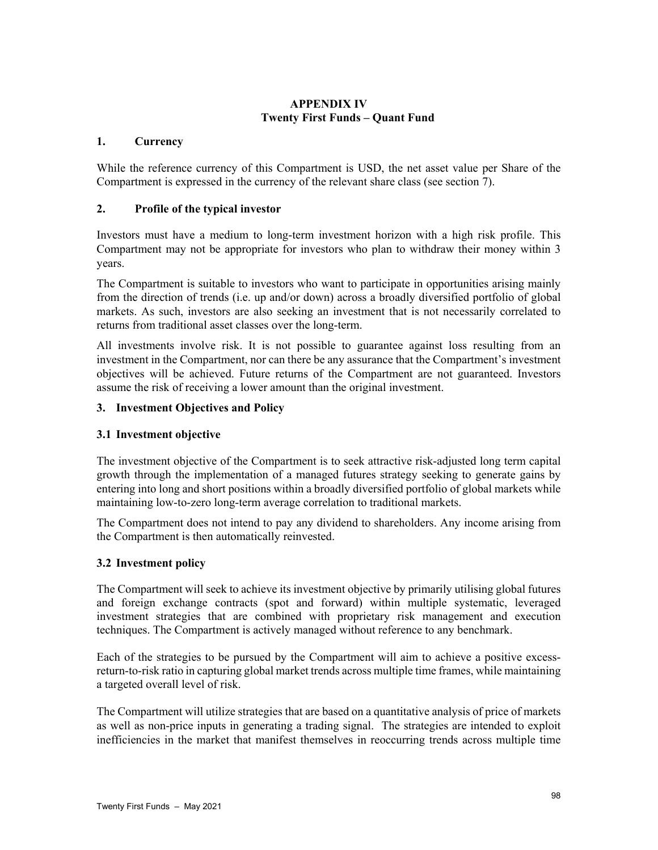# **APPENDIX IV Twenty First Funds – Quant Fund**

## **1. Currency**

While the reference currency of this Compartment is USD, the net asset value per Share of the Compartment is expressed in the currency of the relevant share class (see section 7).

### **2. Profile of the typical investor**

Investors must have a medium to long-term investment horizon with a high risk profile. This Compartment may not be appropriate for investors who plan to withdraw their money within 3 years.

The Compartment is suitable to investors who want to participate in opportunities arising mainly from the direction of trends (i.e. up and/or down) across a broadly diversified portfolio of global markets. As such, investors are also seeking an investment that is not necessarily correlated to returns from traditional asset classes over the long-term.

All investments involve risk. It is not possible to guarantee against loss resulting from an investment in the Compartment, nor can there be any assurance that the Compartment's investment objectives will be achieved. Future returns of the Compartment are not guaranteed. Investors assume the risk of receiving a lower amount than the original investment.

## **3. Investment Objectives and Policy**

## **3.1 Investment objective**

The investment objective of the Compartment is to seek attractive risk-adjusted long term capital growth through the implementation of a managed futures strategy seeking to generate gains by entering into long and short positions within a broadly diversified portfolio of global markets while maintaining low-to-zero long-term average correlation to traditional markets.

The Compartment does not intend to pay any dividend to shareholders. Any income arising from the Compartment is then automatically reinvested.

## **3.2 Investment policy**

The Compartment will seek to achieve its investment objective by primarily utilising global futures and foreign exchange contracts (spot and forward) within multiple systematic, leveraged investment strategies that are combined with proprietary risk management and execution techniques. The Compartment is actively managed without reference to any benchmark.

Each of the strategies to be pursued by the Compartment will aim to achieve a positive excessreturn-to-risk ratio in capturing global market trends across multiple time frames, while maintaining a targeted overall level of risk.

The Compartment will utilize strategies that are based on a quantitative analysis of price of markets as well as non-price inputs in generating a trading signal. The strategies are intended to exploit inefficiencies in the market that manifest themselves in reoccurring trends across multiple time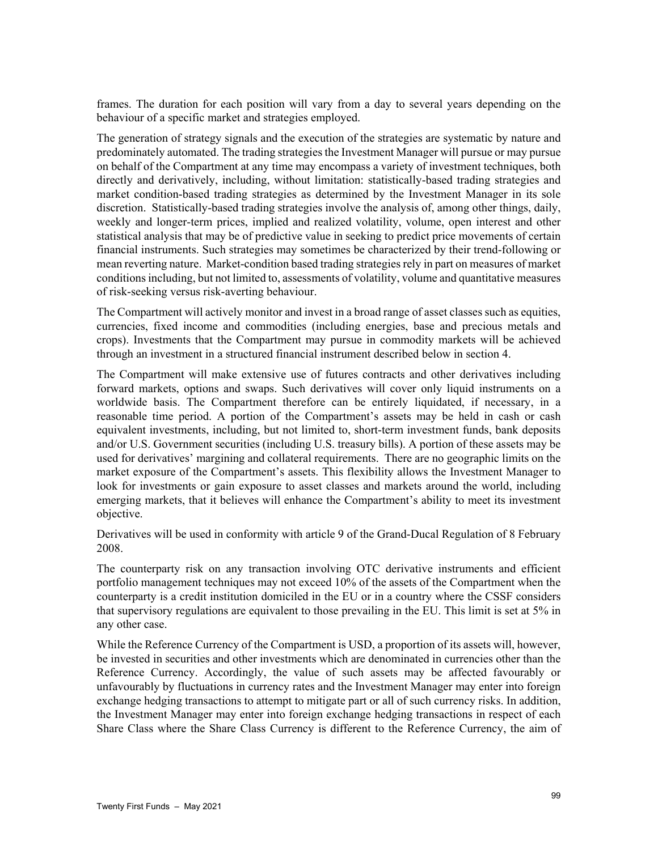frames. The duration for each position will vary from a day to several years depending on the behaviour of a specific market and strategies employed.

The generation of strategy signals and the execution of the strategies are systematic by nature and predominately automated. The trading strategies the Investment Manager will pursue or may pursue on behalf of the Compartment at any time may encompass a variety of investment techniques, both directly and derivatively, including, without limitation: statistically-based trading strategies and market condition-based trading strategies as determined by the Investment Manager in its sole discretion. Statistically-based trading strategies involve the analysis of, among other things, daily, weekly and longer-term prices, implied and realized volatility, volume, open interest and other statistical analysis that may be of predictive value in seeking to predict price movements of certain financial instruments. Such strategies may sometimes be characterized by their trend-following or mean reverting nature. Market-condition based trading strategies rely in part on measures of market conditions including, but not limited to, assessments of volatility, volume and quantitative measures of risk-seeking versus risk-averting behaviour.

The Compartment will actively monitor and invest in a broad range of asset classes such as equities, currencies, fixed income and commodities (including energies, base and precious metals and crops). Investments that the Compartment may pursue in commodity markets will be achieved through an investment in a structured financial instrument described below in section 4.

The Compartment will make extensive use of futures contracts and other derivatives including forward markets, options and swaps. Such derivatives will cover only liquid instruments on a worldwide basis. The Compartment therefore can be entirely liquidated, if necessary, in a reasonable time period. A portion of the Compartment's assets may be held in cash or cash equivalent investments, including, but not limited to, short-term investment funds, bank deposits and/or U.S. Government securities (including U.S. treasury bills). A portion of these assets may be used for derivatives' margining and collateral requirements. There are no geographic limits on the market exposure of the Compartment's assets. This flexibility allows the Investment Manager to look for investments or gain exposure to asset classes and markets around the world, including emerging markets, that it believes will enhance the Compartment's ability to meet its investment objective.

Derivatives will be used in conformity with article 9 of the Grand-Ducal Regulation of 8 February 2008.

The counterparty risk on any transaction involving OTC derivative instruments and efficient portfolio management techniques may not exceed 10% of the assets of the Compartment when the counterparty is a credit institution domiciled in the EU or in a country where the CSSF considers that supervisory regulations are equivalent to those prevailing in the EU. This limit is set at 5% in any other case.

While the Reference Currency of the Compartment is USD, a proportion of its assets will, however, be invested in securities and other investments which are denominated in currencies other than the Reference Currency. Accordingly, the value of such assets may be affected favourably or unfavourably by fluctuations in currency rates and the Investment Manager may enter into foreign exchange hedging transactions to attempt to mitigate part or all of such currency risks. In addition, the Investment Manager may enter into foreign exchange hedging transactions in respect of each Share Class where the Share Class Currency is different to the Reference Currency, the aim of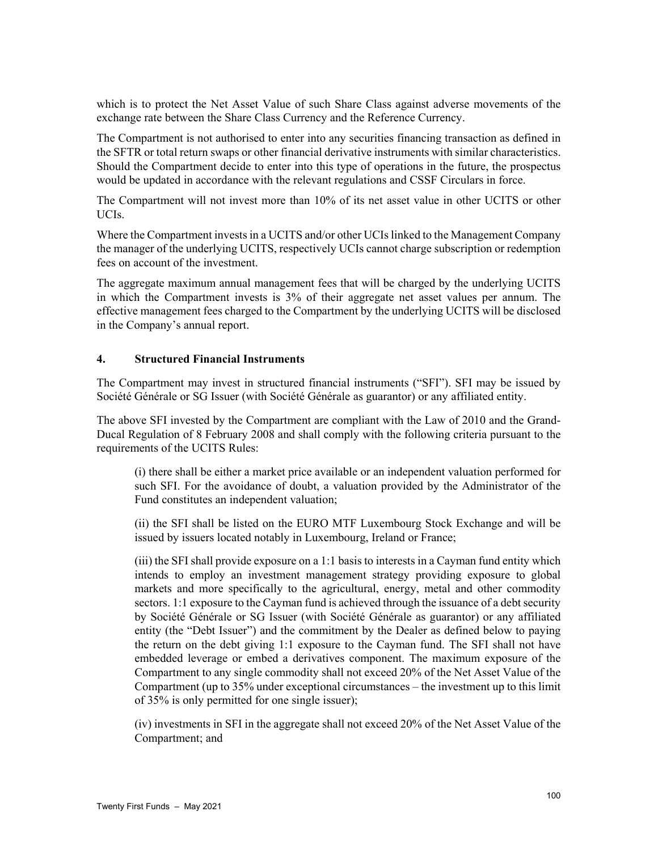which is to protect the Net Asset Value of such Share Class against adverse movements of the exchange rate between the Share Class Currency and the Reference Currency.

The Compartment is not authorised to enter into any securities financing transaction as defined in the SFTR or total return swaps or other financial derivative instruments with similar characteristics. Should the Compartment decide to enter into this type of operations in the future, the prospectus would be updated in accordance with the relevant regulations and CSSF Circulars in force.

The Compartment will not invest more than 10% of its net asset value in other UCITS or other UCIs.

Where the Compartment invests in a UCITS and/or other UCIs linked to the Management Company the manager of the underlying UCITS, respectively UCIs cannot charge subscription or redemption fees on account of the investment.

The aggregate maximum annual management fees that will be charged by the underlying UCITS in which the Compartment invests is 3% of their aggregate net asset values per annum. The effective management fees charged to the Compartment by the underlying UCITS will be disclosed in the Company's annual report.

### **4. Structured Financial Instruments**

The Compartment may invest in structured financial instruments ("SFI"). SFI may be issued by Société Générale or SG Issuer (with Société Générale as guarantor) or any affiliated entity.

The above SFI invested by the Compartment are compliant with the Law of 2010 and the Grand-Ducal Regulation of 8 February 2008 and shall comply with the following criteria pursuant to the requirements of the UCITS Rules:

(i) there shall be either a market price available or an independent valuation performed for such SFI. For the avoidance of doubt, a valuation provided by the Administrator of the Fund constitutes an independent valuation;

(ii) the SFI shall be listed on the EURO MTF Luxembourg Stock Exchange and will be issued by issuers located notably in Luxembourg, Ireland or France;

(iii) the SFI shall provide exposure on a 1:1 basis to interests in a Cayman fund entity which intends to employ an investment management strategy providing exposure to global markets and more specifically to the agricultural, energy, metal and other commodity sectors. 1:1 exposure to the Cayman fund is achieved through the issuance of a debt security by Société Générale or SG Issuer (with Société Générale as guarantor) or any affiliated entity (the "Debt Issuer") and the commitment by the Dealer as defined below to paying the return on the debt giving 1:1 exposure to the Cayman fund. The SFI shall not have embedded leverage or embed a derivatives component. The maximum exposure of the Compartment to any single commodity shall not exceed 20% of the Net Asset Value of the Compartment (up to 35% under exceptional circumstances – the investment up to this limit of 35% is only permitted for one single issuer);

(iv) investments in SFI in the aggregate shall not exceed 20% of the Net Asset Value of the Compartment; and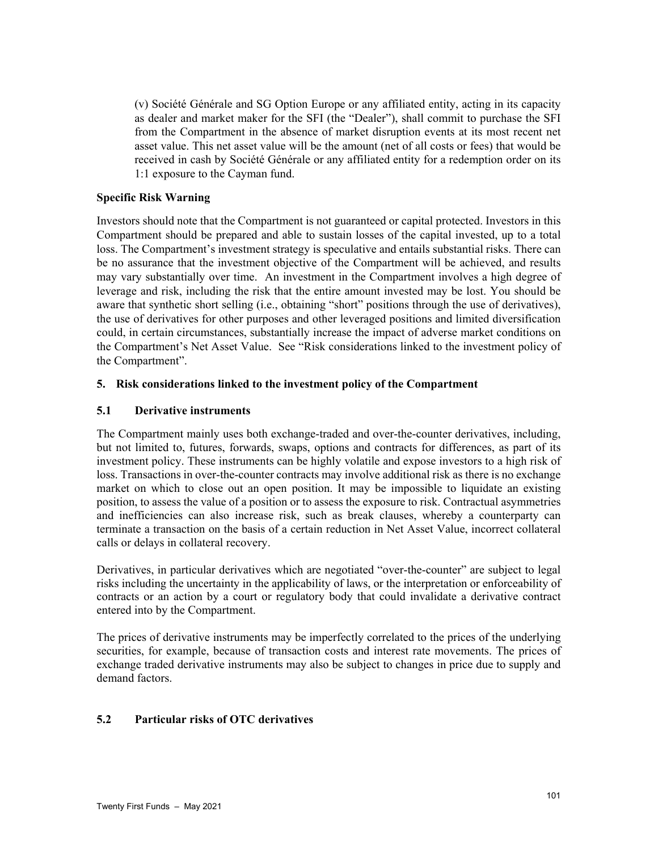(v) Société Générale and SG Option Europe or any affiliated entity, acting in its capacity as dealer and market maker for the SFI (the "Dealer"), shall commit to purchase the SFI from the Compartment in the absence of market disruption events at its most recent net asset value. This net asset value will be the amount (net of all costs or fees) that would be received in cash by Société Générale or any affiliated entity for a redemption order on its 1:1 exposure to the Cayman fund.

### **Specific Risk Warning**

Investors should note that the Compartment is not guaranteed or capital protected. Investors in this Compartment should be prepared and able to sustain losses of the capital invested, up to a total loss. The Compartment's investment strategy is speculative and entails substantial risks. There can be no assurance that the investment objective of the Compartment will be achieved, and results may vary substantially over time. An investment in the Compartment involves a high degree of leverage and risk, including the risk that the entire amount invested may be lost. You should be aware that synthetic short selling (i.e., obtaining "short" positions through the use of derivatives), the use of derivatives for other purposes and other leveraged positions and limited diversification could, in certain circumstances, substantially increase the impact of adverse market conditions on the Compartment's Net Asset Value. See "Risk considerations linked to the investment policy of the Compartment".

## **5. Risk considerations linked to the investment policy of the Compartment**

## **5.1 Derivative instruments**

The Compartment mainly uses both exchange-traded and over-the-counter derivatives, including, but not limited to, futures, forwards, swaps, options and contracts for differences, as part of its investment policy. These instruments can be highly volatile and expose investors to a high risk of loss. Transactions in over-the-counter contracts may involve additional risk as there is no exchange market on which to close out an open position. It may be impossible to liquidate an existing position, to assess the value of a position or to assess the exposure to risk. Contractual asymmetries and inefficiencies can also increase risk, such as break clauses, whereby a counterparty can terminate a transaction on the basis of a certain reduction in Net Asset Value, incorrect collateral calls or delays in collateral recovery.

Derivatives, in particular derivatives which are negotiated "over-the-counter" are subject to legal risks including the uncertainty in the applicability of laws, or the interpretation or enforceability of contracts or an action by a court or regulatory body that could invalidate a derivative contract entered into by the Compartment.

The prices of derivative instruments may be imperfectly correlated to the prices of the underlying securities, for example, because of transaction costs and interest rate movements. The prices of exchange traded derivative instruments may also be subject to changes in price due to supply and demand factors.

#### **5.2 Particular risks of OTC derivatives**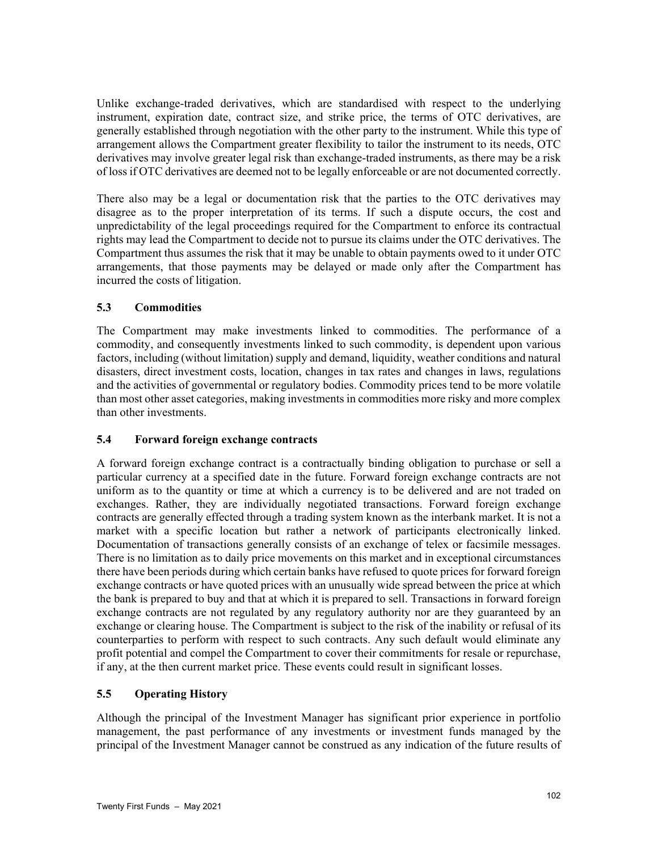Unlike exchange-traded derivatives, which are standardised with respect to the underlying instrument, expiration date, contract size, and strike price, the terms of OTC derivatives, are generally established through negotiation with the other party to the instrument. While this type of arrangement allows the Compartment greater flexibility to tailor the instrument to its needs, OTC derivatives may involve greater legal risk than exchange-traded instruments, as there may be a risk of loss if OTC derivatives are deemed not to be legally enforceable or are not documented correctly.

There also may be a legal or documentation risk that the parties to the OTC derivatives may disagree as to the proper interpretation of its terms. If such a dispute occurs, the cost and unpredictability of the legal proceedings required for the Compartment to enforce its contractual rights may lead the Compartment to decide not to pursue its claims under the OTC derivatives. The Compartment thus assumes the risk that it may be unable to obtain payments owed to it under OTC arrangements, that those payments may be delayed or made only after the Compartment has incurred the costs of litigation.

# **5.3 Commodities**

The Compartment may make investments linked to commodities. The performance of a commodity, and consequently investments linked to such commodity, is dependent upon various factors, including (without limitation) supply and demand, liquidity, weather conditions and natural disasters, direct investment costs, location, changes in tax rates and changes in laws, regulations and the activities of governmental or regulatory bodies. Commodity prices tend to be more volatile than most other asset categories, making investments in commodities more risky and more complex than other investments.

## **5.4 Forward foreign exchange contracts**

A forward foreign exchange contract is a contractually binding obligation to purchase or sell a particular currency at a specified date in the future. Forward foreign exchange contracts are not uniform as to the quantity or time at which a currency is to be delivered and are not traded on exchanges. Rather, they are individually negotiated transactions. Forward foreign exchange contracts are generally effected through a trading system known as the interbank market. It is not a market with a specific location but rather a network of participants electronically linked. Documentation of transactions generally consists of an exchange of telex or facsimile messages. There is no limitation as to daily price movements on this market and in exceptional circumstances there have been periods during which certain banks have refused to quote prices for forward foreign exchange contracts or have quoted prices with an unusually wide spread between the price at which the bank is prepared to buy and that at which it is prepared to sell. Transactions in forward foreign exchange contracts are not regulated by any regulatory authority nor are they guaranteed by an exchange or clearing house. The Compartment is subject to the risk of the inability or refusal of its counterparties to perform with respect to such contracts. Any such default would eliminate any profit potential and compel the Compartment to cover their commitments for resale or repurchase, if any, at the then current market price. These events could result in significant losses.

# **5.5 Operating History**

Although the principal of the Investment Manager has significant prior experience in portfolio management, the past performance of any investments or investment funds managed by the principal of the Investment Manager cannot be construed as any indication of the future results of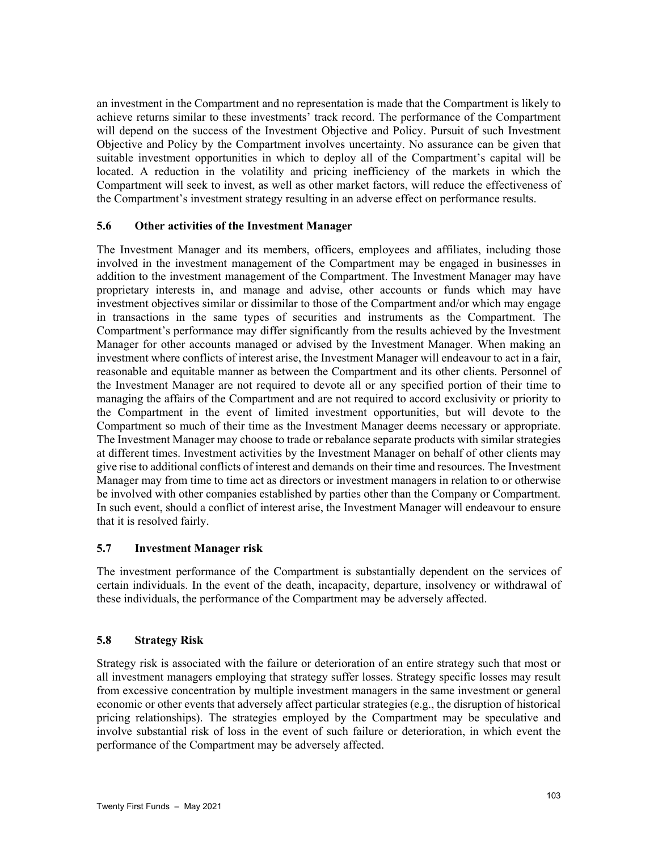an investment in the Compartment and no representation is made that the Compartment is likely to achieve returns similar to these investments' track record. The performance of the Compartment will depend on the success of the Investment Objective and Policy. Pursuit of such Investment Objective and Policy by the Compartment involves uncertainty. No assurance can be given that suitable investment opportunities in which to deploy all of the Compartment's capital will be located. A reduction in the volatility and pricing inefficiency of the markets in which the Compartment will seek to invest, as well as other market factors, will reduce the effectiveness of the Compartment's investment strategy resulting in an adverse effect on performance results.

## **5.6 Other activities of the Investment Manager**

The Investment Manager and its members, officers, employees and affiliates, including those involved in the investment management of the Compartment may be engaged in businesses in addition to the investment management of the Compartment. The Investment Manager may have proprietary interests in, and manage and advise, other accounts or funds which may have investment objectives similar or dissimilar to those of the Compartment and/or which may engage in transactions in the same types of securities and instruments as the Compartment. The Compartment's performance may differ significantly from the results achieved by the Investment Manager for other accounts managed or advised by the Investment Manager. When making an investment where conflicts of interest arise, the Investment Manager will endeavour to act in a fair, reasonable and equitable manner as between the Compartment and its other clients. Personnel of the Investment Manager are not required to devote all or any specified portion of their time to managing the affairs of the Compartment and are not required to accord exclusivity or priority to the Compartment in the event of limited investment opportunities, but will devote to the Compartment so much of their time as the Investment Manager deems necessary or appropriate. The Investment Manager may choose to trade or rebalance separate products with similar strategies at different times. Investment activities by the Investment Manager on behalf of other clients may give rise to additional conflicts of interest and demands on their time and resources. The Investment Manager may from time to time act as directors or investment managers in relation to or otherwise be involved with other companies established by parties other than the Company or Compartment. In such event, should a conflict of interest arise, the Investment Manager will endeavour to ensure that it is resolved fairly.

## **5.7 Investment Manager risk**

The investment performance of the Compartment is substantially dependent on the services of certain individuals. In the event of the death, incapacity, departure, insolvency or withdrawal of these individuals, the performance of the Compartment may be adversely affected.

## **5.8 Strategy Risk**

Strategy risk is associated with the failure or deterioration of an entire strategy such that most or all investment managers employing that strategy suffer losses. Strategy specific losses may result from excessive concentration by multiple investment managers in the same investment or general economic or other events that adversely affect particular strategies (e.g., the disruption of historical pricing relationships). The strategies employed by the Compartment may be speculative and involve substantial risk of loss in the event of such failure or deterioration, in which event the performance of the Compartment may be adversely affected.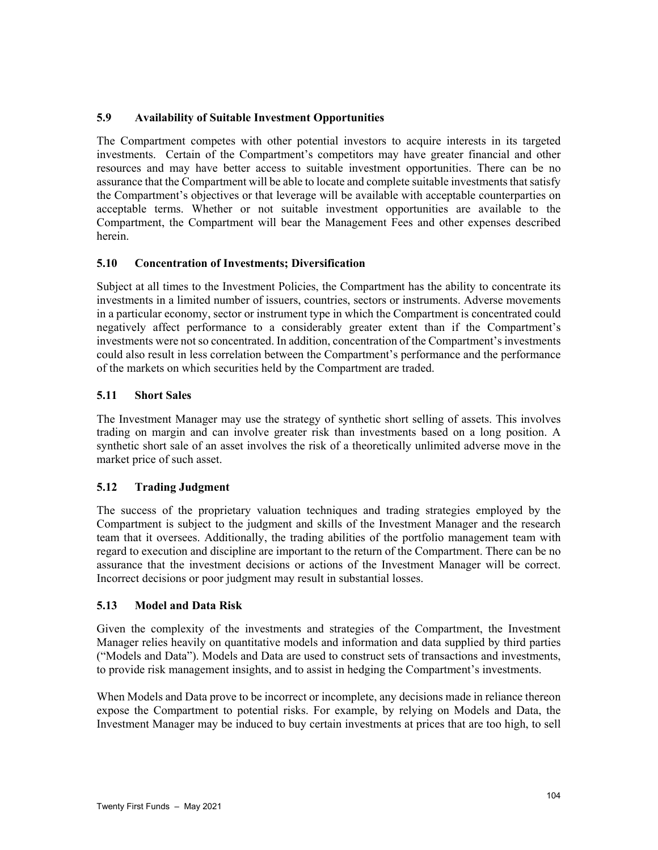# **5.9 Availability of Suitable Investment Opportunities**

The Compartment competes with other potential investors to acquire interests in its targeted investments. Certain of the Compartment's competitors may have greater financial and other resources and may have better access to suitable investment opportunities. There can be no assurance that the Compartment will be able to locate and complete suitable investments that satisfy the Compartment's objectives or that leverage will be available with acceptable counterparties on acceptable terms. Whether or not suitable investment opportunities are available to the Compartment, the Compartment will bear the Management Fees and other expenses described herein.

## **5.10 Concentration of Investments; Diversification**

Subject at all times to the Investment Policies, the Compartment has the ability to concentrate its investments in a limited number of issuers, countries, sectors or instruments. Adverse movements in a particular economy, sector or instrument type in which the Compartment is concentrated could negatively affect performance to a considerably greater extent than if the Compartment's investments were not so concentrated. In addition, concentration of the Compartment's investments could also result in less correlation between the Compartment's performance and the performance of the markets on which securities held by the Compartment are traded.

## **5.11 Short Sales**

The Investment Manager may use the strategy of synthetic short selling of assets. This involves trading on margin and can involve greater risk than investments based on a long position. A synthetic short sale of an asset involves the risk of a theoretically unlimited adverse move in the market price of such asset.

## **5.12 Trading Judgment**

The success of the proprietary valuation techniques and trading strategies employed by the Compartment is subject to the judgment and skills of the Investment Manager and the research team that it oversees. Additionally, the trading abilities of the portfolio management team with regard to execution and discipline are important to the return of the Compartment. There can be no assurance that the investment decisions or actions of the Investment Manager will be correct. Incorrect decisions or poor judgment may result in substantial losses.

## **5.13 Model and Data Risk**

Given the complexity of the investments and strategies of the Compartment, the Investment Manager relies heavily on quantitative models and information and data supplied by third parties ("Models and Data"). Models and Data are used to construct sets of transactions and investments, to provide risk management insights, and to assist in hedging the Compartment's investments.

When Models and Data prove to be incorrect or incomplete, any decisions made in reliance thereon expose the Compartment to potential risks. For example, by relying on Models and Data, the Investment Manager may be induced to buy certain investments at prices that are too high, to sell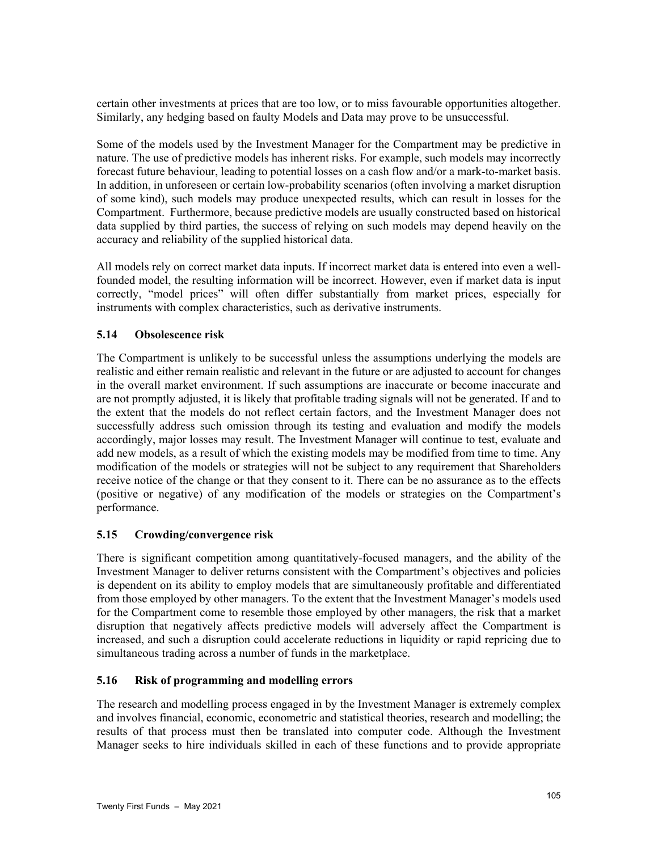certain other investments at prices that are too low, or to miss favourable opportunities altogether. Similarly, any hedging based on faulty Models and Data may prove to be unsuccessful.

Some of the models used by the Investment Manager for the Compartment may be predictive in nature. The use of predictive models has inherent risks. For example, such models may incorrectly forecast future behaviour, leading to potential losses on a cash flow and/or a mark-to-market basis. In addition, in unforeseen or certain low-probability scenarios (often involving a market disruption of some kind), such models may produce unexpected results, which can result in losses for the Compartment. Furthermore, because predictive models are usually constructed based on historical data supplied by third parties, the success of relying on such models may depend heavily on the accuracy and reliability of the supplied historical data.

All models rely on correct market data inputs. If incorrect market data is entered into even a wellfounded model, the resulting information will be incorrect. However, even if market data is input correctly, "model prices" will often differ substantially from market prices, especially for instruments with complex characteristics, such as derivative instruments.

# **5.14 Obsolescence risk**

The Compartment is unlikely to be successful unless the assumptions underlying the models are realistic and either remain realistic and relevant in the future or are adjusted to account for changes in the overall market environment. If such assumptions are inaccurate or become inaccurate and are not promptly adjusted, it is likely that profitable trading signals will not be generated. If and to the extent that the models do not reflect certain factors, and the Investment Manager does not successfully address such omission through its testing and evaluation and modify the models accordingly, major losses may result. The Investment Manager will continue to test, evaluate and add new models, as a result of which the existing models may be modified from time to time. Any modification of the models or strategies will not be subject to any requirement that Shareholders receive notice of the change or that they consent to it. There can be no assurance as to the effects (positive or negative) of any modification of the models or strategies on the Compartment's performance.

# **5.15 Crowding/convergence risk**

There is significant competition among quantitatively-focused managers, and the ability of the Investment Manager to deliver returns consistent with the Compartment's objectives and policies is dependent on its ability to employ models that are simultaneously profitable and differentiated from those employed by other managers. To the extent that the Investment Manager's models used for the Compartment come to resemble those employed by other managers, the risk that a market disruption that negatively affects predictive models will adversely affect the Compartment is increased, and such a disruption could accelerate reductions in liquidity or rapid repricing due to simultaneous trading across a number of funds in the marketplace.

## **5.16 Risk of programming and modelling errors**

The research and modelling process engaged in by the Investment Manager is extremely complex and involves financial, economic, econometric and statistical theories, research and modelling; the results of that process must then be translated into computer code. Although the Investment Manager seeks to hire individuals skilled in each of these functions and to provide appropriate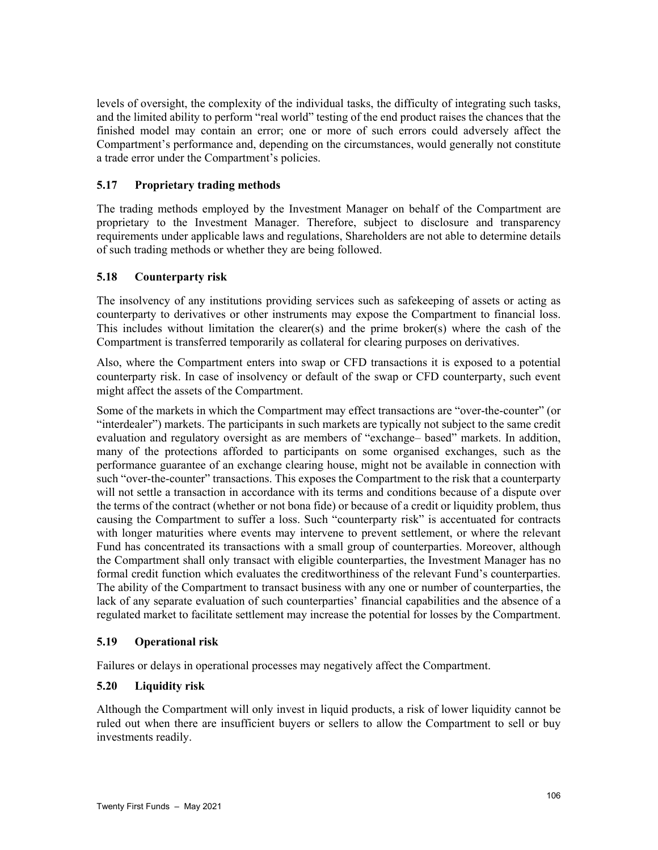levels of oversight, the complexity of the individual tasks, the difficulty of integrating such tasks, and the limited ability to perform "real world" testing of the end product raises the chances that the finished model may contain an error; one or more of such errors could adversely affect the Compartment's performance and, depending on the circumstances, would generally not constitute a trade error under the Compartment's policies.

# **5.17 Proprietary trading methods**

The trading methods employed by the Investment Manager on behalf of the Compartment are proprietary to the Investment Manager. Therefore, subject to disclosure and transparency requirements under applicable laws and regulations, Shareholders are not able to determine details of such trading methods or whether they are being followed.

# **5.18 Counterparty risk**

The insolvency of any institutions providing services such as safekeeping of assets or acting as counterparty to derivatives or other instruments may expose the Compartment to financial loss. This includes without limitation the clearer(s) and the prime broker(s) where the cash of the Compartment is transferred temporarily as collateral for clearing purposes on derivatives.

Also, where the Compartment enters into swap or CFD transactions it is exposed to a potential counterparty risk. In case of insolvency or default of the swap or CFD counterparty, such event might affect the assets of the Compartment.

Some of the markets in which the Compartment may effect transactions are "over-the-counter" (or "interdealer") markets. The participants in such markets are typically not subject to the same credit evaluation and regulatory oversight as are members of "exchange– based" markets. In addition, many of the protections afforded to participants on some organised exchanges, such as the performance guarantee of an exchange clearing house, might not be available in connection with such "over-the-counter" transactions. This exposes the Compartment to the risk that a counterparty will not settle a transaction in accordance with its terms and conditions because of a dispute over the terms of the contract (whether or not bona fide) or because of a credit or liquidity problem, thus causing the Compartment to suffer a loss. Such "counterparty risk" is accentuated for contracts with longer maturities where events may intervene to prevent settlement, or where the relevant Fund has concentrated its transactions with a small group of counterparties. Moreover, although the Compartment shall only transact with eligible counterparties, the Investment Manager has no formal credit function which evaluates the creditworthiness of the relevant Fund's counterparties. The ability of the Compartment to transact business with any one or number of counterparties, the lack of any separate evaluation of such counterparties' financial capabilities and the absence of a regulated market to facilitate settlement may increase the potential for losses by the Compartment.

## **5.19 Operational risk**

Failures or delays in operational processes may negatively affect the Compartment.

## **5.20 Liquidity risk**

Although the Compartment will only invest in liquid products, a risk of lower liquidity cannot be ruled out when there are insufficient buyers or sellers to allow the Compartment to sell or buy investments readily.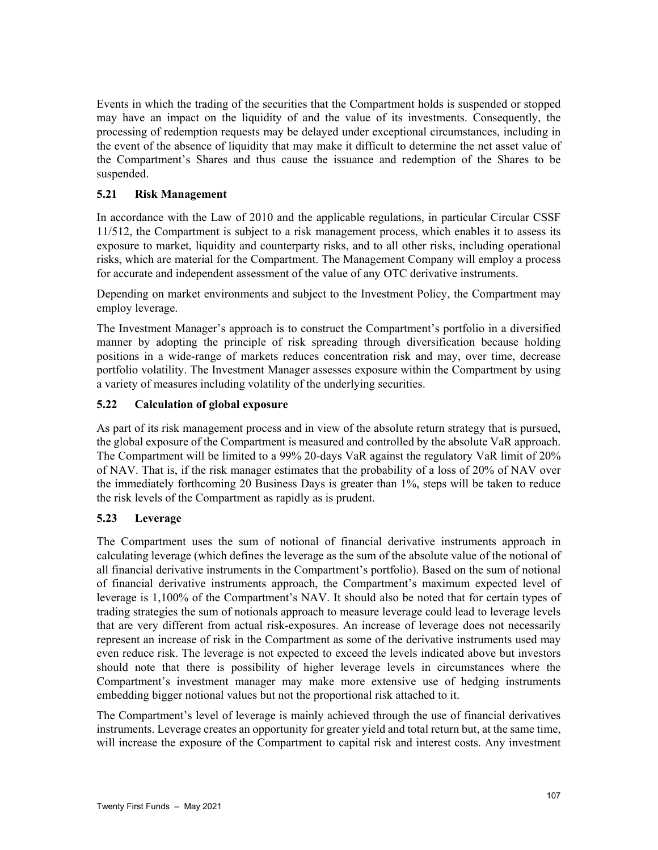Events in which the trading of the securities that the Compartment holds is suspended or stopped may have an impact on the liquidity of and the value of its investments. Consequently, the processing of redemption requests may be delayed under exceptional circumstances, including in the event of the absence of liquidity that may make it difficult to determine the net asset value of the Compartment's Shares and thus cause the issuance and redemption of the Shares to be suspended.

# **5.21 Risk Management**

In accordance with the Law of 2010 and the applicable regulations, in particular Circular CSSF 11/512, the Compartment is subject to a risk management process, which enables it to assess its exposure to market, liquidity and counterparty risks, and to all other risks, including operational risks, which are material for the Compartment. The Management Company will employ a process for accurate and independent assessment of the value of any OTC derivative instruments.

Depending on market environments and subject to the Investment Policy, the Compartment may employ leverage.

The Investment Manager's approach is to construct the Compartment's portfolio in a diversified manner by adopting the principle of risk spreading through diversification because holding positions in a wide-range of markets reduces concentration risk and may, over time, decrease portfolio volatility. The Investment Manager assesses exposure within the Compartment by using a variety of measures including volatility of the underlying securities.

# **5.22 Calculation of global exposure**

As part of its risk management process and in view of the absolute return strategy that is pursued, the global exposure of the Compartment is measured and controlled by the absolute VaR approach. The Compartment will be limited to a 99% 20-days VaR against the regulatory VaR limit of 20% of NAV. That is, if the risk manager estimates that the probability of a loss of 20% of NAV over the immediately forthcoming 20 Business Days is greater than 1%, steps will be taken to reduce the risk levels of the Compartment as rapidly as is prudent.

## **5.23 Leverage**

The Compartment uses the sum of notional of financial derivative instruments approach in calculating leverage (which defines the leverage as the sum of the absolute value of the notional of all financial derivative instruments in the Compartment's portfolio). Based on the sum of notional of financial derivative instruments approach, the Compartment's maximum expected level of leverage is 1,100% of the Compartment's NAV. It should also be noted that for certain types of trading strategies the sum of notionals approach to measure leverage could lead to leverage levels that are very different from actual risk-exposures. An increase of leverage does not necessarily represent an increase of risk in the Compartment as some of the derivative instruments used may even reduce risk. The leverage is not expected to exceed the levels indicated above but investors should note that there is possibility of higher leverage levels in circumstances where the Compartment's investment manager may make more extensive use of hedging instruments embedding bigger notional values but not the proportional risk attached to it.

The Compartment's level of leverage is mainly achieved through the use of financial derivatives instruments. Leverage creates an opportunity for greater yield and total return but, at the same time, will increase the exposure of the Compartment to capital risk and interest costs. Any investment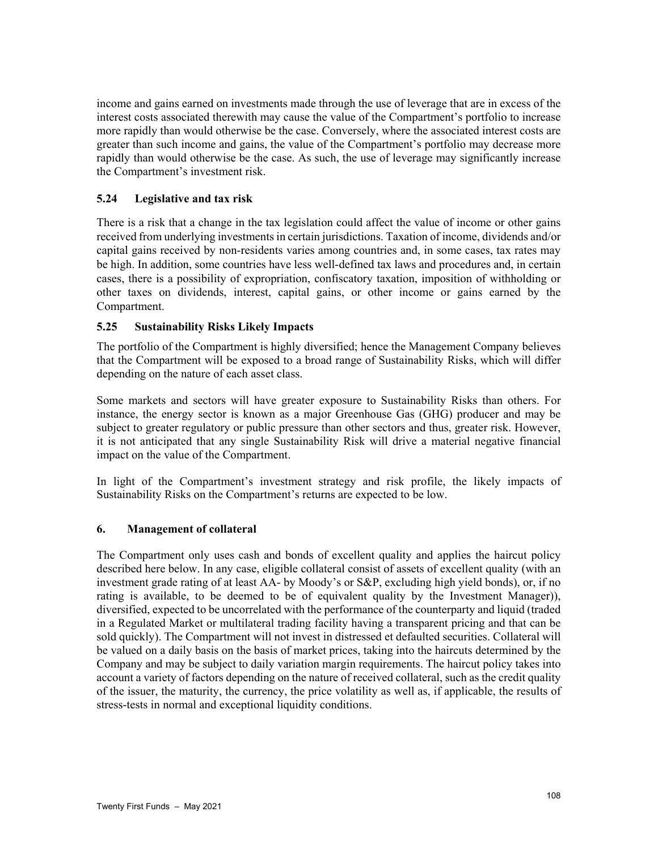income and gains earned on investments made through the use of leverage that are in excess of the interest costs associated therewith may cause the value of the Compartment's portfolio to increase more rapidly than would otherwise be the case. Conversely, where the associated interest costs are greater than such income and gains, the value of the Compartment's portfolio may decrease more rapidly than would otherwise be the case. As such, the use of leverage may significantly increase the Compartment's investment risk.

## **5.24 Legislative and tax risk**

There is a risk that a change in the tax legislation could affect the value of income or other gains received from underlying investments in certain jurisdictions. Taxation of income, dividends and/or capital gains received by non-residents varies among countries and, in some cases, tax rates may be high. In addition, some countries have less well-defined tax laws and procedures and, in certain cases, there is a possibility of expropriation, confiscatory taxation, imposition of withholding or other taxes on dividends, interest, capital gains, or other income or gains earned by the Compartment.

## **5.25 Sustainability Risks Likely Impacts**

The portfolio of the Compartment is highly diversified; hence the Management Company believes that the Compartment will be exposed to a broad range of Sustainability Risks, which will differ depending on the nature of each asset class.

Some markets and sectors will have greater exposure to Sustainability Risks than others. For instance, the energy sector is known as a major Greenhouse Gas (GHG) producer and may be subject to greater regulatory or public pressure than other sectors and thus, greater risk. However, it is not anticipated that any single Sustainability Risk will drive a material negative financial impact on the value of the Compartment.

In light of the Compartment's investment strategy and risk profile, the likely impacts of Sustainability Risks on the Compartment's returns are expected to be low.

## **6. Management of collateral**

The Compartment only uses cash and bonds of excellent quality and applies the haircut policy described here below. In any case, eligible collateral consist of assets of excellent quality (with an investment grade rating of at least AA- by Moody's or S&P, excluding high yield bonds), or, if no rating is available, to be deemed to be of equivalent quality by the Investment Manager)), diversified, expected to be uncorrelated with the performance of the counterparty and liquid (traded in a Regulated Market or multilateral trading facility having a transparent pricing and that can be sold quickly). The Compartment will not invest in distressed et defaulted securities. Collateral will be valued on a daily basis on the basis of market prices, taking into the haircuts determined by the Company and may be subject to daily variation margin requirements. The haircut policy takes into account a variety of factors depending on the nature of received collateral, such as the credit quality of the issuer, the maturity, the currency, the price volatility as well as, if applicable, the results of stress-tests in normal and exceptional liquidity conditions.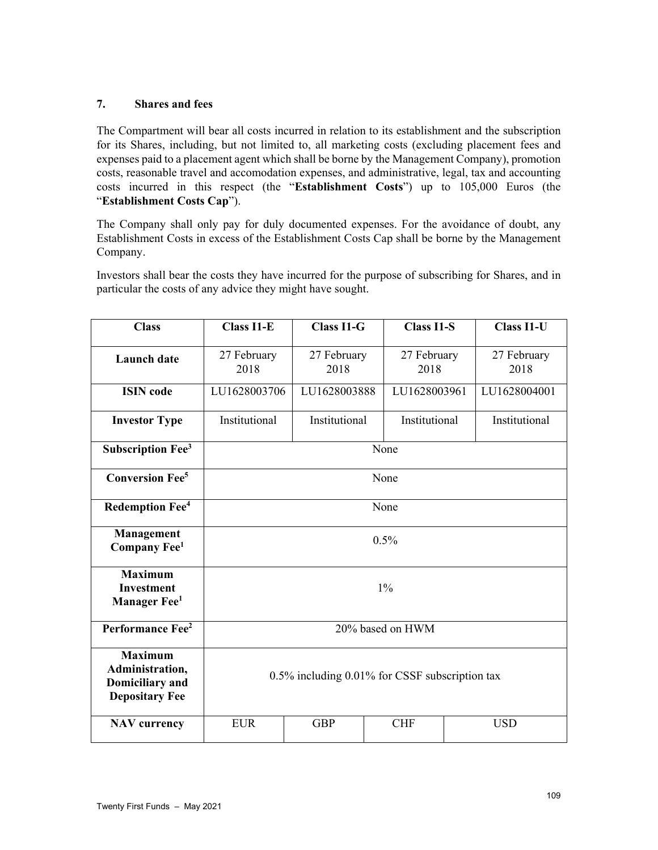# **7. Shares and fees**

The Compartment will bear all costs incurred in relation to its establishment and the subscription for its Shares, including, but not limited to, all marketing costs (excluding placement fees and expenses paid to a placement agent which shall be borne by the Management Company), promotion costs, reasonable travel and accomodation expenses, and administrative, legal, tax and accounting costs incurred in this respect (the "**Establishment Costs**") up to 105,000 Euros (the "**Establishment Costs Cap**").

The Company shall only pay for duly documented expenses. For the avoidance of doubt, any Establishment Costs in excess of the Establishment Costs Cap shall be borne by the Management Company.

Investors shall bear the costs they have incurred for the purpose of subscribing for Shares, and in particular the costs of any advice they might have sought.

| <b>Class</b>                                                                         | <b>Class I1-E</b>                              | <b>Class I1-G</b>   | <b>Class I1-S</b>   |  | <b>Class I1-U</b>   |
|--------------------------------------------------------------------------------------|------------------------------------------------|---------------------|---------------------|--|---------------------|
| <b>Launch</b> date                                                                   | 27 February<br>2018                            | 27 February<br>2018 | 27 February<br>2018 |  | 27 February<br>2018 |
| <b>ISIN</b> code                                                                     | LU1628003706                                   | LU1628003888        | LU1628003961        |  | LU1628004001        |
| <b>Investor Type</b>                                                                 | Institutional                                  | Institutional       | Institutional       |  | Institutional       |
| <b>Subscription Fee<sup>3</sup></b>                                                  | None                                           |                     |                     |  |                     |
| <b>Conversion Fee<sup>5</sup></b>                                                    | None                                           |                     |                     |  |                     |
| Redemption Fee <sup>4</sup>                                                          | None                                           |                     |                     |  |                     |
| Management<br>Company Fee <sup>1</sup>                                               | 0.5%                                           |                     |                     |  |                     |
| <b>Maximum</b><br><b>Investment</b><br><b>Manager Fee</b> <sup>1</sup>               | 1%                                             |                     |                     |  |                     |
| Performance Fee <sup>2</sup>                                                         | 20% based on HWM                               |                     |                     |  |                     |
| <b>Maximum</b><br>Administration,<br><b>Domiciliary</b> and<br><b>Depositary Fee</b> | 0.5% including 0.01% for CSSF subscription tax |                     |                     |  |                     |
| <b>NAV</b> currency                                                                  | <b>EUR</b>                                     | <b>GBP</b>          | <b>CHF</b>          |  | <b>USD</b>          |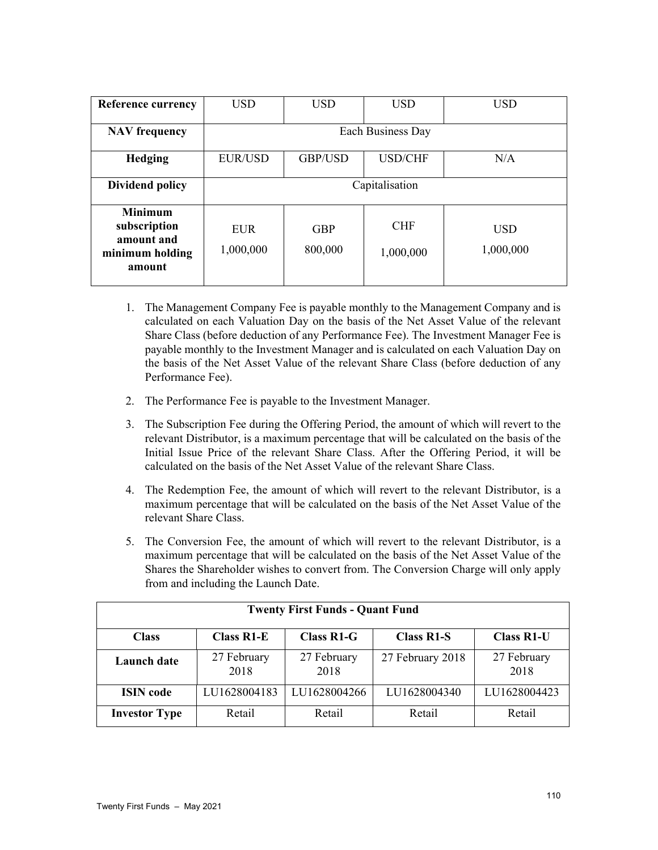| <b>Reference currency</b>                                                 | <b>USD</b>              | <b>USD</b>            | <b>USD</b>              | <b>USD</b>              |
|---------------------------------------------------------------------------|-------------------------|-----------------------|-------------------------|-------------------------|
| <b>NAV</b> frequency                                                      | Each Business Day       |                       |                         |                         |
| Hedging                                                                   | <b>EUR/USD</b>          | GBP/USD               | <b>USD/CHF</b>          | N/A                     |
| <b>Dividend policy</b>                                                    | Capitalisation          |                       |                         |                         |
| <b>Minimum</b><br>subscription<br>amount and<br>minimum holding<br>amount | <b>EUR</b><br>1,000,000 | <b>GBP</b><br>800,000 | <b>CHF</b><br>1,000,000 | <b>USD</b><br>1,000,000 |

- 1. The Management Company Fee is payable monthly to the Management Company and is calculated on each Valuation Day on the basis of the Net Asset Value of the relevant Share Class (before deduction of any Performance Fee). The Investment Manager Fee is payable monthly to the Investment Manager and is calculated on each Valuation Day on the basis of the Net Asset Value of the relevant Share Class (before deduction of any Performance Fee).
- 2. The Performance Fee is payable to the Investment Manager.
- 3. The Subscription Fee during the Offering Period, the amount of which will revert to the relevant Distributor, is a maximum percentage that will be calculated on the basis of the Initial Issue Price of the relevant Share Class. After the Offering Period, it will be calculated on the basis of the Net Asset Value of the relevant Share Class.
- 4. The Redemption Fee, the amount of which will revert to the relevant Distributor, is a maximum percentage that will be calculated on the basis of the Net Asset Value of the relevant Share Class.
- 5. The Conversion Fee, the amount of which will revert to the relevant Distributor, is a maximum percentage that will be calculated on the basis of the Net Asset Value of the Shares the Shareholder wishes to convert from. The Conversion Charge will only apply from and including the Launch Date.

| <b>Twenty First Funds - Quant Fund</b> |                     |                     |                   |                     |
|----------------------------------------|---------------------|---------------------|-------------------|---------------------|
| <b>Class</b>                           | <b>Class R1-E</b>   | <b>Class R1-G</b>   | <b>Class R1-S</b> | <b>Class R1-U</b>   |
| <b>Launch</b> date                     | 27 February<br>2018 | 27 February<br>2018 | 27 February 2018  | 27 February<br>2018 |
| <b>ISIN</b> code                       | LU1628004183        | LU1628004266        | LU1628004340      | LU1628004423        |
| <b>Investor Type</b>                   | Retail              | Retail              | Retail            | Retail              |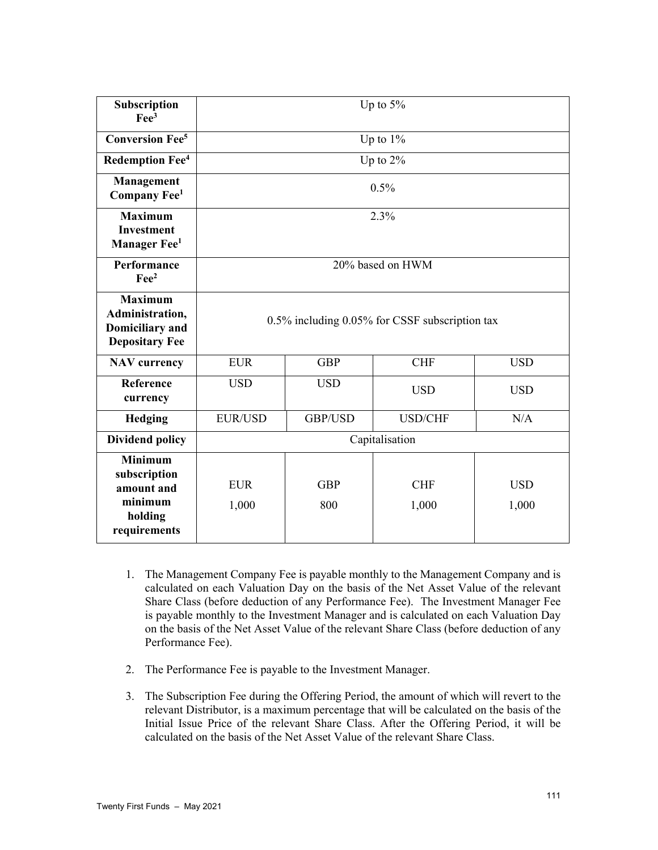| Subscription<br>$\text{Fe}^3$                                                        | Up to 5%                                             |                   |                     |                     |
|--------------------------------------------------------------------------------------|------------------------------------------------------|-------------------|---------------------|---------------------|
| <b>Conversion Fee<sup>5</sup></b>                                                    |                                                      |                   | Up to $1\%$         |                     |
| <b>Redemption Fee</b> <sup>4</sup>                                                   |                                                      |                   | Up to 2%            |                     |
| Management<br>Company Fee <sup>1</sup>                                               | 0.5%                                                 |                   |                     |                     |
| <b>Maximum</b><br><b>Investment</b><br>Manager Fee <sup>1</sup>                      | 2.3%                                                 |                   |                     |                     |
| Performance<br>$\text{Fe}^2$                                                         | 20% based on HWM                                     |                   |                     |                     |
| <b>Maximum</b><br>Administration,<br><b>Domiciliary</b> and<br><b>Depositary Fee</b> | $0.5\%$ including $0.05\%$ for CSSF subscription tax |                   |                     |                     |
| <b>NAV</b> currency                                                                  | <b>EUR</b>                                           | <b>GBP</b>        | <b>CHF</b>          | <b>USD</b>          |
| Reference<br>currency                                                                | <b>USD</b>                                           | <b>USD</b>        | <b>USD</b>          | <b>USD</b>          |
| <b>Hedging</b>                                                                       | <b>EUR/USD</b>                                       | GBP/USD           | <b>USD/CHF</b>      | N/A                 |
| <b>Dividend policy</b>                                                               | Capitalisation                                       |                   |                     |                     |
| <b>Minimum</b><br>subscription<br>amount and<br>minimum<br>holding<br>requirements   | <b>EUR</b><br>1,000                                  | <b>GBP</b><br>800 | <b>CHF</b><br>1,000 | <b>USD</b><br>1,000 |

- 1. The Management Company Fee is payable monthly to the Management Company and is calculated on each Valuation Day on the basis of the Net Asset Value of the relevant Share Class (before deduction of any Performance Fee). The Investment Manager Fee is payable monthly to the Investment Manager and is calculated on each Valuation Day on the basis of the Net Asset Value of the relevant Share Class (before deduction of any Performance Fee).
- 2. The Performance Fee is payable to the Investment Manager.
- 3. The Subscription Fee during the Offering Period, the amount of which will revert to the relevant Distributor, is a maximum percentage that will be calculated on the basis of the Initial Issue Price of the relevant Share Class. After the Offering Period, it will be calculated on the basis of the Net Asset Value of the relevant Share Class.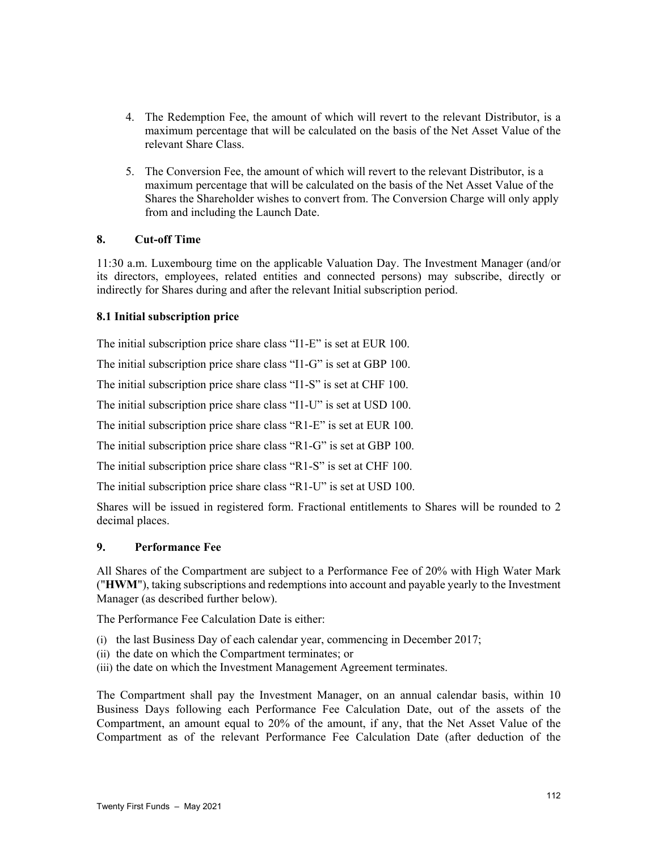- 4. The Redemption Fee, the amount of which will revert to the relevant Distributor, is a maximum percentage that will be calculated on the basis of the Net Asset Value of the relevant Share Class.
- 5. The Conversion Fee, the amount of which will revert to the relevant Distributor, is a maximum percentage that will be calculated on the basis of the Net Asset Value of the Shares the Shareholder wishes to convert from. The Conversion Charge will only apply from and including the Launch Date.

## **8. Cut-off Time**

11:30 a.m. Luxembourg time on the applicable Valuation Day. The Investment Manager (and/or its directors, employees, related entities and connected persons) may subscribe, directly or indirectly for Shares during and after the relevant Initial subscription period.

#### **8.1 Initial subscription price**

The initial subscription price share class "I1-E" is set at EUR 100.

The initial subscription price share class "I1-G" is set at GBP 100.

The initial subscription price share class "I1-S" is set at CHF 100.

The initial subscription price share class "I1-U" is set at USD 100.

The initial subscription price share class "R1-E" is set at EUR 100.

The initial subscription price share class "R1-G" is set at GBP 100.

The initial subscription price share class "R1-S" is set at CHF 100.

The initial subscription price share class "R1-U" is set at USD 100.

Shares will be issued in registered form. Fractional entitlements to Shares will be rounded to 2 decimal places.

#### **9. Performance Fee**

All Shares of the Compartment are subject to a Performance Fee of 20% with High Water Mark ("**HWM**"), taking subscriptions and redemptions into account and payable yearly to the Investment Manager (as described further below).

The Performance Fee Calculation Date is either:

- (i) the last Business Day of each calendar year, commencing in December 2017;
- (ii) the date on which the Compartment terminates; or
- (iii) the date on which the Investment Management Agreement terminates.

The Compartment shall pay the Investment Manager, on an annual calendar basis, within 10 Business Days following each Performance Fee Calculation Date, out of the assets of the Compartment, an amount equal to 20% of the amount, if any, that the Net Asset Value of the Compartment as of the relevant Performance Fee Calculation Date (after deduction of the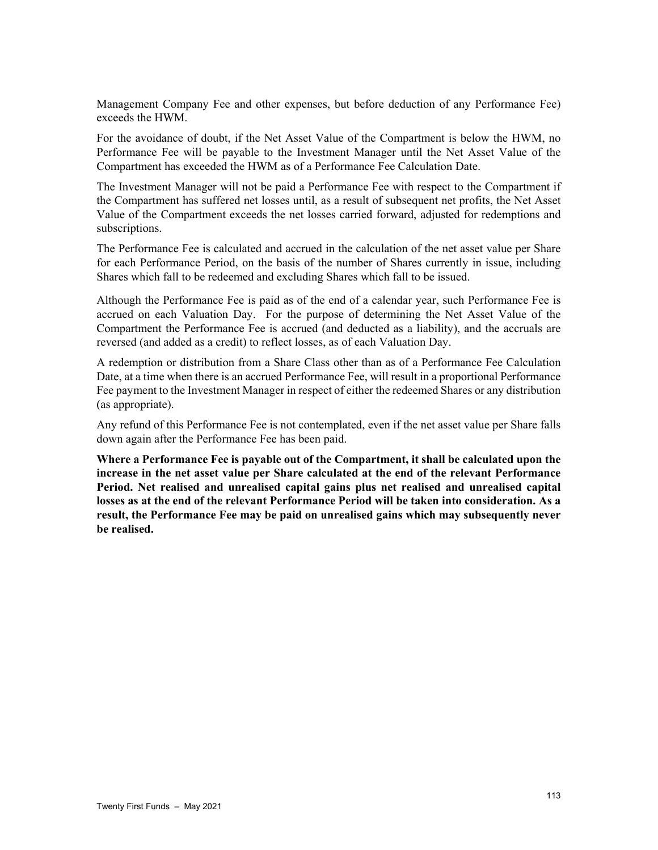Management Company Fee and other expenses, but before deduction of any Performance Fee) exceeds the HWM.

For the avoidance of doubt, if the Net Asset Value of the Compartment is below the HWM, no Performance Fee will be payable to the Investment Manager until the Net Asset Value of the Compartment has exceeded the HWM as of a Performance Fee Calculation Date.

The Investment Manager will not be paid a Performance Fee with respect to the Compartment if the Compartment has suffered net losses until, as a result of subsequent net profits, the Net Asset Value of the Compartment exceeds the net losses carried forward, adjusted for redemptions and subscriptions.

The Performance Fee is calculated and accrued in the calculation of the net asset value per Share for each Performance Period, on the basis of the number of Shares currently in issue, including Shares which fall to be redeemed and excluding Shares which fall to be issued.

Although the Performance Fee is paid as of the end of a calendar year, such Performance Fee is accrued on each Valuation Day. For the purpose of determining the Net Asset Value of the Compartment the Performance Fee is accrued (and deducted as a liability), and the accruals are reversed (and added as a credit) to reflect losses, as of each Valuation Day.

A redemption or distribution from a Share Class other than as of a Performance Fee Calculation Date, at a time when there is an accrued Performance Fee, will result in a proportional Performance Fee payment to the Investment Manager in respect of either the redeemed Shares or any distribution (as appropriate).

Any refund of this Performance Fee is not contemplated, even if the net asset value per Share falls down again after the Performance Fee has been paid.

**Where a Performance Fee is payable out of the Compartment, it shall be calculated upon the increase in the net asset value per Share calculated at the end of the relevant Performance Period. Net realised and unrealised capital gains plus net realised and unrealised capital losses as at the end of the relevant Performance Period will be taken into consideration. As a result, the Performance Fee may be paid on unrealised gains which may subsequently never be realised.**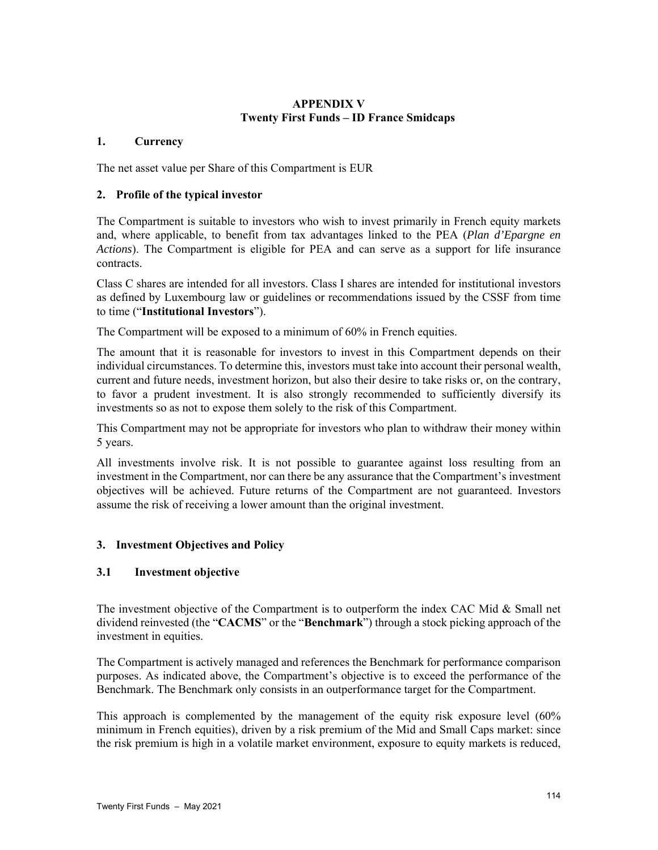# **APPENDIX V Twenty First Funds – ID France Smidcaps**

## **1. Currency**

The net asset value per Share of this Compartment is EUR

# **2. Profile of the typical investor**

The Compartment is suitable to investors who wish to invest primarily in French equity markets and, where applicable, to benefit from tax advantages linked to the PEA (*Plan d'Epargne en Actions*). The Compartment is eligible for PEA and can serve as a support for life insurance contracts.

Class C shares are intended for all investors. Class I shares are intended for institutional investors as defined by Luxembourg law or guidelines or recommendations issued by the CSSF from time to time ("**Institutional Investors**").

The Compartment will be exposed to a minimum of 60% in French equities.

The amount that it is reasonable for investors to invest in this Compartment depends on their individual circumstances. To determine this, investors must take into account their personal wealth, current and future needs, investment horizon, but also their desire to take risks or, on the contrary, to favor a prudent investment. It is also strongly recommended to sufficiently diversify its investments so as not to expose them solely to the risk of this Compartment.

This Compartment may not be appropriate for investors who plan to withdraw their money within 5 years.

All investments involve risk. It is not possible to guarantee against loss resulting from an investment in the Compartment, nor can there be any assurance that the Compartment's investment objectives will be achieved. Future returns of the Compartment are not guaranteed. Investors assume the risk of receiving a lower amount than the original investment.

# **3. Investment Objectives and Policy**

# **3.1 Investment objective**

The investment objective of the Compartment is to outperform the index CAC Mid & Small net dividend reinvested (the "**CACMS**" or the "**Benchmark**") through a stock picking approach of the investment in equities.

The Compartment is actively managed and references the Benchmark for performance comparison purposes. As indicated above, the Compartment's objective is to exceed the performance of the Benchmark. The Benchmark only consists in an outperformance target for the Compartment.

This approach is complemented by the management of the equity risk exposure level (60% minimum in French equities), driven by a risk premium of the Mid and Small Caps market: since the risk premium is high in a volatile market environment, exposure to equity markets is reduced,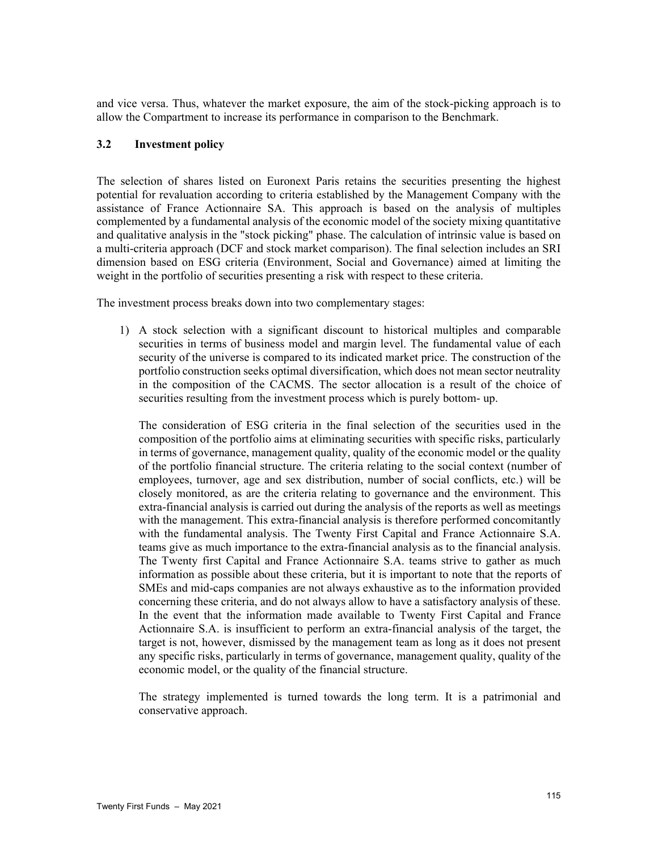and vice versa. Thus, whatever the market exposure, the aim of the stock-picking approach is to allow the Compartment to increase its performance in comparison to the Benchmark.

#### **3.2 Investment policy**

The selection of shares listed on Euronext Paris retains the securities presenting the highest potential for revaluation according to criteria established by the Management Company with the assistance of France Actionnaire SA. This approach is based on the analysis of multiples complemented by a fundamental analysis of the economic model of the society mixing quantitative and qualitative analysis in the "stock picking" phase. The calculation of intrinsic value is based on a multi-criteria approach (DCF and stock market comparison). The final selection includes an SRI dimension based on ESG criteria (Environment, Social and Governance) aimed at limiting the weight in the portfolio of securities presenting a risk with respect to these criteria.

The investment process breaks down into two complementary stages:

1) A stock selection with a significant discount to historical multiples and comparable securities in terms of business model and margin level. The fundamental value of each security of the universe is compared to its indicated market price. The construction of the portfolio construction seeks optimal diversification, which does not mean sector neutrality in the composition of the CACMS. The sector allocation is a result of the choice of securities resulting from the investment process which is purely bottom- up.

The consideration of ESG criteria in the final selection of the securities used in the composition of the portfolio aims at eliminating securities with specific risks, particularly in terms of governance, management quality, quality of the economic model or the quality of the portfolio financial structure. The criteria relating to the social context (number of employees, turnover, age and sex distribution, number of social conflicts, etc.) will be closely monitored, as are the criteria relating to governance and the environment. This extra-financial analysis is carried out during the analysis of the reports as well as meetings with the management. This extra-financial analysis is therefore performed concomitantly with the fundamental analysis. The Twenty First Capital and France Actionnaire S.A. teams give as much importance to the extra-financial analysis as to the financial analysis. The Twenty first Capital and France Actionnaire S.A. teams strive to gather as much information as possible about these criteria, but it is important to note that the reports of SMEs and mid-caps companies are not always exhaustive as to the information provided concerning these criteria, and do not always allow to have a satisfactory analysis of these. In the event that the information made available to Twenty First Capital and France Actionnaire S.A. is insufficient to perform an extra-financial analysis of the target, the target is not, however, dismissed by the management team as long as it does not present any specific risks, particularly in terms of governance, management quality, quality of the economic model, or the quality of the financial structure.

The strategy implemented is turned towards the long term. It is a patrimonial and conservative approach.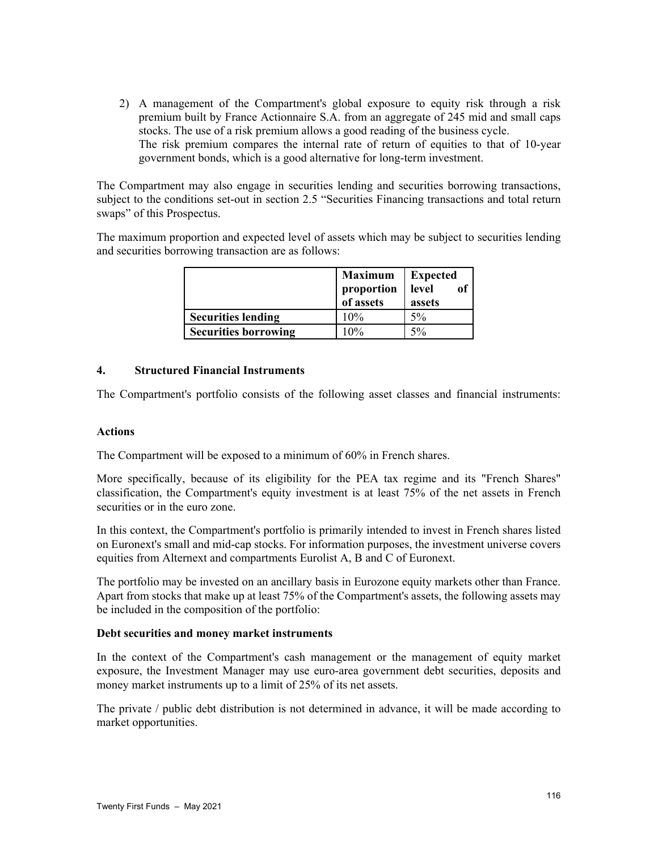2) A management of the Compartment's global exposure to equity risk through a risk premium built by France Actionnaire S.A. from an aggregate of 245 mid and small caps stocks. The use of a risk premium allows a good reading of the business cycle. The risk premium compares the internal rate of return of equities to that of 10-year government bonds, which is a good alternative for long-term investment.

The Compartment may also engage in securities lending and securities borrowing transactions, subject to the conditions set-out in section 2.5 "Securities Financing transactions and total return swaps" of this Prospectus.

The maximum proportion and expected level of assets which may be subject to securities lending and securities borrowing transaction are as follows:

|                             | <b>Maximum</b><br>proportion<br>of assets | <b>Expected</b><br>of<br>level<br>assets |
|-----------------------------|-------------------------------------------|------------------------------------------|
| <b>Securities lending</b>   | 10%                                       | $5\%$                                    |
| <b>Securities borrowing</b> | 10%                                       | $5\%$                                    |

#### **4. Structured Financial Instruments**

The Compartment's portfolio consists of the following asset classes and financial instruments:

#### **Actions**

The Compartment will be exposed to a minimum of 60% in French shares.

More specifically, because of its eligibility for the PEA tax regime and its "French Shares" classification, the Compartment's equity investment is at least 75% of the net assets in French securities or in the euro zone.

In this context, the Compartment's portfolio is primarily intended to invest in French shares listed on Euronext's small and mid-cap stocks. For information purposes, the investment universe covers equities from Alternext and compartments Eurolist A, B and C of Euronext.

The portfolio may be invested on an ancillary basis in Eurozone equity markets other than France. Apart from stocks that make up at least 75% of the Compartment's assets, the following assets may be included in the composition of the portfolio:

#### **Debt securities and money market instruments**

In the context of the Compartment's cash management or the management of equity market exposure, the Investment Manager may use euro-area government debt securities, deposits and money market instruments up to a limit of 25% of its net assets.

The private / public debt distribution is not determined in advance, it will be made according to market opportunities.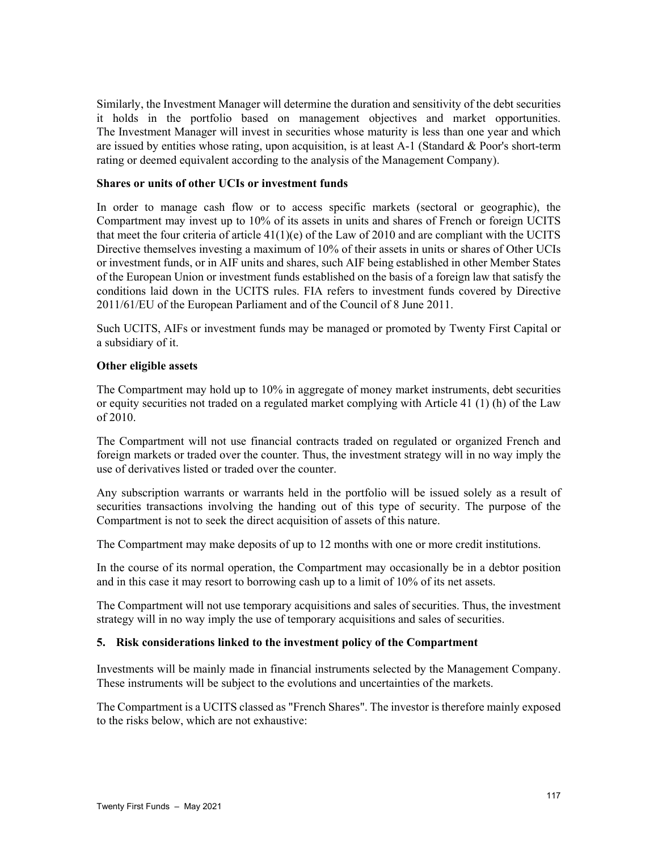Similarly, the Investment Manager will determine the duration and sensitivity of the debt securities it holds in the portfolio based on management objectives and market opportunities. The Investment Manager will invest in securities whose maturity is less than one year and which are issued by entities whose rating, upon acquisition, is at least A-1 (Standard & Poor's short-term rating or deemed equivalent according to the analysis of the Management Company).

#### **Shares or units of other UCIs or investment funds**

In order to manage cash flow or to access specific markets (sectoral or geographic), the Compartment may invest up to 10% of its assets in units and shares of French or foreign UCITS that meet the four criteria of article  $41(1)(e)$  of the Law of 2010 and are compliant with the UCITS Directive themselves investing a maximum of 10% of their assets in units or shares of Other UCIs or investment funds, or in AIF units and shares, such AIF being established in other Member States of the European Union or investment funds established on the basis of a foreign law that satisfy the conditions laid down in the UCITS rules. FIA refers to investment funds covered by Directive 2011/61/EU of the European Parliament and of the Council of 8 June 2011.

Such UCITS, AIFs or investment funds may be managed or promoted by Twenty First Capital or a subsidiary of it.

#### **Other eligible assets**

The Compartment may hold up to 10% in aggregate of money market instruments, debt securities or equity securities not traded on a regulated market complying with Article 41 (1) (h) of the Law of 2010.

The Compartment will not use financial contracts traded on regulated or organized French and foreign markets or traded over the counter. Thus, the investment strategy will in no way imply the use of derivatives listed or traded over the counter.

Any subscription warrants or warrants held in the portfolio will be issued solely as a result of securities transactions involving the handing out of this type of security. The purpose of the Compartment is not to seek the direct acquisition of assets of this nature.

The Compartment may make deposits of up to 12 months with one or more credit institutions.

In the course of its normal operation, the Compartment may occasionally be in a debtor position and in this case it may resort to borrowing cash up to a limit of 10% of its net assets.

The Compartment will not use temporary acquisitions and sales of securities. Thus, the investment strategy will in no way imply the use of temporary acquisitions and sales of securities.

## **5. Risk considerations linked to the investment policy of the Compartment**

Investments will be mainly made in financial instruments selected by the Management Company. These instruments will be subject to the evolutions and uncertainties of the markets.

The Compartment is a UCITS classed as "French Shares". The investor is therefore mainly exposed to the risks below, which are not exhaustive: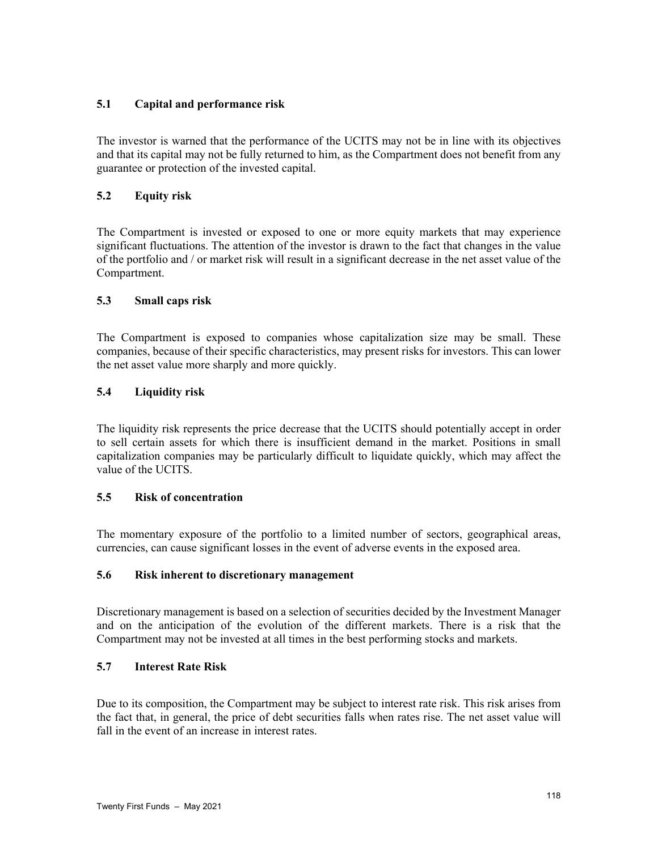# **5.1 Capital and performance risk**

The investor is warned that the performance of the UCITS may not be in line with its objectives and that its capital may not be fully returned to him, as the Compartment does not benefit from any guarantee or protection of the invested capital.

# **5.2 Equity risk**

The Compartment is invested or exposed to one or more equity markets that may experience significant fluctuations. The attention of the investor is drawn to the fact that changes in the value of the portfolio and / or market risk will result in a significant decrease in the net asset value of the Compartment.

## **5.3 Small caps risk**

The Compartment is exposed to companies whose capitalization size may be small. These companies, because of their specific characteristics, may present risks for investors. This can lower the net asset value more sharply and more quickly.

## **5.4 Liquidity risk**

The liquidity risk represents the price decrease that the UCITS should potentially accept in order to sell certain assets for which there is insufficient demand in the market. Positions in small capitalization companies may be particularly difficult to liquidate quickly, which may affect the value of the UCITS.

## **5.5 Risk of concentration**

The momentary exposure of the portfolio to a limited number of sectors, geographical areas, currencies, can cause significant losses in the event of adverse events in the exposed area.

#### **5.6 Risk inherent to discretionary management**

Discretionary management is based on a selection of securities decided by the Investment Manager and on the anticipation of the evolution of the different markets. There is a risk that the Compartment may not be invested at all times in the best performing stocks and markets.

## **5.7 Interest Rate Risk**

Due to its composition, the Compartment may be subject to interest rate risk. This risk arises from the fact that, in general, the price of debt securities falls when rates rise. The net asset value will fall in the event of an increase in interest rates.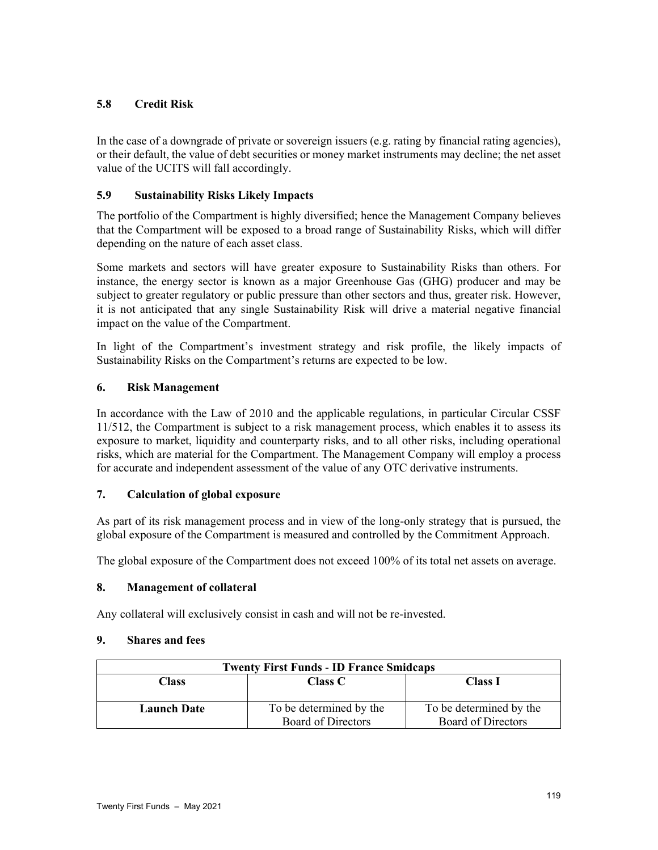# **5.8 Credit Risk**

In the case of a downgrade of private or sovereign issuers (e.g. rating by financial rating agencies), or their default, the value of debt securities or money market instruments may decline; the net asset value of the UCITS will fall accordingly.

# **5.9 Sustainability Risks Likely Impacts**

The portfolio of the Compartment is highly diversified; hence the Management Company believes that the Compartment will be exposed to a broad range of Sustainability Risks, which will differ depending on the nature of each asset class.

Some markets and sectors will have greater exposure to Sustainability Risks than others. For instance, the energy sector is known as a major Greenhouse Gas (GHG) producer and may be subject to greater regulatory or public pressure than other sectors and thus, greater risk. However, it is not anticipated that any single Sustainability Risk will drive a material negative financial impact on the value of the Compartment.

In light of the Compartment's investment strategy and risk profile, the likely impacts of Sustainability Risks on the Compartment's returns are expected to be low.

# **6. Risk Management**

In accordance with the Law of 2010 and the applicable regulations, in particular Circular CSSF 11/512, the Compartment is subject to a risk management process, which enables it to assess its exposure to market, liquidity and counterparty risks, and to all other risks, including operational risks, which are material for the Compartment. The Management Company will employ a process for accurate and independent assessment of the value of any OTC derivative instruments.

## **7. Calculation of global exposure**

As part of its risk management process and in view of the long-only strategy that is pursued, the global exposure of the Compartment is measured and controlled by the Commitment Approach.

The global exposure of the Compartment does not exceed 100% of its total net assets on average.

## **8. Management of collateral**

Any collateral will exclusively consist in cash and will not be re-invested.

## **9. Shares and fees**

| <b>Twenty First Funds - ID France Smidcaps</b> |                         |                         |  |
|------------------------------------------------|-------------------------|-------------------------|--|
| Class<br><b>Class C</b>                        |                         | <b>Class I</b>          |  |
|                                                |                         |                         |  |
| <b>Launch Date</b>                             | To be determined by the | To be determined by the |  |
|                                                | Board of Directors      | Board of Directors      |  |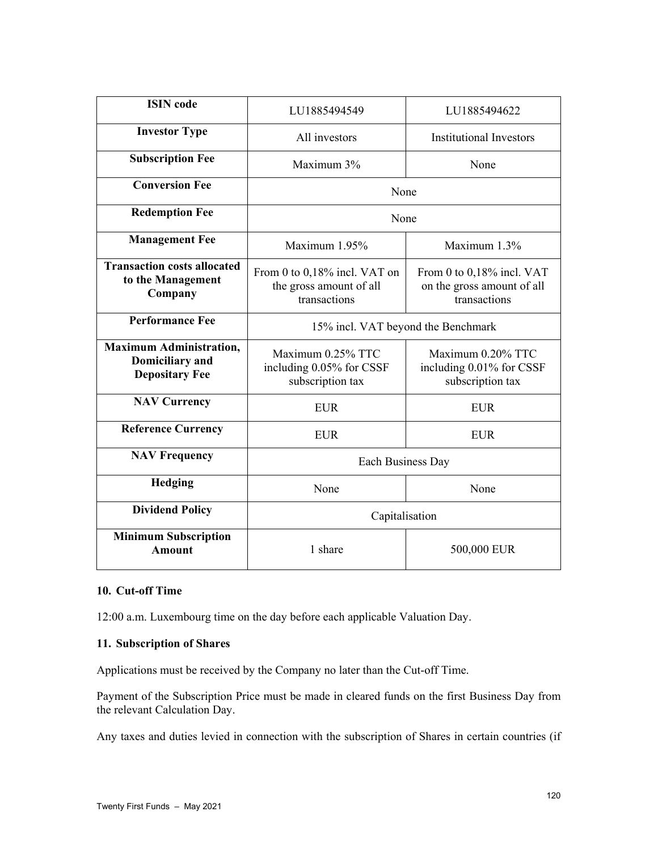| <b>ISIN</b> code                                                                  | LU1885494549                                                            | LU1885494622                                                            |  |
|-----------------------------------------------------------------------------------|-------------------------------------------------------------------------|-------------------------------------------------------------------------|--|
| <b>Investor Type</b>                                                              | All investors                                                           | <b>Institutional Investors</b>                                          |  |
| <b>Subscription Fee</b>                                                           | Maximum 3%                                                              | None                                                                    |  |
| <b>Conversion Fee</b>                                                             | None                                                                    |                                                                         |  |
| <b>Redemption Fee</b>                                                             | None                                                                    |                                                                         |  |
| <b>Management Fee</b>                                                             | Maximum 1.95%                                                           | Maximum 1.3%                                                            |  |
| <b>Transaction costs allocated</b><br>to the Management<br>Company                | From 0 to 0,18% incl. VAT on<br>the gross amount of all<br>transactions | From 0 to 0,18% incl. VAT<br>on the gross amount of all<br>transactions |  |
| <b>Performance Fee</b>                                                            | 15% incl. VAT beyond the Benchmark                                      |                                                                         |  |
| <b>Maximum Administration,</b><br><b>Domiciliary</b> and<br><b>Depositary Fee</b> | Maximum 0.25% TTC<br>including 0.05% for CSSF<br>subscription tax       | Maximum 0.20% TTC<br>including 0.01% for CSSF<br>subscription tax       |  |
| <b>NAV Currency</b>                                                               | <b>EUR</b>                                                              | <b>EUR</b>                                                              |  |
| <b>Reference Currency</b>                                                         | <b>EUR</b>                                                              | <b>EUR</b>                                                              |  |
| <b>NAV Frequency</b>                                                              | Each Business Day                                                       |                                                                         |  |
| <b>Hedging</b>                                                                    | None                                                                    | None                                                                    |  |
| <b>Dividend Policy</b>                                                            | Capitalisation                                                          |                                                                         |  |
| <b>Minimum Subscription</b><br>Amount                                             | 1 share                                                                 | 500,000 EUR                                                             |  |

# **10. Cut-off Time**

12:00 a.m. Luxembourg time on the day before each applicable Valuation Day.

## **11. Subscription of Shares**

Applications must be received by the Company no later than the Cut-off Time.

Payment of the Subscription Price must be made in cleared funds on the first Business Day from the relevant Calculation Day.

Any taxes and duties levied in connection with the subscription of Shares in certain countries (if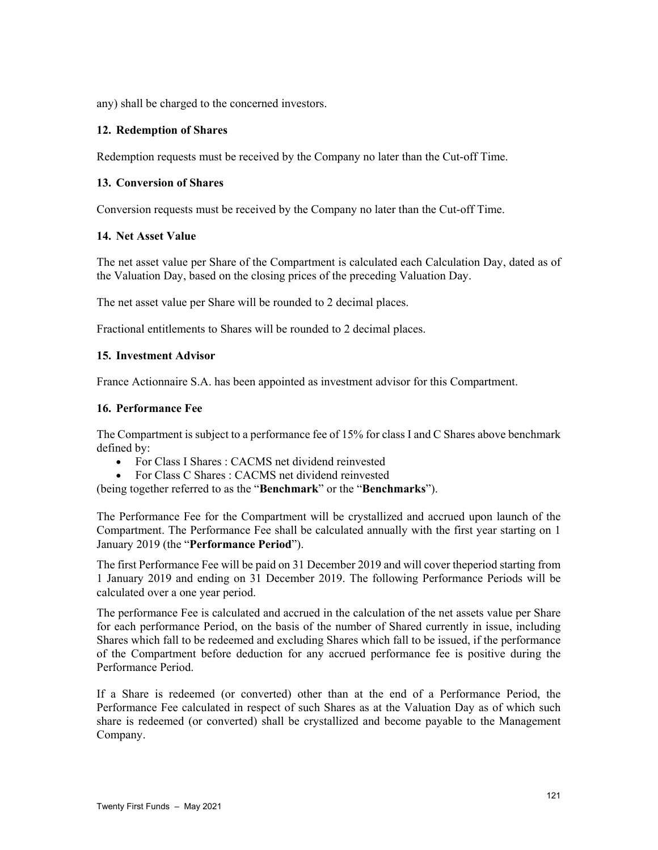any) shall be charged to the concerned investors.

#### **12. Redemption of Shares**

Redemption requests must be received by the Company no later than the Cut-off Time.

#### **13. Conversion of Shares**

Conversion requests must be received by the Company no later than the Cut-off Time.

#### **14. Net Asset Value**

The net asset value per Share of the Compartment is calculated each Calculation Day, dated as of the Valuation Day, based on the closing prices of the preceding Valuation Day.

The net asset value per Share will be rounded to 2 decimal places.

Fractional entitlements to Shares will be rounded to 2 decimal places.

#### **15. Investment Advisor**

France Actionnaire S.A. has been appointed as investment advisor for this Compartment.

#### **16. Performance Fee**

The Compartment is subject to a performance fee of 15% for class I and C Shares above benchmark defined by:

- For Class I Shares : CACMS net dividend reinvested
- For Class C Shares : CACMS net dividend reinvested

(being together referred to as the "**Benchmark**" or the "**Benchmarks**").

The Performance Fee for the Compartment will be crystallized and accrued upon launch of the Compartment. The Performance Fee shall be calculated annually with the first year starting on 1 January 2019 (the "**Performance Period**").

The first Performance Fee will be paid on 31 December 2019 and will cover theperiod starting from 1 January 2019 and ending on 31 December 2019. The following Performance Periods will be calculated over a one year period.

The performance Fee is calculated and accrued in the calculation of the net assets value per Share for each performance Period, on the basis of the number of Shared currently in issue, including Shares which fall to be redeemed and excluding Shares which fall to be issued, if the performance of the Compartment before deduction for any accrued performance fee is positive during the Performance Period.

If a Share is redeemed (or converted) other than at the end of a Performance Period, the Performance Fee calculated in respect of such Shares as at the Valuation Day as of which such share is redeemed (or converted) shall be crystallized and become payable to the Management Company.